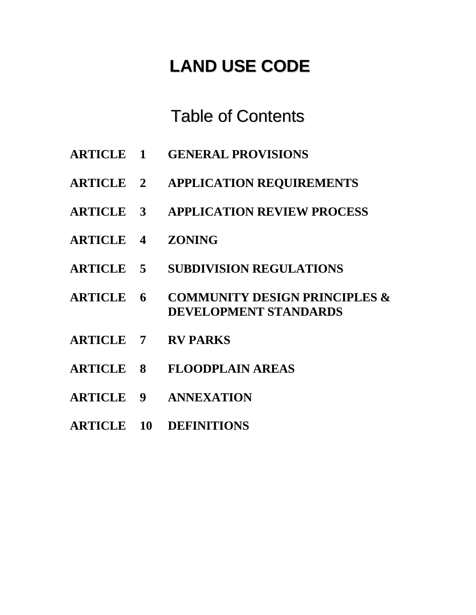# **LAND USE CODE**

## Table of Contents

- **ARTICLE 1 GENERAL PROVISIONS**
- **ARTICLE 2 APPLICATION REQUIREMENTS**
- **ARTICLE 3 APPLICATION REVIEW PROCESS**
- **ARTICLE 4 ZONING**
- **ARTICLE 5 SUBDIVISION REGULATIONS**
- **ARTICLE 6 COMMUNITY DESIGN PRINCIPLES & DEVELOPMENT STANDARDS**
- **ARTICLE 7 RV PARKS**
- **ARTICLE 8 FLOODPLAIN AREAS**
- **ARTICLE 9 ANNEXATION**
- **ARTICLE 10 DEFINITIONS**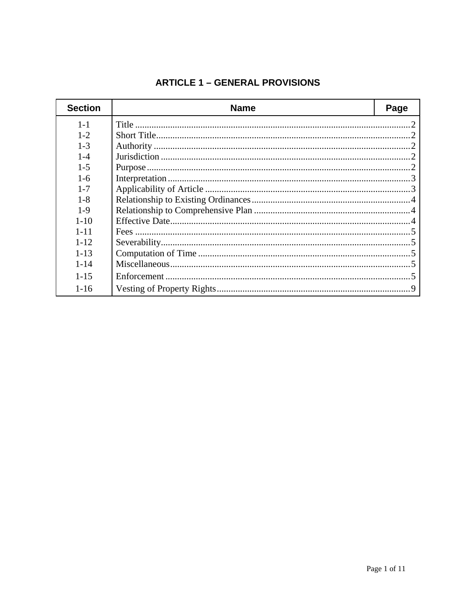## **ARTICLE 1 - GENERAL PROVISIONS**

| <b>Section</b> | <b>Name</b> | Page |
|----------------|-------------|------|
| $1 - 1$        |             |      |
| $1 - 2$        |             |      |
| $1 - 3$        |             |      |
| $1 - 4$        |             |      |
| $1 - 5$        |             |      |
| $1-6$          |             |      |
| $1 - 7$        |             |      |
| $1 - 8$        |             |      |
| $1-9$          |             |      |
| $1 - 10$       |             |      |
| $1 - 11$       |             |      |
| $1 - 12$       |             |      |
| $1 - 13$       |             |      |
| $1 - 14$       |             |      |
| $1 - 15$       |             |      |
| $1 - 16$       |             |      |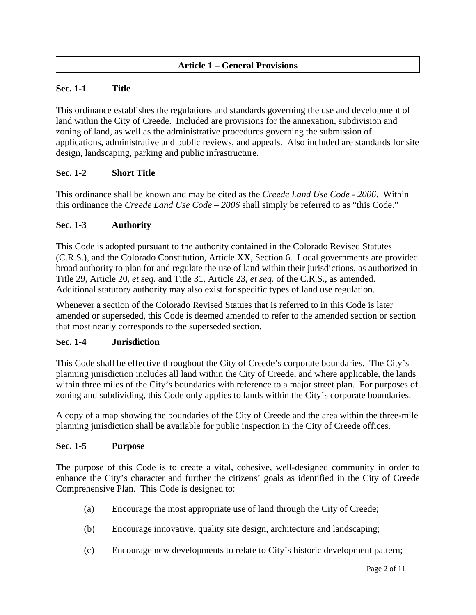## **Article 1 – General Provisions**

## **Sec. 1-1 Title**

This ordinance establishes the regulations and standards governing the use and development of land within the City of Creede. Included are provisions for the annexation, subdivision and zoning of land, as well as the administrative procedures governing the submission of applications, administrative and public reviews, and appeals. Also included are standards for site design, landscaping, parking and public infrastructure.

## **Sec. 1-2 Short Title**

This ordinance shall be known and may be cited as the *Creede Land Use Code - 2006*. Within this ordinance the *Creede Land Use Code – 2006* shall simply be referred to as "this Code."

## **Sec. 1-3 Authority**

This Code is adopted pursuant to the authority contained in the Colorado Revised Statutes (C.R.S.), and the Colorado Constitution, Article XX, Section 6. Local governments are provided broad authority to plan for and regulate the use of land within their jurisdictions, as authorized in Title 29, Article 20, *et seq.* and Title 31, Article 23, *et seq.* of the C.R.S., as amended. Additional statutory authority may also exist for specific types of land use regulation.

Whenever a section of the Colorado Revised Statues that is referred to in this Code is later amended or superseded, this Code is deemed amended to refer to the amended section or section that most nearly corresponds to the superseded section.

## **Sec. 1-4 Jurisdiction**

This Code shall be effective throughout the City of Creede's corporate boundaries. The City's planning jurisdiction includes all land within the City of Creede, and where applicable, the lands within three miles of the City's boundaries with reference to a major street plan. For purposes of zoning and subdividing, this Code only applies to lands within the City's corporate boundaries.

A copy of a map showing the boundaries of the City of Creede and the area within the three-mile planning jurisdiction shall be available for public inspection in the City of Creede offices.

## **Sec. 1-5 Purpose**

The purpose of this Code is to create a vital, cohesive, well-designed community in order to enhance the City's character and further the citizens' goals as identified in the City of Creede Comprehensive Plan. This Code is designed to:

- (a) Encourage the most appropriate use of land through the City of Creede;
- (b) Encourage innovative, quality site design, architecture and landscaping;
- (c) Encourage new developments to relate to City's historic development pattern;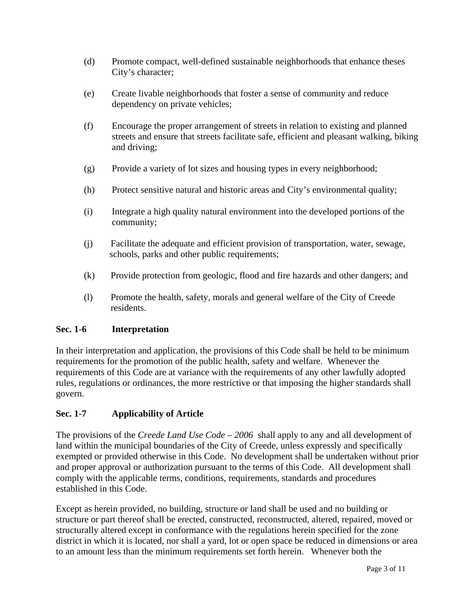- (d) Promote compact, well-defined sustainable neighborhoods that enhance theses City's character;
- (e) Create livable neighborhoods that foster a sense of community and reduce dependency on private vehicles;
- (f) Encourage the proper arrangement of streets in relation to existing and planned streets and ensure that streets facilitate safe, efficient and pleasant walking, biking and driving;
- (g) Provide a variety of lot sizes and housing types in every neighborhood;
- (h) Protect sensitive natural and historic areas and City's environmental quality;
- (i) Integrate a high quality natural environment into the developed portions of the community;
- (j) Facilitate the adequate and efficient provision of transportation, water, sewage, schools, parks and other public requirements;
- (k) Provide protection from geologic, flood and fire hazards and other dangers; and
- (l) Promote the health, safety, morals and general welfare of the City of Creede residents.

## **Sec. 1-6 Interpretation**

In their interpretation and application, the provisions of this Code shall be held to be minimum requirements for the promotion of the public health, safety and welfare. Whenever the requirements of this Code are at variance with the requirements of any other lawfully adopted rules, regulations or ordinances, the more restrictive or that imposing the higher standards shall govern.

## **Sec. 1-7 Applicability of Article**

The provisions of the *Creede Land Use Code – 2006* shall apply to any and all development of land within the municipal boundaries of the City of Creede, unless expressly and specifically exempted or provided otherwise in this Code. No development shall be undertaken without prior and proper approval or authorization pursuant to the terms of this Code. All development shall comply with the applicable terms, conditions, requirements, standards and procedures established in this Code.

Except as herein provided, no building, structure or land shall be used and no building or structure or part thereof shall be erected, constructed, reconstructed, altered, repaired, moved or structurally altered except in conformance with the regulations herein specified for the zone district in which it is located, nor shall a yard, lot or open space be reduced in dimensions or area to an amount less than the minimum requirements set forth herein. Whenever both the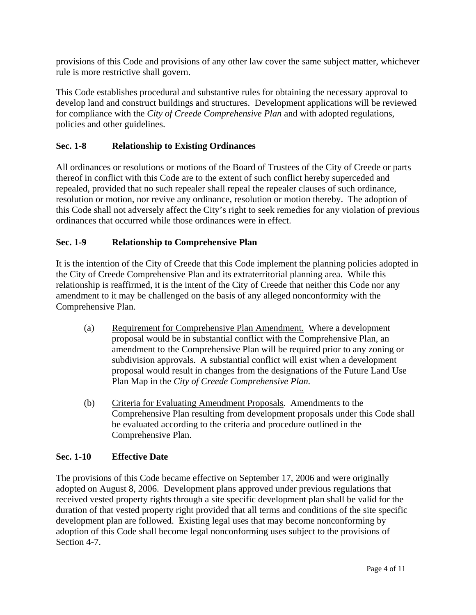provisions of this Code and provisions of any other law cover the same subject matter, whichever rule is more restrictive shall govern.

This Code establishes procedural and substantive rules for obtaining the necessary approval to develop land and construct buildings and structures. Development applications will be reviewed for compliance with the *City of Creede Comprehensive Plan* and with adopted regulations, policies and other guidelines.

## **Sec. 1-8 Relationship to Existing Ordinances**

All ordinances or resolutions or motions of the Board of Trustees of the City of Creede or parts thereof in conflict with this Code are to the extent of such conflict hereby superceded and repealed, provided that no such repealer shall repeal the repealer clauses of such ordinance, resolution or motion, nor revive any ordinance, resolution or motion thereby. The adoption of this Code shall not adversely affect the City's right to seek remedies for any violation of previous ordinances that occurred while those ordinances were in effect.

## **Sec. 1-9 Relationship to Comprehensive Plan**

It is the intention of the City of Creede that this Code implement the planning policies adopted in the City of Creede Comprehensive Plan and its extraterritorial planning area. While this relationship is reaffirmed, it is the intent of the City of Creede that neither this Code nor any amendment to it may be challenged on the basis of any alleged nonconformity with the Comprehensive Plan.

- (a) Requirement for Comprehensive Plan Amendment. Where a development proposal would be in substantial conflict with the Comprehensive Plan, an amendment to the Comprehensive Plan will be required prior to any zoning or subdivision approvals. A substantial conflict will exist when a development proposal would result in changes from the designations of the Future Land Use Plan Map in the *City of Creede Comprehensive Plan.*
- (b) Criteria for Evaluating Amendment Proposals*.* Amendments to the Comprehensive Plan resulting from development proposals under this Code shall be evaluated according to the criteria and procedure outlined in the Comprehensive Plan.

## **Sec. 1-10 Effective Date**

The provisions of this Code became effective on September 17, 2006 and were originally adopted on August 8, 2006. Development plans approved under previous regulations that received vested property rights through a site specific development plan shall be valid for the duration of that vested property right provided that all terms and conditions of the site specific development plan are followed. Existing legal uses that may become nonconforming by adoption of this Code shall become legal nonconforming uses subject to the provisions of Section 4-7.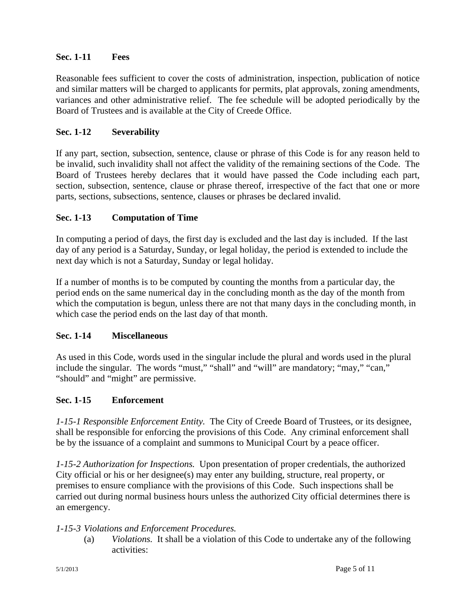## **Sec. 1-11 Fees**

Reasonable fees sufficient to cover the costs of administration, inspection, publication of notice and similar matters will be charged to applicants for permits, plat approvals, zoning amendments, variances and other administrative relief. The fee schedule will be adopted periodically by the Board of Trustees and is available at the City of Creede Office.

## **Sec. 1-12 Severability**

If any part, section, subsection, sentence, clause or phrase of this Code is for any reason held to be invalid, such invalidity shall not affect the validity of the remaining sections of the Code. The Board of Trustees hereby declares that it would have passed the Code including each part, section, subsection, sentence, clause or phrase thereof, irrespective of the fact that one or more parts, sections, subsections, sentence, clauses or phrases be declared invalid.

## **Sec. 1-13 Computation of Time**

In computing a period of days, the first day is excluded and the last day is included.If the last day of any period is a Saturday, Sunday, or legal holiday, the period is extended to include the next day which is not a Saturday, Sunday or legal holiday.

If a number of months is to be computed by counting the months from a particular day, the period ends on the same numerical day in the concluding month as the day of the month from which the computation is begun, unless there are not that many days in the concluding month, in which case the period ends on the last day of that month.

## **Sec. 1-14 Miscellaneous**

As used in this Code, words used in the singular include the plural and words used in the plural include the singular. The words "must," "shall" and "will" are mandatory; "may," "can," "should" and "might" are permissive.

## **Sec. 1-15 Enforcement**

*1-15-1 Responsible Enforcement Entity.* The City of Creede Board of Trustees, or its designee, shall be responsible for enforcing the provisions of this Code. Any criminal enforcement shall be by the issuance of a complaint and summons to Municipal Court by a peace officer.

*1-15-2 Authorization for Inspections.* Upon presentation of proper credentials, the authorized City official or his or her designee(s) may enter any building, structure, real property, or premises to ensure compliance with the provisions of this Code. Such inspections shall be carried out during normal business hours unless the authorized City official determines there is an emergency.

## *1-15-3 Violations and Enforcement Procedures.*

 (a) *Violations.* It shall be a violation of this Code to undertake any of the following activities: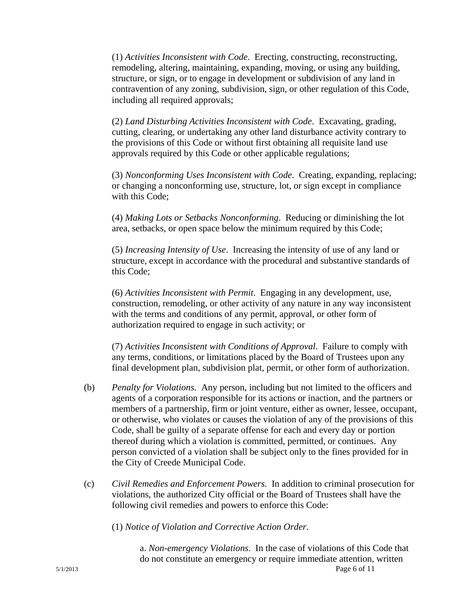(1) *Activities Inconsistent with Code*. Erecting, constructing, reconstructing, remodeling, altering, maintaining, expanding, moving, or using any building, structure, or sign, or to engage in development or subdivision of any land in contravention of any zoning, subdivision, sign, or other regulation of this Code, including all required approvals;

(2) *Land Disturbing Activities Inconsistent with Code*. Excavating, grading, cutting, clearing, or undertaking any other land disturbance activity contrary to the provisions of this Code or without first obtaining all requisite land use approvals required by this Code or other applicable regulations;

(3) *Nonconforming Uses Inconsistent with Code*. Creating, expanding, replacing; or changing a nonconforming use, structure, lot, or sign except in compliance with this Code;

(4) *Making Lots or Setbacks Nonconforming*. Reducing or diminishing the lot area, setbacks, or open space below the minimum required by this Code;

(5) *Increasing Intensity of Use*. Increasing the intensity of use of any land or structure, except in accordance with the procedural and substantive standards of this Code;

(6) *Activities Inconsistent with Permit*. Engaging in any development, use, construction, remodeling, or other activity of any nature in any way inconsistent with the terms and conditions of any permit, approval, or other form of authorization required to engage in such activity; or

(7) *Activities Inconsistent with Conditions of Approval*. Failure to comply with any terms, conditions, or limitations placed by the Board of Trustees upon any final development plan, subdivision plat, permit, or other form of authorization.

- (b) *Penalty for Violations.* Any person, including but not limited to the officers and agents of a corporation responsible for its actions or inaction, and the partners or members of a partnership, firm or joint venture, either as owner, lessee, occupant, or otherwise, who violates or causes the violation of any of the provisions of this Code, shall be guilty of a separate offense for each and every day or portion thereof during which a violation is committed, permitted, or continues. Any person convicted of a violation shall be subject only to the fines provided for in the City of Creede Municipal Code.
- (c) *Civil Remedies and Enforcement Powers.* In addition to criminal prosecution for violations, the authorized City official or the Board of Trustees shall have the following civil remedies and powers to enforce this Code:

(1) *Notice of Violation and Corrective Action Order*.

5/1/2013 Page 6 of 11 a. *Non-emergency Violations*. In the case of violations of this Code that do not constitute an emergency or require immediate attention, written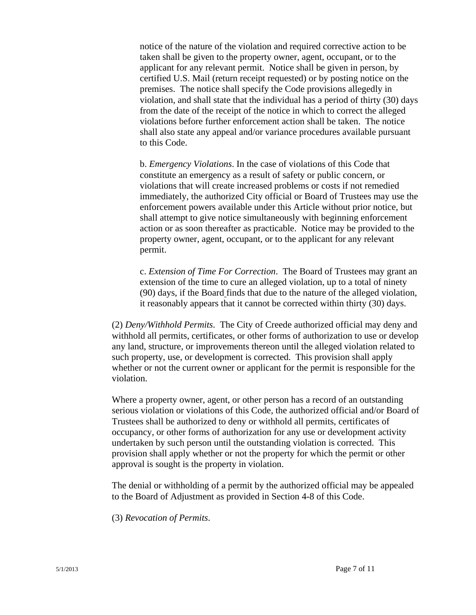notice of the nature of the violation and required corrective action to be taken shall be given to the property owner, agent, occupant, or to the applicant for any relevant permit. Notice shall be given in person, by certified U.S. Mail (return receipt requested) or by posting notice on the premises. The notice shall specify the Code provisions allegedly in violation, and shall state that the individual has a period of thirty (30) days from the date of the receipt of the notice in which to correct the alleged violations before further enforcement action shall be taken. The notice shall also state any appeal and/or variance procedures available pursuant to this Code.

b. *Emergency Violations*. In the case of violations of this Code that constitute an emergency as a result of safety or public concern, or violations that will create increased problems or costs if not remedied immediately, the authorized City official or Board of Trustees may use the enforcement powers available under this Article without prior notice, but shall attempt to give notice simultaneously with beginning enforcement action or as soon thereafter as practicable. Notice may be provided to the property owner, agent, occupant, or to the applicant for any relevant permit.

c. *Extension of Time For Correction*. The Board of Trustees may grant an extension of the time to cure an alleged violation, up to a total of ninety (90) days, if the Board finds that due to the nature of the alleged violation, it reasonably appears that it cannot be corrected within thirty (30) days.

(2) *Deny/Withhold Permits*. The City of Creede authorized official may deny and withhold all permits, certificates, or other forms of authorization to use or develop any land, structure, or improvements thereon until the alleged violation related to such property, use, or development is corrected. This provision shall apply whether or not the current owner or applicant for the permit is responsible for the violation.

Where a property owner, agent, or other person has a record of an outstanding serious violation or violations of this Code, the authorized official and/or Board of Trustees shall be authorized to deny or withhold all permits, certificates of occupancy, or other forms of authorization for any use or development activity undertaken by such person until the outstanding violation is corrected. This provision shall apply whether or not the property for which the permit or other approval is sought is the property in violation.

The denial or withholding of a permit by the authorized official may be appealed to the Board of Adjustment as provided in Section 4-8 of this Code.

(3) *Revocation of Permits*.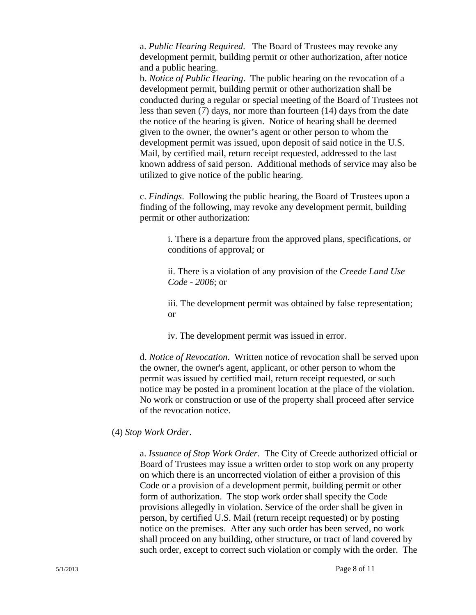a. *Public Hearing Required*. The Board of Trustees may revoke any development permit, building permit or other authorization, after notice and a public hearing.

b. *Notice of Public Hearing*. The public hearing on the revocation of a development permit, building permit or other authorization shall be conducted during a regular or special meeting of the Board of Trustees not less than seven (7) days, nor more than fourteen (14) days from the date the notice of the hearing is given. Notice of hearing shall be deemed given to the owner, the owner's agent or other person to whom the development permit was issued, upon deposit of said notice in the U.S. Mail, by certified mail, return receipt requested, addressed to the last known address of said person. Additional methods of service may also be utilized to give notice of the public hearing.

c. *Findings*. Following the public hearing, the Board of Trustees upon a finding of the following, may revoke any development permit, building permit or other authorization:

> i. There is a departure from the approved plans, specifications, or conditions of approval; or

ii. There is a violation of any provision of the *Creede Land Use Code - 2006*; or

iii. The development permit was obtained by false representation; or

iv. The development permit was issued in error.

d. *Notice of Revocation*. Written notice of revocation shall be served upon the owner, the owner's agent, applicant, or other person to whom the permit was issued by certified mail, return receipt requested, or such notice may be posted in a prominent location at the place of the violation. No work or construction or use of the property shall proceed after service of the revocation notice.

## (4) *Stop Work Order*.

a. *Issuance of Stop Work Order*. The City of Creede authorized official or Board of Trustees may issue a written order to stop work on any property on which there is an uncorrected violation of either a provision of this Code or a provision of a development permit, building permit or other form of authorization. The stop work order shall specify the Code provisions allegedly in violation. Service of the order shall be given in person, by certified U.S. Mail (return receipt requested) or by posting notice on the premises. After any such order has been served, no work shall proceed on any building, other structure, or tract of land covered by such order, except to correct such violation or comply with the order. The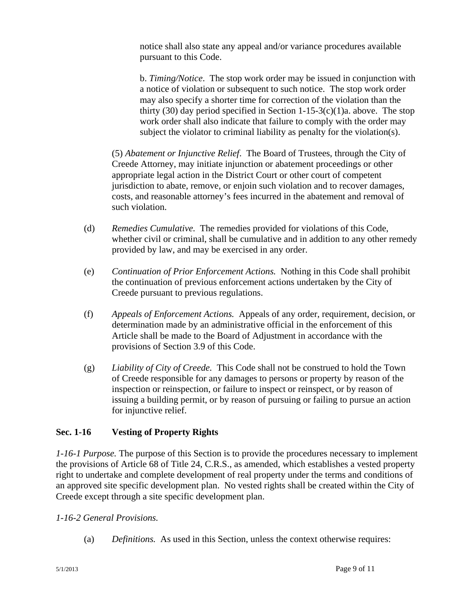notice shall also state any appeal and/or variance procedures available pursuant to this Code.

b. *Timing/Notice*. The stop work order may be issued in conjunction with a notice of violation or subsequent to such notice. The stop work order may also specify a shorter time for correction of the violation than the thirty (30) day period specified in Section 1-15-3(c)(1)a. above. The stop work order shall also indicate that failure to comply with the order may subject the violator to criminal liability as penalty for the violation(s).

(5) *Abatement or Injunctive Relief*. The Board of Trustees, through the City of Creede Attorney, may initiate injunction or abatement proceedings or other appropriate legal action in the District Court or other court of competent jurisdiction to abate, remove, or enjoin such violation and to recover damages, costs, and reasonable attorney's fees incurred in the abatement and removal of such violation.

- (d) *Remedies Cumulative.* The remedies provided for violations of this Code, whether civil or criminal, shall be cumulative and in addition to any other remedy provided by law, and may be exercised in any order.
- (e) *Continuation of Prior Enforcement Actions.*Nothing in this Code shall prohibit the continuation of previous enforcement actions undertaken by the City of Creede pursuant to previous regulations.
- (f) *Appeals of Enforcement Actions.* Appeals of any order, requirement, decision, or determination made by an administrative official in the enforcement of this Article shall be made to the Board of Adjustment in accordance with the provisions of Section 3.9 of this Code.
- (g) *Liability of City of Creede.* This Code shall not be construed to hold the Town of Creede responsible for any damages to persons or property by reason of the inspection or reinspection, or failure to inspect or reinspect, or by reason of issuing a building permit, or by reason of pursuing or failing to pursue an action for injunctive relief.

## **Sec. 1-16 Vesting of Property Rights**

*1-16-1 Purpose.* The purpose of this Section is to provide the procedures necessary to implement the provisions of Article 68 of Title 24, C.R.S., as amended*,* which establishes a vested property right to undertake and complete development of real property under the terms and conditions of an approved site specific development plan. No vested rights shall be created within the City of Creede except through a site specific development plan.

## *1-16-2 General Provisions.*

(a) *Definitions.* As used in this Section, unless the context otherwise requires: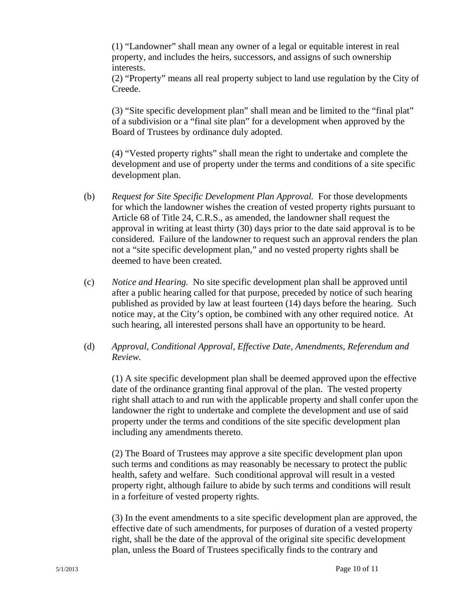(1) "Landowner" shall mean any owner of a legal or equitable interest in real property, and includes the heirs, successors, and assigns of such ownership interests.

(2) "Property" means all real property subject to land use regulation by the City of Creede.

(3) "Site specific development plan" shall mean and be limited to the "final plat" of a subdivision or a "final site plan" for a development when approved by the Board of Trustees by ordinance duly adopted.

(4) "Vested property rights" shall mean the right to undertake and complete the development and use of property under the terms and conditions of a site specific development plan.

- (b) *Request for Site Specific Development Plan Approval.* For those developments for which the landowner wishes the creation of vested property rights pursuant to Article 68 of Title 24, C.R.S., as amended, the landowner shall request the approval in writing at least thirty (30) days prior to the date said approval is to be considered. Failure of the landowner to request such an approval renders the plan not a "site specific development plan," and no vested property rights shall be deemed to have been created.
- (c) *Notice and Hearing.* No site specific development plan shall be approved until after a public hearing called for that purpose, preceded by notice of such hearing published as provided by law at least fourteen (14) days before the hearing. Such notice may, at the City's option, be combined with any other required notice. At such hearing, all interested persons shall have an opportunity to be heard.

## (d) *Approval, Conditional Approval, Effective Date, Amendments, Referendum and Review.*

(1) A site specific development plan shall be deemed approved upon the effective date of the ordinance granting final approval of the plan. The vested property right shall attach to and run with the applicable property and shall confer upon the landowner the right to undertake and complete the development and use of said property under the terms and conditions of the site specific development plan including any amendments thereto.

(2) The Board of Trustees may approve a site specific development plan upon such terms and conditions as may reasonably be necessary to protect the public health, safety and welfare. Such conditional approval will result in a vested property right, although failure to abide by such terms and conditions will result in a forfeiture of vested property rights.

(3) In the event amendments to a site specific development plan are approved, the effective date of such amendments, for purposes of duration of a vested property right, shall be the date of the approval of the original site specific development plan, unless the Board of Trustees specifically finds to the contrary and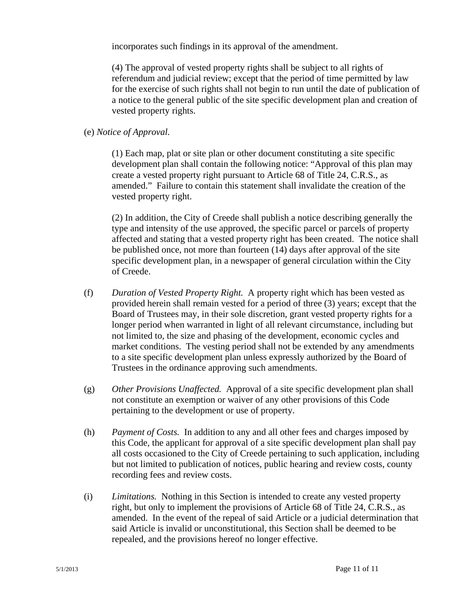incorporates such findings in its approval of the amendment.

(4) The approval of vested property rights shall be subject to all rights of referendum and judicial review; except that the period of time permitted by law for the exercise of such rights shall not begin to run until the date of publication of a notice to the general public of the site specific development plan and creation of vested property rights.

## (e) *Notice of Approval.*

(1) Each map, plat or site plan or other document constituting a site specific development plan shall contain the following notice: "Approval of this plan may create a vested property right pursuant to Article 68 of Title 24, C.R.S., as amended." Failure to contain this statement shall invalidate the creation of the vested property right.

(2) In addition, the City of Creede shall publish a notice describing generally the type and intensity of the use approved, the specific parcel or parcels of property affected and stating that a vested property right has been created. The notice shall be published once, not more than fourteen (14) days after approval of the site specific development plan, in a newspaper of general circulation within the City of Creede.

- (f) *Duration of Vested Property Right.* A property right which has been vested as provided herein shall remain vested for a period of three (3) years; except that the Board of Trustees may, in their sole discretion, grant vested property rights for a longer period when warranted in light of all relevant circumstance, including but not limited to, the size and phasing of the development, economic cycles and market conditions. The vesting period shall not be extended by any amendments to a site specific development plan unless expressly authorized by the Board of Trustees in the ordinance approving such amendments.
- (g) *Other Provisions Unaffected.* Approval of a site specific development plan shall not constitute an exemption or waiver of any other provisions of this Code pertaining to the development or use of property.
- (h) *Payment of Costs.* In addition to any and all other fees and charges imposed by this Code, the applicant for approval of a site specific development plan shall pay all costs occasioned to the City of Creede pertaining to such application, including but not limited to publication of notices, public hearing and review costs, county recording fees and review costs.
- (i) *Limitations.* Nothing in this Section is intended to create any vested property right, but only to implement the provisions of Article 68 of Title 24, C.R.S., as amended. In the event of the repeal of said Article or a judicial determination that said Article is invalid or unconstitutional, this Section shall be deemed to be repealed, and the provisions hereof no longer effective.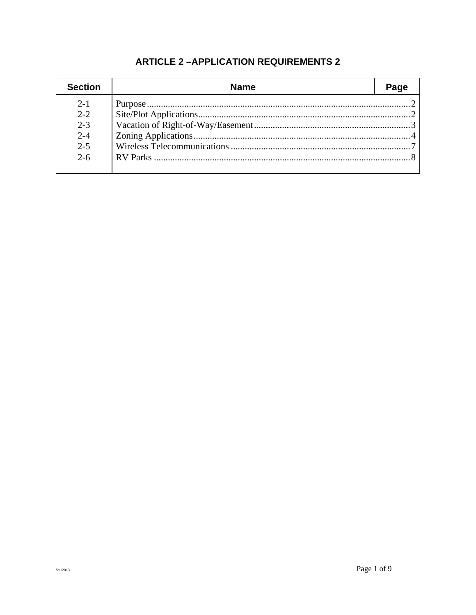| <b>Section</b> | <b>Name</b> | Page |
|----------------|-------------|------|
| $2 - 1$        |             |      |
| $2 - 2$        |             |      |
| $2 - 3$        |             |      |
| $2 - 4$        |             |      |
| $2 - 5$        |             |      |
| $2 - 6$        |             |      |
|                |             |      |

## **ARTICLE 2-APPLICATION REQUIREMENTS 2**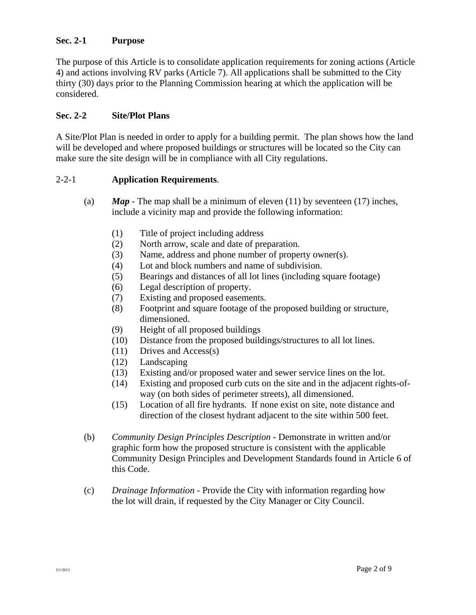## **Sec. 2-1 Purpose**

The purpose of this Article is to consolidate application requirements for zoning actions (Article 4) and actions involving RV parks (Article 7). All applications shall be submitted to the City thirty (30) days prior to the Planning Commission hearing at which the application will be considered.

## **Sec. 2-2 Site/Plot Plans**

A Site/Plot Plan is needed in order to apply for a building permit. The plan shows how the land will be developed and where proposed buildings or structures will be located so the City can make sure the site design will be in compliance with all City regulations.

## 2-2-1 **Application Requirements**.

- (a)  $\boldsymbol{Map}$  The map shall be a minimum of eleven (11) by seventeen (17) inches, include a vicinity map and provide the following information:
	- (1) Title of project including address
	- (2) North arrow, scale and date of preparation.
	- (3) Name, address and phone number of property owner(s).
	- (4) Lot and block numbers and name of subdivision.
	- (5) Bearings and distances of all lot lines (including square footage)
	- (6) Legal description of property.
	- (7) Existing and proposed easements.
	- (8) Footprint and square footage of the proposed building or structure, dimensioned.
	- (9) Height of all proposed buildings
	- (10) Distance from the proposed buildings/structures to all lot lines.
	- (11) Drives and Access(s)
	- (12) Landscaping
	- (13) Existing and/or proposed water and sewer service lines on the lot.
	- (14) Existing and proposed curb cuts on the site and in the adjacent rights-ofway (on both sides of perimeter streets), all dimensioned.
	- (15) Location of all fire hydrants. If none exist on site, note distance and direction of the closest hydrant adjacent to the site within 500 feet.
- (b) *Community Design Principles Description* Demonstrate in written and/or graphic form how the proposed structure is consistent with the applicable Community Design Principles and Development Standards found in Article 6 of this Code.
- (c) *Drainage Information* Provide the City with information regarding how the lot will drain, if requested by the City Manager or City Council.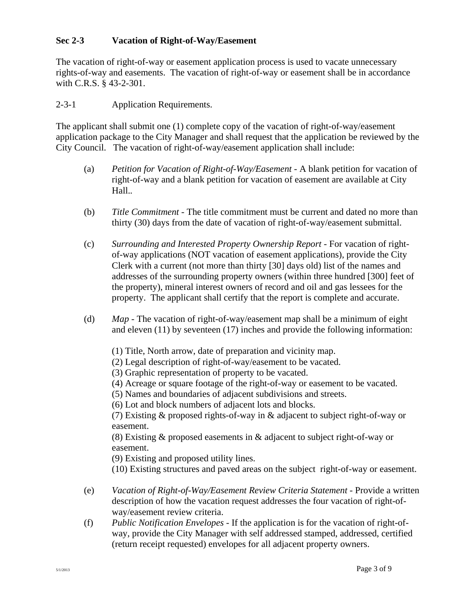## **Sec 2-3 Vacation of Right-of-Way/Easement**

The vacation of right-of-way or easement application process is used to vacate unnecessary rights-of-way and easements. The vacation of right-of-way or easement shall be in accordance with C.R.S. § 43-2-301.

## 2-3-1 Application Requirements.

The applicant shall submit one (1) complete copy of the vacation of right-of-way/easement application package to the City Manager and shall request that the application be reviewed by the City Council. The vacation of right-of-way/easement application shall include:

- (a) *Petition for Vacation of Right-of-Way/Easement* A blank petition for vacation of right-of-way and a blank petition for vacation of easement are available at City Hall.*.*
- (b) *Title Commitment* The title commitment must be current and dated no more than thirty (30) days from the date of vacation of right-of-way/easement submittal.
- (c) *Surrounding and Interested Property Ownership Report* For vacation of right of-way applications (NOT vacation of easement applications), provide the City Clerk with a current (not more than thirty [30] days old) list of the names and addresses of the surrounding property owners (within three hundred [300] feet of the property), mineral interest owners of record and oil and gas lessees for the property. The applicant shall certify that the report is complete and accurate.
- (d) *Map* The vacation of right-of-way/easement map shall be a minimum of eight and eleven (11) by seventeen (17) inches and provide the following information:
	- (1) Title, North arrow, date of preparation and vicinity map.
	- (2) Legal description of right-of-way/easement to be vacated.
	- (3) Graphic representation of property to be vacated.
	- (4) Acreage or square footage of the right-of-way or easement to be vacated.
	- (5) Names and boundaries of adjacent subdivisions and streets.

(6) Lot and block numbers of adjacent lots and blocks.

(7) Existing & proposed rights-of-way in & adjacent to subject right-of-way or easement.

(8) Existing & proposed easements in & adjacent to subject right-of-way or easement.

(9) Existing and proposed utility lines.

(10) Existing structures and paved areas on the subject right-of-way or easement.

- (e) *Vacation of Right-of-Way/Easement Review Criteria Statement* Provide a written description of how the vacation request addresses the four vacation of right-of way/easement review criteria.
- (f) *Public Notification Envelopes* If the application is for the vacation of right-ofway, provide the City Manager with self addressed stamped, addressed, certified (return receipt requested) envelopes for all adjacent property owners.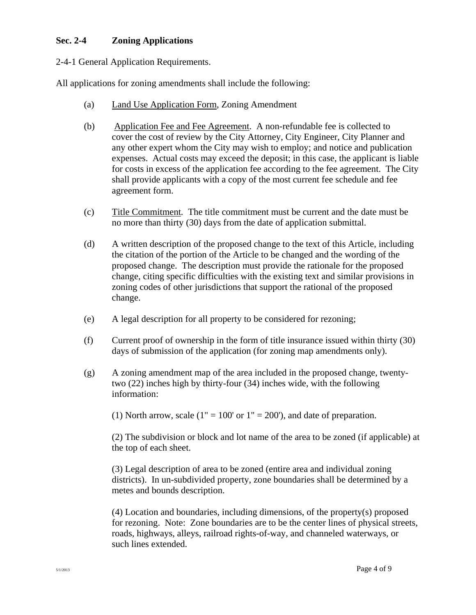## **Sec. 2-4 Zoning Applications**

## 2-4-1 General Application Requirements.

All applications for zoning amendments shall include the following:

- (a) Land Use Application Form, Zoning Amendment
- (b) Application Fee and Fee Agreement. A non-refundable fee is collected to cover the cost of review by the City Attorney, City Engineer, City Planner and any other expert whom the City may wish to employ; and notice and publication expenses. Actual costs may exceed the deposit; in this case, the applicant is liable for costs in excess of the application fee according to the fee agreement. The City shall provide applicants with a copy of the most current fee schedule and fee agreement form.
- (c) Title Commitment*.* The title commitment must be current and the date must be no more than thirty (30) days from the date of application submittal.
- (d) A written description of the proposed change to the text of this Article, including the citation of the portion of the Article to be changed and the wording of the proposed change. The description must provide the rationale for the proposed change, citing specific difficulties with the existing text and similar provisions in zoning codes of other jurisdictions that support the rational of the proposed change.
- (e) A legal description for all property to be considered for rezoning;
- (f) Current proof of ownership in the form of title insurance issued within thirty (30) days of submission of the application (for zoning map amendments only).
- (g) A zoning amendment map of the area included in the proposed change, twenty two (22) inches high by thirty-four (34) inches wide, with the following information:

(1) North arrow, scale  $(1" = 100'$  or  $1" = 200'$ ), and date of preparation.

 (2) The subdivision or block and lot name of the area to be zoned (if applicable) at the top of each sheet.

 (3) Legal description of area to be zoned (entire area and individual zoning districts). In un-subdivided property, zone boundaries shall be determined by a metes and bounds description.

 (4) Location and boundaries, including dimensions, of the property(s) proposed for rezoning. Note: Zone boundaries are to be the center lines of physical streets, roads, highways, alleys, railroad rights-of-way, and channeled waterways, or such lines extended.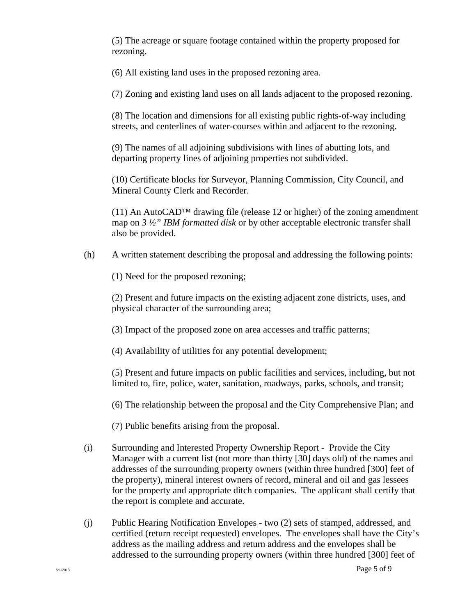(5) The acreage or square footage contained within the property proposed for rezoning.

(6) All existing land uses in the proposed rezoning area.

(7) Zoning and existing land uses on all lands adjacent to the proposed rezoning.

 (8) The location and dimensions for all existing public rights-of-way including streets, and centerlines of water-courses within and adjacent to the rezoning.

 (9) The names of all adjoining subdivisions with lines of abutting lots, and departing property lines of adjoining properties not subdivided.

 (10) Certificate blocks for Surveyor, Planning Commission, City Council, and Mineral County Clerk and Recorder.

(11) An AutoCAD<sup>TM</sup> drawing file (release 12 or higher) of the zoning amendment map on *3 ½" IBM formatted disk* or by other acceptable electronic transfer shall also be provided.

(h) A written statement describing the proposal and addressing the following points:

(1) Need for the proposed rezoning;

 (2) Present and future impacts on the existing adjacent zone districts, uses, and physical character of the surrounding area;

(3) Impact of the proposed zone on area accesses and traffic patterns;

(4) Availability of utilities for any potential development;

 (5) Present and future impacts on public facilities and services, including, but not limited to, fire, police, water, sanitation, roadways, parks, schools, and transit;

(6) The relationship between the proposal and the City Comprehensive Plan; and

(7) Public benefits arising from the proposal.

- (i) Surrounding and Interested Property Ownership Report Provide the City Manager with a current list (not more than thirty [30] days old) of the names and addresses of the surrounding property owners (within three hundred [300] feet of the property), mineral interest owners of record, mineral and oil and gas lessees for the property and appropriate ditch companies. The applicant shall certify that the report is complete and accurate.
- (j) Public Hearing Notification Envelopes two (2) sets of stamped, addressed, and certified (return receipt requested) envelopes. The envelopes shall have the City's address as the mailing address and return address and the envelopes shall be addressed to the surrounding property owners (within three hundred [300] feet of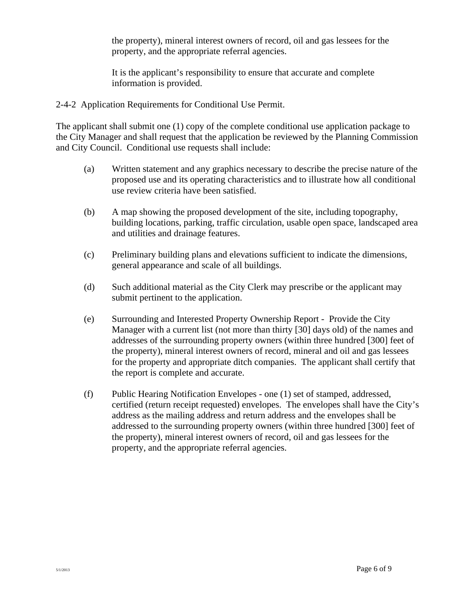the property), mineral interest owners of record, oil and gas lessees for the property, and the appropriate referral agencies.

 It is the applicant's responsibility to ensure that accurate and complete information is provided.

2-4-2 Application Requirements for Conditional Use Permit.

The applicant shall submit one (1) copy of the complete conditional use application package to the City Manager and shall request that the application be reviewed by the Planning Commission and City Council. Conditional use requests shall include:

- (a) Written statement and any graphics necessary to describe the precise nature of the proposed use and its operating characteristics and to illustrate how all conditional use review criteria have been satisfied.
- (b) A map showing the proposed development of the site, including topography, building locations, parking, traffic circulation, usable open space, landscaped area and utilities and drainage features.
- (c) Preliminary building plans and elevations sufficient to indicate the dimensions, general appearance and scale of all buildings.
- (d) Such additional material as the City Clerk may prescribe or the applicant may submit pertinent to the application.
- (e) Surrounding and Interested Property Ownership Report Provide the City Manager with a current list (not more than thirty [30] days old) of the names and addresses of the surrounding property owners (within three hundred [300] feet of the property), mineral interest owners of record, mineral and oil and gas lessees for the property and appropriate ditch companies. The applicant shall certify that the report is complete and accurate.
- (f) Public Hearing Notification Envelopes one (1) set of stamped, addressed, certified (return receipt requested) envelopes. The envelopes shall have the City's address as the mailing address and return address and the envelopes shall be addressed to the surrounding property owners (within three hundred [300] feet of the property), mineral interest owners of record, oil and gas lessees for the property, and the appropriate referral agencies.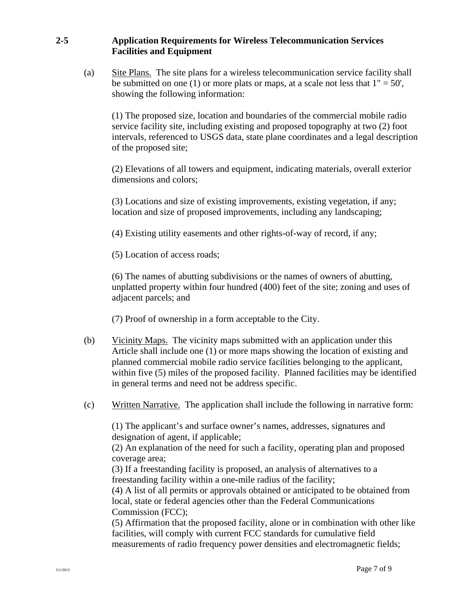## **2-5 Application Requirements for Wireless Telecommunication Services Facilities and Equipment**

(a) Site Plans. The site plans for a wireless telecommunication service facility shall be submitted on one (1) or more plats or maps, at a scale not less that  $1" = 50'$ , showing the following information:

 (1) The proposed size, location and boundaries of the commercial mobile radio service facility site, including existing and proposed topography at two (2) foot intervals, referenced to USGS data, state plane coordinates and a legal description of the proposed site;

 (2) Elevations of all towers and equipment, indicating materials, overall exterior dimensions and colors;

(3) Locations and size of existing improvements, existing vegetation, if any; location and size of proposed improvements, including any landscaping;

(4) Existing utility easements and other rights-of-way of record, if any;

(5) Location of access roads;

(6) The names of abutting subdivisions or the names of owners of abutting, unplatted property within four hundred (400) feet of the site; zoning and uses of adjacent parcels; and

(7) Proof of ownership in a form acceptable to the City.

- (b) Vicinity Maps. The vicinity maps submitted with an application under this Article shall include one (1) or more maps showing the location of existing and planned commercial mobile radio service facilities belonging to the applicant, within five (5) miles of the proposed facility. Planned facilities may be identified in general terms and need not be address specific.
- (c) Written Narrative. The application shall include the following in narrative form:

(1) The applicant's and surface owner's names, addresses, signatures and designation of agent, if applicable;

(2) An explanation of the need for such a facility, operating plan and proposed coverage area;

(3) If a freestanding facility is proposed, an analysis of alternatives to a freestanding facility within a one-mile radius of the facility;

(4) A list of all permits or approvals obtained or anticipated to be obtained from local, state or federal agencies other than the Federal Communications Commission (FCC);

(5) Affirmation that the proposed facility, alone or in combination with other like facilities, will comply with current FCC standards for cumulative field measurements of radio frequency power densities and electromagnetic fields;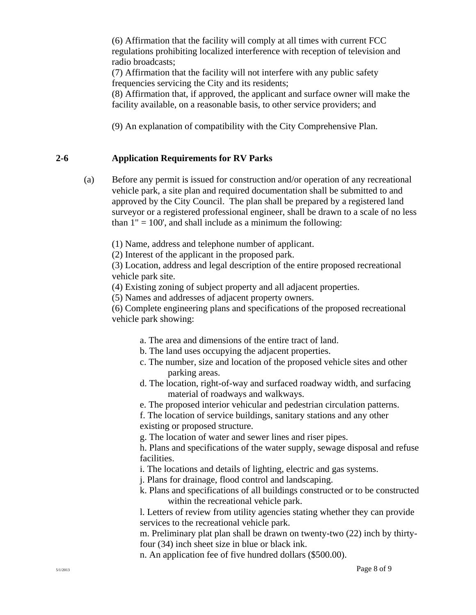(6) Affirmation that the facility will comply at all times with current FCC regulations prohibiting localized interference with reception of television and radio broadcasts;

 (7) Affirmation that the facility will not interfere with any public safety frequencies servicing the City and its residents;

 (8) Affirmation that, if approved, the applicant and surface owner will make the facility available, on a reasonable basis, to other service providers; and

(9) An explanation of compatibility with the City Comprehensive Plan.

## **2-6 Application Requirements for RV Parks**

 (a) Before any permit is issued for construction and/or operation of any recreational vehicle park, a site plan and required documentation shall be submitted to and approved by the City Council. The plan shall be prepared by a registered land surveyor or a registered professional engineer, shall be drawn to a scale of no less than  $1" = 100'$ , and shall include as a minimum the following:

(1) Name, address and telephone number of applicant.

(2) Interest of the applicant in the proposed park.

(3) Location, address and legal description of the entire proposed recreational vehicle park site.

(4) Existing zoning of subject property and all adjacent properties.

(5) Names and addresses of adjacent property owners.

(6) Complete engineering plans and specifications of the proposed recreational vehicle park showing:

- a. The area and dimensions of the entire tract of land.
- b. The land uses occupying the adjacent properties.
- c. The number, size and location of the proposed vehicle sites and other parking areas.
- d. The location, right-of-way and surfaced roadway width, and surfacing material of roadways and walkways.

e. The proposed interior vehicular and pedestrian circulation patterns.

 f. The location of service buildings, sanitary stations and any other existing or proposed structure.

g. The location of water and sewer lines and riser pipes.

 h. Plans and specifications of the water supply, sewage disposal and refuse facilities.

i. The locations and details of lighting, electric and gas systems.

j. Plans for drainage, flood control and landscaping.

 k. Plans and specifications of all buildings constructed or to be constructed within the recreational vehicle park.

 l. Letters of review from utility agencies stating whether they can provide services to the recreational vehicle park.

 m. Preliminary plat plan shall be drawn on twenty-two (22) inch by thirty four (34) inch sheet size in blue or black ink.

n. An application fee of five hundred dollars (\$500.00).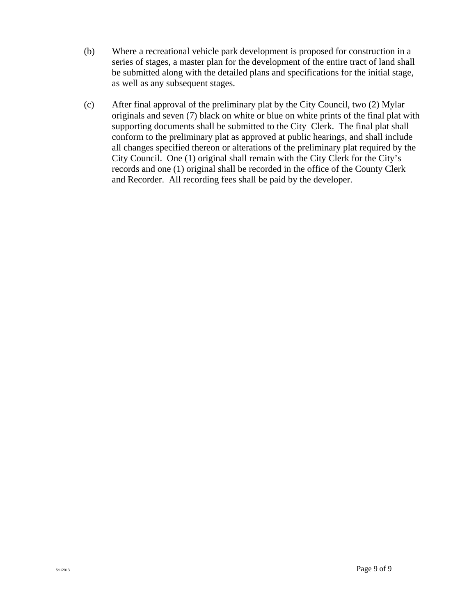- (b) Where a recreational vehicle park development is proposed for construction in a series of stages, a master plan for the development of the entire tract of land shall be submitted along with the detailed plans and specifications for the initial stage, as well as any subsequent stages.
- (c) After final approval of the preliminary plat by the City Council, two (2) Mylar originals and seven (7) black on white or blue on white prints of the final plat with supporting documents shall be submitted to the City Clerk. The final plat shall conform to the preliminary plat as approved at public hearings, and shall include all changes specified thereon or alterations of the preliminary plat required by the City Council. One (1) original shall remain with the City Clerk for the City's records and one (1) original shall be recorded in the office of the County Clerk and Recorder. All recording fees shall be paid by the developer.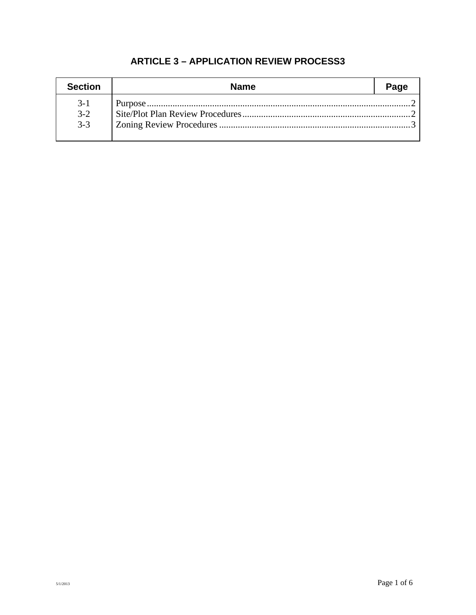| <b>Section</b> | <b>Name</b> | Page |
|----------------|-------------|------|
| $3-1$          |             |      |
| $3 - 2$        |             |      |
| $3-3$          |             |      |
|                |             |      |

## **ARTICLE 3 – APPLICATION REVIEW PROCESS3**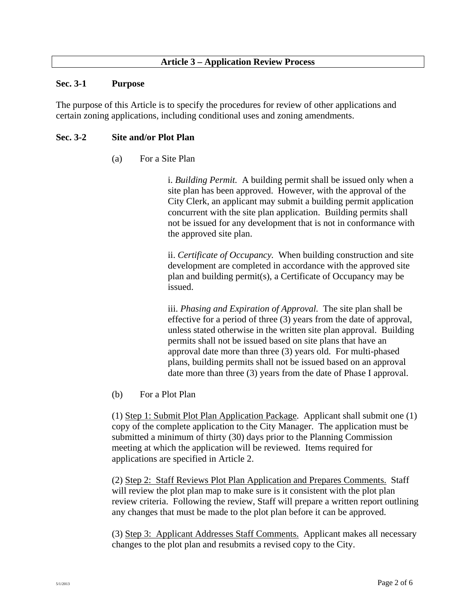#### **Sec. 3-1 Purpose**

The purpose of this Article is to specify the procedures for review of other applications and certain zoning applications, including conditional uses and zoning amendments.

## **Sec. 3-2 Site and/or Plot Plan**

(a) For a Site Plan

i. *Building Permit.* A building permit shall be issued only when a site plan has been approved. However, with the approval of the City Clerk, an applicant may submit a building permit application concurrent with the site plan application. Building permits shall not be issued for any development that is not in conformance with the approved site plan.

ii. *Certificate of Occupancy.* When building construction and site development are completed in accordance with the approved site plan and building permit(s), a Certificate of Occupancy may be issued.

 iii. *Phasing and Expiration of Approval.* The site plan shall be effective for a period of three (3) years from the date of approval, unless stated otherwise in the written site plan approval. Building permits shall not be issued based on site plans that have an approval date more than three (3) years old. For multi-phased plans, building permits shall not be issued based on an approval date more than three (3) years from the date of Phase I approval.

(b) For a Plot Plan

(1) Step 1: Submit Plot Plan Application Package. Applicant shall submit one (1) copy of the complete application to the City Manager. The application must be submitted a minimum of thirty (30) days prior to the Planning Commission meeting at which the application will be reviewed. Items required for applications are specified in Article 2.

 (2) Step 2: Staff Reviews Plot Plan Application and Prepares Comments. Staff will review the plot plan map to make sure is it consistent with the plot plan review criteria. Following the review, Staff will prepare a written report outlining any changes that must be made to the plot plan before it can be approved.

 (3) Step 3: Applicant Addresses Staff Comments. Applicant makes all necessary changes to the plot plan and resubmits a revised copy to the City.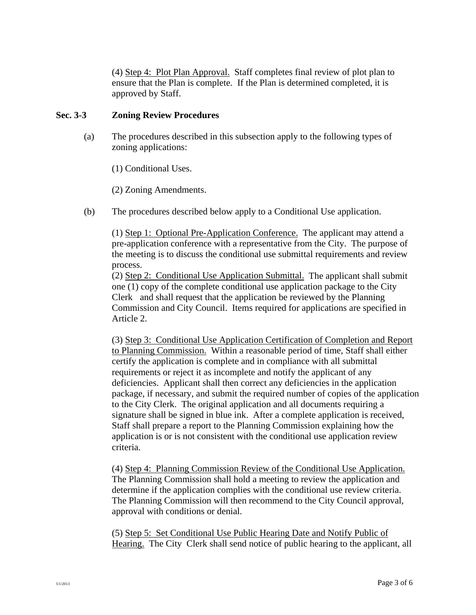(4) Step 4: Plot Plan Approval. Staff completes final review of plot plan to ensure that the Plan is complete. If the Plan is determined completed, it is approved by Staff.

## **Sec. 3-3 Zoning Review Procedures**

 (a) The procedures described in this subsection apply to the following types of zoning applications:

(1) Conditional Uses.

(2) Zoning Amendments.

(b) The procedures described below apply to a Conditional Use application.

 (1) Step 1: Optional Pre-Application Conference. The applicant may attend a pre-application conference with a representative from the City. The purpose of the meeting is to discuss the conditional use submittal requirements and review process.

 (2) Step 2: Conditional Use Application Submittal. The applicant shall submit one (1) copy of the complete conditional use application package to the City Clerk and shall request that the application be reviewed by the Planning Commission and City Council. Items required for applications are specified in Article 2.

 (3) Step 3: Conditional Use Application Certification of Completion and Report to Planning Commission. Within a reasonable period of time, Staff shall either certify the application is complete and in compliance with all submittal requirements or reject it as incomplete and notify the applicant of any deficiencies. Applicant shall then correct any deficiencies in the application package, if necessary, and submit the required number of copies of the application to the City Clerk. The original application and all documents requiring a signature shall be signed in blue ink. After a complete application is received, Staff shall prepare a report to the Planning Commission explaining how the application is or is not consistent with the conditional use application review criteria.

 (4) Step 4: Planning Commission Review of the Conditional Use Application. The Planning Commission shall hold a meeting to review the application and determine if the application complies with the conditional use review criteria. The Planning Commission will then recommend to the City Council approval, approval with conditions or denial.

 (5) Step 5: Set Conditional Use Public Hearing Date and Notify Public of Hearing. The City Clerk shall send notice of public hearing to the applicant, all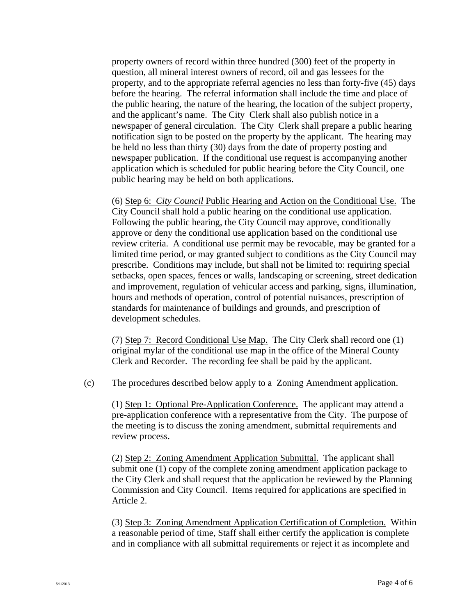property owners of record within three hundred (300) feet of the property in question, all mineral interest owners of record, oil and gas lessees for the property, and to the appropriate referral agencies no less than forty-five (45) days before the hearing. The referral information shall include the time and place of the public hearing, the nature of the hearing, the location of the subject property, and the applicant's name. The City Clerk shall also publish notice in a newspaper of general circulation. The City Clerk shall prepare a public hearing notification sign to be posted on the property by the applicant. The hearing may be held no less than thirty (30) days from the date of property posting and newspaper publication. If the conditional use request is accompanying another application which is scheduled for public hearing before the City Council, one public hearing may be held on both applications.

 (6) Step 6: *City Council* Public Hearing and Action on the Conditional Use. The City Council shall hold a public hearing on the conditional use application. Following the public hearing, the City Council may approve, conditionally approve or deny the conditional use application based on the conditional use review criteria. A conditional use permit may be revocable, may be granted for a limited time period, or may granted subject to conditions as the City Council may prescribe. Conditions may include, but shall not be limited to: requiring special setbacks, open spaces, fences or walls, landscaping or screening, street dedication and improvement, regulation of vehicular access and parking, signs, illumination, hours and methods of operation, control of potential nuisances, prescription of standards for maintenance of buildings and grounds, and prescription of development schedules.

 (7) Step 7: Record Conditional Use Map. The City Clerk shall record one (1) original mylar of the conditional use map in the office of the Mineral County Clerk and Recorder. The recording fee shall be paid by the applicant.

(c) The procedures described below apply to a Zoning Amendment application.

 (1) Step 1: Optional Pre-Application Conference. The applicant may attend a pre-application conference with a representative from the City. The purpose of the meeting is to discuss the zoning amendment, submittal requirements and review process.

 (2) Step 2: Zoning Amendment Application Submittal. The applicant shall submit one (1) copy of the complete zoning amendment application package to the City Clerk and shall request that the application be reviewed by the Planning Commission and City Council. Items required for applications are specified in Article 2.

(3) Step 3: Zoning Amendment Application Certification of Completion. Within a reasonable period of time, Staff shall either certify the application is complete and in compliance with all submittal requirements or reject it as incomplete and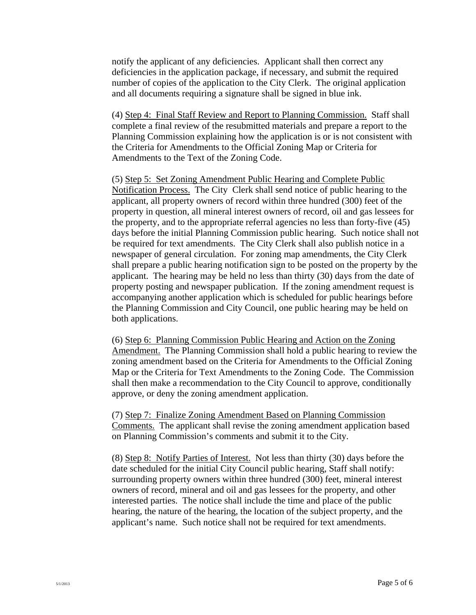notify the applicant of any deficiencies. Applicant shall then correct any deficiencies in the application package, if necessary, and submit the required number of copies of the application to the City Clerk. The original application and all documents requiring a signature shall be signed in blue ink.

 (4) Step 4: Final Staff Review and Report to Planning Commission. Staff shall complete a final review of the resubmitted materials and prepare a report to the Planning Commission explaining how the application is or is not consistent with the Criteria for Amendments to the Official Zoning Map or Criteria for Amendments to the Text of the Zoning Code.

 (5) Step 5: Set Zoning Amendment Public Hearing and Complete Public Notification Process. The City Clerk shall send notice of public hearing to the applicant, all property owners of record within three hundred (300) feet of the property in question, all mineral interest owners of record, oil and gas lessees for the property, and to the appropriate referral agencies no less than forty-five (45) days before the initial Planning Commission public hearing. Such notice shall not be required for text amendments. The City Clerk shall also publish notice in a newspaper of general circulation. For zoning map amendments, the City Clerk shall prepare a public hearing notification sign to be posted on the property by the applicant. The hearing may be held no less than thirty (30) days from the date of property posting and newspaper publication. If the zoning amendment request is accompanying another application which is scheduled for public hearings before the Planning Commission and City Council, one public hearing may be held on both applications.

 (6) Step 6: Planning Commission Public Hearing and Action on the Zoning Amendment. The Planning Commission shall hold a public hearing to review the zoning amendment based on the Criteria for Amendments to the Official Zoning Map or the Criteria for Text Amendments to the Zoning Code. The Commission shall then make a recommendation to the City Council to approve, conditionally approve, or deny the zoning amendment application.

 (7) Step 7: Finalize Zoning Amendment Based on Planning Commission Comments. The applicant shall revise the zoning amendment application based on Planning Commission's comments and submit it to the City.

 (8) Step 8: Notify Parties of Interest. Not less than thirty (30) days before the date scheduled for the initial City Council public hearing, Staff shall notify: surrounding property owners within three hundred (300) feet, mineral interest owners of record, mineral and oil and gas lessees for the property, and other interested parties. The notice shall include the time and place of the public hearing, the nature of the hearing, the location of the subject property, and the applicant's name. Such notice shall not be required for text amendments.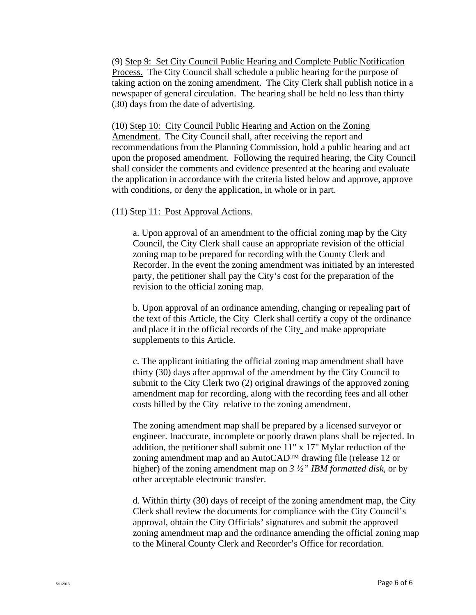(9) Step 9: Set City Council Public Hearing and Complete Public Notification Process. The City Council shall schedule a public hearing for the purpose of taking action on the zoning amendment. The City Clerk shall publish notice in a newspaper of general circulation. The hearing shall be held no less than thirty (30) days from the date of advertising.

 (10) Step 10: City Council Public Hearing and Action on the Zoning Amendment. The City Council shall, after receiving the report and recommendations from the Planning Commission, hold a public hearing and act upon the proposed amendment. Following the required hearing, the City Council shall consider the comments and evidence presented at the hearing and evaluate the application in accordance with the criteria listed below and approve, approve with conditions, or deny the application, in whole or in part.

#### (11) Step 11: Post Approval Actions.

a. Upon approval of an amendment to the official zoning map by the City Council, the City Clerk shall cause an appropriate revision of the official zoning map to be prepared for recording with the County Clerk and Recorder. In the event the zoning amendment was initiated by an interested party, the petitioner shall pay the City's cost for the preparation of the revision to the official zoning map.

b. Upon approval of an ordinance amending, changing or repealing part of the text of this Article, the City Clerk shall certify a copy of the ordinance and place it in the official records of the City and make appropriate supplements to this Article.

c. The applicant initiating the official zoning map amendment shall have thirty (30) days after approval of the amendment by the City Council to submit to the City Clerk two (2) original drawings of the approved zoning amendment map for recording, along with the recording fees and all other costs billed by the City relative to the zoning amendment.

The zoning amendment map shall be prepared by a licensed surveyor or engineer. Inaccurate, incomplete or poorly drawn plans shall be rejected. In addition, the petitioner shall submit one 11" x 17" Mylar reduction of the zoning amendment map and an AutoCAD™ drawing file (release 12 or higher) of the zoning amendment map on *3 ½" IBM formatted disk*, or by other acceptable electronic transfer.

d. Within thirty (30) days of receipt of the zoning amendment map, the City Clerk shall review the documents for compliance with the City Council's approval, obtain the City Officials' signatures and submit the approved zoning amendment map and the ordinance amending the official zoning map to the Mineral County Clerk and Recorder's Office for recordation.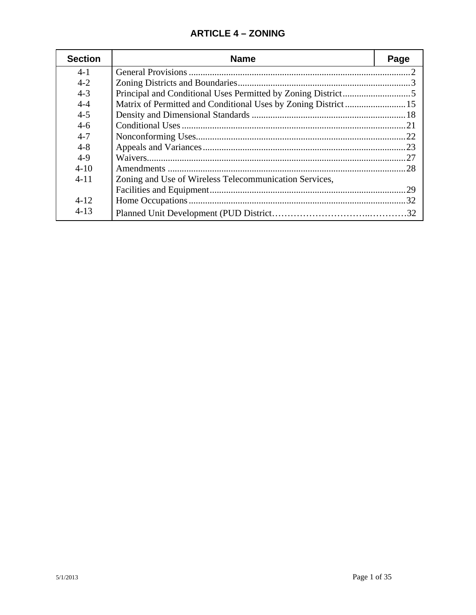## **ARTICLE 4 – ZONING**

| <b>Section</b> | <b>Name</b>                                            | Page |
|----------------|--------------------------------------------------------|------|
| $4 - 1$        |                                                        |      |
| $4 - 2$        |                                                        |      |
| $4 - 3$        |                                                        |      |
| $4 - 4$        |                                                        |      |
| $4 - 5$        |                                                        |      |
| $4 - 6$        |                                                        |      |
| $4 - 7$        |                                                        |      |
| $4 - 8$        |                                                        |      |
| $4-9$          |                                                        | -27  |
| $4 - 10$       |                                                        | .28  |
| $4 - 11$       | Zoning and Use of Wireless Telecommunication Services, |      |
|                |                                                        | .29  |
| $4 - 12$       |                                                        |      |
| $4 - 13$       |                                                        |      |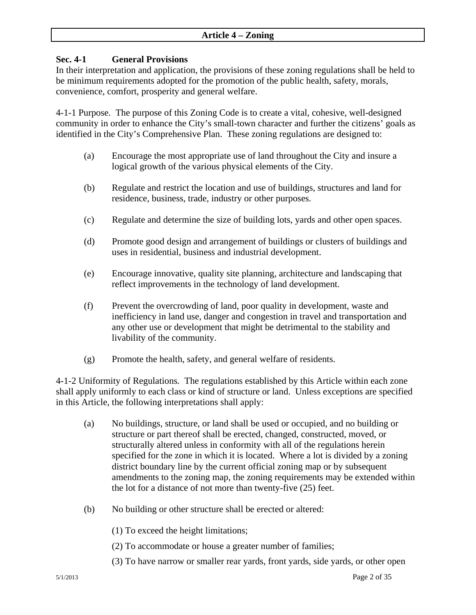## **Sec. 4-1 General Provisions**

In their interpretation and application, the provisions of these zoning regulations shall be held to be minimum requirements adopted for the promotion of the public health, safety, morals, convenience, comfort, prosperity and general welfare.

4*-*1-1 Purpose*.* The purpose of this Zoning Code is to create a vital, cohesive, well-designed community in order to enhance the City's small-town character and further the citizens' goals as identified in the City's Comprehensive Plan.These zoning regulations are designed to:

- (a) Encourage the most appropriate use of land throughout the City and insure a logical growth of the various physical elements of the City.
- (b) Regulate and restrict the location and use of buildings, structures and land for residence, business, trade, industry or other purposes.
- (c) Regulate and determine the size of building lots, yards and other open spaces.
- (d) Promote good design and arrangement of buildings or clusters of buildings and uses in residential, business and industrial development.
- (e) Encourage innovative, quality site planning, architecture and landscaping that reflect improvements in the technology of land development.
- (f) Prevent the overcrowding of land, poor quality in development, waste and inefficiency in land use, danger and congestion in travel and transportation and any other use or development that might be detrimental to the stability and livability of the community.
- (g) Promote the health, safety, and general welfare of residents.

4-1-2 Uniformity of Regulations*.* The regulations established by this Article within each zone shall apply uniformly to each class or kind of structure or land. Unless exceptions are specified in this Article, the following interpretations shall apply:

- (a) No buildings, structure, or land shall be used or occupied, and no building or structure or part thereof shall be erected, changed, constructed, moved, or structurally altered unless in conformity with all of the regulations herein specified for the zone in which it is located. Where a lot is divided by a zoning district boundary line by the current official zoning map or by subsequent amendments to the zoning map, the zoning requirements may be extended within the lot for a distance of not more than twenty-five (25) feet.
- (b) No building or other structure shall be erected or altered:
	- (1) To exceed the height limitations;
	- (2) To accommodate or house a greater number of families;
	- (3) To have narrow or smaller rear yards, front yards, side yards, or other open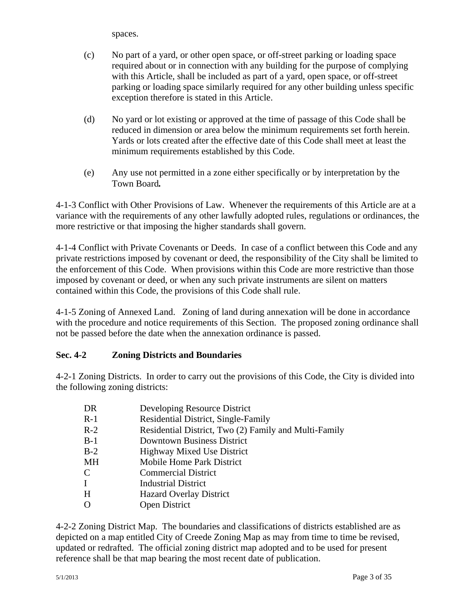spaces.

- (c) No part of a yard, or other open space, or off-street parking or loading space required about or in connection with any building for the purpose of complying with this Article, shall be included as part of a yard, open space, or off-street parking or loading space similarly required for any other building unless specific exception therefore is stated in this Article.
- (d) No yard or lot existing or approved at the time of passage of this Code shall be reduced in dimension or area below the minimum requirements set forth herein. Yards or lots created after the effective date of this Code shall meet at least the minimum requirements established by this Code.
- (e) Any use not permitted in a zone either specifically or by interpretation by the Town Board*.*

4-1-3 Conflict with Other Provisions of Law. Whenever the requirements of this Article are at a variance with the requirements of any other lawfully adopted rules, regulations or ordinances, the more restrictive or that imposing the higher standards shall govern.

4-1-4 Conflict with Private Covenants or Deeds. In case of a conflict between this Code and any private restrictions imposed by covenant or deed, the responsibility of the City shall be limited to the enforcement of this Code. When provisions within this Code are more restrictive than those imposed by covenant or deed, or when any such private instruments are silent on matters contained within this Code, the provisions of this Code shall rule.

4-1-5 Zoning of Annexed Land.Zoning of land during annexation will be done in accordance with the procedure and notice requirements of this Section. The proposed zoning ordinance shall not be passed before the date when the annexation ordinance is passed.

## **Sec. 4-2 Zoning Districts and Boundaries**

4-2-1 Zoning Districts. In order to carry out the provisions of this Code, the City is divided into the following zoning districts:

| DR    | Developing Resource District                          |
|-------|-------------------------------------------------------|
| $R-1$ | Residential District, Single-Family                   |
| $R-2$ | Residential District, Two (2) Family and Multi-Family |
| $B-1$ | <b>Downtown Business District</b>                     |
| $B-2$ | <b>Highway Mixed Use District</b>                     |
| MН    | Mobile Home Park District                             |
| C     | <b>Commercial District</b>                            |
|       | <b>Industrial District</b>                            |
| Н     | <b>Hazard Overlay District</b>                        |
|       | <b>Open District</b>                                  |

4-2-2 Zoning District Map. The boundaries and classifications of districts established are as depicted on a map entitled City of Creede Zoning Map as may from time to time be revised, updated or redrafted. The official zoning district map adopted and to be used for present reference shall be that map bearing the most recent date of publication.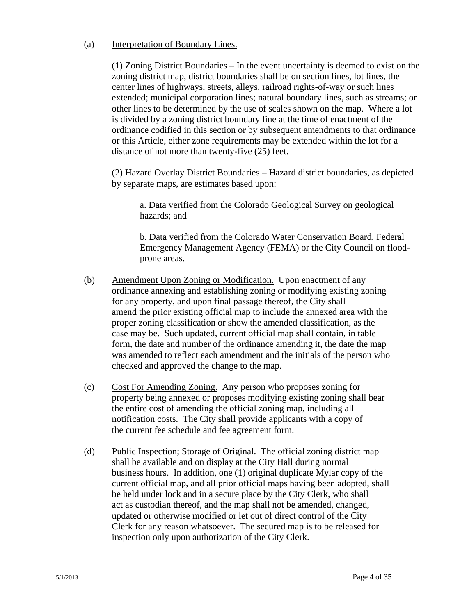#### (a) Interpretation of Boundary Lines.

(1) Zoning District Boundaries – In the event uncertainty is deemed to exist on the zoning district map, district boundaries shall be on section lines, lot lines, the center lines of highways, streets, alleys, railroad rights-of-way or such lines extended; municipal corporation lines; natural boundary lines, such as streams; or other lines to be determined by the use of scales shown on the map. Where a lot is divided by a zoning district boundary line at the time of enactment of the ordinance codified in this section or by subsequent amendments to that ordinance or this Article, either zone requirements may be extended within the lot for a distance of not more than twenty-five (25) feet.

 (2) Hazard Overlay District Boundaries – Hazard district boundaries, as depicted by separate maps, are estimates based upon:

a. Data verified from the Colorado Geological Survey on geological hazards; and

b. Data verified from the Colorado Water Conservation Board, Federal Emergency Management Agency (FEMA) or the City Council on floodprone areas.

- (b) Amendment Upon Zoning or Modification. Upon enactment of any ordinance annexing and establishing zoning or modifying existing zoning for any property, and upon final passage thereof, the City shall amend the prior existing official map to include the annexed area with the proper zoning classification or show the amended classification, as the case may be. Such updated, current official map shall contain, in table form, the date and number of the ordinance amending it, the date the map was amended to reflect each amendment and the initials of the person who checked and approved the change to the map.
- (c) Cost For Amending Zoning. Any person who proposes zoning for property being annexed or proposes modifying existing zoning shall bear the entire cost of amending the official zoning map, including all notification costs. The City shall provide applicants with a copy of the current fee schedule and fee agreement form.
- (d) Public Inspection; Storage of Original. The official zoning district map shall be available and on display at the City Hall during normal business hours. In addition, one (1) original duplicate Mylar copy of the current official map, and all prior official maps having been adopted, shall be held under lock and in a secure place by the City Clerk, who shall act as custodian thereof, and the map shall not be amended, changed, updated or otherwise modified or let out of direct control of the City Clerk for any reason whatsoever. The secured map is to be released for inspection only upon authorization of the City Clerk.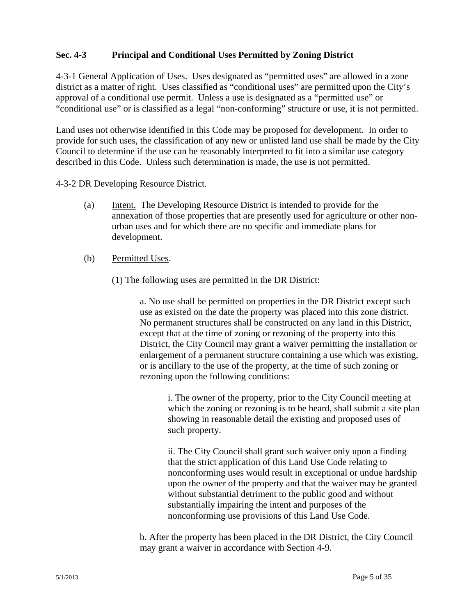## **Sec. 4-3 Principal and Conditional Uses Permitted by Zoning District**

4-3-1 General Application of Uses. Uses designated as "permitted uses" are allowed in a zone district as a matter of right. Uses classified as "conditional uses" are permitted upon the City's approval of a conditional use permit. Unless a use is designated as a "permitted use" or "conditional use" or is classified as a legal "non-conforming" structure or use, it is not permitted.

Land uses not otherwise identified in this Code may be proposed for development. In order to provide for such uses, the classification of any new or unlisted land use shall be made by the City Council to determine if the use can be reasonably interpreted to fit into a similar use category described in this Code. Unless such determination is made, the use is not permitted.

4-3-2 DR Developing Resource District.

- (a) Intent. The Developing Resource District is intended to provide for the annexation of those properties that are presently used for agriculture or other non urban uses and for which there are no specific and immediate plans for development.
- (b) Permitted Uses.
	- (1) The following uses are permitted in the DR District:

a. No use shall be permitted on properties in the DR District except such use as existed on the date the property was placed into this zone district. No permanent structures shall be constructed on any land in this District, except that at the time of zoning or rezoning of the property into this District, the City Council may grant a waiver permitting the installation or enlargement of a permanent structure containing a use which was existing, or is ancillary to the use of the property, at the time of such zoning or rezoning upon the following conditions:

i. The owner of the property, prior to the City Council meeting at which the zoning or rezoning is to be heard, shall submit a site plan showing in reasonable detail the existing and proposed uses of such property.

ii. The City Council shall grant such waiver only upon a finding that the strict application of this Land Use Code relating to nonconforming uses would result in exceptional or undue hardship upon the owner of the property and that the waiver may be granted without substantial detriment to the public good and without substantially impairing the intent and purposes of the nonconforming use provisions of this Land Use Code.

b. After the property has been placed in the DR District, the City Council may grant a waiver in accordance with Section 4-9.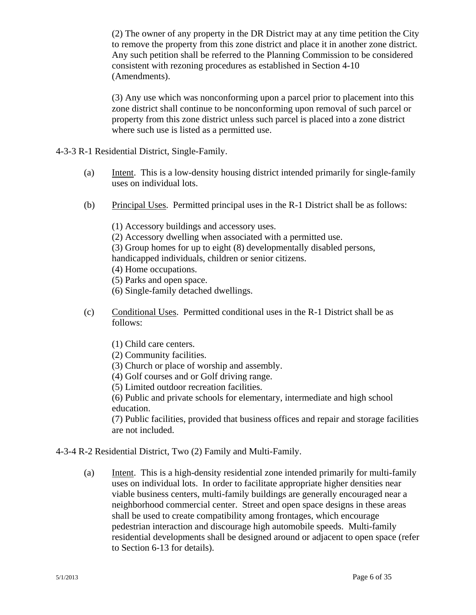(2) The owner of any property in the DR District may at any time petition the City to remove the property from this zone district and place it in another zone district. Any such petition shall be referred to the Planning Commission to be considered consistent with rezoning procedures as established in Section 4-10 (Amendments).

(3) Any use which was nonconforming upon a parcel prior to placement into this zone district shall continue to be nonconforming upon removal of such parcel or property from this zone district unless such parcel is placed into a zone district where such use is listed as a permitted use.

- 4-3-3 R-1 Residential District, Single-Family.
	- (a) Intent. This is a low-density housing district intended primarily for single-family uses on individual lots.
	- (b) Principal Uses. Permitted principal uses in the R-1 District shall be as follows:

(1) Accessory buildings and accessory uses. (2) Accessory dwelling when associated with a permitted use. (3) Group homes for up to eight (8) developmentally disabled persons, handicapped individuals, children or senior citizens. (4) Home occupations. (5) Parks and open space. (6) Single-family detached dwellings.

(c) Conditional Uses. Permitted conditional uses in the R-1 District shall be as follows:

(1) Child care centers.

(2) Community facilities.

- (3) Church or place of worship and assembly.
- (4) Golf courses and or Golf driving range.
- (5) Limited outdoor recreation facilities.

(6) Public and private schools for elementary, intermediate and high school education.

(7) Public facilities, provided that business offices and repair and storage facilities are not included.

- 4-3-4 R-2 Residential District, Two (2) Family and Multi-Family.
	- (a) Intent. This is a high-density residential zone intended primarily for multi-family uses on individual lots. In order to facilitate appropriate higher densities near viable business centers, multi-family buildings are generally encouraged near a neighborhood commercial center. Street and open space designs in these areas shall be used to create compatibility among frontages, which encourage pedestrian interaction and discourage high automobile speeds. Multi-family residential developments shall be designed around or adjacent to open space (refer to Section 6-13 for details).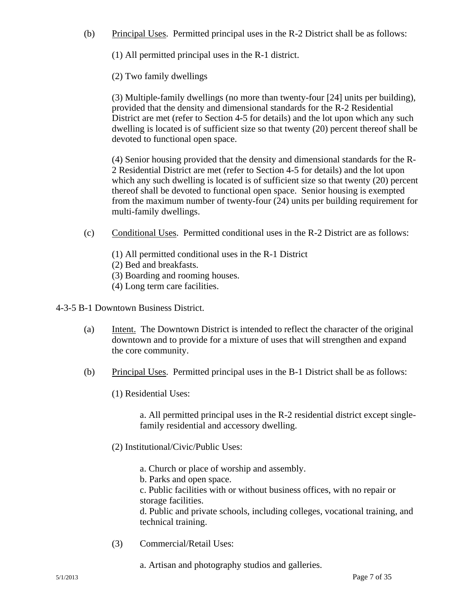(b) Principal Uses. Permitted principal uses in the R-2 District shall be as follows:

(1) All permitted principal uses in the R-1 district.

(2) Two family dwellings

(3) Multiple-family dwellings (no more than twenty-four [24] units per building), provided that the density and dimensional standards for the R-2 Residential District are met (refer to Section 4-5 for details) and the lot upon which any such dwelling is located is of sufficient size so that twenty (20) percent thereof shall be devoted to functional open space.

(4) Senior housing provided that the density and dimensional standards for the R-2 Residential District are met (refer to Section 4-5 for details) and the lot upon which any such dwelling is located is of sufficient size so that twenty (20) percent thereof shall be devoted to functional open space. Senior housing is exempted from the maximum number of twenty-four (24) units per building requirement for multi-family dwellings.

- (c) Conditional Uses. Permitted conditional uses in the R-2 District are as follows:
	- (1) All permitted conditional uses in the R-1 District

(2) Bed and breakfasts.

(3) Boarding and rooming houses.

(4) Long term care facilities.

- 4-3-5 B-1 Downtown Business District.
	- (a) Intent. The Downtown District is intended to reflect the character of the original downtown and to provide for a mixture of uses that will strengthen and expand the core community.
	- (b) Principal Uses. Permitted principal uses in the B-1 District shall be as follows:
		- (1) Residential Uses:

a. All permitted principal uses in the R-2 residential district except singlefamily residential and accessory dwelling.

- (2) Institutional/Civic/Public Uses:
	- a. Church or place of worship and assembly.
	- b. Parks and open space.

c. Public facilities with or without business offices, with no repair or storage facilities.

d. Public and private schools, including colleges, vocational training, and technical training.

(3) Commercial/Retail Uses:

a. Artisan and photography studios and galleries.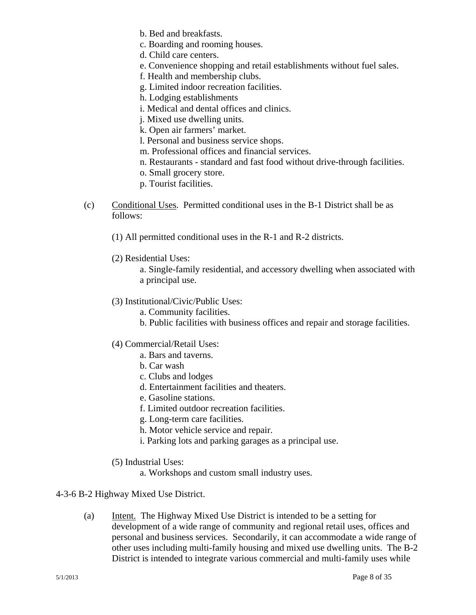b. Bed and breakfasts.

c. Boarding and rooming houses.

d. Child care centers.

e. Convenience shopping and retail establishments without fuel sales.

f. Health and membership clubs.

g. Limited indoor recreation facilities.

h. Lodging establishments

- i. Medical and dental offices and clinics.
- j. Mixed use dwelling units.

k. Open air farmers' market.

l. Personal and business service shops.

- m. Professional offices and financial services.
- n. Restaurants standard and fast food without drive-through facilities.
- o. Small grocery store.
- p. Tourist facilities.
- (c) Conditional Uses. Permitted conditional uses in the B-1 District shall be as follows:
	- (1) All permitted conditional uses in the R-1 and R-2 districts.
	- (2) Residential Uses:

a. Single-family residential, and accessory dwelling when associated with a principal use.

- (3) Institutional/Civic/Public Uses:
	- a. Community facilities.
	- b. Public facilities with business offices and repair and storage facilities.
- (4) Commercial/Retail Uses:
	- a. Bars and taverns.
	- b. Car wash
	- c. Clubs and lodges
	- d. Entertainment facilities and theaters.
	- e. Gasoline stations.
	- f. Limited outdoor recreation facilities.
	- g. Long-term care facilities.
	- h. Motor vehicle service and repair.
	- i. Parking lots and parking garages as a principal use.
- (5) Industrial Uses:
	- a. Workshops and custom small industry uses.

## 4-3-6 B-2 Highway Mixed Use District.

(a) Intent. The Highway Mixed Use District is intended to be a setting for development of a wide range of community and regional retail uses, offices and personal and business services. Secondarily, it can accommodate a wide range of other uses including multi-family housing and mixed use dwelling units. The B-2 District is intended to integrate various commercial and multi-family uses while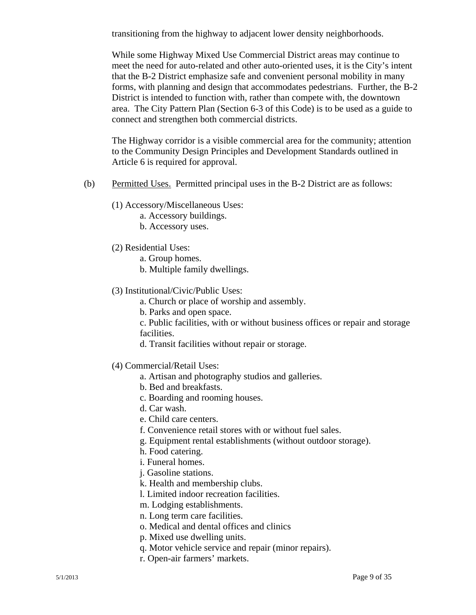transitioning from the highway to adjacent lower density neighborhoods.

While some Highway Mixed Use Commercial District areas may continue to meet the need for auto-related and other auto-oriented uses, it is the City's intent that the B-2 District emphasize safe and convenient personal mobility in many forms, with planning and design that accommodates pedestrians. Further, the B-2 District is intended to function with, rather than compete with, the downtown area. The City Pattern Plan (Section 6-3 of this Code) is to be used as a guide to connect and strengthen both commercial districts.

The Highway corridor is a visible commercial area for the community; attention to the Community Design Principles and Development Standards outlined in Article 6 is required for approval.

- (b) Permitted Uses. Permitted principal uses in the B-2 District are as follows:
	- (1) Accessory/Miscellaneous Uses:
		- a. Accessory buildings.
		- b. Accessory uses.
	- (2) Residential Uses:
		- a. Group homes.
		- b. Multiple family dwellings.
	- (3) Institutional/Civic/Public Uses:
		- a. Church or place of worship and assembly.
		- b. Parks and open space.

c. Public facilities, with or without business offices or repair and storage facilities.

- d. Transit facilities without repair or storage.
- (4) Commercial/Retail Uses:
	- a. Artisan and photography studios and galleries.
	- b. Bed and breakfasts.
	- c. Boarding and rooming houses.
	- d. Car wash.
	- e. Child care centers.
	- f. Convenience retail stores with or without fuel sales.
	- g. Equipment rental establishments (without outdoor storage).
	- h. Food catering.
	- i. Funeral homes.
	- j. Gasoline stations.
	- k. Health and membership clubs.
	- l. Limited indoor recreation facilities.
	- m. Lodging establishments.
	- n. Long term care facilities.
	- o. Medical and dental offices and clinics
	- p. Mixed use dwelling units.
	- q. Motor vehicle service and repair (minor repairs).
	- r. Open-air farmers' markets.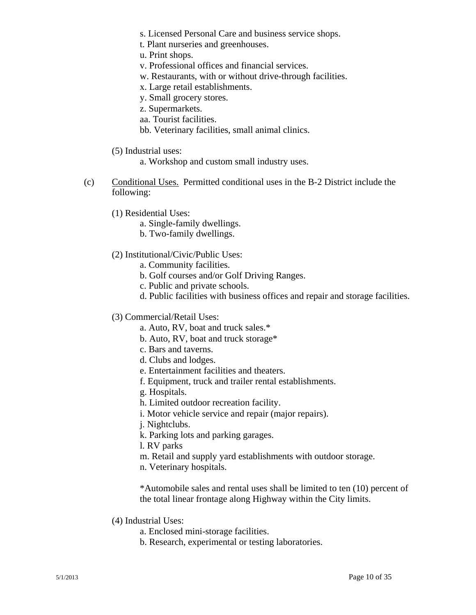- s. Licensed Personal Care and business service shops.
- t. Plant nurseries and greenhouses.
- u. Print shops.
- v. Professional offices and financial services.
- w. Restaurants, with or without drive-through facilities.
- x. Large retail establishments.
- y. Small grocery stores.
- z. Supermarkets.
- aa. Tourist facilities.
- bb. Veterinary facilities, small animal clinics.
- (5) Industrial uses:

a. Workshop and custom small industry uses.

- (c) Conditional Uses. Permitted conditional uses in the B-2 District include the following:
	- (1) Residential Uses:
		- a. Single-family dwellings.
		- b. Two-family dwellings.
	- (2) Institutional/Civic/Public Uses:
		- a. Community facilities.
		- b. Golf courses and/or Golf Driving Ranges.
		- c. Public and private schools.
		- d. Public facilities with business offices and repair and storage facilities.
	- (3) Commercial/Retail Uses:
		- a. Auto, RV, boat and truck sales.\*
		- b. Auto, RV, boat and truck storage\*
		- c. Bars and taverns.
		- d. Clubs and lodges.
		- e. Entertainment facilities and theaters.
		- f. Equipment, truck and trailer rental establishments.
		- g. Hospitals.
		- h. Limited outdoor recreation facility.
		- i. Motor vehicle service and repair (major repairs).
		- j. Nightclubs.
		- k. Parking lots and parking garages.
		- l. RV parks
		- m. Retail and supply yard establishments with outdoor storage.
		- n. Veterinary hospitals.

\*Automobile sales and rental uses shall be limited to ten (10) percent of the total linear frontage along Highway within the City limits.

- (4) Industrial Uses:
	- a. Enclosed mini-storage facilities.
	- b. Research, experimental or testing laboratories.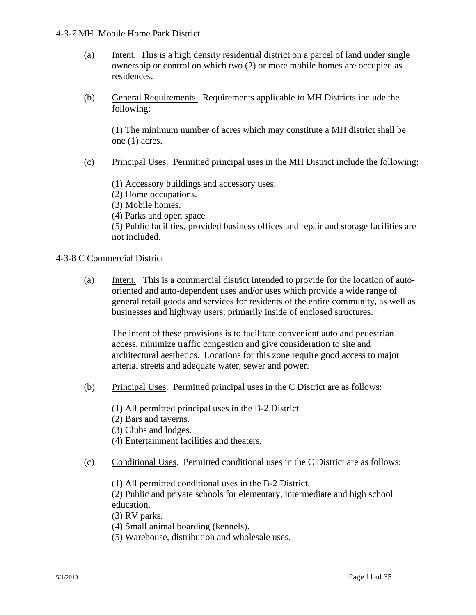#### *4-3-7* MH Mobile Home Park District.

- (a) Intent. This is a high density residential district on a parcel of land under single ownership or control on which two (2) or more mobile homes are occupied as residences.
- (b) General Requirements. Requirements applicable to MH Districts include the following:

(1) The minimum number of acres which may constitute a MH district shall be one (1) acres.

(c) Principal Uses. Permitted principal uses in the MH District include the following:

(1) Accessory buildings and accessory uses.

(2) Home occupations.

(3) Mobile homes.

(4) Parks and open space

(5) Public facilities, provided business offices and repair and storage facilities are not included.

### 4-3-8 C Commercial District

 (a) Intent. This is a commercial district intended to provide for the location of auto oriented and auto-dependent uses and/or uses which provide a wide range of general retail goods and services for residents of the entire community, as well as businesses and highway users, primarily inside of enclosed structures.

 The intent of these provisions is to facilitate convenient auto and pedestrian access, minimize traffic congestion and give consideration to site and architectural aesthetics. Locations for this zone require good access to major arterial streets and adequate water, sewer and power.

(b) Principal Uses. Permitted principal uses in the C District are as follows:

(1) All permitted principal uses in the B-2 District

(2) Bars and taverns.

(3) Clubs and lodges.

- (4) Entertainment facilities and theaters.
- (c) Conditional Uses. Permitted conditional uses in the C District are as follows:

(1) All permitted conditional uses in the B-2 District.

 (2) Public and private schools for elementary, intermediate and high school education.

(3) RV parks.

(4) Small animal boarding (kennels).

(5) Warehouse, distribution and wholesale uses.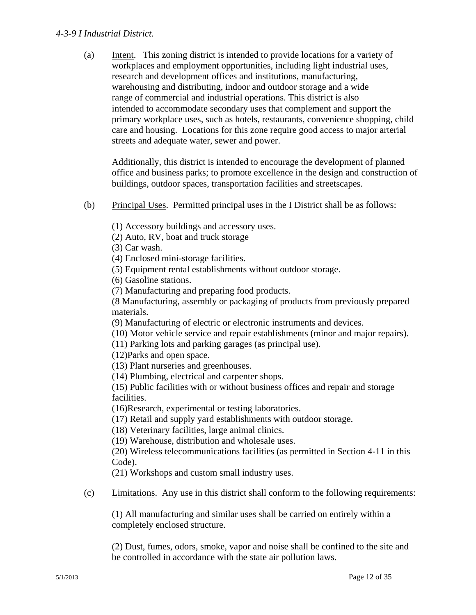#### *4-3-9 I Industrial District.*

 (a) Intent. This zoning district is intended to provide locations for a variety of workplaces and employment opportunities, including light industrial uses, research and development offices and institutions, manufacturing, warehousing and distributing, indoor and outdoor storage and a wide range of commercial and industrial operations. This district is also intended to accommodate secondary uses that complement and support the primary workplace uses, such as hotels, restaurants, convenience shopping, child care and housing. Locations for this zone require good access to major arterial streets and adequate water, sewer and power.

 Additionally, this district is intended to encourage the development of planned office and business parks; to promote excellence in the design and construction of buildings, outdoor spaces, transportation facilities and streetscapes.

- (b) Principal Uses. Permitted principal uses in the I District shall be as follows:
	- (1) Accessory buildings and accessory uses.
	- (2) Auto, RV, boat and truck storage
	- (3) Car wash.
	- (4) Enclosed mini-storage facilities.
	- (5) Equipment rental establishments without outdoor storage.

(6) Gasoline stations.

(7) Manufacturing and preparing food products.

 (8 Manufacturing, assembly or packaging of products from previously prepared materials.

(9) Manufacturing of electric or electronic instruments and devices.

(10) Motor vehicle service and repair establishments (minor and major repairs).

(11) Parking lots and parking garages (as principal use).

(12)Parks and open space.

- (13) Plant nurseries and greenhouses.
- (14) Plumbing, electrical and carpenter shops.

 (15) Public facilities with or without business offices and repair and storage facilities.

(16)Research, experimental or testing laboratories.

(17) Retail and supply yard establishments with outdoor storage.

(18) Veterinary facilities, large animal clinics.

(19) Warehouse, distribution and wholesale uses.

 (20) Wireless telecommunications facilities (as permitted in Section 4-11 in this Code).

(21) Workshops and custom small industry uses.

(c) Limitations. Any use in this district shall conform to the following requirements:

 (1) All manufacturing and similar uses shall be carried on entirely within a completely enclosed structure.

 (2) Dust, fumes, odors, smoke, vapor and noise shall be confined to the site and be controlled in accordance with the state air pollution laws.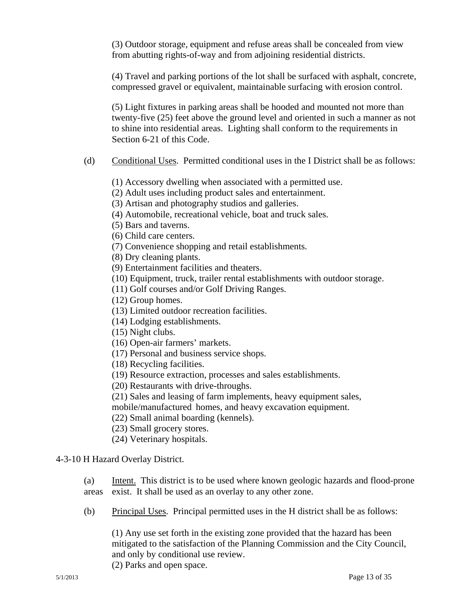(3) Outdoor storage, equipment and refuse areas shall be concealed from view from abutting rights-of-way and from adjoining residential districts.

 (4) Travel and parking portions of the lot shall be surfaced with asphalt, concrete, compressed gravel or equivalent, maintainable surfacing with erosion control.

 (5) Light fixtures in parking areas shall be hooded and mounted not more than twenty-five (25) feet above the ground level and oriented in such a manner as not to shine into residential areas. Lighting shall conform to the requirements in Section 6-21 of this Code.

(d) Conditional Uses.Permitted conditional uses in the I District shall be as follows:

(1) Accessory dwelling when associated with a permitted use.

(2) Adult uses including product sales and entertainment.

(3) Artisan and photography studios and galleries.

(4) Automobile, recreational vehicle, boat and truck sales.

(5) Bars and taverns.

(6) Child care centers.

(7) Convenience shopping and retail establishments.

(8) Dry cleaning plants.

(9) Entertainment facilities and theaters.

(10) Equipment, truck, trailer rental establishments with outdoor storage.

(11) Golf courses and/or Golf Driving Ranges.

(12) Group homes.

(13) Limited outdoor recreation facilities.

(14) Lodging establishments.

(15) Night clubs.

(16) Open-air farmers' markets.

(17) Personal and business service shops.

(18) Recycling facilities.

(19) Resource extraction, processes and sales establishments.

(20) Restaurants with drive-throughs.

(21) Sales and leasing of farm implements, heavy equipment sales,

mobile/manufactured homes, and heavy excavation equipment.

(22) Small animal boarding (kennels).

(23) Small grocery stores.

(24) Veterinary hospitals.

# 4-3-10 H Hazard Overlay District.

(a) Intent. This district is to be used where known geologic hazards and flood-prone areas exist. It shall be used as an overlay to any other zone.

(b) Principal Uses. Principal permitted uses in the H district shall be as follows:

(1) Any use set forth in the existing zone provided that the hazard has been mitigated to the satisfaction of the Planning Commission and the City Council, and only by conditional use review.

(2) Parks and open space.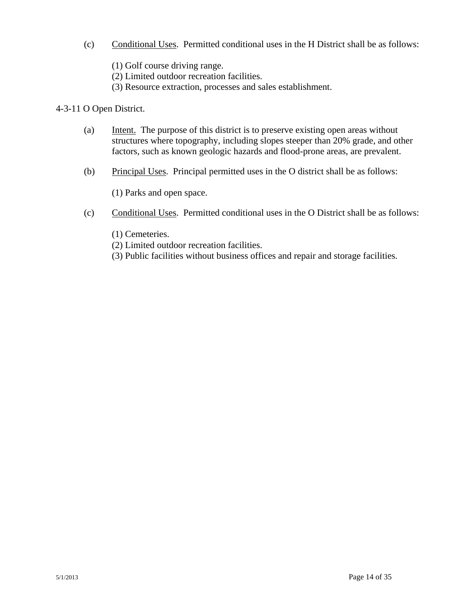(c) Conditional Uses. Permitted conditional uses in the H District shall be as follows:

(1) Golf course driving range.

(2) Limited outdoor recreation facilities.

(3) Resource extraction, processes and sales establishment.

## 4-3-11 O Open District.

- (a) Intent. The purpose of this district is to preserve existing open areas without structures where topography, including slopes steeper than 20% grade, and other factors, such as known geologic hazards and flood-prone areas, are prevalent.
- (b) Principal Uses. Principal permitted uses in the O district shall be as follows:

(1) Parks and open space.

- (c) Conditional Uses. Permitted conditional uses in the O District shall be as follows:
	- (1) Cemeteries.
	- (2) Limited outdoor recreation facilities.
	- (3) Public facilities without business offices and repair and storage facilities.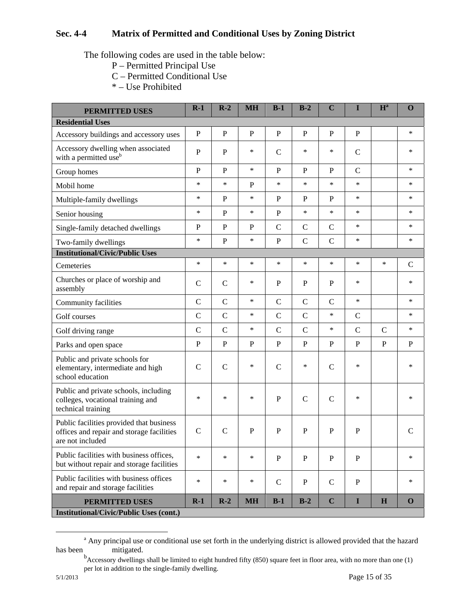# **Sec. 4-4 Matrix of Permitted and Conditional Uses by Zoning District**

The following codes are used in the table below:

- P Permitted Principal Use
- C Permitted Conditional Use
- \* Use Prohibited

| <b>PERMITTED USES</b>                                                                                     | $R-1$         | $R-2$          | <b>MH</b>    | $B-1$         | $B-2$          | $\mathbf C$   | I              | $H^a$        | $\mathbf 0$   |
|-----------------------------------------------------------------------------------------------------------|---------------|----------------|--------------|---------------|----------------|---------------|----------------|--------------|---------------|
| <b>Residential Uses</b>                                                                                   |               |                |              |               |                |               |                |              |               |
| Accessory buildings and accessory uses                                                                    | $\mathbf{P}$  | $\mathbf{P}$   | $\mathbf{P}$ | $\mathbf P$   | $\mathbf{P}$   | $\mathbf{P}$  | $\mathbf{P}$   |              | *             |
| Accessory dwelling when associated with a permitted use $b$                                               | $\mathbf{P}$  | P              | *            | $\mathcal{C}$ | *              | *             | $\mathcal{C}$  |              | *             |
| Group homes                                                                                               | $\mathbf{P}$  | $\overline{P}$ | *            | $\mathbf{P}$  | $\mathbf{P}$   | $\mathbf{P}$  | $\mathbf C$    |              | *             |
| Mobil home                                                                                                | $\ast$        | $\ast$         | $\mathbf{P}$ | $\ast$        | $\ast$         | $\ast$        | $\ast$         |              | *             |
| Multiple-family dwellings                                                                                 | $\ast$        | $\mathbf{P}$   | *            | P             | $\mathbf{P}$   | $\mathbf{P}$  | $\ast$         |              | *             |
| Senior housing                                                                                            | $\ast$        | $\mathbf{P}$   | ∗            | $\mathbf{P}$  | $\ast$         | $\ast$        | $\ast$         |              | *             |
| Single-family detached dwellings                                                                          | $\mathbf{P}$  | $\mathbf{P}$   | P            | $\mathcal{C}$ | $\mathcal{C}$  | $\mathbf C$   | $\ast$         |              | *             |
| Two-family dwellings                                                                                      | $\ast$        | $\mathbf P$    | $\ast$       | $\mathbf{P}$  | $\mathcal{C}$  | $\mathbf C$   | $\ast$         |              | *             |
| <b>Institutional/Civic/Public Uses</b>                                                                    |               |                |              |               |                |               |                |              |               |
| Cemeteries                                                                                                | $\ast$        | $\ast$         | $\ast$       | $\ast$        | $\ast$         | $\ast$        | $\ast$         | $\ast$       | $\mathcal{C}$ |
| Churches or place of worship and<br>assembly                                                              | $\mathbf C$   | $\mathcal{C}$  | ∗            | $\mathbf{P}$  | $\mathbf{P}$   | $\mathbf{P}$  | $\ast$         |              | *             |
| Community facilities                                                                                      | $\mathbf C$   | $\mathbf C$    | ∗            | $\mathbf C$   | $\mathbf C$    | $\mathcal{C}$ | $\ast$         |              | *             |
| Golf courses                                                                                              | $\mathbf C$   | $\mathsf{C}$   | *            | $\mathcal{C}$ | $\overline{C}$ | $\ast$        | $\mathcal{C}$  |              | *             |
| Golf driving range                                                                                        | $\mathcal{C}$ | $\mathcal{C}$  | ∗            | $\mathcal{C}$ | $\overline{C}$ | $\ast$        | $\overline{C}$ | $\mathsf{C}$ | *             |
| Parks and open space                                                                                      | $\mathbf{P}$  | $\overline{P}$ | $\mathbf{P}$ | $\mathbf{P}$  | $\overline{P}$ | $\mathbf{P}$  | $\mathbf{P}$   | $\mathbf{P}$ | P             |
| Public and private schools for<br>elementary, intermediate and high<br>school education                   | $\mathsf{C}$  | $\mathbf C$    | ∗            | $\mathbf C$   | ∗              | $\mathcal{C}$ | $\ast$         |              | *             |
| Public and private schools, including<br>colleges, vocational training and<br>technical training          | $\ast$        | $\ast$         | ∗            | $\mathbf{P}$  | $\mathcal{C}$  | $\mathbf C$   | $\ast$         |              | *             |
| Public facilities provided that business<br>offices and repair and storage facilities<br>are not included | $\mathbf C$   | $\mathcal{C}$  | $\mathbf{P}$ | $\mathbf{P}$  | $\mathbf{P}$   | $\mathbf{P}$  | $\mathbf{P}$   |              | $\mathsf{C}$  |
| Public facilities with business offices,<br>but without repair and storage facilities                     | $\ast$        | $\ast$         | $\ast$       | $\mathbf P$   | ${\bf P}$      | ${\bf P}$     | ${\bf P}$      |              | *             |
| Public facilities with business offices<br>and repair and storage facilities                              | $\ast$        | $\ast$         | ∗            | $\mathsf{C}$  | $\, {\bf P}$   | $\mathsf{C}$  | $\, {\bf P}$   |              | *             |
| <b>PERMITTED USES</b><br><b>Institutional/Civic/Public Uses (cont.)</b>                                   | $R-1$         | $R-2$          | <b>MH</b>    | $B-1$         | $B-2$          | $\mathbf C$   | I              | H            | $\mathbf 0$   |

<sup>&</sup>lt;u>a a d</u> <sup>a</sup> Any principal use or conditional use set forth in the underlying district is allowed provided that the hazard has been mitigated.

<sup>&</sup>lt;sup>b</sup> Accessory dwellings shall be limited to eight hundred fifty (850) square feet in floor area, with no more than one (1) per lot in addition to the single-family dwelling.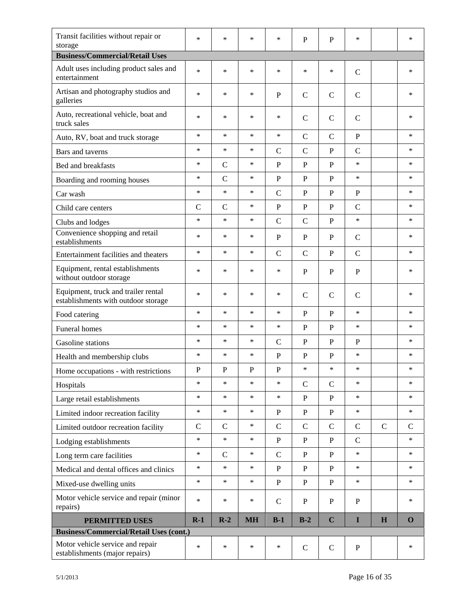| Transit facilities without repair or<br>storage                            | $\ast$       | $\ast$       | $\ast$      | *            | $\mathbf{P}$  | P             | $\ast$        |             | $\ast$       |  |
|----------------------------------------------------------------------------|--------------|--------------|-------------|--------------|---------------|---------------|---------------|-------------|--------------|--|
| <b>Business/Commercial/Retail Uses</b>                                     |              |              |             |              |               |               |               |             |              |  |
| Adult uses including product sales and<br>entertainment                    | $\ast$       | $\ast$       | $\ast$      | *            | *             | $\ast$        | $\mathsf{C}$  |             | *            |  |
| Artisan and photography studios and<br>galleries                           | $\ast$       | *            | ∗           | P            | $\mathsf{C}$  | $\mathcal{C}$ | $\mathsf{C}$  |             | *            |  |
| Auto, recreational vehicle, boat and<br>truck sales                        | $\ast$       | $\ast$       | $\ast$      | $\ast$       | $\mathsf{C}$  | $\mathsf{C}$  | $\mathsf{C}$  |             | *            |  |
| Auto, RV, boat and truck storage                                           | $\ast$       | $\ast$       | $\ast$      | $\ast$       | $\mathcal{C}$ | $\mathsf{C}$  | $\mathbf{P}$  |             | $\ast$       |  |
| Bars and taverns                                                           | $\ast$       | $\ast$       | $\ast$      | $\mathsf{C}$ | $\mathcal{C}$ | P             | $\mathsf{C}$  |             | $\ast$       |  |
| Bed and breakfasts                                                         | $\ast$       | $\mathbf C$  | $\ast$      | P            | $\mathbf{P}$  | $\mathbf{P}$  | $\ast$        |             | $\ast$       |  |
| Boarding and rooming houses                                                | $\ast$       | $\mathbf C$  | $\ast$      | $\mathbf{P}$ | $\, {\bf P}$  | $\mathbf{P}$  | *             |             | $\ast$       |  |
| Car wash                                                                   | $\ast$       | $\ast$       | $\ast$      | $\mathbf C$  | $\mathbf{P}$  | ${\bf P}$     | $\mathbf{P}$  |             | *            |  |
| Child care centers                                                         | $\mathsf{C}$ | $\mathbf C$  | $\ast$      | $\mathbf{P}$ | $\, {\bf P}$  | $\mathbf P$   | $\mathcal{C}$ |             | $\ast$       |  |
| Clubs and lodges                                                           | $\ast$       | $\ast$       | $\ast$      | $\mathbf C$  | $\mathbf C$   | $\, {\bf P}$  | $\ast$        |             | *            |  |
| Convenience shopping and retail<br>establishments                          | $\ast$       | $\ast$       | ∗           | P            | $\mathbf{P}$  | P             | $\mathsf{C}$  |             | *            |  |
| Entertainment facilities and theaters                                      | $\ast$       | $\ast$       | $\ast$      | $\mathbf C$  | $\mathcal{C}$ | $\mathbf{P}$  | $\mathbf C$   |             | $\ast$       |  |
| Equipment, rental establishments<br>without outdoor storage                | $\ast$       | $\ast$       | $\ast$      | ∗            | P             | P             | P             |             | *            |  |
| Equipment, truck and trailer rental<br>establishments with outdoor storage | $\ast$       | $\ast$       | $\ast$      | $\ast$       | $\mathsf{C}$  | $\mathcal{C}$ | $\mathsf{C}$  |             | *            |  |
| Food catering                                                              | $\ast$       | $\ast$       | $\ast$      | *            | $\mathbf{P}$  | P             | $\ast$        |             | $\ast$       |  |
| Funeral homes                                                              | $\ast$       | $\ast$       | $\ast$      | *            | $\, {\bf P}$  | P             | *             |             | $\ast$       |  |
| Gasoline stations                                                          | $\ast$       | $\ast$       | $\ast$      | $\mathsf{C}$ | P             | $\mathbf{P}$  | P             |             | *            |  |
| Health and membership clubs                                                | $\ast$       | $\ast$       | $\ast$      | P            | $\, {\bf P}$  | P             | $\ast$        |             | $\ast$       |  |
| Home occupations - with restrictions                                       | $\mathbf P$  | P            | $\mathbf P$ | ${\bf P}$    | *             | $\ast$        | $\ast$        |             | *            |  |
| Hospitals                                                                  | $\ast$       | $\ast$       | $\ast$      | $\ast$       | $\mathbf C$   | $\mathsf{C}$  | $\ast$        |             | $\ast$       |  |
| Large retail establishments                                                | $\ast$       | $\ast$       | $\ast$      | $\ast$       | $\mathbf{P}$  | $\mathbf{P}$  | $\ast$        |             | $\ast$       |  |
| Limited indoor recreation facility                                         | $\ast$       | $\ast$       | $\ast$      | ${\bf P}$    | ${\bf P}$     | $\, {\bf P}$  | $\ast$        |             | $\ast$       |  |
| Limited outdoor recreation facility                                        | $\mathbf C$  | $\mathsf{C}$ | $\ast$      | $\mathbf C$  | $\mathbf C$   | $\mathbf C$   | $\mathbf C$   | $\mathbf C$ | $\mathsf{C}$ |  |
| Lodging establishments                                                     | $\ast$       | $\ast$       | $\ast$      | $\mathbf{P}$ | $\mathbf{P}$  | $\, {\bf P}$  | $\mathbf C$   |             | $\ast$       |  |
| Long term care facilities                                                  | $\ast$       | $\mathsf{C}$ | $\ast$      | $\mathbf C$  | $\mathbf{P}$  | $\mathbf{P}$  | $\ast$        |             | $\ast$       |  |
| Medical and dental offices and clinics                                     | $\ast$       | $\ast$       | $\ast$      | $\mathbf{P}$ | $\mathbf{P}$  | $\, {\bf P}$  | $\ast$        |             | $\ast$       |  |
| Mixed-use dwelling units                                                   | $\ast$       | $\ast$       | $\ast$      | $\mathbf{P}$ | $\mathbf{P}$  | $\mathbf{P}$  | $\ast$        |             | $\ast$       |  |
| Motor vehicle service and repair (minor<br>repairs)                        | $\ast$       | $\ast$       | $\ast$      | $\mathsf{C}$ | P             | $\mathbf{P}$  | P             |             | $\ast$       |  |
| <b>PERMITTED USES</b>                                                      | $R-1$        | $R-2$        | <b>MH</b>   | $B-1$        | $B-2$         | $\mathbf C$   | I             | H           | $\Omega$     |  |
| <b>Business/Commercial/Retail Uses (cont.)</b>                             |              |              |             |              |               |               |               |             |              |  |
| Motor vehicle service and repair<br>establishments (major repairs)         | $\ast$       | $\ast$       | $\ast$      | $\ast$       | $\mathbf C$   | $\mathbf C$   | $\mathbf{P}$  |             | $\ast$       |  |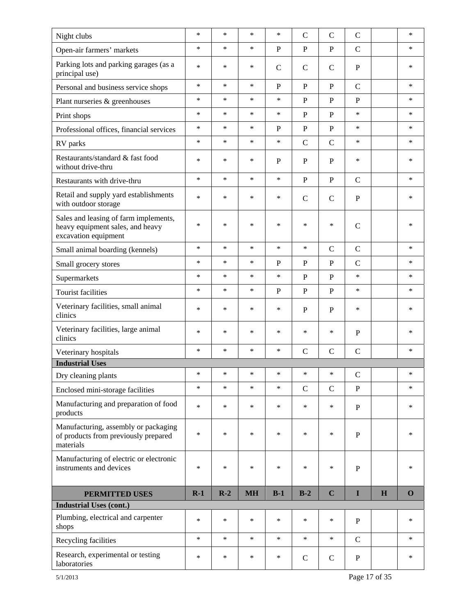| Night clubs                                                                                       | $\ast$ | $\ast$ | $\ast$    | $\ast$       | $\mathsf{C}$   | $\mathcal{C}$ | $\mathbf C$   |   | $\ast$      |
|---------------------------------------------------------------------------------------------------|--------|--------|-----------|--------------|----------------|---------------|---------------|---|-------------|
| Open-air farmers' markets                                                                         | $\ast$ | $\ast$ | $\ast$    | $\mathbf{P}$ | $\mathbf{P}$   | $\mathbf{P}$  | $\mathcal{C}$ |   | $\ast$      |
| Parking lots and parking garages (as a<br>principal use)                                          | $\ast$ | $\ast$ | ∗         | $\mathsf{C}$ | $\mathbf C$    | $\mathcal{C}$ | $\mathbf{P}$  |   | $\ast$      |
| Personal and business service shops                                                               | $\ast$ | $\ast$ | $\ast$    | $\mathbf{P}$ | $\mathbf{P}$   | $\mathbf{P}$  | $\mathbf C$   |   | $\ast$      |
| Plant nurseries & greenhouses                                                                     | $\ast$ | $\ast$ | $\ast$    | $\ast$       | $\mathbf{P}$   | $\, {\bf P}$  | $\mathbf{P}$  |   | *           |
| Print shops                                                                                       | $\ast$ | $\ast$ | ∗         | $\ast$       | $\mathbf{P}$   | $\mathbf{P}$  | $\ast$        |   | $\ast$      |
| Professional offices, financial services                                                          | $\ast$ | $\ast$ | $\ast$    | $\mathbf{P}$ | $\mathbf{P}$   | ${\bf P}$     | $\ast$        |   | $\ast$      |
| RV parks                                                                                          | $\ast$ | $\ast$ | *         | $\ast$       | $\overline{C}$ | $\mathcal{C}$ | $\ast$        |   | $\ast$      |
| Restaurants/standard & fast food<br>without drive-thru                                            | $\ast$ | $\ast$ | $\ast$    | $\mathbf{P}$ | P              | P             | $\ast$        |   | *           |
| Restaurants with drive-thru                                                                       | $\ast$ | $\ast$ | $\ast$    | $\ast$       | $\mathbf{P}$   | $\, {\bf P}$  | $\mathbf C$   |   | $\ast$      |
| Retail and supply yard establishments<br>with outdoor storage                                     | $\ast$ | $\ast$ | ∗         | $\ast$       | $\mathcal{C}$  | $\mathcal{C}$ | $\mathbf P$   |   | *           |
| Sales and leasing of farm implements,<br>heavy equipment sales, and heavy<br>excavation equipment | $\ast$ | $\ast$ | ∗         | *            | *              | $\ast$        | $\mathcal{C}$ |   | *           |
| Small animal boarding (kennels)                                                                   | $\ast$ | $\ast$ | ∗         | $\ast$       | $\ast$         | $\mathsf{C}$  | $\mathbf C$   |   | *           |
| Small grocery stores                                                                              | $\ast$ | $\ast$ | $\ast$    | $\mathbf{P}$ | ${\bf P}$      | $\mathbf P$   | $\mathbf C$   |   | $\ast$      |
| Supermarkets                                                                                      | $\ast$ | $\ast$ | ∗         | $\ast$       | $\mathbf{P}$   | $\, {\bf P}$  | $\ast$        |   | *           |
| <b>Tourist facilities</b>                                                                         | $\ast$ | $\ast$ | $\ast$    | $\mathbf{P}$ | $\mathbf{P}$   | $\, {\bf P}$  | $\ast$        |   | $\ast$      |
| Veterinary facilities, small animal<br>clinics                                                    | $\ast$ | $\ast$ | ∗         | $\ast$       | $\mathbf{P}$   | $\mathbf{P}$  | $\ast$        |   | $\ast$      |
| Veterinary facilities, large animal<br>clinics                                                    | $\ast$ | $\ast$ | ∗         | $\ast$       | $\ast$         | $\ast$        | $\mathbf{P}$  |   | *           |
| Veterinary hospitals                                                                              | $\ast$ | $\ast$ | *         | $\ast$       | $\mathcal{C}$  | $\mathcal{C}$ | $\mathcal{C}$ |   | $\ast$      |
| <b>Industrial Uses</b>                                                                            |        |        |           |              |                |               |               |   |             |
| Dry cleaning plants                                                                               | $\ast$ | $\ast$ | ∗         | *            | $\ast$         | $\ast$        | $\mathcal{C}$ |   | *           |
| Enclosed mini-storage facilities                                                                  | $\ast$ | $\ast$ | $\ast$    | $\ast$       | $\mathbf C$    | $\mathbf C$   | $\mathbf P$   |   | $\ast$      |
| Manufacturing and preparation of food<br>products                                                 | $\ast$ | $\ast$ | *         | $\ast$       | $\ast$         | $\ast$        | $\, {\bf P}$  |   | $\ast$      |
| Manufacturing, assembly or packaging<br>of products from previously prepared<br>materials         | $\ast$ | $\ast$ | ∗         | $\ast$       | $\ast$         | $\ast$        | $\mathbf{P}$  |   | $\ast$      |
| Manufacturing of electric or electronic<br>instruments and devices                                | $\ast$ | $\ast$ | $\ast$    | $\ast$       | $\ast$         | $\ast$        | $\mathbf{P}$  |   | $\ast$      |
| <b>PERMITTED USES</b>                                                                             | $R-1$  | $R-2$  | <b>MH</b> | $B-1$        | $B-2$          | $\mathbf C$   | I             | H | $\mathbf 0$ |
| <b>Industrial Uses (cont.)</b>                                                                    |        |        |           |              |                |               |               |   |             |
| Plumbing, electrical and carpenter<br>shops                                                       | $\ast$ | $\ast$ | $\ast$    | $\ast$       | $\ast$         | $\ast$        | ${\bf P}$     |   | $\ast$      |
| Recycling facilities                                                                              | $\ast$ | $\ast$ | $\ast$    | $\ast$       | $\ast$         | $\ast$        | $\mathcal{C}$ |   | $\ast$      |
| Research, experimental or testing<br>laboratories                                                 | $\ast$ | $\ast$ | $\ast$    | $\ast$       | $\mathcal{C}$  | $\mathsf{C}$  | $\mathbf P$   |   | $\ast$      |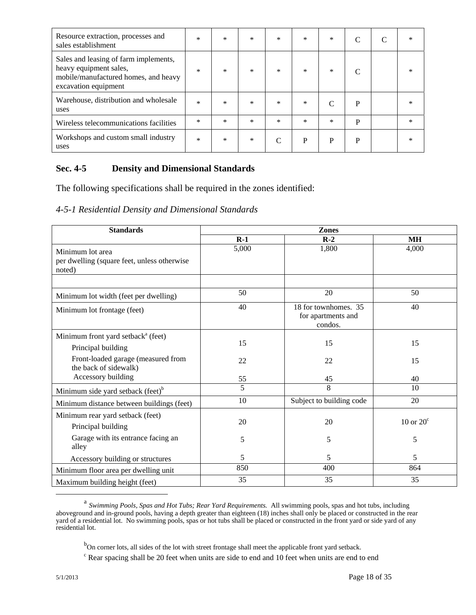| Resource extraction, processes and<br>sales establishment                                                                       | $\ast$ | $\ast$ | $\ast$ | $\ast$ | $\ast$ | $\ast$ | $\subset$ | ∗         |
|---------------------------------------------------------------------------------------------------------------------------------|--------|--------|--------|--------|--------|--------|-----------|-----------|
| Sales and leasing of farm implements,<br>heavy equipment sales,<br>mobile/manufactured homes, and heavy<br>excavation equipment | $\ast$ | $\ast$ | $\ast$ | $\ast$ | $\ast$ | $\ast$ |           | $^{\ast}$ |
| Warehouse, distribution and wholesale<br>uses                                                                                   | $\ast$ | $\ast$ | $\ast$ | $\ast$ | $\ast$ | C      | P         |           |
| Wireless telecommunications facilities                                                                                          | $\ast$ | $\ast$ | $\ast$ | $\ast$ | $\ast$ | $\ast$ | P         | ∗         |
| Workshops and custom small industry<br>uses                                                                                     | $\ast$ | *      | $\ast$ | C      | P      | P      | P         |           |

## **Sec. 4-5 Density and Dimensional Standards**

The following specifications shall be required in the zones identified:

*4-5-1 Residential Density and Dimensional Standards*

| <b>Standards</b>                                                          | <b>Zones</b> |                                                       |                    |  |  |  |  |  |
|---------------------------------------------------------------------------|--------------|-------------------------------------------------------|--------------------|--|--|--|--|--|
|                                                                           | $R-1$        | $R-2$                                                 | <b>MH</b>          |  |  |  |  |  |
| Minimum lot area<br>per dwelling (square feet, unless otherwise<br>noted) | 5,000        | 1,800                                                 | 4,000              |  |  |  |  |  |
| Minimum lot width (feet per dwelling)                                     | 50           | 20                                                    | 50                 |  |  |  |  |  |
| Minimum lot frontage (feet)                                               | 40           | 18 for townhomes. 35<br>for apartments and<br>condos. | 40                 |  |  |  |  |  |
| Minimum front yard setback <sup>a</sup> (feet)                            |              |                                                       |                    |  |  |  |  |  |
| Principal building                                                        | 15           | 15                                                    | 15                 |  |  |  |  |  |
| Front-loaded garage (measured from<br>the back of sidewalk)               | 22           | 22                                                    | 15                 |  |  |  |  |  |
| Accessory building                                                        | 55           | 45                                                    | 40                 |  |  |  |  |  |
| Minimum side yard setback (feet) <sup>b</sup>                             | 5            | 8                                                     | 10                 |  |  |  |  |  |
| Minimum distance between buildings (feet)                                 | 10           | Subject to building code                              | 20                 |  |  |  |  |  |
| Minimum rear yard setback (feet)<br>Principal building                    | 20           | 20                                                    | $10$ or $20^\circ$ |  |  |  |  |  |
| Garage with its entrance facing an<br>alley                               | 5            | 5                                                     | 5                  |  |  |  |  |  |
| Accessory building or structures                                          | 5            | 5                                                     | 5                  |  |  |  |  |  |
| Minimum floor area per dwelling unit                                      | 850          | 400                                                   | 864                |  |  |  |  |  |
| Maximum building height (feet)                                            | 35           | 35                                                    | 35                 |  |  |  |  |  |

a *Swimming Pools, Spas and Hot Tubs; Rear Yard Requirements.* All swimming pools, spas and hot tubs, including aboveground and in-ground pools, having a depth greater than eighteen (18) inches shall only be placed or constructed in the rear yard of a residential lot. No swimming pools, spas or hot tubs shall be placed or constructed in the front yard or side yard of any residential lot.

<sup>&</sup>lt;sup>b</sup>On corner lots, all sides of the lot with street frontage shall meet the applicable front yard setback.

<sup>&</sup>lt;sup>c</sup> Rear spacing shall be 20 feet when units are side to end and 10 feet when units are end to end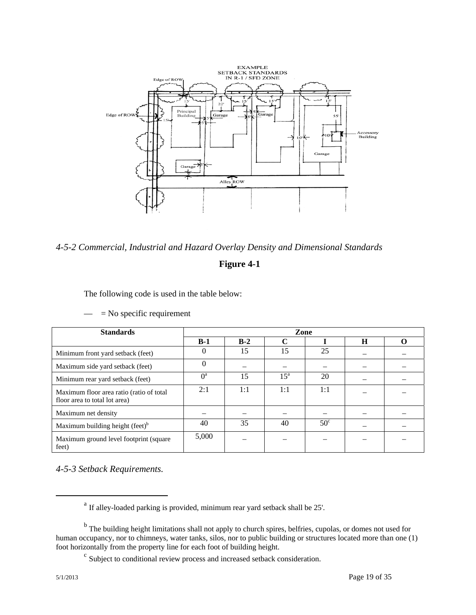

*4-5-2 Commercial, Industrial and Hazard Overlay Density and Dimensional Standards*

## **Figure 4-1**

The following code is used in the table below:

| <b>Standards</b>                                                          | Zone     |       |              |              |   |  |  |  |
|---------------------------------------------------------------------------|----------|-------|--------------|--------------|---|--|--|--|
|                                                                           | $B-1$    | $B-2$ |              |              | H |  |  |  |
| Minimum front yard setback (feet)                                         | $\Omega$ | 15    | 15           | 25           |   |  |  |  |
| Maximum side yard setback (feet)                                          | $\Omega$ |       |              |              |   |  |  |  |
| Minimum rear yard setback (feet)                                          | $0^a$    | 15    | $15^{\rm a}$ | 20           |   |  |  |  |
| Maximum floor area ratio (ratio of total<br>floor area to total lot area) | 2:1      | 1:1   | 1:1          | 1:1          |   |  |  |  |
| Maximum net density                                                       |          |       |              |              |   |  |  |  |
| Maximum building height (feet) <sup>b</sup>                               | 40       | 35    | 40           | $50^{\circ}$ |   |  |  |  |
| Maximum ground level footprint (square<br>feet)                           | 5,000    |       |              |              |   |  |  |  |

 $=$  No specific requirement

*4-5-3 Setback Requirements.* 

<sup>&</sup>lt;sup>a</sup> If alley-loaded parking is provided, minimum rear yard setback shall be 25'.

<sup>&</sup>lt;sup>b</sup> The building height limitations shall not apply to church spires, belfries, cupolas, or domes not used for human occupancy, nor to chimneys, water tanks, silos, nor to public building or structures located more than one (1) foot horizontally from the property line for each foot of building height.

<sup>c</sup> Subject to conditional review process and increased setback consideration.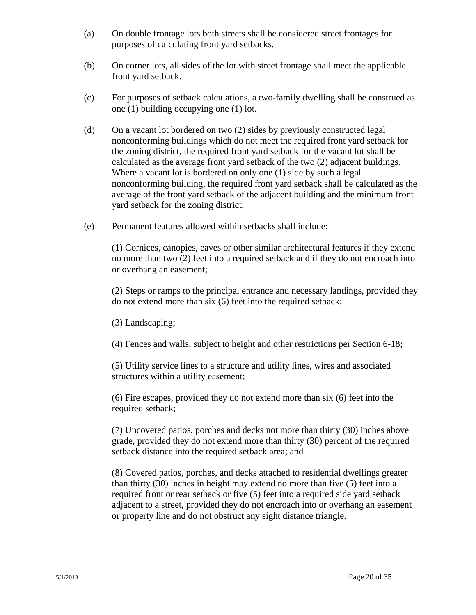- (a) On double frontage lots both streets shall be considered street frontages for purposes of calculating front yard setbacks.
- (b) On corner lots, all sides of the lot with street frontage shall meet the applicable front yard setback.
- (c) For purposes of setback calculations, a two-family dwelling shall be construed as one (1) building occupying one (1) lot.
- (d) On a vacant lot bordered on two (2) sides by previously constructed legal nonconforming buildings which do not meet the required front yard setback for the zoning district, the required front yard setback for the vacant lot shall be calculated as the average front yard setback of the two (2) adjacent buildings. Where a vacant lot is bordered on only one (1) side by such a legal nonconforming building, the required front yard setback shall be calculated as the average of the front yard setback of the adjacent building and the minimum front yard setback for the zoning district.
- (e) Permanent features allowed within setbacks shall include:

(1) Cornices, canopies, eaves or other similar architectural features if they extend no more than two (2) feet into a required setback and if they do not encroach into or overhang an easement;

(2) Steps or ramps to the principal entrance and necessary landings, provided they do not extend more than six (6) feet into the required setback;

(3) Landscaping;

(4) Fences and walls, subject to height and other restrictions per Section 6-18;

(5) Utility service lines to a structure and utility lines, wires and associated structures within a utility easement;

(6) Fire escapes, provided they do not extend more than six (6) feet into the required setback;

(7) Uncovered patios, porches and decks not more than thirty (30) inches above grade, provided they do not extend more than thirty (30) percent of the required setback distance into the required setback area; and

(8) Covered patios, porches, and decks attached to residential dwellings greater than thirty (30) inches in height may extend no more than five (5) feet into a required front or rear setback or five (5) feet into a required side yard setback adjacent to a street, provided they do not encroach into or overhang an easement or property line and do not obstruct any sight distance triangle.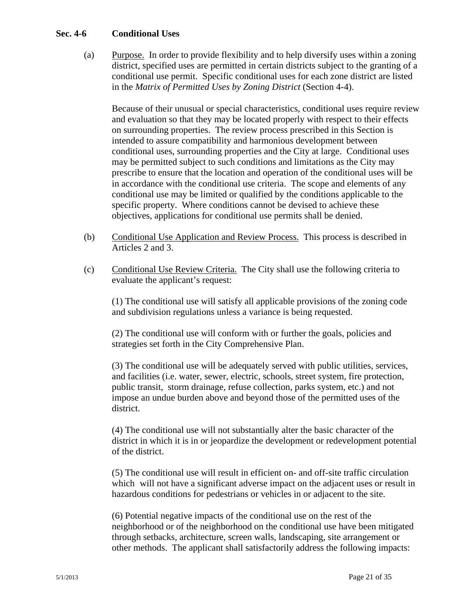#### **Sec. 4-6 Conditional Uses**

(a) Purpose. In order to provide flexibility and to help diversify uses within a zoning district, specified uses are permitted in certain districts subject to the granting of a conditional use permit. Specific conditional uses for each zone district are listed in the *Matrix of Permitted Uses by Zoning District* (Section 4-4).

Because of their unusual or special characteristics, conditional uses require review and evaluation so that they may be located properly with respect to their effects on surrounding properties. The review process prescribed in this Section is intended to assure compatibility and harmonious development between conditional uses, surrounding properties and the City at large. Conditional uses may be permitted subject to such conditions and limitations as the City may prescribe to ensure that the location and operation of the conditional uses will be in accordance with the conditional use criteria. The scope and elements of any conditional use may be limited or qualified by the conditions applicable to the specific property. Where conditions cannot be devised to achieve these objectives, applications for conditional use permits shall be denied.

- (b) Conditional Use Application and Review Process. This process is described in Articles 2 and 3.
- (c) Conditional Use Review Criteria. The City shall use the following criteria to evaluate the applicant's request:

 (1) The conditional use will satisfy all applicable provisions of the zoning code and subdivision regulations unless a variance is being requested.

 (2) The conditional use will conform with or further the goals, policies and strategies set forth in the City Comprehensive Plan.

 (3) The conditional use will be adequately served with public utilities, services, and facilities (i.e. water, sewer, electric, schools, street system, fire protection, public transit, storm drainage, refuse collection, parks system, etc.) and not impose an undue burden above and beyond those of the permitted uses of the district.

 (4) The conditional use will not substantially alter the basic character of the district in which it is in or jeopardize the development or redevelopment potential of the district.

 (5) The conditional use will result in efficient on- and off-site traffic circulation which will not have a significant adverse impact on the adjacent uses or result in hazardous conditions for pedestrians or vehicles in or adjacent to the site.

 (6) Potential negative impacts of the conditional use on the rest of the neighborhood or of the neighborhood on the conditional use have been mitigated through setbacks, architecture, screen walls, landscaping, site arrangement or other methods. The applicant shall satisfactorily address the following impacts: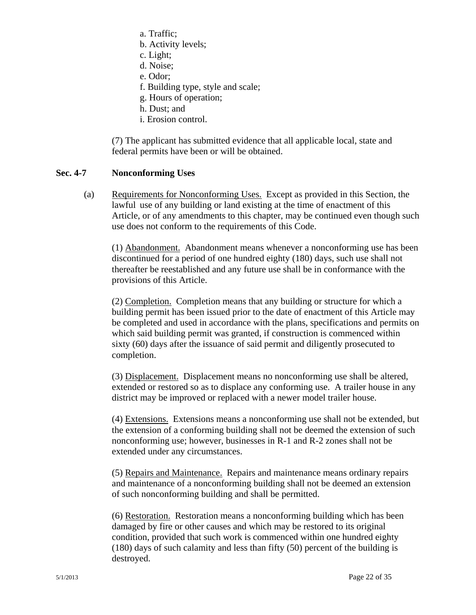- a. Traffic;
- b. Activity levels;
- c. Light;
- d. Noise;
- e. Odor;
- f. Building type, style and scale;
- g. Hours of operation;
- h. Dust; and
- i. Erosion control.

(7) The applicant has submitted evidence that all applicable local, state and federal permits have been or will be obtained.

#### **Sec. 4-7 Nonconforming Uses**

 (a) Requirements for Nonconforming Uses. Except as provided in this Section, the lawful use of any building or land existing at the time of enactment of this Article, or of any amendments to this chapter, may be continued even though such use does not conform to the requirements of this Code.

 (1) Abandonment. Abandonment means whenever a nonconforming use has been discontinued for a period of one hundred eighty (180) days, such use shall not thereafter be reestablished and any future use shall be in conformance with the provisions of this Article.

 (2) Completion. Completion means that any building or structure for which a building permit has been issued prior to the date of enactment of this Article may be completed and used in accordance with the plans, specifications and permits on which said building permit was granted, if construction is commenced within sixty (60) days after the issuance of said permit and diligently prosecuted to completion.

(3) Displacement. Displacement means no nonconforming use shall be altered, extended or restored so as to displace any conforming use. A trailer house in any district may be improved or replaced with a newer model trailer house.

 (4) Extensions. Extensions means a nonconforming use shall not be extended, but the extension of a conforming building shall not be deemed the extension of such nonconforming use; however, businesses in R-1 and R-2 zones shall not be extended under any circumstances.

 (5) Repairs and Maintenance. Repairs and maintenance means ordinary repairs and maintenance of a nonconforming building shall not be deemed an extension of such nonconforming building and shall be permitted.

 (6) Restoration. Restoration means a nonconforming building which has been damaged by fire or other causes and which may be restored to its original condition, provided that such work is commenced within one hundred eighty (180) days of such calamity and less than fifty (50) percent of the building is destroyed.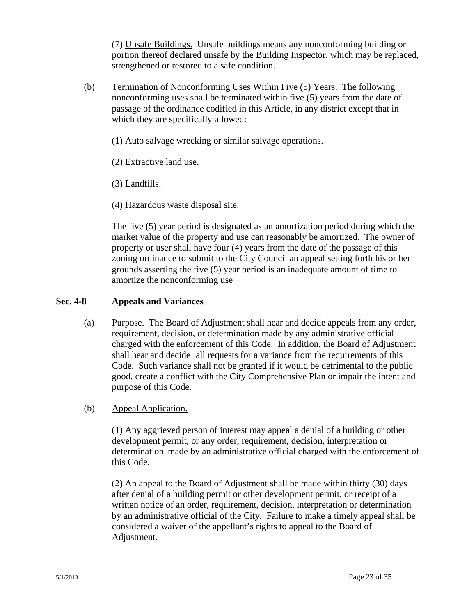(7) Unsafe Buildings. Unsafe buildings means any nonconforming building or portion thereof declared unsafe by the Building Inspector, which may be replaced, strengthened or restored to a safe condition.

- (b) Termination of Nonconforming Uses Within Five (5) Years. The following nonconforming uses shall be terminated within five (5) years from the date of passage of the ordinance codified in this Article, in any district except that in which they are specifically allowed:
	- (1) Auto salvage wrecking or similar salvage operations.
	- (2) Extractive land use.
	- (3) Landfills.
	- (4) Hazardous waste disposal site.

The five (5) year period is designated as an amortization period during which the market value of the property and use can reasonably be amortized. The owner of property or user shall have four (4) years from the date of the passage of this zoning ordinance to submit to the City Council an appeal setting forth his or her grounds asserting the five (5) year period is an inadequate amount of time to amortize the nonconforming use

#### **Sec. 4-8 Appeals and Variances**

 (a) Purpose. The Board of Adjustment shall hear and decide appeals from any order, requirement, decision, or determination made by any administrative official charged with the enforcement of this Code. In addition, the Board of Adjustment shall hear and decide all requests for a variance from the requirements of this Code. Such variance shall not be granted if it would be detrimental to the public good, create a conflict with the City Comprehensive Plan or impair the intent and purpose of this Code.

#### (b) Appeal Application.

 (1) Any aggrieved person of interest may appeal a denial of a building or other development permit, or any order, requirement, decision, interpretation or determination made by an administrative official charged with the enforcement of this Code.

(2) An appeal to the Board of Adjustment shall be made within thirty (30) days after denial of a building permit or other development permit, or receipt of a written notice of an order, requirement, decision, interpretation or determination by an administrative official of the City. Failure to make a timely appeal shall be considered a waiver of the appellant's rights to appeal to the Board of Adjustment.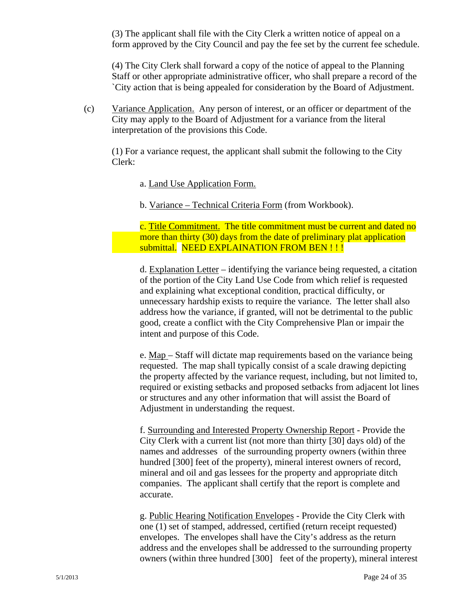(3) The applicant shall file with the City Clerk a written notice of appeal on a form approved by the City Council and pay the fee set by the current fee schedule.

 (4) The City Clerk shall forward a copy of the notice of appeal to the Planning Staff or other appropriate administrative officer, who shall prepare a record of the `City action that is being appealed for consideration by the Board of Adjustment.

 (c) Variance Application. Any person of interest, or an officer or department of the City may apply to the Board of Adjustment for a variance from the literal interpretation of the provisions this Code.

 (1) For a variance request, the applicant shall submit the following to the City Clerk:

a. Land Use Application Form.

b. Variance – Technical Criteria Form (from Workbook).

 c. Title Commitment. The title commitment must be current and dated no more than thirty (30) days from the date of preliminary plat application submittal. NEED EXPLAINATION FROM BEN !!!

 d. Explanation Letter – identifying the variance being requested, a citation of the portion of the City Land Use Code from which relief is requested and explaining what exceptional condition, practical difficulty, or unnecessary hardship exists to require the variance. The letter shall also address how the variance, if granted, will not be detrimental to the public good, create a conflict with the City Comprehensive Plan or impair the intent and purpose of this Code.

e. Map – Staff will dictate map requirements based on the variance being requested. The map shall typically consist of a scale drawing depicting the property affected by the variance request, including, but not limited to, required or existing setbacks and proposed setbacks from adjacent lot lines or structures and any other information that will assist the Board of Adjustment in understanding the request.

 f. Surrounding and Interested Property Ownership Report - Provide the City Clerk with a current list (not more than thirty [30] days old) of the names and addresses of the surrounding property owners (within three hundred [300] feet of the property), mineral interest owners of record, mineral and oil and gas lessees for the property and appropriate ditch companies. The applicant shall certify that the report is complete and accurate.

 g. Public Hearing Notification Envelopes - Provide the City Clerk with one (1) set of stamped, addressed, certified (return receipt requested) envelopes. The envelopes shall have the City's address as the return address and the envelopes shall be addressed to the surrounding property owners (within three hundred [300] feet of the property), mineral interest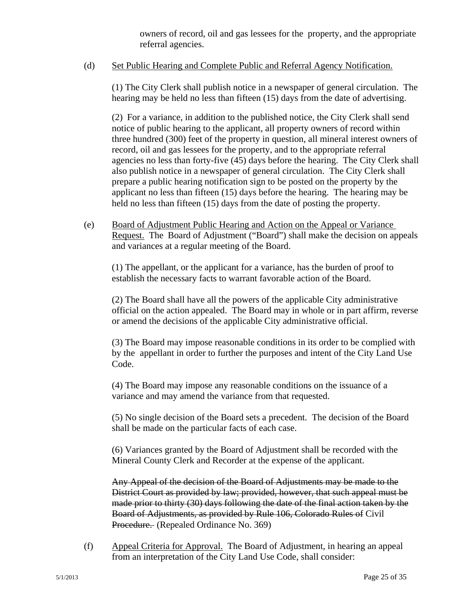owners of record, oil and gas lessees for the property, and the appropriate referral agencies.

## (d) Set Public Hearing and Complete Public and Referral Agency Notification.

 (1) The City Clerk shall publish notice in a newspaper of general circulation. The hearing may be held no less than fifteen (15) days from the date of advertising.

(2) For a variance, in addition to the published notice, the City Clerk shall send notice of public hearing to the applicant, all property owners of record within three hundred (300) feet of the property in question, all mineral interest owners of record, oil and gas lessees for the property, and to the appropriate referral agencies no less than forty-five (45) days before the hearing. The City Clerk shall also publish notice in a newspaper of general circulation. The City Clerk shall prepare a public hearing notification sign to be posted on the property by the applicant no less than fifteen (15) days before the hearing. The hearing may be held no less than fifteen (15) days from the date of posting the property.

 (e) Board of Adjustment Public Hearing and Action on the Appeal or Variance Request. The Board of Adjustment ("Board") shall make the decision on appeals and variances at a regular meeting of the Board.

(1) The appellant, or the applicant for a variance, has the burden of proof to establish the necessary facts to warrant favorable action of the Board.

 (2) The Board shall have all the powers of the applicable City administrative official on the action appealed. The Board may in whole or in part affirm, reverse or amend the decisions of the applicable City administrative official.

 (3) The Board may impose reasonable conditions in its order to be complied with by the appellant in order to further the purposes and intent of the City Land Use Code.

 (4) The Board may impose any reasonable conditions on the issuance of a variance and may amend the variance from that requested.

 (5) No single decision of the Board sets a precedent. The decision of the Board shall be made on the particular facts of each case.

 (6) Variances granted by the Board of Adjustment shall be recorded with the Mineral County Clerk and Recorder at the expense of the applicant.

 Any Appeal of the decision of the Board of Adjustments may be made to the District Court as provided by law; provided, however, that such appeal must be made prior to thirty (30) days following the date of the final action taken by the Board of Adjustments, as provided by Rule 106, Colorado Rules of Civil Procedure. (Repealed Ordinance No. 369)

 (f) Appeal Criteria for Approval. The Board of Adjustment, in hearing an appeal from an interpretation of the City Land Use Code, shall consider: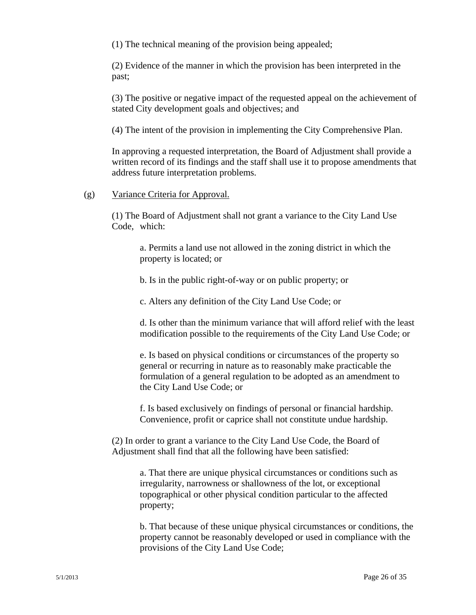(1) The technical meaning of the provision being appealed;

 (2) Evidence of the manner in which the provision has been interpreted in the past;

 (3) The positive or negative impact of the requested appeal on the achievement of stated City development goals and objectives; and

(4) The intent of the provision in implementing the City Comprehensive Plan.

In approving a requested interpretation, the Board of Adjustment shall provide a written record of its findings and the staff shall use it to propose amendments that address future interpretation problems.

(g) Variance Criteria for Approval.

 (1) The Board of Adjustment shall not grant a variance to the City Land Use Code, which:

 a. Permits a land use not allowed in the zoning district in which the property is located; or

b. Is in the public right-of-way or on public property; or

c. Alters any definition of the City Land Use Code; or

 d. Is other than the minimum variance that will afford relief with the least modification possible to the requirements of the City Land Use Code; or

e. Is based on physical conditions or circumstances of the property so general or recurring in nature as to reasonably make practicable the formulation of a general regulation to be adopted as an amendment to the City Land Use Code; or

 f. Is based exclusively on findings of personal or financial hardship. Convenience, profit or caprice shall not constitute undue hardship.

(2) In order to grant a variance to the City Land Use Code, the Board of Adjustment shall find that all the following have been satisfied:

> a. That there are unique physical circumstances or conditions such as irregularity, narrowness or shallowness of the lot, or exceptional topographical or other physical condition particular to the affected property;

 b. That because of these unique physical circumstances or conditions, the property cannot be reasonably developed or used in compliance with the provisions of the City Land Use Code;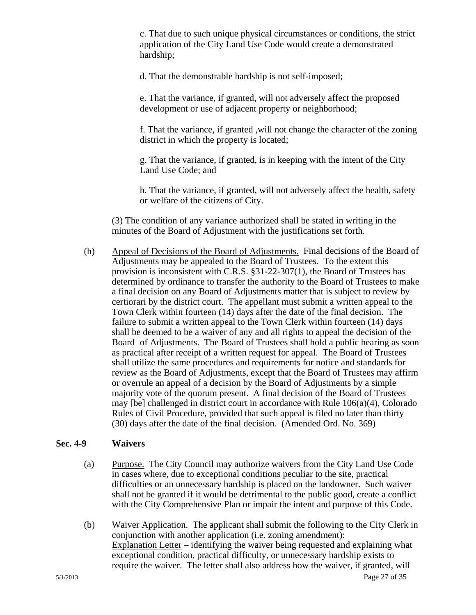c. That due to such unique physical circumstances or conditions, the strict application of the City Land Use Code would create a demonstrated hardship;

d. That the demonstrable hardship is not self-imposed;

 e. That the variance, if granted, will not adversely affect the proposed development or use of adjacent property or neighborhood;

f. That the variance, if granted ,will not change the character of the zoning district in which the property is located;

 g. That the variance, if granted, is in keeping with the intent of the City Land Use Code; and

 h. That the variance, if granted, will not adversely affect the health, safety or welfare of the citizens of City.

 (3) The condition of any variance authorized shall be stated in writing in the minutes of the Board of Adjustment with the justifications set forth.

(h) Appeal of Decisions of the Board of Adjustments. Final decisions of the Board of Adjustments may be appealed to the Board of Trustees. To the extent this provision is inconsistent with C.R.S. §31-22-307(1), the Board of Trustees has determined by ordinance to transfer the authority to the Board of Trustees to make a final decision on any Board of Adjustments matter that is subject to review by certiorari by the district court. The appellant must submit a written appeal to the Town Clerk within fourteen (14) days after the date of the final decision. The failure to submit a written appeal to the Town Clerk within fourteen (14) days shall be deemed to be a waiver of any and all rights to appeal the decision of the Board of Adjustments. The Board of Trustees shall hold a public hearing as soon as practical after receipt of a written request for appeal. The Board of Trustees shall utilize the same procedures and requirements for notice and standards for review as the Board of Adjustments, except that the Board of Trustees may affirm or overrule an appeal of a decision by the Board of Adjustments by a simple majority vote of the quorum present. A final decision of the Board of Trustees may [be] challenged in district court in accordance with Rule 106(a)(4), Colorado Rules of Civil Procedure, provided that such appeal is filed no later than thirty (30) days after the date of the final decision. (Amended Ord. No. 369)

#### **Sec. 4-9 Waivers**

- (a) Purpose. The City Council may authorize waivers from the City Land Use Code in cases where, due to exceptional conditions peculiar to the site, practical difficulties or an unnecessary hardship is placed on the landowner. Such waiver shall not be granted if it would be detrimental to the public good, create a conflict with the City Comprehensive Plan or impair the intent and purpose of this Code.
- 5/1/2013 Page 27 of 35 (b) Waiver Application. The applicant shall submit the following to the City Clerk in conjunction with another application (i.e. zoning amendment): Explanation Letter – identifying the waiver being requested and explaining what exceptional condition, practical difficulty, or unnecessary hardship exists to require the waiver. The letter shall also address how the waiver, if granted, will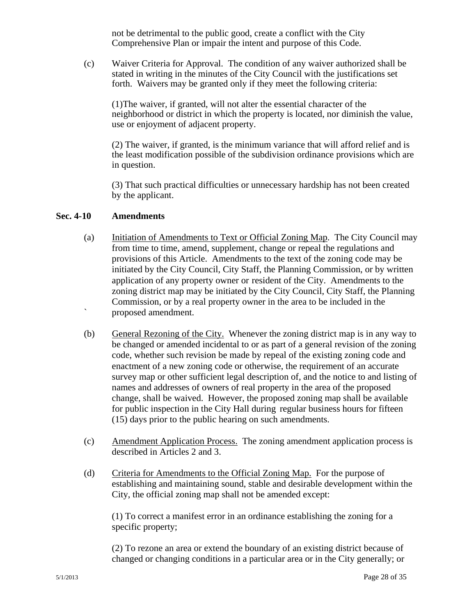not be detrimental to the public good, create a conflict with the City Comprehensive Plan or impair the intent and purpose of this Code.

 (c) Waiver Criteria for Approval. The condition of any waiver authorized shall be stated in writing in the minutes of the City Council with the justifications set forth. Waivers may be granted only if they meet the following criteria:

 (1)The waiver, if granted, will not alter the essential character of the neighborhood or district in which the property is located, nor diminish the value, use or enjoyment of adjacent property.

 (2) The waiver, if granted, is the minimum variance that will afford relief and is the least modification possible of the subdivision ordinance provisions which are in question.

 (3) That such practical difficulties or unnecessary hardship has not been created by the applicant.

#### **Sec. 4-10 Amendments**

- (a) Initiation of Amendments to Text or Official Zoning Map. The City Council may from time to time, amend, supplement, change or repeal the regulations and provisions of this Article. Amendments to the text of the zoning code may be initiated by the City Council, City Staff, the Planning Commission, or by written application of any property owner or resident of the City. Amendments to the zoning district map may be initiated by the City Council, City Staff, the Planning Commission, or by a real property owner in the area to be included in the proposed amendment ` proposed amendment.
- (b) General Rezoning of the City. Whenever the zoning district map is in any way to be changed or amended incidental to or as part of a general revision of the zoning code, whether such revision be made by repeal of the existing zoning code and enactment of a new zoning code or otherwise, the requirement of an accurate survey map or other sufficient legal description of, and the notice to and listing of names and addresses of owners of real property in the area of the proposed change, shall be waived. However, the proposed zoning map shall be available for public inspection in the City Hall during regular business hours for fifteen (15) days prior to the public hearing on such amendments.
- (c) Amendment Application Process. The zoning amendment application process is described in Articles 2 and 3.
- (d) Criteria for Amendments to the Official Zoning Map. For the purpose of establishing and maintaining sound, stable and desirable development within the City, the official zoning map shall not be amended except:

 (1) To correct a manifest error in an ordinance establishing the zoning for a specific property;

 (2) To rezone an area or extend the boundary of an existing district because of changed or changing conditions in a particular area or in the City generally; or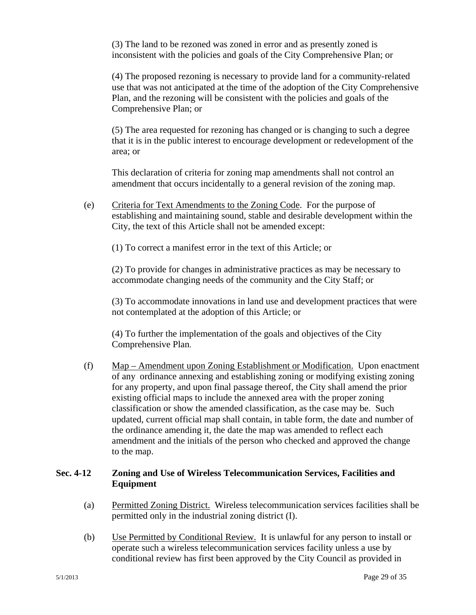(3) The land to be rezoned was zoned in error and as presently zoned is inconsistent with the policies and goals of the City Comprehensive Plan; or

 (4) The proposed rezoning is necessary to provide land for a community-related use that was not anticipated at the time of the adoption of the City Comprehensive Plan, and the rezoning will be consistent with the policies and goals of the Comprehensive Plan; or

 (5) The area requested for rezoning has changed or is changing to such a degree that it is in the public interest to encourage development or redevelopment of the area; or

 This declaration of criteria for zoning map amendments shall not control an amendment that occurs incidentally to a general revision of the zoning map.

 (e) Criteria for Text Amendments to the Zoning Code. For the purpose of establishing and maintaining sound, stable and desirable development within the City, the text of this Article shall not be amended except:

(1) To correct a manifest error in the text of this Article; or

 (2) To provide for changes in administrative practices as may be necessary to accommodate changing needs of the community and the City Staff; or

(3) To accommodate innovations in land use and development practices that were not contemplated at the adoption of this Article; or

 (4) To further the implementation of the goals and objectives of the City Comprehensive Plan.

 (f) Map – Amendment upon Zoning Establishment or Modification. Upon enactment of any ordinance annexing and establishing zoning or modifying existing zoning for any property, and upon final passage thereof, the City shall amend the prior existing official maps to include the annexed area with the proper zoning classification or show the amended classification, as the case may be. Such updated, current official map shall contain, in table form, the date and number of the ordinance amending it, the date the map was amended to reflect each amendment and the initials of the person who checked and approved the change to the map.

# **Sec. 4-12 Zoning and Use of Wireless Telecommunication Services, Facilities and Equipment**

- (a) Permitted Zoning District. Wireless telecommunication services facilities shall be permitted only in the industrial zoning district (I).
- (b) Use Permitted by Conditional Review. It is unlawful for any person to install or operate such a wireless telecommunication services facility unless a use by conditional review has first been approved by the City Council as provided in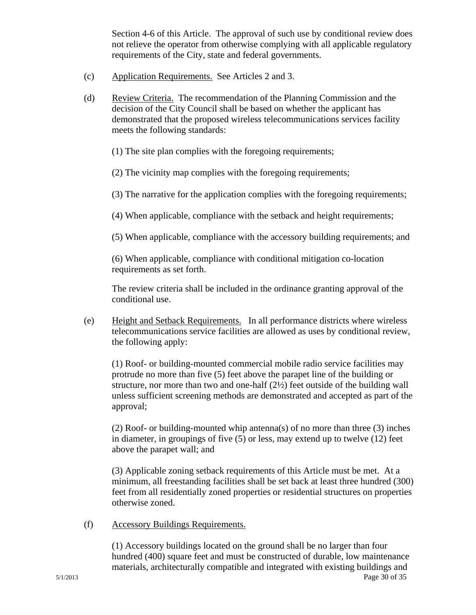Section 4-6 of this Article. The approval of such use by conditional review does not relieve the operator from otherwise complying with all applicable regulatory requirements of the City, state and federal governments.

- (c) Application Requirements. See Articles 2 and 3.
- (d) Review Criteria. The recommendation of the Planning Commission and the decision of the City Council shall be based on whether the applicant has demonstrated that the proposed wireless telecommunications services facility meets the following standards:
	- (1) The site plan complies with the foregoing requirements;
	- (2) The vicinity map complies with the foregoing requirements;
	- (3) The narrative for the application complies with the foregoing requirements;
	- (4) When applicable, compliance with the setback and height requirements;
	- (5) When applicable, compliance with the accessory building requirements; and

 (6) When applicable, compliance with conditional mitigation co-location requirements as set forth.

 The review criteria shall be included in the ordinance granting approval of the conditional use.

 (e) Height and Setback Requirements. In all performance districts where wireless telecommunications service facilities are allowed as uses by conditional review, the following apply:

 (1) Roof- or building-mounted commercial mobile radio service facilities may protrude no more than five (5) feet above the parapet line of the building or structure, nor more than two and one-half  $(2/2)$  feet outside of the building wall unless sufficient screening methods are demonstrated and accepted as part of the approval;

 (2) Roof- or building-mounted whip antenna(s) of no more than three (3) inches in diameter, in groupings of five (5) or less, may extend up to twelve (12) feet above the parapet wall; and

 (3) Applicable zoning setback requirements of this Article must be met. At a minimum, all freestanding facilities shall be set back at least three hundred (300) feet from all residentially zoned properties or residential structures on properties otherwise zoned.

(f) Accessory Buildings Requirements.

5/1/2013 Page 30 of 35 (1) Accessory buildings located on the ground shall be no larger than four hundred (400) square feet and must be constructed of durable, low maintenance materials, architecturally compatible and integrated with existing buildings and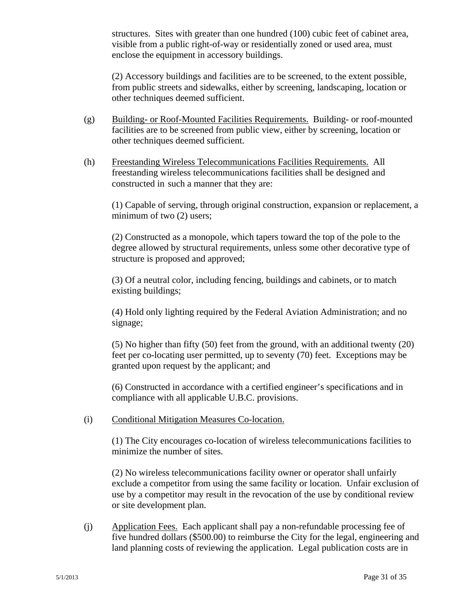structures. Sites with greater than one hundred (100) cubic feet of cabinet area, visible from a public right-of-way or residentially zoned or used area, must enclose the equipment in accessory buildings.

(2) Accessory buildings and facilities are to be screened, to the extent possible, from public streets and sidewalks, either by screening, landscaping, location or other techniques deemed sufficient.

- (g) Building- or Roof-Mounted Facilities Requirements. Building- or roof-mounted facilities are to be screened from public view, either by screening, location or other techniques deemed sufficient.
- (h) Freestanding Wireless Telecommunications Facilities Requirements. All freestanding wireless telecommunications facilities shall be designed and constructed in such a manner that they are:

 (1) Capable of serving, through original construction, expansion or replacement, a minimum of two  $(2)$  users;

 (2) Constructed as a monopole, which tapers toward the top of the pole to the degree allowed by structural requirements, unless some other decorative type of structure is proposed and approved;

(3) Of a neutral color, including fencing, buildings and cabinets, or to match existing buildings;

 (4) Hold only lighting required by the Federal Aviation Administration; and no signage;

 (5) No higher than fifty (50) feet from the ground, with an additional twenty (20) feet per co-locating user permitted, up to seventy (70) feet. Exceptions may be granted upon request by the applicant; and

 (6) Constructed in accordance with a certified engineer's specifications and in compliance with all applicable U.B.C. provisions.

#### (i) Conditional Mitigation Measures Co-location.

 (1) The City encourages co-location of wireless telecommunications facilities to minimize the number of sites.

 (2) No wireless telecommunications facility owner or operator shall unfairly exclude a competitor from using the same facility or location. Unfair exclusion of use by a competitor may result in the revocation of the use by conditional review or site development plan.

 (j) Application Fees. Each applicant shall pay a non-refundable processing fee of five hundred dollars (\$500.00) to reimburse the City for the legal, engineering and land planning costs of reviewing the application. Legal publication costs are in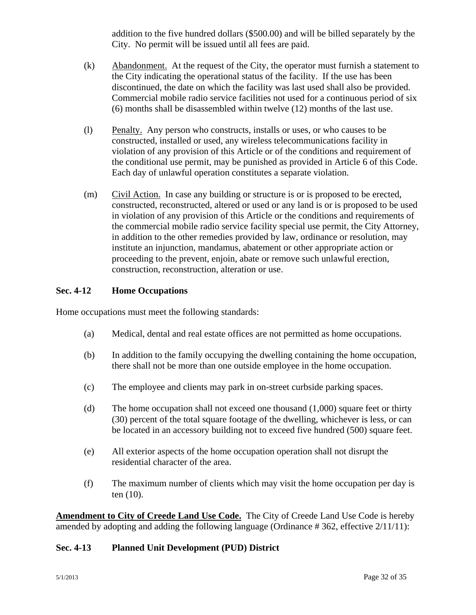addition to the five hundred dollars (\$500.00) and will be billed separately by the City. No permit will be issued until all fees are paid.

- (k) Abandonment. At the request of the City, the operator must furnish a statement to the City indicating the operational status of the facility. If the use has been discontinued, the date on which the facility was last used shall also be provided. Commercial mobile radio service facilities not used for a continuous period of six (6) months shall be disassembled within twelve (12) months of the last use.
- (l) Penalty. Any person who constructs, installs or uses, or who causes to be constructed, installed or used, any wireless telecommunications facility in violation of any provision of this Article or of the conditions and requirement of the conditional use permit, may be punished as provided in Article 6 of this Code. Each day of unlawful operation constitutes a separate violation.
- (m) Civil Action. In case any building or structure is or is proposed to be erected, constructed, reconstructed, altered or used or any land is or is proposed to be used in violation of any provision of this Article or the conditions and requirements of the commercial mobile radio service facility special use permit, the City Attorney, in addition to the other remedies provided by law, ordinance or resolution, may institute an injunction, mandamus, abatement or other appropriate action or proceeding to the prevent, enjoin, abate or remove such unlawful erection, construction, reconstruction, alteration or use.

## **Sec. 4-12 Home Occupations**

Home occupations must meet the following standards:

- (a) Medical, dental and real estate offices are not permitted as home occupations.
- (b) In addition to the family occupying the dwelling containing the home occupation, there shall not be more than one outside employee in the home occupation.
- (c) The employee and clients may park in on-street curbside parking spaces.
- (d) The home occupation shall not exceed one thousand (1,000) square feet or thirty (30) percent of the total square footage of the dwelling, whichever is less, or can be located in an accessory building not to exceed five hundred (500) square feet.
- (e) All exterior aspects of the home occupation operation shall not disrupt the residential character of the area.
- (f) The maximum number of clients which may visit the home occupation per day is ten (10).

**Amendment to City of Creede Land Use Code.** The City of Creede Land Use Code is hereby amended by adopting and adding the following language (Ordinance # 362, effective 2/11/11):

#### **Sec. 4-13 Planned Unit Development (PUD) District**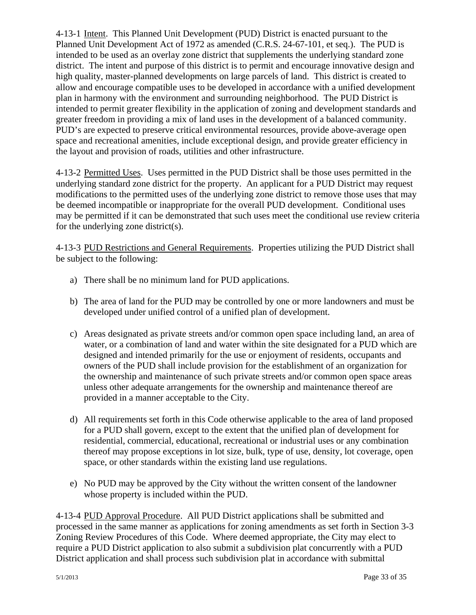4-13-1 Intent. This Planned Unit Development (PUD) District is enacted pursuant to the Planned Unit Development Act of 1972 as amended (C.R.S. 24-67-101, et seq.). The PUD is intended to be used as an overlay zone district that supplements the underlying standard zone district. The intent and purpose of this district is to permit and encourage innovative design and high quality, master-planned developments on large parcels of land. This district is created to allow and encourage compatible uses to be developed in accordance with a unified development plan in harmony with the environment and surrounding neighborhood. The PUD District is intended to permit greater flexibility in the application of zoning and development standards and greater freedom in providing a mix of land uses in the development of a balanced community. PUD's are expected to preserve critical environmental resources, provide above-average open space and recreational amenities, include exceptional design, and provide greater efficiency in the layout and provision of roads, utilities and other infrastructure.

4-13-2 Permitted Uses. Uses permitted in the PUD District shall be those uses permitted in the underlying standard zone district for the property. An applicant for a PUD District may request modifications to the permitted uses of the underlying zone district to remove those uses that may be deemed incompatible or inappropriate for the overall PUD development. Conditional uses may be permitted if it can be demonstrated that such uses meet the conditional use review criteria for the underlying zone district(s).

4-13-3 PUD Restrictions and General Requirements. Properties utilizing the PUD District shall be subject to the following:

- a) There shall be no minimum land for PUD applications.
- b) The area of land for the PUD may be controlled by one or more landowners and must be developed under unified control of a unified plan of development.
- c) Areas designated as private streets and/or common open space including land, an area of water, or a combination of land and water within the site designated for a PUD which are designed and intended primarily for the use or enjoyment of residents, occupants and owners of the PUD shall include provision for the establishment of an organization for the ownership and maintenance of such private streets and/or common open space areas unless other adequate arrangements for the ownership and maintenance thereof are provided in a manner acceptable to the City.
- d) All requirements set forth in this Code otherwise applicable to the area of land proposed for a PUD shall govern, except to the extent that the unified plan of development for residential, commercial, educational, recreational or industrial uses or any combination thereof may propose exceptions in lot size, bulk, type of use, density, lot coverage, open space, or other standards within the existing land use regulations.
- e) No PUD may be approved by the City without the written consent of the landowner whose property is included within the PUD.

4-13-4 PUD Approval Procedure. All PUD District applications shall be submitted and processed in the same manner as applications for zoning amendments as set forth in Section 3-3 Zoning Review Procedures of this Code. Where deemed appropriate, the City may elect to require a PUD District application to also submit a subdivision plat concurrently with a PUD District application and shall process such subdivision plat in accordance with submittal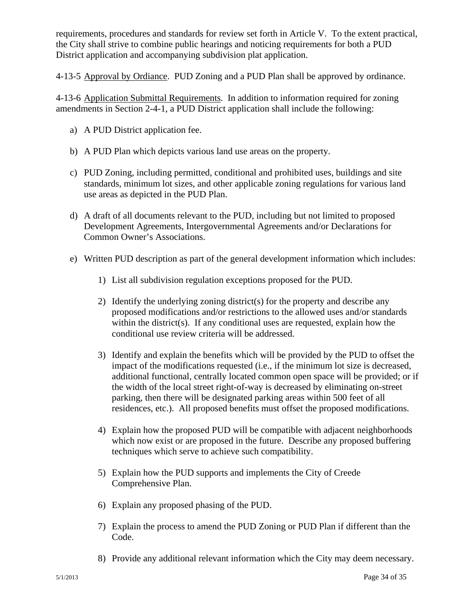requirements, procedures and standards for review set forth in Article V. To the extent practical, the City shall strive to combine public hearings and noticing requirements for both a PUD District application and accompanying subdivision plat application.

4-13-5 Approval by Ordiance. PUD Zoning and a PUD Plan shall be approved by ordinance.

4-13-6 Application Submittal Requirements. In addition to information required for zoning amendments in Section 2-4-1, a PUD District application shall include the following:

- a) A PUD District application fee.
- b) A PUD Plan which depicts various land use areas on the property.
- c) PUD Zoning, including permitted, conditional and prohibited uses, buildings and site standards, minimum lot sizes, and other applicable zoning regulations for various land use areas as depicted in the PUD Plan.
- d) A draft of all documents relevant to the PUD, including but not limited to proposed Development Agreements, Intergovernmental Agreements and/or Declarations for Common Owner's Associations.
- e) Written PUD description as part of the general development information which includes:
	- 1) List all subdivision regulation exceptions proposed for the PUD.
	- 2) Identify the underlying zoning district(s) for the property and describe any proposed modifications and/or restrictions to the allowed uses and/or standards within the district(s). If any conditional uses are requested, explain how the conditional use review criteria will be addressed.
	- 3) Identify and explain the benefits which will be provided by the PUD to offset the impact of the modifications requested (i.e., if the minimum lot size is decreased, additional functional, centrally located common open space will be provided; or if the width of the local street right-of-way is decreased by eliminating on-street parking, then there will be designated parking areas within 500 feet of all residences, etc.). All proposed benefits must offset the proposed modifications.
	- 4) Explain how the proposed PUD will be compatible with adjacent neighborhoods which now exist or are proposed in the future. Describe any proposed buffering techniques which serve to achieve such compatibility.
	- 5) Explain how the PUD supports and implements the City of Creede Comprehensive Plan.
	- 6) Explain any proposed phasing of the PUD.
	- 7) Explain the process to amend the PUD Zoning or PUD Plan if different than the Code.
	- 8) Provide any additional relevant information which the City may deem necessary.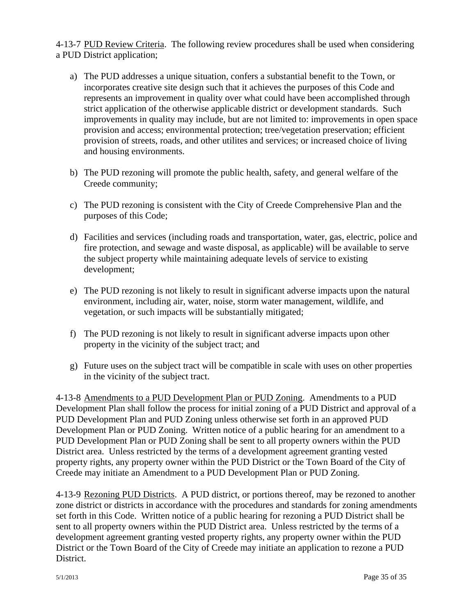4-13-7 PUD Review Criteria. The following review procedures shall be used when considering a PUD District application;

- a) The PUD addresses a unique situation, confers a substantial benefit to the Town, or incorporates creative site design such that it achieves the purposes of this Code and represents an improvement in quality over what could have been accomplished through strict application of the otherwise applicable district or development standards. Such improvements in quality may include, but are not limited to: improvements in open space provision and access; environmental protection; tree/vegetation preservation; efficient provision of streets, roads, and other utilites and services; or increased choice of living and housing environments.
- b) The PUD rezoning will promote the public health, safety, and general welfare of the Creede community;
- c) The PUD rezoning is consistent with the City of Creede Comprehensive Plan and the purposes of this Code;
- d) Facilities and services (including roads and transportation, water, gas, electric, police and fire protection, and sewage and waste disposal, as applicable) will be available to serve the subject property while maintaining adequate levels of service to existing development;
- e) The PUD rezoning is not likely to result in significant adverse impacts upon the natural environment, including air, water, noise, storm water management, wildlife, and vegetation, or such impacts will be substantially mitigated;
- f) The PUD rezoning is not likely to result in significant adverse impacts upon other property in the vicinity of the subject tract; and
- g) Future uses on the subject tract will be compatible in scale with uses on other properties in the vicinity of the subject tract.

4-13-8 Amendments to a PUD Development Plan or PUD Zoning. Amendments to a PUD Development Plan shall follow the process for initial zoning of a PUD District and approval of a PUD Development Plan and PUD Zoning unless otherwise set forth in an approved PUD Development Plan or PUD Zoning. Written notice of a public hearing for an amendment to a PUD Development Plan or PUD Zoning shall be sent to all property owners within the PUD District area. Unless restricted by the terms of a development agreement granting vested property rights, any property owner within the PUD District or the Town Board of the City of Creede may initiate an Amendment to a PUD Development Plan or PUD Zoning.

4-13-9 Rezoning PUD Districts. A PUD district, or portions thereof, may be rezoned to another zone district or districts in accordance with the procedures and standards for zoning amendments set forth in this Code. Written notice of a public hearing for rezoning a PUD District shall be sent to all property owners within the PUD District area. Unless restricted by the terms of a development agreement granting vested property rights, any property owner within the PUD District or the Town Board of the City of Creede may initiate an application to rezone a PUD District.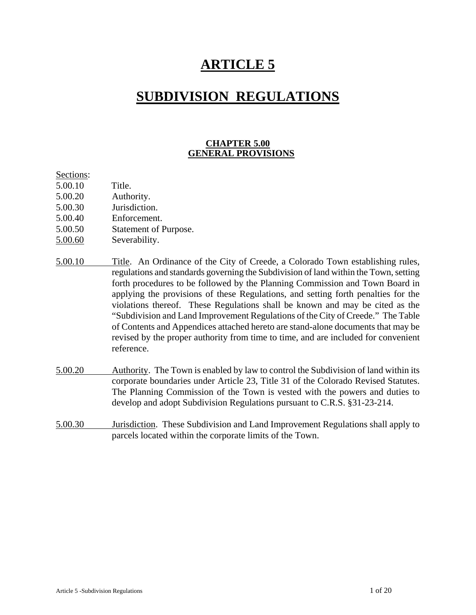# **ARTICLE 5**

# **SUBDIVISION REGULATIONS**

## **CHAPTER 5.00 GENERAL PROVISIONS**

#### Sections:

- 5.00.10 Title.
- 5.00.20 Authority.
- 5.00.30 Jurisdiction.
- 5.00.40 Enforcement.
- 5.00.50 Statement of Purpose.
- 5.00.60 Severability.
- 5.00.10 Title. An Ordinance of the City of Creede, a Colorado Town establishing rules, regulations and standards governing the Subdivision of land within the Town, setting forth procedures to be followed by the Planning Commission and Town Board in applying the provisions of these Regulations, and setting forth penalties for the violations thereof. These Regulations shall be known and may be cited as the "Subdivision and Land Improvement Regulations of the City of Creede." The Table of Contents and Appendices attached hereto are stand-alone documents that may be revised by the proper authority from time to time, and are included for convenient reference.
- 5.00.20 Authority. The Town is enabled by law to control the Subdivision of land within its corporate boundaries under Article 23, Title 31 of the Colorado Revised Statutes. The Planning Commission of the Town is vested with the powers and duties to develop and adopt Subdivision Regulations pursuant to C.R.S. §31-23-214.
- 5.00.30 Jurisdiction. These Subdivision and Land Improvement Regulations shall apply to parcels located within the corporate limits of the Town.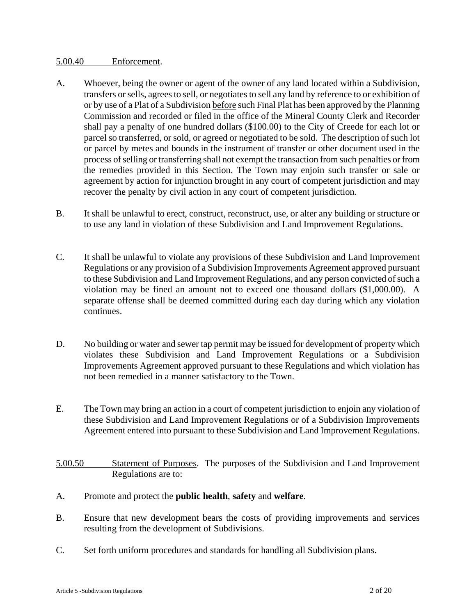#### 5.00.40 Enforcement.

- A. Whoever, being the owner or agent of the owner of any land located within a Subdivision, transfers or sells, agrees to sell, or negotiates to sell any land by reference to or exhibition of or by use of a Plat of a Subdivision before such Final Plat has been approved by the Planning Commission and recorded or filed in the office of the Mineral County Clerk and Recorder shall pay a penalty of one hundred dollars (\$100.00) to the City of Creede for each lot or parcel so transferred, or sold, or agreed or negotiated to be sold. The description of such lot or parcel by metes and bounds in the instrument of transfer or other document used in the process of selling or transferring shall not exempt the transaction from such penalties or from the remedies provided in this Section. The Town may enjoin such transfer or sale or agreement by action for injunction brought in any court of competent jurisdiction and may recover the penalty by civil action in any court of competent jurisdiction.
- B. It shall be unlawful to erect, construct, reconstruct, use, or alter any building or structure or to use any land in violation of these Subdivision and Land Improvement Regulations.
- C. It shall be unlawful to violate any provisions of these Subdivision and Land Improvement Regulations or any provision of a Subdivision Improvements Agreement approved pursuant to these Subdivision and Land Improvement Regulations, and any person convicted of such a violation may be fined an amount not to exceed one thousand dollars (\$1,000.00). A separate offense shall be deemed committed during each day during which any violation continues.
- D. No building or water and sewer tap permit may be issued for development of property which violates these Subdivision and Land Improvement Regulations or a Subdivision Improvements Agreement approved pursuant to these Regulations and which violation has not been remedied in a manner satisfactory to the Town.
- E. The Town may bring an action in a court of competent jurisdiction to enjoin any violation of these Subdivision and Land Improvement Regulations or of a Subdivision Improvements Agreement entered into pursuant to these Subdivision and Land Improvement Regulations.
- 5.00.50 Statement of Purposes. The purposes of the Subdivision and Land Improvement Regulations are to:
- A. Promote and protect the **public health**, **safety** and **welfare**.
- B. Ensure that new development bears the costs of providing improvements and services resulting from the development of Subdivisions.
- C. Set forth uniform procedures and standards for handling all Subdivision plans.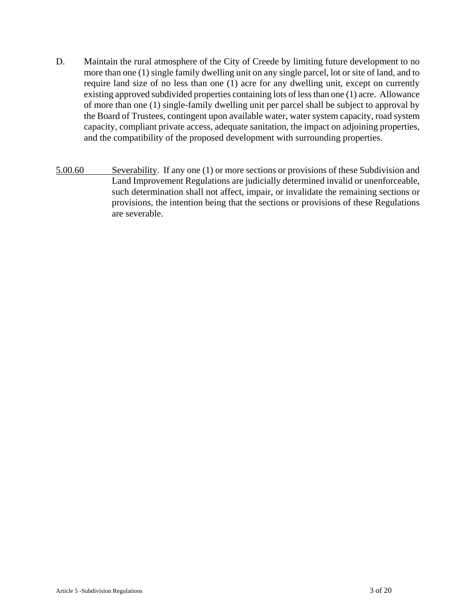- D. Maintain the rural atmosphere of the City of Creede by limiting future development to no more than one (1) single family dwelling unit on any single parcel, lot or site of land, and to require land size of no less than one (1) acre for any dwelling unit, except on currently existing approved subdivided properties containing lots of less than one (1) acre. Allowance of more than one (1) single-family dwelling unit per parcel shall be subject to approval by the Board of Trustees, contingent upon available water, water system capacity, road system capacity, compliant private access, adequate sanitation, the impact on adjoining properties, and the compatibility of the proposed development with surrounding properties.
- 5.00.60 Severability. If any one (1) or more sections or provisions of these Subdivision and Land Improvement Regulations are judicially determined invalid or unenforceable, such determination shall not affect, impair, or invalidate the remaining sections or provisions, the intention being that the sections or provisions of these Regulations are severable.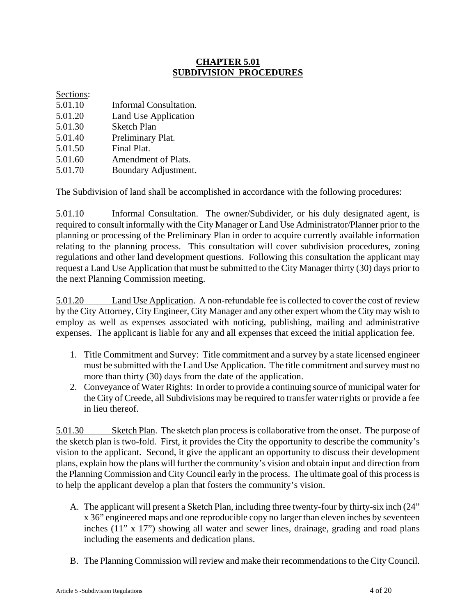# **CHAPTER 5.01 SUBDIVISION PROCEDURES**

## Sections:

- 5.01.10 Informal Consultation.
- 5.01.20 Land Use Application
- 5.01.30 Sketch Plan
- 5.01.40 Preliminary Plat.
- 5.01.50 Final Plat.
- 5.01.60 Amendment of Plats.
- 5.01.70 Boundary Adjustment.

The Subdivision of land shall be accomplished in accordance with the following procedures:

5.01.10 Informal Consultation. The owner/Subdivider, or his duly designated agent, is required to consult informally with the City Manager or Land Use Administrator/Planner prior to the planning or processing of the Preliminary Plan in order to acquire currently available information relating to the planning process. This consultation will cover subdivision procedures, zoning regulations and other land development questions. Following this consultation the applicant may request a Land Use Application that must be submitted to the City Manager thirty (30) days prior to the next Planning Commission meeting.

5.01.20 Land Use Application. A non-refundable fee is collected to cover the cost of review by the City Attorney, City Engineer, City Manager and any other expert whom the City may wish to employ as well as expenses associated with noticing, publishing, mailing and administrative expenses. The applicant is liable for any and all expenses that exceed the initial application fee.

- 1. Title Commitment and Survey: Title commitment and a survey by a state licensed engineer must be submitted with the Land Use Application. The title commitment and survey must no more than thirty (30) days from the date of the application.
- 2. Conveyance of Water Rights: In order to provide a continuing source of municipal water for the City of Creede, all Subdivisions may be required to transfer water rights or provide a fee in lieu thereof.

5.01.30 Sketch Plan. The sketch plan process is collaborative from the onset. The purpose of the sketch plan is two-fold. First, it provides the City the opportunity to describe the community's vision to the applicant. Second, it give the applicant an opportunity to discuss their development plans, explain how the plans will further the community's vision and obtain input and direction from the Planning Commission and City Council early in the process. The ultimate goal of this process is to help the applicant develop a plan that fosters the community's vision.

- A. The applicant will present a Sketch Plan, including three twenty-four by thirty-six inch (24" x 36" engineered maps and one reproducible copy no larger than eleven inches by seventeen inches (11" x 17") showing all water and sewer lines, drainage, grading and road plans including the easements and dedication plans.
- B. The Planning Commission will review and make their recommendations to the City Council.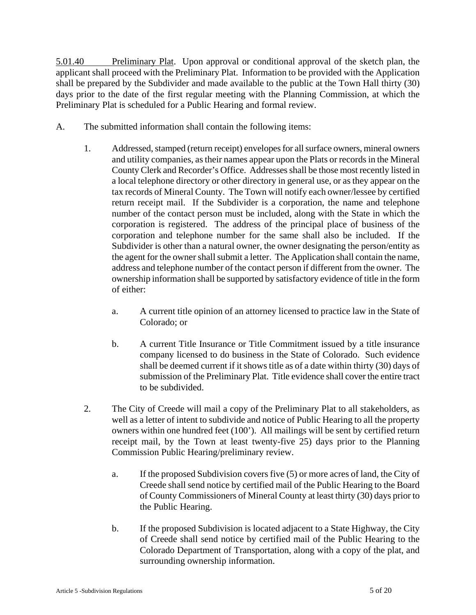5.01.40 Preliminary Plat. Upon approval or conditional approval of the sketch plan, the applicant shall proceed with the Preliminary Plat. Information to be provided with the Application shall be prepared by the Subdivider and made available to the public at the Town Hall thirty (30) days prior to the date of the first regular meeting with the Planning Commission, at which the Preliminary Plat is scheduled for a Public Hearing and formal review.

- A. The submitted information shall contain the following items:
	- 1. Addressed, stamped (return receipt) envelopes for all surface owners, mineral owners and utility companies, as their names appear upon the Plats or records in the Mineral County Clerk and Recorder's Office. Addresses shall be those most recently listed in a local telephone directory or other directory in general use, or as they appear on the tax records of Mineral County. The Town will notify each owner/lessee by certified return receipt mail. If the Subdivider is a corporation, the name and telephone number of the contact person must be included, along with the State in which the corporation is registered. The address of the principal place of business of the corporation and telephone number for the same shall also be included. If the Subdivider is other than a natural owner, the owner designating the person/entity as the agent for the owner shall submit a letter. The Application shall contain the name, address and telephone number of the contact person if different from the owner. The ownership information shall be supported by satisfactory evidence of title in the form of either:
		- a. A current title opinion of an attorney licensed to practice law in the State of Colorado; or
		- b. A current Title Insurance or Title Commitment issued by a title insurance company licensed to do business in the State of Colorado. Such evidence shall be deemed current if it shows title as of a date within thirty (30) days of submission of the Preliminary Plat. Title evidence shall cover the entire tract to be subdivided.
	- 2. The City of Creede will mail a copy of the Preliminary Plat to all stakeholders, as well as a letter of intent to subdivide and notice of Public Hearing to all the property owners within one hundred feet (100'). All mailings will be sent by certified return receipt mail, by the Town at least twenty-five 25) days prior to the Planning Commission Public Hearing/preliminary review.
		- a. If the proposed Subdivision covers five (5) or more acres of land, the City of Creede shall send notice by certified mail of the Public Hearing to the Board of County Commissioners of Mineral County at least thirty (30) days prior to the Public Hearing.
		- b. If the proposed Subdivision is located adjacent to a State Highway, the City of Creede shall send notice by certified mail of the Public Hearing to the Colorado Department of Transportation, along with a copy of the plat, and surrounding ownership information.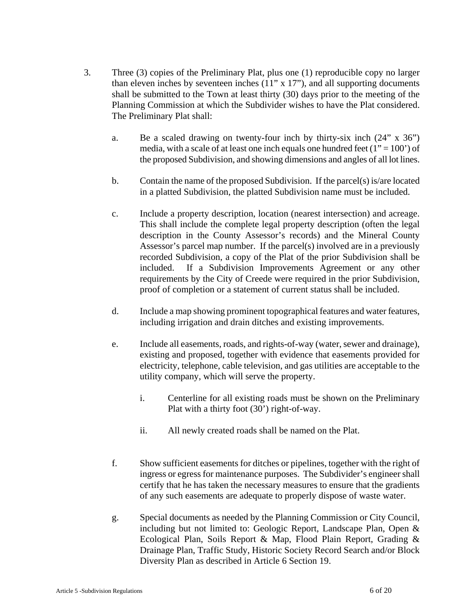- 3. Three (3) copies of the Preliminary Plat, plus one (1) reproducible copy no larger than eleven inches by seventeen inches  $(11" \times 17")$ , and all supporting documents shall be submitted to the Town at least thirty (30) days prior to the meeting of the Planning Commission at which the Subdivider wishes to have the Plat considered. The Preliminary Plat shall:
	- a. Be a scaled drawing on twenty-four inch by thirty-six inch (24" x 36") media, with a scale of at least one inch equals one hundred feet  $(1" = 100')$  of the proposed Subdivision, and showing dimensions and angles of all lot lines.
	- b. Contain the name of the proposed Subdivision. If the parcel(s) is/are located in a platted Subdivision, the platted Subdivision name must be included.
	- c. Include a property description, location (nearest intersection) and acreage. This shall include the complete legal property description (often the legal description in the County Assessor's records) and the Mineral County Assessor's parcel map number. If the parcel(s) involved are in a previously recorded Subdivision, a copy of the Plat of the prior Subdivision shall be included. If a Subdivision Improvements Agreement or any other requirements by the City of Creede were required in the prior Subdivision, proof of completion or a statement of current status shall be included.
	- d. Include a map showing prominent topographical features and water features, including irrigation and drain ditches and existing improvements.
	- e. Include all easements, roads, and rights-of-way (water, sewer and drainage), existing and proposed, together with evidence that easements provided for electricity, telephone, cable television, and gas utilities are acceptable to the utility company, which will serve the property.
		- i. Centerline for all existing roads must be shown on the Preliminary Plat with a thirty foot (30') right-of-way.
		- ii. All newly created roads shall be named on the Plat.
	- f. Show sufficient easements for ditches or pipelines, together with the right of ingress or egress for maintenance purposes. The Subdivider's engineer shall certify that he has taken the necessary measures to ensure that the gradients of any such easements are adequate to properly dispose of waste water.
	- g. Special documents as needed by the Planning Commission or City Council, including but not limited to: Geologic Report, Landscape Plan, Open & Ecological Plan, Soils Report & Map, Flood Plain Report, Grading & Drainage Plan, Traffic Study, Historic Society Record Search and/or Block Diversity Plan as described in Article 6 Section 19.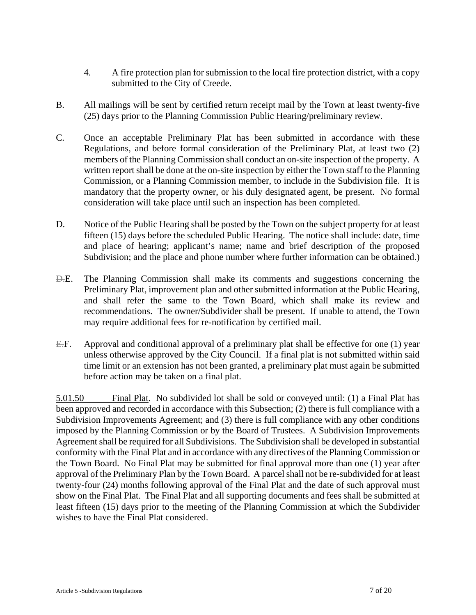- 4. A fire protection plan for submission to the local fire protection district, with a copy submitted to the City of Creede.
- B. All mailings will be sent by certified return receipt mail by the Town at least twenty-five (25) days prior to the Planning Commission Public Hearing/preliminary review.
- C. Once an acceptable Preliminary Plat has been submitted in accordance with these Regulations, and before formal consideration of the Preliminary Plat, at least two (2) members of the Planning Commission shall conduct an on-site inspection of the property. A written report shall be done at the on-site inspection by either the Town staff to the Planning Commission, or a Planning Commission member, to include in the Subdivision file. It is mandatory that the property owner, or his duly designated agent, be present. No formal consideration will take place until such an inspection has been completed.
- D. Notice of the Public Hearing shall be posted by the Town on the subject property for at least fifteen (15) days before the scheduled Public Hearing. The notice shall include: date, time and place of hearing; applicant's name; name and brief description of the proposed Subdivision; and the place and phone number where further information can be obtained.)
- D.E. The Planning Commission shall make its comments and suggestions concerning the Preliminary Plat, improvement plan and other submitted information at the Public Hearing, and shall refer the same to the Town Board, which shall make its review and recommendations. The owner/Subdivider shall be present. If unable to attend, the Town may require additional fees for re-notification by certified mail.
- E.F. Approval and conditional approval of a preliminary plat shall be effective for one (1) year unless otherwise approved by the City Council. If a final plat is not submitted within said time limit or an extension has not been granted, a preliminary plat must again be submitted before action may be taken on a final plat.

5.01.50 Final Plat. No subdivided lot shall be sold or conveyed until: (1) a Final Plat has been approved and recorded in accordance with this Subsection; (2) there is full compliance with a Subdivision Improvements Agreement; and (3) there is full compliance with any other conditions imposed by the Planning Commission or by the Board of Trustees. A Subdivision Improvements Agreement shall be required for all Subdivisions. The Subdivision shall be developed in substantial conformity with the Final Plat and in accordance with any directives of the Planning Commission or the Town Board. No Final Plat may be submitted for final approval more than one (1) year after approval of the Preliminary Plan by the Town Board. A parcel shall not be re-subdivided for at least twenty-four (24) months following approval of the Final Plat and the date of such approval must show on the Final Plat. The Final Plat and all supporting documents and fees shall be submitted at least fifteen (15) days prior to the meeting of the Planning Commission at which the Subdivider wishes to have the Final Plat considered.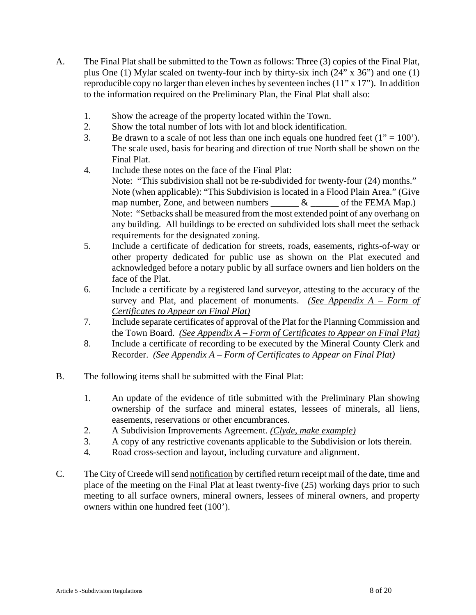- A. The Final Plat shall be submitted to the Town as follows: Three (3) copies of the Final Plat, plus One (1) Mylar scaled on twenty-four inch by thirty-six inch (24" x 36") and one (1) reproducible copy no larger than eleven inches by seventeen inches (11" x 17"). In addition to the information required on the Preliminary Plan, the Final Plat shall also:
	- 1. Show the acreage of the property located within the Town.
	- 2. Show the total number of lots with lot and block identification.
	- 3. Be drawn to a scale of not less than one inch equals one hundred feet  $(1" = 100)$ . The scale used, basis for bearing and direction of true North shall be shown on the Final Plat.
	- 4. Include these notes on the face of the Final Plat:
		- Note: "This subdivision shall not be re-subdivided for twenty-four (24) months." Note (when applicable): "This Subdivision is located in a Flood Plain Area." (Give map number, Zone, and between numbers  $\&$   $\&$  of the FEMA Map.) Note: "Setbacks shall be measured from the most extended point of any overhang on any building. All buildings to be erected on subdivided lots shall meet the setback requirements for the designated zoning.
	- 5. Include a certificate of dedication for streets, roads, easements, rights-of-way or other property dedicated for public use as shown on the Plat executed and acknowledged before a notary public by all surface owners and lien holders on the face of the Plat.
	- 6. Include a certificate by a registered land surveyor, attesting to the accuracy of the survey and Plat, and placement of monuments. *(See Appendix A – Form of Certificates to Appear on Final Plat)*
	- 7. Include separate certificates of approval of the Plat for the Planning Commission and the Town Board. *(See Appendix A – Form of Certificates to Appear on Final Plat)*
	- 8. Include a certificate of recording to be executed by the Mineral County Clerk and Recorder. *(See Appendix A – Form of Certificates to Appear on Final Plat)*
- B. The following items shall be submitted with the Final Plat:
	- 1. An update of the evidence of title submitted with the Preliminary Plan showing ownership of the surface and mineral estates, lessees of minerals, all liens, easements, reservations or other encumbrances.
	- 2. A Subdivision Improvements Agreement. *(Clyde, make example)*
	- 3. A copy of any restrictive covenants applicable to the Subdivision or lots therein.
	- 4. Road cross-section and layout, including curvature and alignment.
- C. The City of Creede will send notification by certified return receipt mail of the date, time and place of the meeting on the Final Plat at least twenty-five (25) working days prior to such meeting to all surface owners, mineral owners, lessees of mineral owners, and property owners within one hundred feet (100').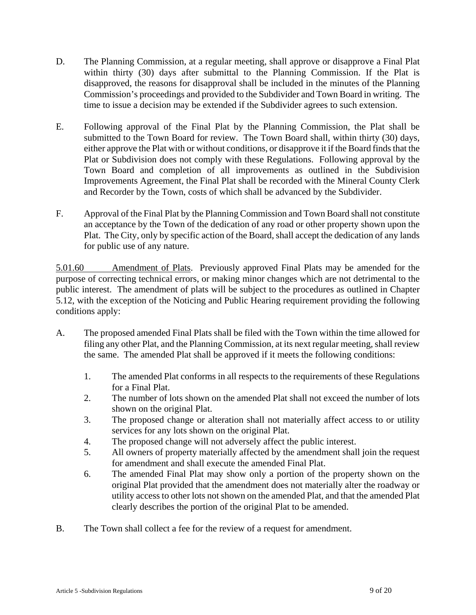- D. The Planning Commission, at a regular meeting, shall approve or disapprove a Final Plat within thirty (30) days after submittal to the Planning Commission. If the Plat is disapproved, the reasons for disapproval shall be included in the minutes of the Planning Commission's proceedings and provided to the Subdivider and Town Board in writing. The time to issue a decision may be extended if the Subdivider agrees to such extension.
- E. Following approval of the Final Plat by the Planning Commission, the Plat shall be submitted to the Town Board for review. The Town Board shall, within thirty (30) days, either approve the Plat with or without conditions, or disapprove it if the Board finds that the Plat or Subdivision does not comply with these Regulations. Following approval by the Town Board and completion of all improvements as outlined in the Subdivision Improvements Agreement, the Final Plat shall be recorded with the Mineral County Clerk and Recorder by the Town, costs of which shall be advanced by the Subdivider.
- F. Approval of the Final Plat by the Planning Commission and Town Board shall not constitute an acceptance by the Town of the dedication of any road or other property shown upon the Plat. The City, only by specific action of the Board, shall accept the dedication of any lands for public use of any nature.

5.01.60 Amendment of Plats. Previously approved Final Plats may be amended for the purpose of correcting technical errors, or making minor changes which are not detrimental to the public interest. The amendment of plats will be subject to the procedures as outlined in Chapter 5.12, with the exception of the Noticing and Public Hearing requirement providing the following conditions apply:

- A. The proposed amended Final Plats shall be filed with the Town within the time allowed for filing any other Plat, and the Planning Commission, at its next regular meeting, shall review the same. The amended Plat shall be approved if it meets the following conditions:
	- 1. The amended Plat conforms in all respects to the requirements of these Regulations for a Final Plat.
	- 2. The number of lots shown on the amended Plat shall not exceed the number of lots shown on the original Plat.
	- 3. The proposed change or alteration shall not materially affect access to or utility services for any lots shown on the original Plat.
	- 4. The proposed change will not adversely affect the public interest.
	- 5. All owners of property materially affected by the amendment shall join the request for amendment and shall execute the amended Final Plat.
	- 6. The amended Final Plat may show only a portion of the property shown on the original Plat provided that the amendment does not materially alter the roadway or utility access to other lots not shown on the amended Plat, and that the amended Plat clearly describes the portion of the original Plat to be amended.
- B. The Town shall collect a fee for the review of a request for amendment.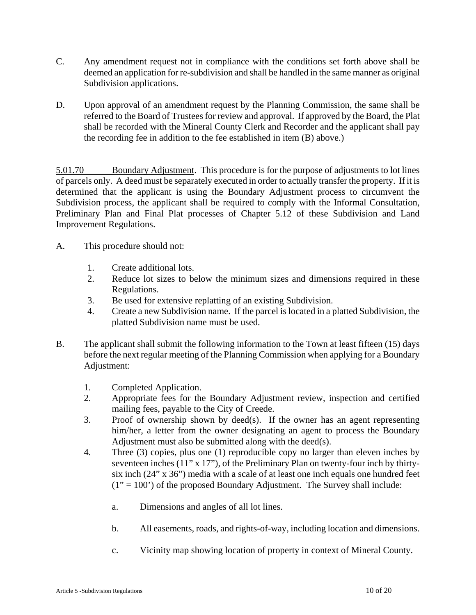- C. Any amendment request not in compliance with the conditions set forth above shall be deemed an application for re-subdivision and shall be handled in the same manner as original Subdivision applications.
- D. Upon approval of an amendment request by the Planning Commission, the same shall be referred to the Board of Trustees for review and approval. If approved by the Board, the Plat shall be recorded with the Mineral County Clerk and Recorder and the applicant shall pay the recording fee in addition to the fee established in item (B) above.)

5.01.70 Boundary Adjustment. This procedure is for the purpose of adjustments to lot lines of parcels only. A deed must be separately executed in order to actually transfer the property. If it is determined that the applicant is using the Boundary Adjustment process to circumvent the Subdivision process, the applicant shall be required to comply with the Informal Consultation, Preliminary Plan and Final Plat processes of Chapter 5.12 of these Subdivision and Land Improvement Regulations.

- A. This procedure should not:
	- 1. Create additional lots.
	- 2. Reduce lot sizes to below the minimum sizes and dimensions required in these Regulations.
	- 3. Be used for extensive replatting of an existing Subdivision.
	- 4. Create a new Subdivision name. If the parcel is located in a platted Subdivision, the platted Subdivision name must be used.
- B. The applicant shall submit the following information to the Town at least fifteen (15) days before the next regular meeting of the Planning Commission when applying for a Boundary Adjustment:
	- 1. Completed Application.
	- 2. Appropriate fees for the Boundary Adjustment review, inspection and certified mailing fees, payable to the City of Creede.
	- 3. Proof of ownership shown by deed(s). If the owner has an agent representing him/her, a letter from the owner designating an agent to process the Boundary Adjustment must also be submitted along with the deed(s).
	- 4. Three (3) copies, plus one (1) reproducible copy no larger than eleven inches by seventeen inches (11" x 17"), of the Preliminary Plan on twenty-four inch by thirtysix inch (24" x 36") media with a scale of at least one inch equals one hundred feet  $(1" = 100")$  of the proposed Boundary Adjustment. The Survey shall include:
		- a. Dimensions and angles of all lot lines.
		- b. All easements, roads, and rights-of-way, including location and dimensions.
		- c. Vicinity map showing location of property in context of Mineral County.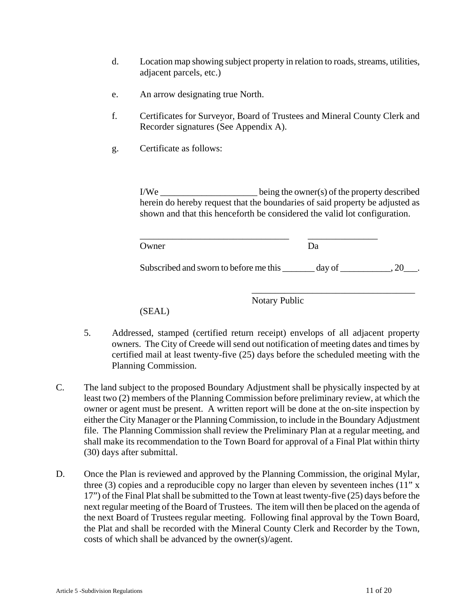- d. Location map showing subject property in relation to roads, streams, utilities, adjacent parcels, etc.)
- e. An arrow designating true North.
- f. Certificates for Surveyor, Board of Trustees and Mineral County Clerk and Recorder signatures (See Appendix A).
- g. Certificate as follows:

I/We \_\_\_\_\_\_\_\_\_\_\_\_\_\_\_\_\_\_\_\_\_ being the owner(s) of the property described herein do hereby request that the boundaries of said property be adjusted as shown and that this henceforth be considered the valid lot configuration.

| Owner | ∩פר |  |
|-------|-----|--|

Subscribed and sworn to before me this \_\_\_\_\_\_\_ day of \_\_\_\_\_\_\_\_\_\_, 20\_\_\_.

Notary Public

\_\_\_\_\_\_\_\_\_\_\_\_\_\_\_\_\_\_\_\_\_\_\_\_\_\_\_\_\_\_\_\_\_\_\_

(SEAL)

- 5. Addressed, stamped (certified return receipt) envelops of all adjacent property owners. The City of Creede will send out notification of meeting dates and times by certified mail at least twenty-five (25) days before the scheduled meeting with the Planning Commission.
- C. The land subject to the proposed Boundary Adjustment shall be physically inspected by at least two (2) members of the Planning Commission before preliminary review, at which the owner or agent must be present. A written report will be done at the on-site inspection by either the City Manager or the Planning Commission, to include in the Boundary Adjustment file. The Planning Commission shall review the Preliminary Plan at a regular meeting, and shall make its recommendation to the Town Board for approval of a Final Plat within thirty (30) days after submittal.
- D. Once the Plan is reviewed and approved by the Planning Commission, the original Mylar, three (3) copies and a reproducible copy no larger than eleven by seventeen inches (11" x 17") of the Final Plat shall be submitted to the Town at least twenty-five (25) days before the next regular meeting of the Board of Trustees. The item will then be placed on the agenda of the next Board of Trustees regular meeting. Following final approval by the Town Board, the Plat and shall be recorded with the Mineral County Clerk and Recorder by the Town, costs of which shall be advanced by the owner(s)/agent.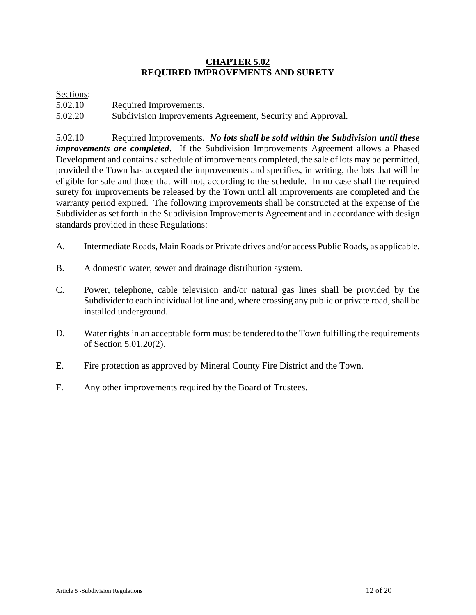### **CHAPTER 5.02 REQUIRED IMPROVEMENTS AND SURETY**

#### Sections:

| 5.02.10 | Required Improvements. |
|---------|------------------------|
|---------|------------------------|

5.02.20 Subdivision Improvements Agreement, Security and Approval.

5.02.10 Required Improvements. *No lots shall be sold within the Subdivision until these improvements are completed*. If the Subdivision Improvements Agreement allows a Phased Development and contains a schedule of improvements completed, the sale of lots may be permitted, provided the Town has accepted the improvements and specifies, in writing, the lots that will be eligible for sale and those that will not, according to the schedule. In no case shall the required surety for improvements be released by the Town until all improvements are completed and the warranty period expired. The following improvements shall be constructed at the expense of the Subdivider as set forth in the Subdivision Improvements Agreement and in accordance with design standards provided in these Regulations:

- A. Intermediate Roads, Main Roads or Private drives and/or access Public Roads, as applicable.
- B. A domestic water, sewer and drainage distribution system.
- C. Power, telephone, cable television and/or natural gas lines shall be provided by the Subdivider to each individual lot line and, where crossing any public or private road, shall be installed underground.
- D. Water rights in an acceptable form must be tendered to the Town fulfilling the requirements of Section 5.01.20(2).
- E. Fire protection as approved by Mineral County Fire District and the Town.
- F. Any other improvements required by the Board of Trustees.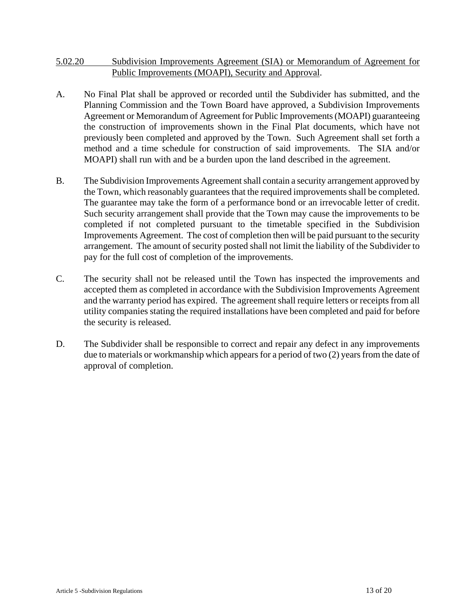### 5.02.20 Subdivision Improvements Agreement (SIA) or Memorandum of Agreement for Public Improvements (MOAPI), Security and Approval.

- A. No Final Plat shall be approved or recorded until the Subdivider has submitted, and the Planning Commission and the Town Board have approved, a Subdivision Improvements Agreement or Memorandum of Agreement for Public Improvements (MOAPI) guaranteeing the construction of improvements shown in the Final Plat documents, which have not previously been completed and approved by the Town. Such Agreement shall set forth a method and a time schedule for construction of said improvements. The SIA and/or MOAPI) shall run with and be a burden upon the land described in the agreement.
- B. The Subdivision Improvements Agreement shall contain a security arrangement approved by the Town, which reasonably guarantees that the required improvements shall be completed. The guarantee may take the form of a performance bond or an irrevocable letter of credit. Such security arrangement shall provide that the Town may cause the improvements to be completed if not completed pursuant to the timetable specified in the Subdivision Improvements Agreement. The cost of completion then will be paid pursuant to the security arrangement. The amount of security posted shall not limit the liability of the Subdivider to pay for the full cost of completion of the improvements.
- C. The security shall not be released until the Town has inspected the improvements and accepted them as completed in accordance with the Subdivision Improvements Agreement and the warranty period has expired. The agreement shall require letters or receipts from all utility companies stating the required installations have been completed and paid for before the security is released.
- D. The Subdivider shall be responsible to correct and repair any defect in any improvements due to materials or workmanship which appears for a period of two (2) years from the date of approval of completion.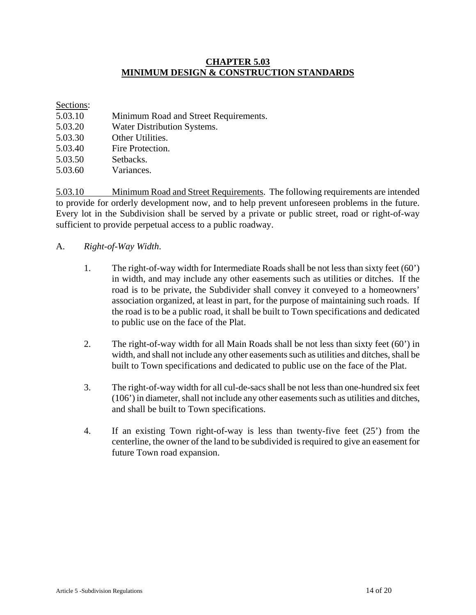### **CHAPTER 5.03 MINIMUM DESIGN & CONSTRUCTION STANDARDS**

#### Sections:

| 5.03.10 | Minimum Road and Street Requirements. |
|---------|---------------------------------------|
| 5.03.20 | Water Distribution Systems.           |
| 5.03.30 | Other Utilities.                      |
| 5.03.40 | Fire Protection.                      |
| 5.03.50 | Setbacks.                             |
| 5.03.60 | Variances.                            |

5.03.10 Minimum Road and Street Requirements. The following requirements are intended to provide for orderly development now, and to help prevent unforeseen problems in the future. Every lot in the Subdivision shall be served by a private or public street, road or right-of-way sufficient to provide perpetual access to a public roadway.

- A. *Right-of-Way Width*.
	- 1. The right-of-way width for Intermediate Roads shall be not less than sixty feet (60') in width, and may include any other easements such as utilities or ditches. If the road is to be private, the Subdivider shall convey it conveyed to a homeowners' association organized, at least in part, for the purpose of maintaining such roads. If the road is to be a public road, it shall be built to Town specifications and dedicated to public use on the face of the Plat.
	- 2. The right-of-way width for all Main Roads shall be not less than sixty feet (60') in width, and shall not include any other easements such as utilities and ditches, shall be built to Town specifications and dedicated to public use on the face of the Plat.
	- 3. The right-of-way width for all cul-de-sacs shall be not less than one-hundred six feet (106') in diameter, shall not include any other easements such as utilities and ditches, and shall be built to Town specifications.
	- 4. If an existing Town right-of-way is less than twenty-five feet (25') from the centerline, the owner of the land to be subdivided is required to give an easement for future Town road expansion.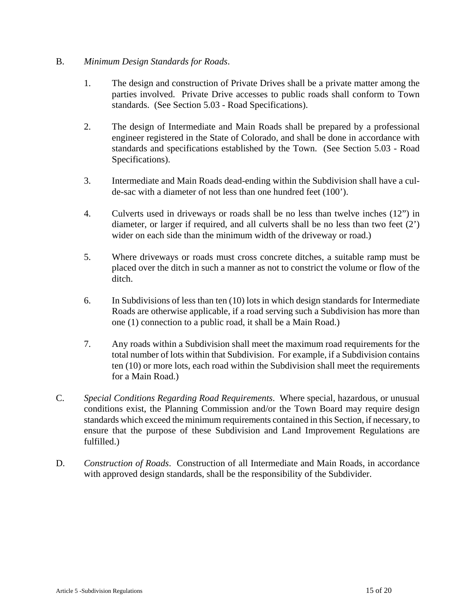### B. *Minimum Design Standards for Roads*.

- 1. The design and construction of Private Drives shall be a private matter among the parties involved. Private Drive accesses to public roads shall conform to Town standards. (See Section 5.03 - Road Specifications).
- 2. The design of Intermediate and Main Roads shall be prepared by a professional engineer registered in the State of Colorado, and shall be done in accordance with standards and specifications established by the Town. (See Section 5.03 - Road Specifications).
- 3. Intermediate and Main Roads dead-ending within the Subdivision shall have a culde-sac with a diameter of not less than one hundred feet (100').
- 4. Culverts used in driveways or roads shall be no less than twelve inches (12") in diameter, or larger if required, and all culverts shall be no less than two feet (2') wider on each side than the minimum width of the driveway or road.)
- 5. Where driveways or roads must cross concrete ditches, a suitable ramp must be placed over the ditch in such a manner as not to constrict the volume or flow of the ditch.
- 6. In Subdivisions of less than ten (10) lots in which design standards for Intermediate Roads are otherwise applicable, if a road serving such a Subdivision has more than one (1) connection to a public road, it shall be a Main Road.)
- 7. Any roads within a Subdivision shall meet the maximum road requirements for the total number of lots within that Subdivision. For example, if a Subdivision contains ten (10) or more lots, each road within the Subdivision shall meet the requirements for a Main Road.)
- C. *Special Conditions Regarding Road Requirements*. Where special, hazardous, or unusual conditions exist, the Planning Commission and/or the Town Board may require design standards which exceed the minimum requirements contained in this Section, if necessary, to ensure that the purpose of these Subdivision and Land Improvement Regulations are fulfilled.)
- D. *Construction of Roads*. Construction of all Intermediate and Main Roads, in accordance with approved design standards, shall be the responsibility of the Subdivider.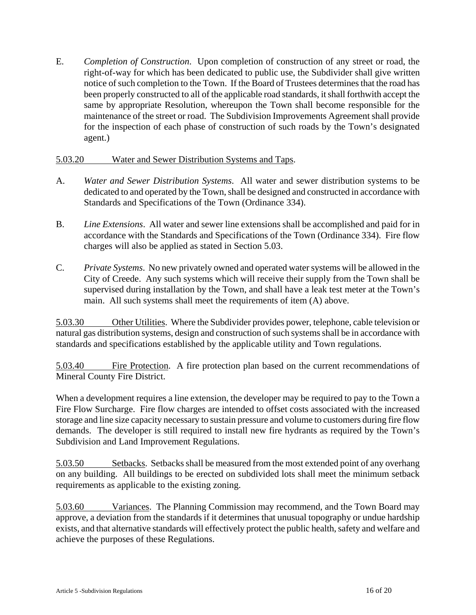E. *Completion of Construction*. Upon completion of construction of any street or road, the right-of-way for which has been dedicated to public use, the Subdivider shall give written notice of such completion to the Town. If the Board of Trustees determines that the road has been properly constructed to all of the applicable road standards, it shall forthwith accept the same by appropriate Resolution, whereupon the Town shall become responsible for the maintenance of the street or road. The Subdivision Improvements Agreement shall provide for the inspection of each phase of construction of such roads by the Town's designated agent.)

#### 5.03.20 Water and Sewer Distribution Systems and Taps.

- A. *Water and Sewer Distribution Systems*. All water and sewer distribution systems to be dedicated to and operated by the Town, shall be designed and constructed in accordance with Standards and Specifications of the Town (Ordinance 334).
- B. *Line Extensions*. All water and sewer line extensions shall be accomplished and paid for in accordance with the Standards and Specifications of the Town (Ordinance 334). Fire flow charges will also be applied as stated in Section 5.03.
- C. *Private Systems*. No new privately owned and operated water systems will be allowed in the City of Creede. Any such systems which will receive their supply from the Town shall be supervised during installation by the Town, and shall have a leak test meter at the Town's main. All such systems shall meet the requirements of item (A) above.

5.03.30 Other Utilities. Where the Subdivider provides power, telephone, cable television or natural gas distribution systems, design and construction of such systems shall be in accordance with standards and specifications established by the applicable utility and Town regulations.

5.03.40 Fire Protection. A fire protection plan based on the current recommendations of Mineral County Fire District.

When a development requires a line extension, the developer may be required to pay to the Town a Fire Flow Surcharge. Fire flow charges are intended to offset costs associated with the increased storage and line size capacity necessary to sustain pressure and volume to customers during fire flow demands. The developer is still required to install new fire hydrants as required by the Town's Subdivision and Land Improvement Regulations.

5.03.50 Setbacks. Setbacks shall be measured from the most extended point of any overhang on any building. All buildings to be erected on subdivided lots shall meet the minimum setback requirements as applicable to the existing zoning.

5.03.60 Variances. The Planning Commission may recommend, and the Town Board may approve, a deviation from the standards if it determines that unusual topography or undue hardship exists, and that alternative standards will effectively protect the public health, safety and welfare and achieve the purposes of these Regulations.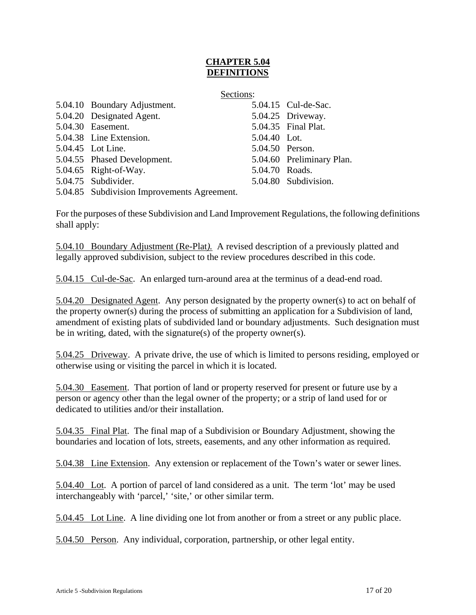# **CHAPTER 5.04 DEFINITIONS**

|                              | Sections:      |                           |
|------------------------------|----------------|---------------------------|
| 5.04.10 Boundary Adjustment. |                | 5.04.15 Cul-de-Sac.       |
| 5.04.20 Designated Agent.    |                | 5.04.25 Driveway.         |
| 5.04.30 Easement.            |                | 5.04.35 Final Plat.       |
| 5.04.38 Line Extension.      | 5.04.40 Lot.   |                           |
| 5.04.45 Lot Line.            |                | 5.04.50 Person.           |
| 5.04.55 Phased Development.  |                | 5.04.60 Preliminary Plan. |
| 5.04.65 Right-of-Way.        | 5.04.70 Roads. |                           |
| 5.04.75 Subdivider.          |                | 5.04.80 Subdivision.      |
|                              |                |                           |

5.04.85 Subdivision Improvements Agreement.

For the purposes of these Subdivision and Land Improvement Regulations, the following definitions shall apply:

5.04.10 Boundary Adjustment (Re-Plat*).* A revised description of a previously platted and legally approved subdivision, subject to the review procedures described in this code.

5.04.15 Cul-de-Sac. An enlarged turn-around area at the terminus of a dead-end road.

5.04.20 Designated Agent. Any person designated by the property owner(s) to act on behalf of the property owner(s) during the process of submitting an application for a Subdivision of land, amendment of existing plats of subdivided land or boundary adjustments. Such designation must be in writing, dated, with the signature(s) of the property owner(s).

5.04.25 Driveway. A private drive, the use of which is limited to persons residing, employed or otherwise using or visiting the parcel in which it is located.

5.04.30 Easement. That portion of land or property reserved for present or future use by a person or agency other than the legal owner of the property; or a strip of land used for or dedicated to utilities and/or their installation.

5.04.35 Final Plat. The final map of a Subdivision or Boundary Adjustment, showing the boundaries and location of lots, streets, easements, and any other information as required.

5.04.38 Line Extension. Any extension or replacement of the Town's water or sewer lines.

5.04.40 Lot. A portion of parcel of land considered as a unit. The term 'lot' may be used interchangeably with 'parcel,' 'site,' or other similar term.

5.04.45 Lot Line. A line dividing one lot from another or from a street or any public place.

5.04.50 Person. Any individual, corporation, partnership, or other legal entity.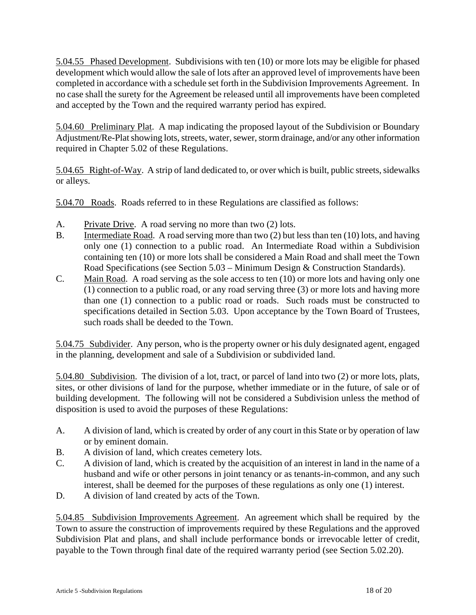5.04.55 Phased Development. Subdivisions with ten (10) or more lots may be eligible for phased development which would allow the sale of lots after an approved level of improvements have been completed in accordance with a schedule set forth in the Subdivision Improvements Agreement. In no case shall the surety for the Agreement be released until all improvements have been completed and accepted by the Town and the required warranty period has expired.

5.04.60 Preliminary Plat. A map indicating the proposed layout of the Subdivision or Boundary Adjustment/Re-Plat showing lots, streets, water, sewer, storm drainage, and/or any other information required in Chapter 5.02 of these Regulations.

5.04.65 Right-of-Way. A strip of land dedicated to, or over which is built, public streets, sidewalks or alleys.

5.04.70 Roads. Roads referred to in these Regulations are classified as follows:

- A. Private Drive. A road serving no more than two (2) lots.
- B. Intermediate Road. A road serving more than two (2) but less than ten (10) lots, and having only one (1) connection to a public road. An Intermediate Road within a Subdivision containing ten (10) or more lots shall be considered a Main Road and shall meet the Town Road Specifications (see Section 5.03 – Minimum Design & Construction Standards).
- C. Main Road. A road serving as the sole access to ten (10) or more lots and having only one (1) connection to a public road, or any road serving three (3) or more lots and having more than one (1) connection to a public road or roads. Such roads must be constructed to specifications detailed in Section 5.03. Upon acceptance by the Town Board of Trustees, such roads shall be deeded to the Town.

5.04.75 Subdivider. Any person, who is the property owner or his duly designated agent, engaged in the planning, development and sale of a Subdivision or subdivided land.

5.04.80 Subdivision. The division of a lot, tract, or parcel of land into two (2) or more lots, plats, sites, or other divisions of land for the purpose, whether immediate or in the future, of sale or of building development. The following will not be considered a Subdivision unless the method of disposition is used to avoid the purposes of these Regulations:

- A. A division of land, which is created by order of any court in this State or by operation of law or by eminent domain.
- B. A division of land, which creates cemetery lots.
- C. A division of land, which is created by the acquisition of an interest in land in the name of a husband and wife or other persons in joint tenancy or as tenants-in-common, and any such interest, shall be deemed for the purposes of these regulations as only one (1) interest.
- D. A division of land created by acts of the Town.

5.04.85 Subdivision Improvements Agreement. An agreement which shall be required by the Town to assure the construction of improvements required by these Regulations and the approved Subdivision Plat and plans, and shall include performance bonds or irrevocable letter of credit, payable to the Town through final date of the required warranty period (see Section 5.02.20).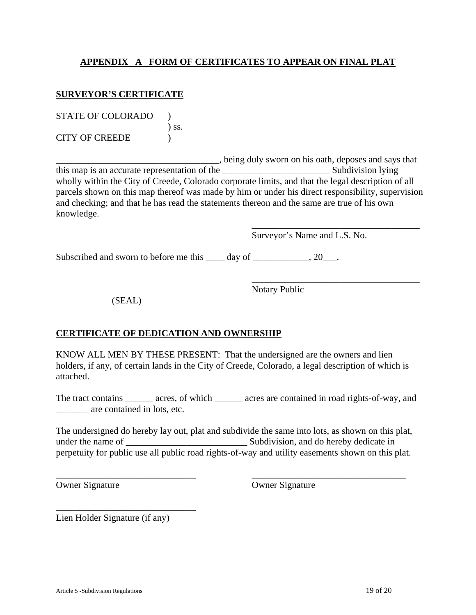# **APPENDIX A FORM OF CERTIFICATES TO APPEAR ON FINAL PLAT**

### **SURVEYOR'S CERTIFICATE**

| <b>STATE OF COLORADO</b> |            |
|--------------------------|------------|
|                          | $\sum$ SS. |
| <b>CITY OF CREEDE</b>    |            |

\_\_\_\_\_\_\_\_\_\_\_\_\_\_\_\_\_\_\_\_\_\_\_\_\_\_\_\_\_\_\_\_\_\_\_, being duly sworn on his oath, deposes and says that this map is an accurate representation of the \_\_\_\_\_\_\_\_\_\_\_\_\_\_\_\_\_\_\_\_\_\_\_ Subdivision lying wholly within the City of Creede, Colorado corporate limits, and that the legal description of all parcels shown on this map thereof was made by him or under his direct responsibility, supervision and checking; and that he has read the statements thereon and the same are true of his own knowledge.

 $\overline{\phantom{a}}$  , which is a set of the set of the set of the set of the set of the set of the set of the set of the set of the set of the set of the set of the set of the set of the set of the set of the set of the set of th

 $\overline{\phantom{a}}$  , which is a set of the set of the set of the set of the set of the set of the set of the set of the set of the set of the set of the set of the set of the set of the set of the set of the set of the set of th

Surveyor's Name and L.S. No.

Subscribed and sworn to before me this \_\_\_\_ day of \_\_\_\_\_\_\_\_\_\_, 20\_\_\_.

Notary Public

(SEAL)

# **CERTIFICATE OF DEDICATION AND OWNERSHIP**

KNOW ALL MEN BY THESE PRESENT: That the undersigned are the owners and lien holders, if any, of certain lands in the City of Creede, Colorado, a legal description of which is attached.

The tract contains \_\_\_\_\_\_ acres, of which \_\_\_\_\_\_ acres are contained in road rights-of-way, and \_\_\_\_\_\_\_ are contained in lots, etc.

|                   | The undersigned do hereby lay out, plat and subdivide the same into lots, as shown on this plat,  |
|-------------------|---------------------------------------------------------------------------------------------------|
| under the name of | Subdivision, and do hereby dedicate in                                                            |
|                   | perpetuity for public use all public road rights-of-way and utility easements shown on this plat. |

\_\_\_\_\_\_\_\_\_\_\_\_\_\_\_\_\_\_\_\_\_\_\_\_\_\_\_\_\_\_ \_\_\_\_\_\_\_\_\_\_\_\_\_\_\_\_\_\_\_\_\_\_\_\_\_\_\_\_\_\_\_\_\_

Owner Signature Owner Signature

Lien Holder Signature (if any)

\_\_\_\_\_\_\_\_\_\_\_\_\_\_\_\_\_\_\_\_\_\_\_\_\_\_\_\_\_\_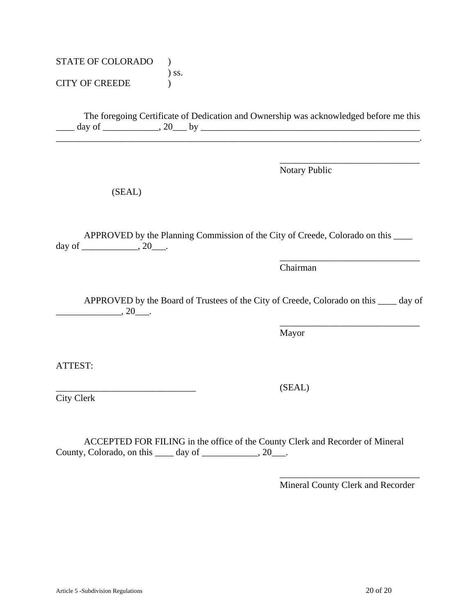STATE OF COLORADO ) ) ss. CITY OF CREEDE )

 The foregoing Certificate of Dedication and Ownership was acknowledged before me this \_\_\_\_ day of \_\_\_\_\_\_\_\_\_\_\_\_, 20\_\_\_ by \_\_\_\_\_\_\_\_\_\_\_\_\_\_\_\_\_\_\_\_\_\_\_\_\_\_\_\_\_\_\_\_\_\_\_\_\_\_\_\_\_\_\_\_\_\_\_

\_\_\_\_\_\_\_\_\_\_\_\_\_\_\_\_\_\_\_\_\_\_\_\_\_\_\_\_\_\_\_\_\_\_\_\_\_\_\_\_\_\_\_\_\_\_\_\_\_\_\_\_\_\_\_\_\_\_\_\_\_\_\_\_\_\_\_\_\_\_\_\_\_\_\_\_\_\_.

 $\overline{\phantom{a}}$  , which is a set of the contract of the contract of the contract of the contract of the contract of the contract of the contract of the contract of the contract of the contract of the contract of the contract

Notary Public

(SEAL)

 APPROVED by the Planning Commission of the City of Creede, Colorado on this \_\_\_\_ day of \_\_\_\_\_\_\_\_\_\_\_\_, 20\_\_\_.

 $\overline{\phantom{a}}$  , which is a set of the contract of the contract of the contract of the contract of the contract of the contract of the contract of the contract of the contract of the contract of the contract of the contract

 $\overline{\phantom{a}}$  , which is a set of the contract of the contract of the contract of the contract of the contract of the contract of the contract of the contract of the contract of the contract of the contract of the contract

Chairman

 APPROVED by the Board of Trustees of the City of Creede, Colorado on this \_\_\_\_ day of  $\overline{\phantom{20}}$ , 20 $\overline{\phantom{20}}$ .

Mayor

ATTEST:

City Clerk

 ACCEPTED FOR FILING in the office of the County Clerk and Recorder of Mineral County, Colorado, on this  $\_\_\_\_\$  day of  $\_\_\_\_\_\_\_$ , 20 $\_\_\_\_\$ .

 $\overline{\phantom{a}}$  , which is a set of the contract of the contract of the contract of the contract of the contract of the contract of the contract of the contract of the contract of the contract of the contract of the contract

Mineral County Clerk and Recorder

 $(SEAL)$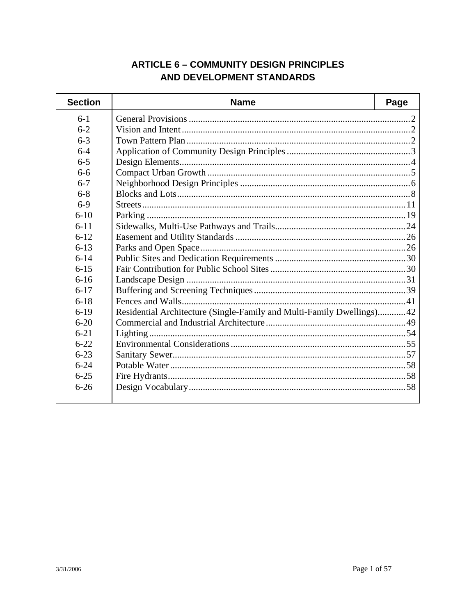# **ARTICLE 6 - COMMUNITY DESIGN PRINCIPLES** AND DEVELOPMENT STANDARDS

| <b>Section</b> | <b>Name</b>                                                           | Page |
|----------------|-----------------------------------------------------------------------|------|
| $6-1$          |                                                                       |      |
| $6 - 2$        |                                                                       |      |
| $6 - 3$        |                                                                       |      |
| $6 - 4$        |                                                                       |      |
| $6 - 5$        |                                                                       |      |
| $6-6$          |                                                                       |      |
| $6 - 7$        |                                                                       |      |
| $6 - 8$        |                                                                       |      |
| $6-9$          |                                                                       |      |
| $6 - 10$       |                                                                       |      |
| $6 - 11$       |                                                                       |      |
| $6 - 12$       |                                                                       |      |
| $6 - 13$       |                                                                       |      |
| $6 - 14$       |                                                                       |      |
| $6 - 15$       |                                                                       |      |
| $6 - 16$       |                                                                       |      |
| $6 - 17$       |                                                                       |      |
| $6 - 18$       |                                                                       |      |
| $6-19$         | Residential Architecture (Single-Family and Multi-Family Dwellings)42 |      |
| $6 - 20$       |                                                                       |      |
| $6 - 21$       |                                                                       |      |
| $6 - 22$       |                                                                       |      |
| $6 - 23$       |                                                                       |      |
| $6 - 24$       |                                                                       |      |
| $6 - 25$       |                                                                       |      |
| $6 - 26$       |                                                                       |      |
|                |                                                                       |      |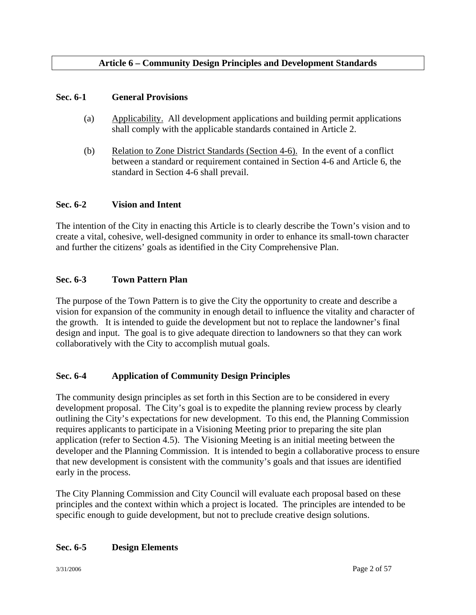# **Article 6 – Community Design Principles and Development Standards**

#### **Sec. 6-1 General Provisions**

- (a) Applicability. All development applications and building permit applications shall comply with the applicable standards contained in Article 2.
- (b) Relation to Zone District Standards (Section 4-6). In the event of a conflict between a standard or requirement contained in Section 4-6 and Article 6, the standard in Section 4-6 shall prevail.

### **Sec. 6-2 Vision and Intent**

The intention of the City in enacting this Article is to clearly describe the Town's vision and to create a vital, cohesive, well-designed community in order to enhance its small-town character and further the citizens' goals as identified in the City Comprehensive Plan.

# **Sec. 6-3 Town Pattern Plan**

The purpose of the Town Pattern is to give the City the opportunity to create and describe a vision for expansion of the community in enough detail to influence the vitality and character of the growth. It is intended to guide the development but not to replace the landowner's final design and input. The goal is to give adequate direction to landowners so that they can work collaboratively with the City to accomplish mutual goals.

# **Sec. 6-4 Application of Community Design Principles**

The community design principles as set forth in this Section are to be considered in every development proposal. The City's goal is to expedite the planning review process by clearly outlining the City's expectations for new development. To this end, the Planning Commission requires applicants to participate in a Visioning Meeting prior to preparing the site plan application (refer to Section 4.5). The Visioning Meeting is an initial meeting between the developer and the Planning Commission. It is intended to begin a collaborative process to ensure that new development is consistent with the community's goals and that issues are identified early in the process.

The City Planning Commission and City Council will evaluate each proposal based on these principles and the context within which a project is located. The principles are intended to be specific enough to guide development, but not to preclude creative design solutions.

#### **Sec. 6-5 Design Elements**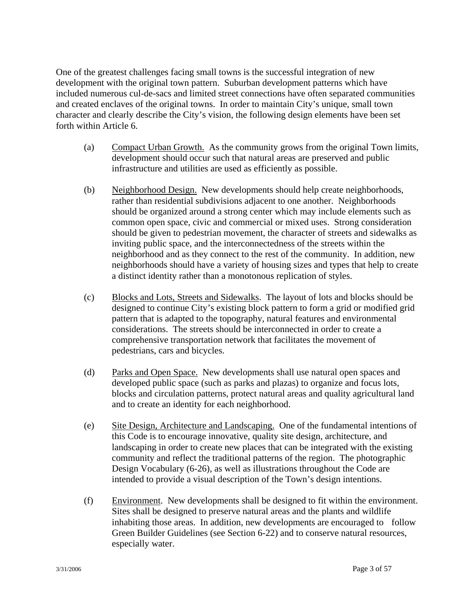One of the greatest challenges facing small towns is the successful integration of new development with the original town pattern. Suburban development patterns which have included numerous cul-de-sacs and limited street connections have often separated communities and created enclaves of the original towns. In order to maintain City's unique, small town character and clearly describe the City's vision, the following design elements have been set forth within Article 6.

- (a) Compact Urban Growth. As the community grows from the original Town limits, development should occur such that natural areas are preserved and public infrastructure and utilities are used as efficiently as possible.
- (b) Neighborhood Design. New developments should help create neighborhoods, rather than residential subdivisions adjacent to one another. Neighborhoods should be organized around a strong center which may include elements such as common open space, civic and commercial or mixed uses. Strong consideration should be given to pedestrian movement, the character of streets and sidewalks as inviting public space, and the interconnectedness of the streets within the neighborhood and as they connect to the rest of the community. In addition, new neighborhoods should have a variety of housing sizes and types that help to create a distinct identity rather than a monotonous replication of styles.
- (c) Blocks and Lots, Streets and Sidewalks. The layout of lots and blocks should be designed to continue City's existing block pattern to form a grid or modified grid pattern that is adapted to the topography, natural features and environmental considerations. The streets should be interconnected in order to create a comprehensive transportation network that facilitates the movement of pedestrians, cars and bicycles.
- (d) Parks and Open Space. New developments shall use natural open spaces and developed public space (such as parks and plazas) to organize and focus lots, blocks and circulation patterns, protect natural areas and quality agricultural land and to create an identity for each neighborhood.
- (e) Site Design, Architecture and Landscaping. One of the fundamental intentions of this Code is to encourage innovative, quality site design, architecture, and landscaping in order to create new places that can be integrated with the existing community and reflect the traditional patterns of the region. The photographic Design Vocabulary (6-26), as well as illustrations throughout the Code are intended to provide a visual description of the Town's design intentions.
- (f) Environment. New developments shall be designed to fit within the environment. Sites shall be designed to preserve natural areas and the plants and wildlife inhabiting those areas. In addition, new developments are encouraged to follow Green Builder Guidelines (see Section 6-22) and to conserve natural resources, especially water.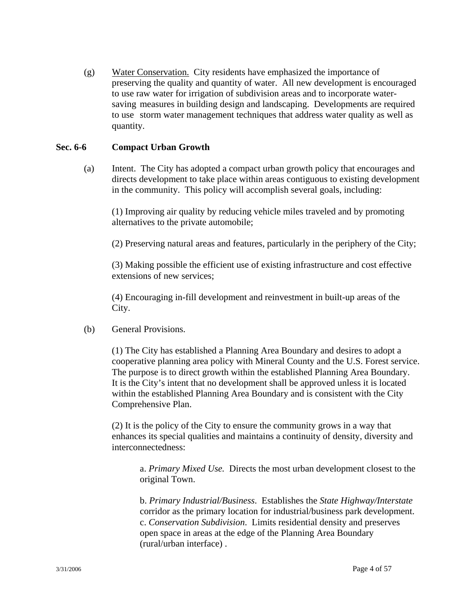(g) Water Conservation. City residents have emphasized the importance of preserving the quality and quantity of water. All new development is encouraged to use raw water for irrigation of subdivision areas and to incorporate water saving measures in building design and landscaping. Developments are required to use storm water management techniques that address water quality as well as quantity.

### **Sec. 6-6 Compact Urban Growth**

(a) Intent. The City has adopted a compact urban growth policy that encourages and directs development to take place within areas contiguous to existing development in the community. This policy will accomplish several goals, including:

 (1) Improving air quality by reducing vehicle miles traveled and by promoting alternatives to the private automobile;

(2) Preserving natural areas and features, particularly in the periphery of the City;

 (3) Making possible the efficient use of existing infrastructure and cost effective extensions of new services;

 (4) Encouraging in-fill development and reinvestment in built-up areas of the City.

(b) General Provisions.

 (1) The City has established a Planning Area Boundary and desires to adopt a cooperative planning area policy with Mineral County and the U.S. Forest service. The purpose is to direct growth within the established Planning Area Boundary. It is the City's intent that no development shall be approved unless it is located within the established Planning Area Boundary and is consistent with the City Comprehensive Plan.

 (2) It is the policy of the City to ensure the community grows in a way that enhances its special qualities and maintains a continuity of density, diversity and interconnectedness:

a. *Primary Mixed Use.* Directs the most urban development closest to the original Town.

 b. *Primary Industrial/Business*. Establishes the *State Highway/Interstate* corridor as the primary location for industrial/business park development. c. *Conservation Subdivision*. Limits residential density and preserves open space in areas at the edge of the Planning Area Boundary (rural/urban interface) .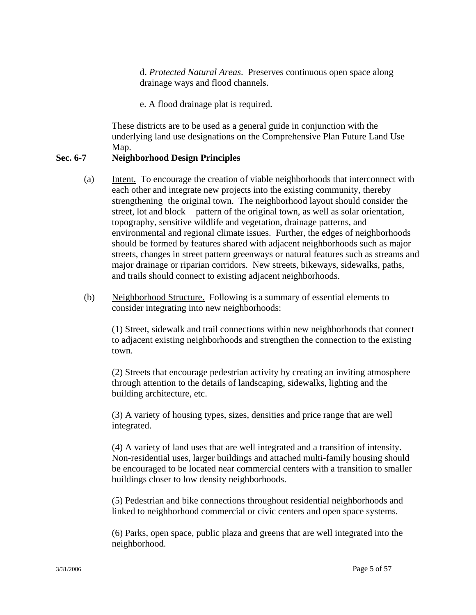d. *Protected Natural Areas*. Preserves continuous open space along drainage ways and flood channels.

e. A flood drainage plat is required.

These districts are to be used as a general guide in conjunction with the underlying land use designations on the Comprehensive Plan Future Land Use Map.

# **Sec. 6-7 Neighborhood Design Principles**

- (a) Intent. To encourage the creation of viable neighborhoods that interconnect with each other and integrate new projects into the existing community, thereby strengthening the original town. The neighborhood layout should consider the street, lot and block pattern of the original town, as well as solar orientation, topography, sensitive wildlife and vegetation, drainage patterns, and environmental and regional climate issues. Further, the edges of neighborhoods should be formed by features shared with adjacent neighborhoods such as major streets, changes in street pattern greenways or natural features such as streams and major drainage or riparian corridors. New streets, bikeways, sidewalks, paths, and trails should connect to existing adjacent neighborhoods.
- (b) Neighborhood Structure. Following is a summary of essential elements to consider integrating into new neighborhoods:

 (1) Street, sidewalk and trail connections within new neighborhoods that connect to adjacent existing neighborhoods and strengthen the connection to the existing town.

(2) Streets that encourage pedestrian activity by creating an inviting atmosphere through attention to the details of landscaping, sidewalks, lighting and the building architecture, etc.

 (3) A variety of housing types, sizes, densities and price range that are well integrated.

 (4) A variety of land uses that are well integrated and a transition of intensity. Non-residential uses, larger buildings and attached multi-family housing should be encouraged to be located near commercial centers with a transition to smaller buildings closer to low density neighborhoods.

 (5) Pedestrian and bike connections throughout residential neighborhoods and linked to neighborhood commercial or civic centers and open space systems.

 (6) Parks, open space, public plaza and greens that are well integrated into the neighborhood.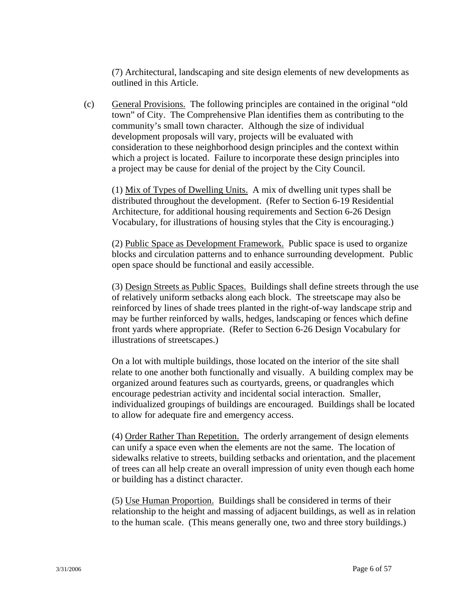(7) Architectural, landscaping and site design elements of new developments as outlined in this Article.

(c) General Provisions. The following principles are contained in the original "old town" of City. The Comprehensive Plan identifies them as contributing to the community's small town character. Although the size of individual development proposals will vary, projects will be evaluated with consideration to these neighborhood design principles and the context within which a project is located. Failure to incorporate these design principles into a project may be cause for denial of the project by the City Council.

(1) Mix of Types of Dwelling Units. A mix of dwelling unit types shall be distributed throughout the development. (Refer to Section 6-19 Residential Architecture, for additional housing requirements and Section 6-26 Design Vocabulary, for illustrations of housing styles that the City is encouraging.)

 (2) Public Space as Development Framework. Public space is used to organize blocks and circulation patterns and to enhance surrounding development. Public open space should be functional and easily accessible.

 (3) Design Streets as Public Spaces. Buildings shall define streets through the use of relatively uniform setbacks along each block. The streetscape may also be reinforced by lines of shade trees planted in the right-of-way landscape strip and may be further reinforced by walls, hedges, landscaping or fences which define front yards where appropriate. (Refer to Section 6-26 Design Vocabulary for illustrations of streetscapes.)

On a lot with multiple buildings, those located on the interior of the site shall relate to one another both functionally and visually. A building complex may be organized around features such as courtyards, greens, or quadrangles which encourage pedestrian activity and incidental social interaction. Smaller, individualized groupings of buildings are encouraged. Buildings shall be located to allow for adequate fire and emergency access.

(4) Order Rather Than Repetition. The orderly arrangement of design elements can unify a space even when the elements are not the same. The location of sidewalks relative to streets, building setbacks and orientation, and the placement of trees can all help create an overall impression of unity even though each home or building has a distinct character.

 (5) Use Human Proportion. Buildings shall be considered in terms of their relationship to the height and massing of adjacent buildings, as well as in relation to the human scale. (This means generally one, two and three story buildings.)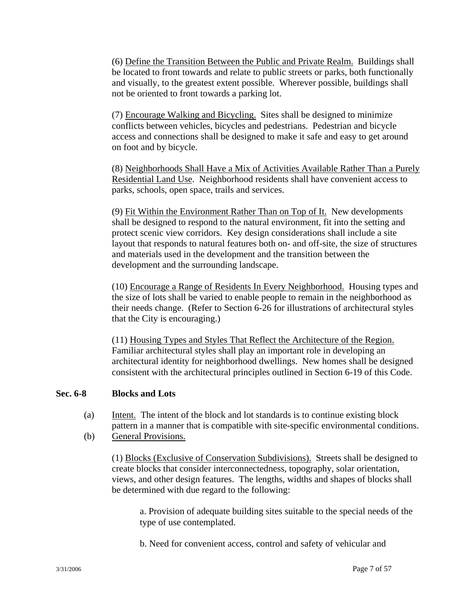(6) Define the Transition Between the Public and Private Realm. Buildings shall be located to front towards and relate to public streets or parks, both functionally and visually, to the greatest extent possible. Wherever possible, buildings shall not be oriented to front towards a parking lot.

(7) Encourage Walking and Bicycling. Sites shall be designed to minimize conflicts between vehicles, bicycles and pedestrians. Pedestrian and bicycle access and connections shall be designed to make it safe and easy to get around on foot and by bicycle.

 (8) Neighborhoods Shall Have a Mix of Activities Available Rather Than a Purely Residential Land Use. Neighborhood residents shall have convenient access to parks, schools, open space, trails and services.

 (9) Fit Within the Environment Rather Than on Top of It. New developments shall be designed to respond to the natural environment, fit into the setting and protect scenic view corridors. Key design considerations shall include a site layout that responds to natural features both on- and off-site, the size of structures and materials used in the development and the transition between the development and the surrounding landscape.

(10) Encourage a Range of Residents In Every Neighborhood. Housing types and the size of lots shall be varied to enable people to remain in the neighborhood as their needs change. (Refer to Section 6-26 for illustrations of architectural styles that the City is encouraging.)

 (11) Housing Types and Styles That Reflect the Architecture of the Region. Familiar architectural styles shall play an important role in developing an architectural identity for neighborhood dwellings. New homes shall be designed consistent with the architectural principles outlined in Section 6-19 of this Code.

#### **Sec. 6-8 Blocks and Lots**

- (a) Intent. The intent of the block and lot standards is to continue existing block pattern in a manner that is compatible with site-specific environmental conditions.
- (b) General Provisions.

 (1) Blocks (Exclusive of Conservation Subdivisions). Streets shall be designed to create blocks that consider interconnectedness, topography, solar orientation, views, and other design features. The lengths, widths and shapes of blocks shall be determined with due regard to the following:

a. Provision of adequate building sites suitable to the special needs of the type of use contemplated.

b. Need for convenient access, control and safety of vehicular and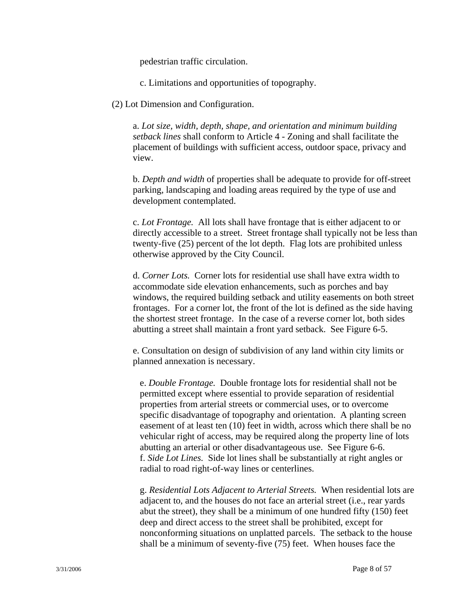pedestrian traffic circulation.

c. Limitations and opportunities of topography.

(2) Lot Dimension and Configuration.

a. *Lot size, width, depth, shape, and orientation and minimum building setback lines* shall conform to Article 4 - Zoning and shall facilitate the placement of buildings with sufficient access, outdoor space, privacy and view.

b. *Depth and width* of properties shall be adequate to provide for off-street parking, landscaping and loading areas required by the type of use and development contemplated.

c. *Lot Frontage.* All lots shall have frontage that is either adjacent to or directly accessible to a street. Street frontage shall typically not be less than twenty-five (25) percent of the lot depth. Flag lots are prohibited unless otherwise approved by the City Council.

d. *Corner Lots.* Corner lots for residential use shall have extra width to accommodate side elevation enhancements, such as porches and bay windows, the required building setback and utility easements on both street frontages. For a corner lot, the front of the lot is defined as the side having the shortest street frontage. In the case of a reverse corner lot, both sides abutting a street shall maintain a front yard setback. See Figure 6-5.

e. Consultation on design of subdivision of any land within city limits or planned annexation is necessary.

e. *Double Frontage.* Double frontage lots for residential shall not be permitted except where essential to provide separation of residential properties from arterial streets or commercial uses, or to overcome specific disadvantage of topography and orientation. A planting screen easement of at least ten (10) feet in width, across which there shall be no vehicular right of access, may be required along the property line of lots abutting an arterial or other disadvantageous use. See Figure 6-6. f. *Side Lot Lines.* Side lot lines shall be substantially at right angles or radial to road right-of-way lines or centerlines.

 g. *Residential Lots Adjacent to Arterial Streets.* When residential lots are adjacent to, and the houses do not face an arterial street (i.e., rear yards abut the street), they shall be a minimum of one hundred fifty (150) feet deep and direct access to the street shall be prohibited, except for nonconforming situations on unplatted parcels. The setback to the house shall be a minimum of seventy-five (75) feet. When houses face the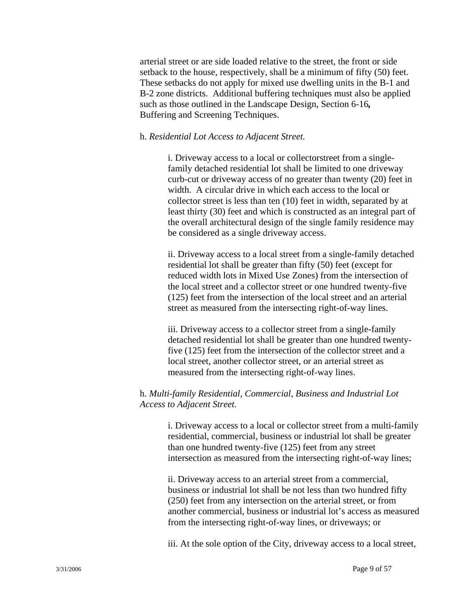arterial street or are side loaded relative to the street, the front or side setback to the house, respectively, shall be a minimum of fifty (50) feet. These setbacks do not apply for mixed use dwelling units in the B-1 and B-2 zone districts. Additional buffering techniques must also be applied such as those outlined in the Landscape Design, Section 6-16*,* Buffering and Screening Techniques.

#### h. *Residential Lot Access to Adjacent Street.*

 i. Driveway access to a local or collectorstreet from a single family detached residential lot shall be limited to one driveway curb-cut or driveway access of no greater than twenty (20) feet in width. A circular drive in which each access to the local or collector street is less than ten (10) feet in width, separated by at least thirty (30) feet and which is constructed as an integral part of the overall architectural design of the single family residence may be considered as a single driveway access.

 ii. Driveway access to a local street from a single-family detached residential lot shall be greater than fifty (50) feet (except for reduced width lots in Mixed Use Zones) from the intersection of the local street and a collector street or one hundred twenty-five (125) feet from the intersection of the local street and an arterial street as measured from the intersecting right-of-way lines.

 iii. Driveway access to a collector street from a single-family detached residential lot shall be greater than one hundred twenty five (125) feet from the intersection of the collector street and a local street, another collector street, or an arterial street as measured from the intersecting right-of-way lines.

### h. *Multi-family Residential, Commercial, Business and Industrial Lot Access to Adjacent Street.*

 i. Driveway access to a local or collector street from a multi-family residential, commercial, business or industrial lot shall be greater than one hundred twenty-five (125) feet from any street intersection as measured from the intersecting right-of-way lines;

 ii. Driveway access to an arterial street from a commercial, business or industrial lot shall be not less than two hundred fifty (250) feet from any intersection on the arterial street, or from another commercial, business or industrial lot's access as measured from the intersecting right-of-way lines, or driveways; or

iii. At the sole option of the City, driveway access to a local street,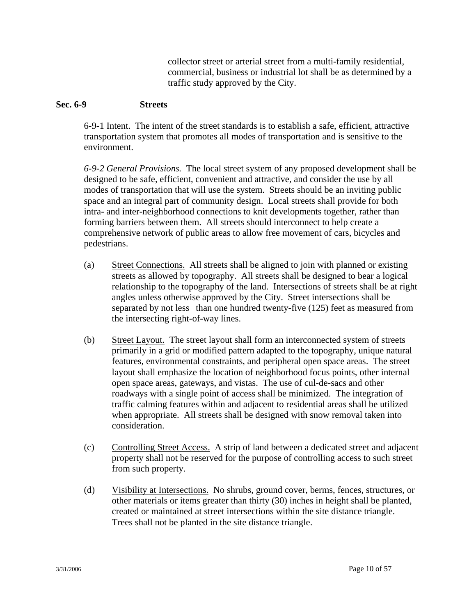collector street or arterial street from a multi-family residential, commercial, business or industrial lot shall be as determined by a traffic study approved by the City.

#### **Sec. 6-9 Streets**

6-9-1 Intent. The intent of the street standards is to establish a safe, efficient, attractive transportation system that promotes all modes of transportation and is sensitive to the environment.

*6-9-2 General Provisions.* The local street system of any proposed development shall be designed to be safe, efficient, convenient and attractive, and consider the use by all modes of transportation that will use the system. Streets should be an inviting public space and an integral part of community design. Local streets shall provide for both intra- and inter-neighborhood connections to knit developments together, rather than forming barriers between them. All streets should interconnect to help create a comprehensive network of public areas to allow free movement of cars, bicycles and pedestrians.

- (a) Street Connections. All streets shall be aligned to join with planned or existing streets as allowed by topography. All streets shall be designed to bear a logical relationship to the topography of the land. Intersections of streets shall be at right angles unless otherwise approved by the City. Street intersections shall be separated by not less than one hundred twenty-five (125) feet as measured from the intersecting right-of-way lines.
- (b) Street Layout. The street layout shall form an interconnected system of streets primarily in a grid or modified pattern adapted to the topography, unique natural features, environmental constraints, and peripheral open space areas. The street layout shall emphasize the location of neighborhood focus points, other internal open space areas, gateways, and vistas. The use of cul-de-sacs and other roadways with a single point of access shall be minimized. The integration of traffic calming features within and adjacent to residential areas shall be utilized when appropriate. All streets shall be designed with snow removal taken into consideration.
- (c) Controlling Street Access. A strip of land between a dedicated street and adjacent property shall not be reserved for the purpose of controlling access to such street from such property.
- (d) Visibility at Intersections. No shrubs, ground cover, berms, fences, structures, or other materials or items greater than thirty (30) inches in height shall be planted, created or maintained at street intersections within the site distance triangle. Trees shall not be planted in the site distance triangle.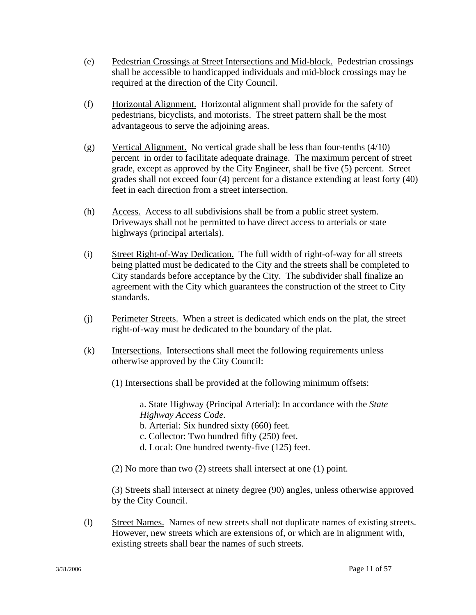- (e) Pedestrian Crossings at Street Intersections and Mid-block. Pedestrian crossings shall be accessible to handicapped individuals and mid-block crossings may be required at the direction of the City Council.
- (f) Horizontal Alignment. Horizontal alignment shall provide for the safety of pedestrians, bicyclists, and motorists. The street pattern shall be the most advantageous to serve the adjoining areas.
- (g) Vertical Alignment. No vertical grade shall be less than four-tenths  $(4/10)$  percent in order to facilitate adequate drainage. The maximum percent of street grade, except as approved by the City Engineer, shall be five (5) percent. Street grades shall not exceed four (4) percent for a distance extending at least forty (40) feet in each direction from a street intersection.
- (h) Access. Access to all subdivisions shall be from a public street system. Driveways shall not be permitted to have direct access to arterials or state highways (principal arterials).
- (i) Street Right-of-Way Dedication. The full width of right-of-way for all streets being platted must be dedicated to the City and the streets shall be completed to City standards before acceptance by the City. The subdivider shall finalize an agreement with the City which guarantees the construction of the street to City standards.
- (j) Perimeter Streets. When a street is dedicated which ends on the plat, the street right-of-way must be dedicated to the boundary of the plat.
- (k) Intersections. Intersections shall meet the following requirements unless otherwise approved by the City Council:
	- (1) Intersections shall be provided at the following minimum offsets:

a. State Highway (Principal Arterial): In accordance with the *State Highway Access Code*.

b. Arterial: Six hundred sixty (660) feet.

- c. Collector: Two hundred fifty (250) feet.
- d. Local: One hundred twenty-five (125) feet.
- (2) No more than two (2) streets shall intersect at one (1) point.

(3) Streets shall intersect at ninety degree (90) angles, unless otherwise approved by the City Council.

(l) Street Names. Names of new streets shall not duplicate names of existing streets. However, new streets which are extensions of, or which are in alignment with, existing streets shall bear the names of such streets.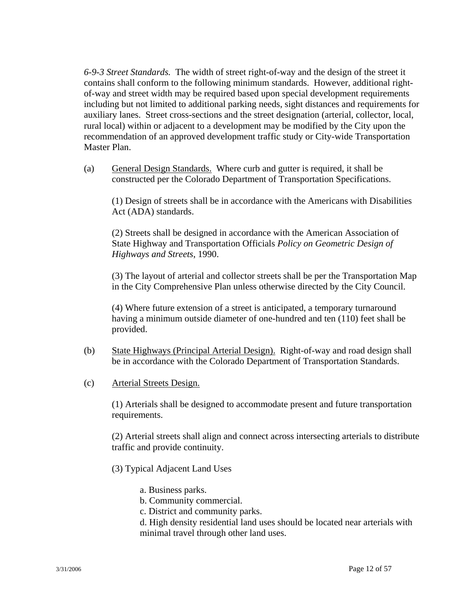*6-9-3 Street Standards.* The width of street right-of-way and the design of the street it contains shall conform to the following minimum standards. However, additional rightof-way and street width may be required based upon special development requirements including but not limited to additional parking needs, sight distances and requirements for auxiliary lanes. Street cross-sections and the street designation (arterial, collector, local, rural local) within or adjacent to a development may be modified by the City upon the recommendation of an approved development traffic study or City-wide Transportation Master Plan.

(a) General Design Standards. Where curb and gutter is required, it shall be constructed per the Colorado Department of Transportation Specifications.

(1) Design of streets shall be in accordance with the Americans with Disabilities Act (ADA) standards.

(2) Streets shall be designed in accordance with the American Association of State Highway and Transportation Officials *Policy on Geometric Design of Highways and Streets*, 1990.

(3) The layout of arterial and collector streets shall be per the Transportation Map in the City Comprehensive Plan unless otherwise directed by the City Council.

(4) Where future extension of a street is anticipated, a temporary turnaround having a minimum outside diameter of one-hundred and ten (110) feet shall be provided.

- (b) State Highways (Principal Arterial Design). Right-of-way and road design shall be in accordance with the Colorado Department of Transportation Standards.
- (c) Arterial Streets Design.

(1) Arterials shall be designed to accommodate present and future transportation requirements.

(2) Arterial streets shall align and connect across intersecting arterials to distribute traffic and provide continuity.

- (3) Typical Adjacent Land Uses
	- a. Business parks.
	- b. Community commercial.
	- c. District and community parks.
	- d. High density residential land uses should be located near arterials with minimal travel through other land uses.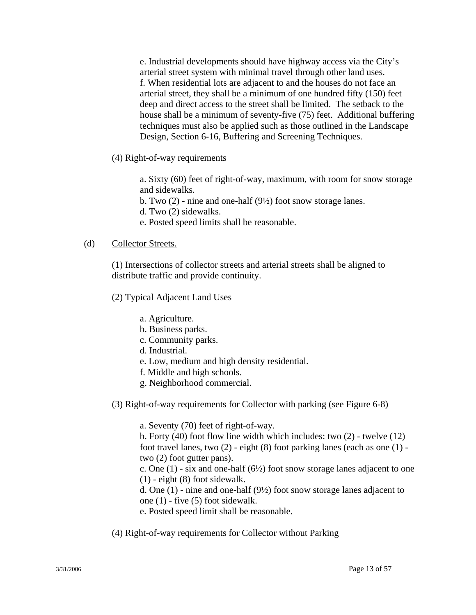e. Industrial developments should have highway access via the City's arterial street system with minimal travel through other land uses. f. When residential lots are adjacent to and the houses do not face an arterial street, they shall be a minimum of one hundred fifty (150) feet deep and direct access to the street shall be limited. The setback to the house shall be a minimum of seventy-five (75) feet. Additional buffering techniques must also be applied such as those outlined in the Landscape Design, Section 6-16, Buffering and Screening Techniques.

(4) Right-of-way requirements

a. Sixty (60) feet of right-of-way, maximum, with room for snow storage and sidewalks.

- b. Two (2) nine and one-half (9½) foot snow storage lanes.
- d. Two (2) sidewalks.
- e. Posted speed limits shall be reasonable.

#### (d) Collector Streets.

(1) Intersections of collector streets and arterial streets shall be aligned to distribute traffic and provide continuity.

(2) Typical Adjacent Land Uses

- a. Agriculture.
- b. Business parks.
- c. Community parks.
- d. Industrial.
- e. Low, medium and high density residential.
- f. Middle and high schools.
- g. Neighborhood commercial.
- (3) Right-of-way requirements for Collector with parking (see Figure 6-8)

a. Seventy (70) feet of right-of-way.

 b. Forty (40) foot flow line width which includes: two (2) - twelve (12) foot travel lanes, two (2) - eight (8) foot parking lanes (each as one (1) two (2) foot gutter pans).

c. One  $(1)$  - six and one-half  $(6\frac{1}{2})$  foot snow storage lanes adjacent to one (1) - eight (8) foot sidewalk.

d. One (1) - nine and one-half (9½) foot snow storage lanes adjacent to one (1) - five (5) foot sidewalk.

e. Posted speed limit shall be reasonable.

(4) Right-of-way requirements for Collector without Parking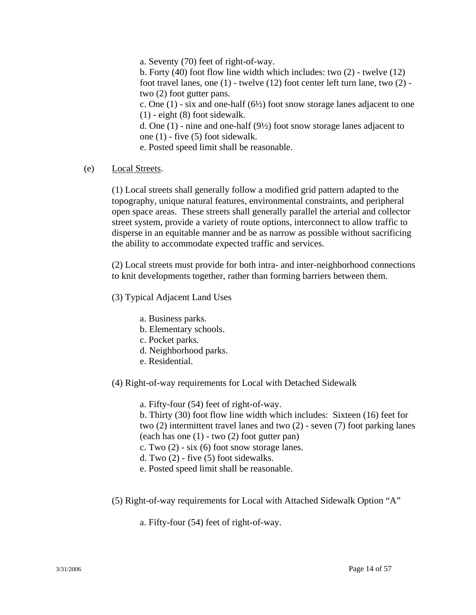a. Seventy (70) feet of right-of-way.

b. Forty (40) foot flow line width which includes: two (2) - twelve (12) foot travel lanes, one (1) - twelve (12) foot center left turn lane, two (2) two (2) foot gutter pans.

c. One  $(1)$  - six and one-half  $(6\frac{1}{2})$  foot snow storage lanes adjacent to one (1) - eight (8) foot sidewalk.

d. One (1) - nine and one-half (9½) foot snow storage lanes adjacent to one (1) - five (5) foot sidewalk.

e. Posted speed limit shall be reasonable.

(e) Local Streets.

(1) Local streets shall generally follow a modified grid pattern adapted to the topography, unique natural features, environmental constraints, and peripheral open space areas. These streets shall generally parallel the arterial and collector street system, provide a variety of route options, interconnect to allow traffic to disperse in an equitable manner and be as narrow as possible without sacrificing the ability to accommodate expected traffic and services.

(2) Local streets must provide for both intra- and inter-neighborhood connections to knit developments together, rather than forming barriers between them.

- (3) Typical Adjacent Land Uses
	- a. Business parks.
	- b. Elementary schools.
	- c. Pocket parks.
	- d. Neighborhood parks.
	- e. Residential.
- (4) Right-of-way requirements for Local with Detached Sidewalk

a. Fifty-four (54) feet of right-of-way.

 b. Thirty (30) foot flow line width which includes: Sixteen (16) feet for two (2) intermittent travel lanes and two (2) - seven (7) foot parking lanes (each has one (1) - two (2) foot gutter pan)

c. Two  $(2)$  - six  $(6)$  foot snow storage lanes.

- d. Two (2) five (5) foot sidewalks.
- e. Posted speed limit shall be reasonable.
- (5) Right-of-way requirements for Local with Attached Sidewalk Option "A"
	- a. Fifty-four (54) feet of right-of-way.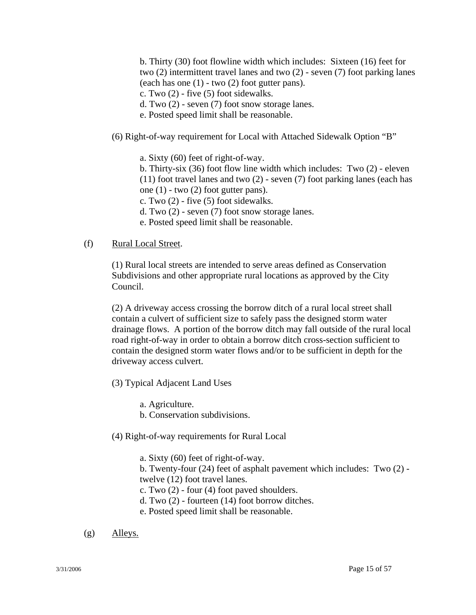b. Thirty (30) foot flowline width which includes: Sixteen (16) feet for two (2) intermittent travel lanes and two (2) - seven (7) foot parking lanes (each has one (1) - two (2) foot gutter pans).

c. Two (2) - five (5) foot sidewalks.

d. Two (2) - seven (7) foot snow storage lanes.

e. Posted speed limit shall be reasonable.

- (6) Right-of-way requirement for Local with Attached Sidewalk Option "B"
	- a. Sixty (60) feet of right-of-way.

b. Thirty-six (36) foot flow line width which includes: Two (2) - eleven (11) foot travel lanes and two (2) - seven (7) foot parking lanes (each has one  $(1)$  - two  $(2)$  foot gutter pans).

c. Two (2) - five (5) foot sidewalks.

d. Two (2) - seven (7) foot snow storage lanes.

e. Posted speed limit shall be reasonable.

#### (f) Rural Local Street.

(1) Rural local streets are intended to serve areas defined as Conservation Subdivisions and other appropriate rural locations as approved by the City Council.

(2) A driveway access crossing the borrow ditch of a rural local street shall contain a culvert of sufficient size to safely pass the designed storm water drainage flows. A portion of the borrow ditch may fall outside of the rural local road right-of-way in order to obtain a borrow ditch cross-section sufficient to contain the designed storm water flows and/or to be sufficient in depth for the driveway access culvert.

- (3) Typical Adjacent Land Uses
	- a. Agriculture.
	- b. Conservation subdivisions.
- (4) Right-of-way requirements for Rural Local

a. Sixty (60) feet of right-of-way.

 b. Twenty-four (24) feet of asphalt pavement which includes: Two (2) twelve (12) foot travel lanes.

c. Two (2) - four (4) foot paved shoulders.

- d. Two (2) fourteen (14) foot borrow ditches.
- e. Posted speed limit shall be reasonable.

(g) Alleys.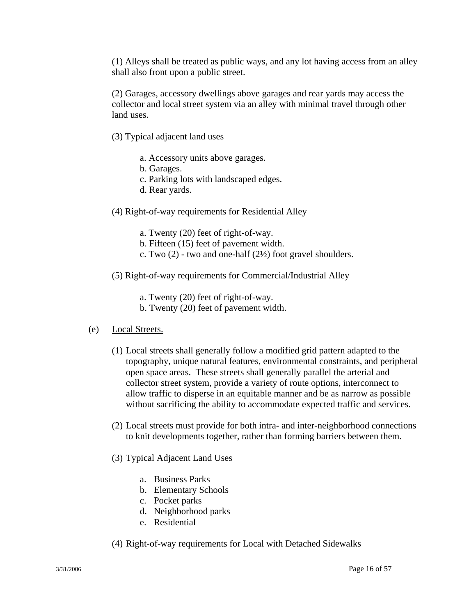(1) Alleys shall be treated as public ways, and any lot having access from an alley shall also front upon a public street.

(2) Garages, accessory dwellings above garages and rear yards may access the collector and local street system via an alley with minimal travel through other land uses.

- (3) Typical adjacent land uses
	- a. Accessory units above garages.
	- b. Garages.
	- c. Parking lots with landscaped edges.
	- d. Rear yards.
- (4) Right-of-way requirements for Residential Alley
	- a. Twenty (20) feet of right-of-way.
	- b. Fifteen (15) feet of pavement width.
	- c. Two  $(2)$  two and one-half  $(2\frac{1}{2})$  foot gravel shoulders.
- (5) Right-of-way requirements for Commercial/Industrial Alley
	- a. Twenty (20) feet of right-of-way.
	- b. Twenty (20) feet of pavement width.

#### (e) Local Streets.

- (1) Local streets shall generally follow a modified grid pattern adapted to the topography, unique natural features, environmental constraints, and peripheral open space areas. These streets shall generally parallel the arterial and collector street system, provide a variety of route options, interconnect to allow traffic to disperse in an equitable manner and be as narrow as possible without sacrificing the ability to accommodate expected traffic and services.
- (2) Local streets must provide for both intra- and inter-neighborhood connections to knit developments together, rather than forming barriers between them.
- (3) Typical Adjacent Land Uses
	- a. Business Parks
	- b. Elementary Schools
	- c. Pocket parks
	- d. Neighborhood parks
	- e. Residential
- (4) Right-of-way requirements for Local with Detached Sidewalks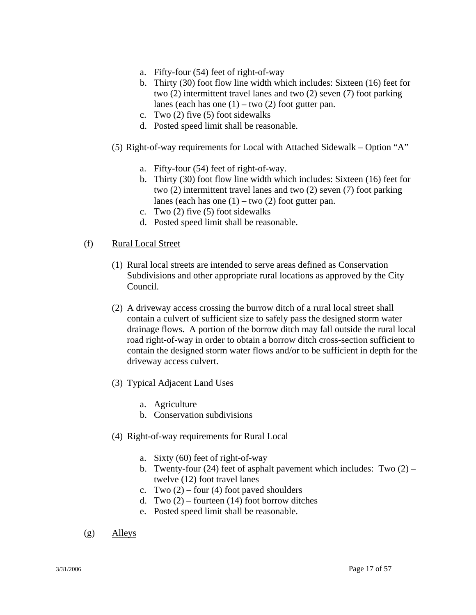- a. Fifty-four (54) feet of right-of-way
- b. Thirty (30) foot flow line width which includes: Sixteen (16) feet for two (2) intermittent travel lanes and two (2) seven (7) foot parking lanes (each has one  $(1)$  – two  $(2)$  foot gutter pan.
- c. Two (2) five (5) foot sidewalks
- d. Posted speed limit shall be reasonable.
- (5) Right-of-way requirements for Local with Attached Sidewalk Option "A"
	- a. Fifty-four (54) feet of right-of-way.
	- b. Thirty (30) foot flow line width which includes: Sixteen (16) feet for two (2) intermittent travel lanes and two (2) seven (7) foot parking lanes (each has one  $(1)$  – two  $(2)$  foot gutter pan.
	- c. Two (2) five (5) foot sidewalks
	- d. Posted speed limit shall be reasonable.

#### (f) Rural Local Street

- (1) Rural local streets are intended to serve areas defined as Conservation Subdivisions and other appropriate rural locations as approved by the City Council.
- (2) A driveway access crossing the burrow ditch of a rural local street shall contain a culvert of sufficient size to safely pass the designed storm water drainage flows. A portion of the borrow ditch may fall outside the rural local road right-of-way in order to obtain a borrow ditch cross-section sufficient to contain the designed storm water flows and/or to be sufficient in depth for the driveway access culvert.
- (3) Typical Adjacent Land Uses
	- a. Agriculture
	- b. Conservation subdivisions
- (4) Right-of-way requirements for Rural Local
	- a. Sixty (60) feet of right-of-way
	- b. Twenty-four (24) feet of asphalt pavement which includes: Two  $(2)$  twelve (12) foot travel lanes
	- c. Two  $(2)$  four  $(4)$  foot paved shoulders
	- d. Two  $(2)$  fourteen  $(14)$  foot borrow ditches
	- e. Posted speed limit shall be reasonable.
- (g) Alleys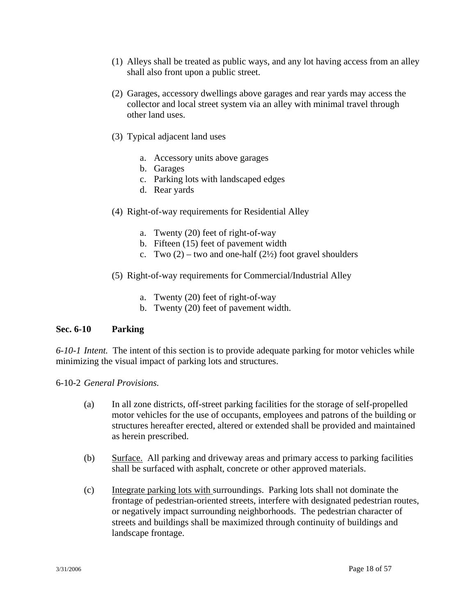- (1) Alleys shall be treated as public ways, and any lot having access from an alley shall also front upon a public street.
- (2) Garages, accessory dwellings above garages and rear yards may access the collector and local street system via an alley with minimal travel through other land uses.
- (3) Typical adjacent land uses
	- a. Accessory units above garages
	- b. Garages
	- c. Parking lots with landscaped edges
	- d. Rear yards
- (4) Right-of-way requirements for Residential Alley
	- a. Twenty (20) feet of right-of-way
	- b. Fifteen (15) feet of pavement width
	- c. Two  $(2)$  two and one-half  $(2\frac{1}{2})$  foot gravel shoulders
- (5) Right-of-way requirements for Commercial/Industrial Alley
	- a. Twenty (20) feet of right-of-way
	- b. Twenty (20) feet of pavement width.

#### **Sec. 6-10 Parking**

*6-10-1 Intent.* The intent of this section is to provide adequate parking for motor vehicles while minimizing the visual impact of parking lots and structures.

6-10-2 *General Provisions.* 

- (a) In all zone districts, off-street parking facilities for the storage of self-propelled motor vehicles for the use of occupants, employees and patrons of the building or structures hereafter erected, altered or extended shall be provided and maintained as herein prescribed.
- (b) Surface. All parking and driveway areas and primary access to parking facilities shall be surfaced with asphalt, concrete or other approved materials.
- (c) Integrate parking lots with surroundings. Parking lots shall not dominate the frontage of pedestrian-oriented streets, interfere with designated pedestrian routes, or negatively impact surrounding neighborhoods. The pedestrian character of streets and buildings shall be maximized through continuity of buildings and landscape frontage.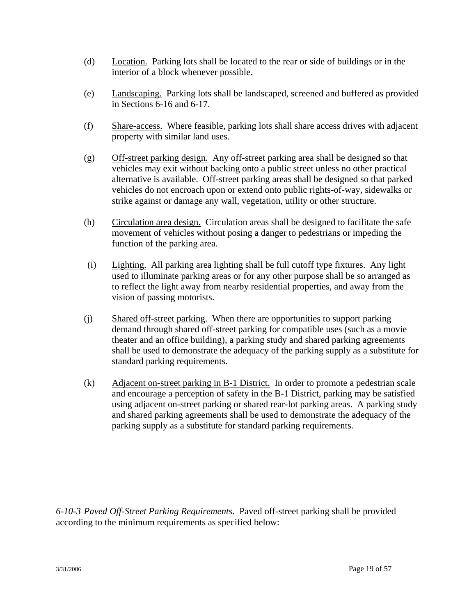- (d) Location. Parking lots shall be located to the rear or side of buildings or in the interior of a block whenever possible.
- (e) Landscaping. Parking lots shall be landscaped, screened and buffered as provided in Sections 6-16 and 6-17.
- (f) Share-access. Where feasible, parking lots shall share access drives with adjacent property with similar land uses.
- (g) Off-street parking design. Any off-street parking area shall be designed so that vehicles may exit without backing onto a public street unless no other practical alternative is available. Off-street parking areas shall be designed so that parked vehicles do not encroach upon or extend onto public rights-of-way, sidewalks or strike against or damage any wall, vegetation, utility or other structure.
- (h) Circulation area design. Circulation areas shall be designed to facilitate the safe movement of vehicles without posing a danger to pedestrians or impeding the function of the parking area.
- (i) Lighting. All parking area lighting shall be full cutoff type fixtures. Any light used to illuminate parking areas or for any other purpose shall be so arranged as to reflect the light away from nearby residential properties, and away from the vision of passing motorists.
- (j) Shared off-street parking. When there are opportunities to support parking demand through shared off-street parking for compatible uses (such as a movie theater and an office building), a parking study and shared parking agreements shall be used to demonstrate the adequacy of the parking supply as a substitute for standard parking requirements.
- (k) Adjacent on-street parking in B-1 District. In order to promote a pedestrian scale and encourage a perception of safety in the B-1 District, parking may be satisfied using adjacent on-street parking or shared rear-lot parking areas. A parking study and shared parking agreements shall be used to demonstrate the adequacy of the parking supply as a substitute for standard parking requirements.

*6-10-3 Paved Off-Street Parking Requirements.* Paved off-street parking shall be provided according to the minimum requirements as specified below: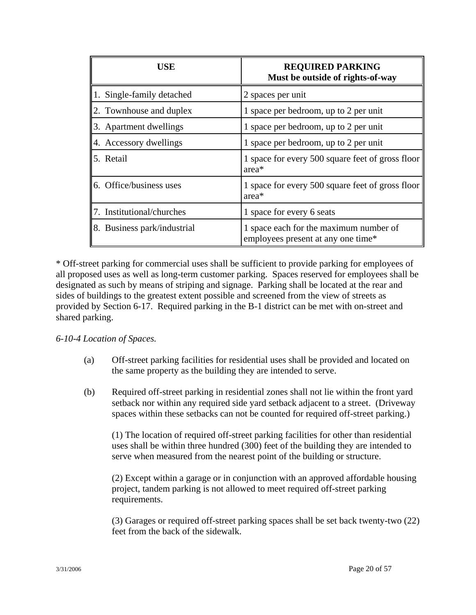| USE                         | <b>REQUIRED PARKING</b><br>Must be outside of rights-of-way                  |
|-----------------------------|------------------------------------------------------------------------------|
| 1. Single-family detached   | 2 spaces per unit                                                            |
| 2. Townhouse and duplex     | 1 space per bedroom, up to 2 per unit                                        |
| 3. Apartment dwellings      | 1 space per bedroom, up to 2 per unit                                        |
| 4. Accessory dwellings      | 1 space per bedroom, up to 2 per unit                                        |
| 5. Retail                   | 1 space for every 500 square feet of gross floor<br>area <sup>*</sup>        |
| 6. Office/business uses     | 1 space for every 500 square feet of gross floor<br>area*                    |
| 7. Institutional/churches   | 1 space for every 6 seats                                                    |
| 8. Business park/industrial | 1 space each for the maximum number of<br>employees present at any one time* |

\* Off-street parking for commercial uses shall be sufficient to provide parking for employees of all proposed uses as well as long-term customer parking. Spaces reserved for employees shall be designated as such by means of striping and signage. Parking shall be located at the rear and sides of buildings to the greatest extent possible and screened from the view of streets as provided by Section 6-17. Required parking in the B-1 district can be met with on-street and shared parking.

#### *6-10-4 Location of Spaces.*

- (a) Off-street parking facilities for residential uses shall be provided and located on the same property as the building they are intended to serve.
- (b) Required off-street parking in residential zones shall not lie within the front yard setback nor within any required side yard setback adjacent to a street. (Driveway spaces within these setbacks can not be counted for required off-street parking.)

(1) The location of required off-street parking facilities for other than residential uses shall be within three hundred (300) feet of the building they are intended to serve when measured from the nearest point of the building or structure.

(2) Except within a garage or in conjunction with an approved affordable housing project, tandem parking is not allowed to meet required off-street parking requirements.

(3) Garages or required off-street parking spaces shall be set back twenty-two (22) feet from the back of the sidewalk.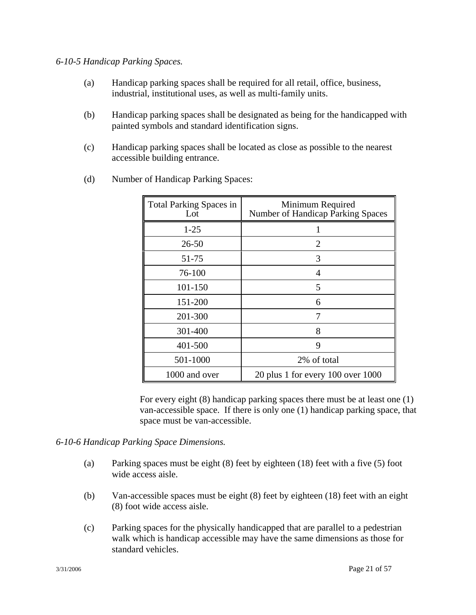### *6-10-5 Handicap Parking Spaces.*

- (a) Handicap parking spaces shall be required for all retail, office, business, industrial, institutional uses, as well as multi-family units.
- (b) Handicap parking spaces shall be designated as being for the handicapped with painted symbols and standard identification signs.
- (c) Handicap parking spaces shall be located as close as possible to the nearest accessible building entrance.

| <b>Total Parking Spaces in</b><br>Lot | Minimum Required<br>Number of Handicap Parking Spaces |  |
|---------------------------------------|-------------------------------------------------------|--|
| $1 - 25$                              |                                                       |  |
| $26 - 50$                             | $\overline{2}$                                        |  |
| 51-75                                 | 3                                                     |  |
| 76-100                                | 4                                                     |  |
| 101-150                               | 5                                                     |  |
| 151-200                               | 6                                                     |  |
| 201-300                               | 7                                                     |  |
| 301-400                               | 8                                                     |  |
| 401-500                               | 9                                                     |  |
| 501-1000                              | 2% of total                                           |  |
| 1000 and over                         | 20 plus 1 for every 100 over 1000                     |  |

(d) Number of Handicap Parking Spaces:

For every eight (8) handicap parking spaces there must be at least one (1) van-accessible space. If there is only one (1) handicap parking space, that space must be van-accessible.

# *6-10-6 Handicap Parking Space Dimensions.*

- (a) Parking spaces must be eight (8) feet by eighteen (18) feet with a five (5) foot wide access aisle.
- (b) Van-accessible spaces must be eight (8) feet by eighteen (18) feet with an eight (8) foot wide access aisle.
- (c) Parking spaces for the physically handicapped that are parallel to a pedestrian walk which is handicap accessible may have the same dimensions as those for standard vehicles.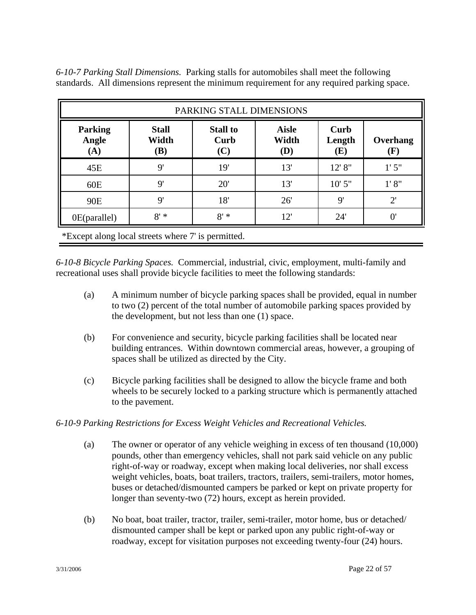*6-10-7 Parking Stall Dimensions.* Parking stalls for automobiles shall meet the following standards. All dimensions represent the minimum requirement for any required parking space.

| PARKING STALL DIMENSIONS                           |                                     |                                |                              |                       |                 |
|----------------------------------------------------|-------------------------------------|--------------------------------|------------------------------|-----------------------|-----------------|
| <b>Parking</b><br>Angle<br>(A)                     | <b>Stall</b><br>Width<br><b>(B)</b> | <b>Stall to</b><br>Curb<br>(C) | <b>Aisle</b><br>Width<br>(D) | Curb<br>Length<br>(E) | Overhang<br>(F) |
| 45E                                                | $\mathbf{Q}^{\prime}$               | 19'                            | 13'                          | 12' 8"                | 1'5''           |
| 60E                                                | $\mathbf{Q}^{\prime}$               | 20'                            | 13'                          | $10'$ 5"              | 1' 8''          |
| 90E                                                | $\mathbf{Q}^{\prime}$               | 18'                            | 26'                          | 9'                    | $2^{\prime}$    |
| 0E(parallel)                                       | $8' *$                              | $8' *$                         | 12'                          | 24'                   | $\overline{0}$  |
| *Except along local streets where 7' is permitted. |                                     |                                |                              |                       |                 |

*6-10-8 Bicycle Parking Spaces.* Commercial, industrial, civic, employment, multi-family and recreational uses shall provide bicycle facilities to meet the following standards:

- (a) A minimum number of bicycle parking spaces shall be provided, equal in number to two (2) percent of the total number of automobile parking spaces provided by the development, but not less than one (1) space.
- (b) For convenience and security, bicycle parking facilities shall be located near building entrances. Within downtown commercial areas, however, a grouping of spaces shall be utilized as directed by the City.
- (c) Bicycle parking facilities shall be designed to allow the bicycle frame and both wheels to be securely locked to a parking structure which is permanently attached to the pavement.

# *6-10-9 Parking Restrictions for Excess Weight Vehicles and Recreational Vehicles.*

- (a) The owner or operator of any vehicle weighing in excess of ten thousand (10,000) pounds, other than emergency vehicles, shall not park said vehicle on any public right-of-way or roadway, except when making local deliveries, nor shall excess weight vehicles, boats, boat trailers, tractors, trailers, semi-trailers, motor homes, buses or detached/dismounted campers be parked or kept on private property for longer than seventy-two (72) hours, except as herein provided.
- (b) No boat, boat trailer, tractor, trailer, semi-trailer, motor home, bus or detached/ dismounted camper shall be kept or parked upon any public right-of-way or roadway, except for visitation purposes not exceeding twenty-four  $(24)$  hours.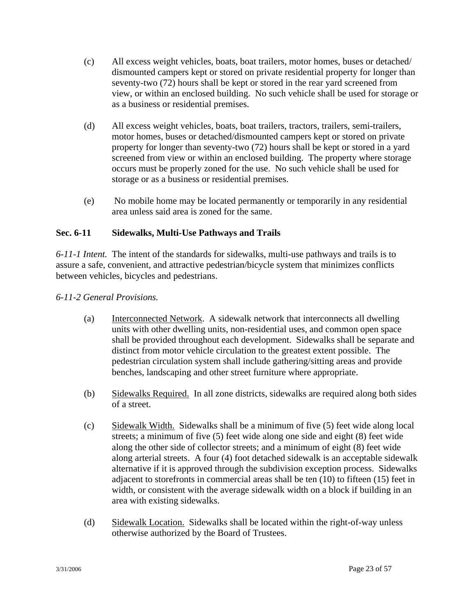- (c) All excess weight vehicles, boats, boat trailers, motor homes, buses or detached/ dismounted campers kept or stored on private residential property for longer than seventy-two (72) hours shall be kept or stored in the rear yard screened from view, or within an enclosed building. No such vehicle shall be used for storage or as a business or residential premises.
- (d) All excess weight vehicles, boats, boat trailers, tractors, trailers, semi-trailers, motor homes, buses or detached/dismounted campers kept or stored on private property for longer than seventy-two (72) hours shall be kept or stored in a yard screened from view or within an enclosed building. The property where storage occurs must be properly zoned for the use. No such vehicle shall be used for storage or as a business or residential premises.
- (e) No mobile home may be located permanently or temporarily in any residential area unless said area is zoned for the same.

# **Sec. 6-11 Sidewalks, Multi-Use Pathways and Trails**

*6-11-1 Intent.* The intent of the standards for sidewalks, multi-use pathways and trails is to assure a safe, convenient, and attractive pedestrian/bicycle system that minimizes conflicts between vehicles, bicycles and pedestrians.

# *6-11-2 General Provisions.*

- (a) Interconnected Network. A sidewalk network that interconnects all dwelling units with other dwelling units, non-residential uses, and common open space shall be provided throughout each development. Sidewalks shall be separate and distinct from motor vehicle circulation to the greatest extent possible. The pedestrian circulation system shall include gathering/sitting areas and provide benches, landscaping and other street furniture where appropriate.
- (b) Sidewalks Required. In all zone districts, sidewalks are required along both sides of a street.
- (c) Sidewalk Width. Sidewalks shall be a minimum of five (5) feet wide along local streets; a minimum of five (5) feet wide along one side and eight (8) feet wide along the other side of collector streets; and a minimum of eight (8) feet wide along arterial streets. A four (4) foot detached sidewalk is an acceptable sidewalk alternative if it is approved through the subdivision exception process. Sidewalks adjacent to storefronts in commercial areas shall be ten (10) to fifteen (15) feet in width, or consistent with the average sidewalk width on a block if building in an area with existing sidewalks.
- (d) Sidewalk Location. Sidewalks shall be located within the right-of-way unless otherwise authorized by the Board of Trustees.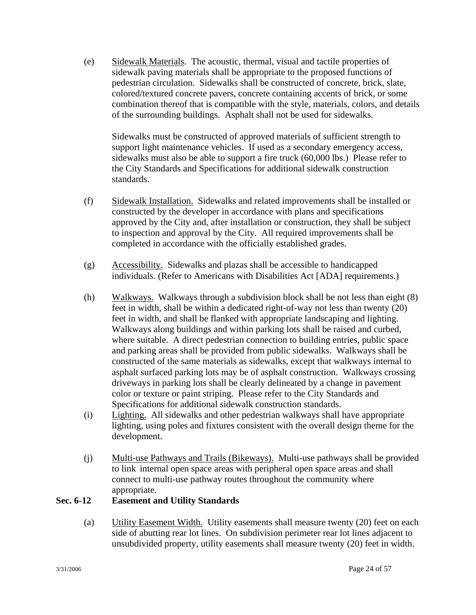(e) Sidewalk Materials. The acoustic, thermal, visual and tactile properties of sidewalk paving materials shall be appropriate to the proposed functions of pedestrian circulation. Sidewalks shall be constructed of concrete, brick, slate, colored/textured concrete pavers, concrete containing accents of brick, or some combination thereof that is compatible with the style, materials, colors, and details of the surrounding buildings. Asphalt shall not be used for sidewalks.

Sidewalks must be constructed of approved materials of sufficient strength to support light maintenance vehicles. If used as a secondary emergency access, sidewalks must also be able to support a fire truck (60,000 lbs.) Please refer to the City Standards and Specifications for additional sidewalk construction standards.

- (f) Sidewalk Installation. Sidewalks and related improvements shall be installed or constructed by the developer in accordance with plans and specifications approved by the City and, after installation or construction, they shall be subject to inspection and approval by the City. All required improvements shall be completed in accordance with the officially established grades.
- (g) Accessibility. Sidewalks and plazas shall be accessible to handicapped individuals. (Refer to Americans with Disabilities Act [ADA] requirements.)
- (h) Walkways. Walkways through a subdivision block shall be not less than eight (8) feet in width, shall be within a dedicated right-of-way not less than twenty (20) feet in width, and shall be flanked with appropriate landscaping and lighting. Walkways along buildings and within parking lots shall be raised and curbed, where suitable. A direct pedestrian connection to building entries, public space and parking areas shall be provided from public sidewalks. Walkways shall be constructed of the same materials as sidewalks, except that walkways internal to asphalt surfaced parking lots may be of asphalt construction. Walkways crossing driveways in parking lots shall be clearly delineated by a change in pavement color or texture or paint striping. Please refer to the City Standards and Specifications for additional sidewalk construction standards.
- (i) Lighting. All sidewalks and other pedestrian walkways shall have appropriate lighting, using poles and fixtures consistent with the overall design theme for the development.
- (j) Multi-use Pathways and Trails (Bikeways). Multi-use pathways shall be provided to link internal open space areas with peripheral open space areas and shall connect to multi-use pathway routes throughout the community where appropriate.

# **Sec. 6-12 Easement and Utility Standards**

(a) Utility Easement Width. Utility easements shall measure twenty (20) feet on each side of abutting rear lot lines. On subdivision perimeter rear lot lines adjacent to unsubdivided property, utility easements shall measure twenty (20) feet in width.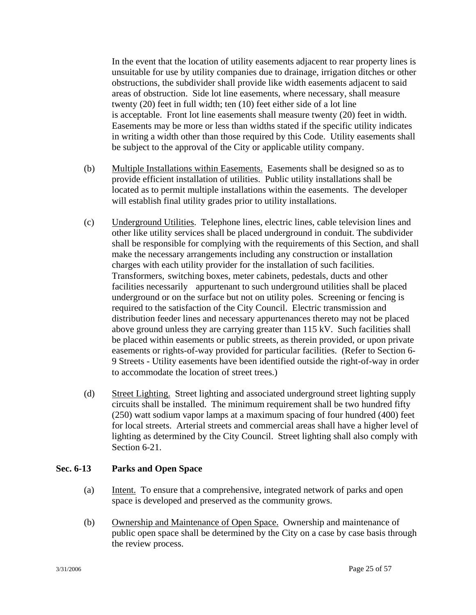In the event that the location of utility easements adjacent to rear property lines is unsuitable for use by utility companies due to drainage, irrigation ditches or other obstructions, the subdivider shall provide like width easements adjacent to said areas of obstruction. Side lot line easements, where necessary, shall measure twenty (20) feet in full width; ten (10) feet either side of a lot line is acceptable. Front lot line easements shall measure twenty (20) feet in width. Easements may be more or less than widths stated if the specific utility indicates in writing a width other than those required by this Code. Utility easements shall be subject to the approval of the City or applicable utility company.

- (b) Multiple Installations within Easements. Easements shall be designed so as to provide efficient installation of utilities. Public utility installations shall be located as to permit multiple installations within the easements. The developer will establish final utility grades prior to utility installations.
- (c) Underground Utilities. Telephone lines, electric lines, cable television lines and other like utility services shall be placed underground in conduit. The subdivider shall be responsible for complying with the requirements of this Section, and shall make the necessary arrangements including any construction or installation charges with each utility provider for the installation of such facilities. Transformers, switching boxes, meter cabinets, pedestals, ducts and other facilities necessarily appurtenant to such underground utilities shall be placed underground or on the surface but not on utility poles. Screening or fencing is required to the satisfaction of the City Council. Electric transmission and distribution feeder lines and necessary appurtenances thereto may not be placed above ground unless they are carrying greater than 115 kV. Such facilities shall be placed within easements or public streets, as therein provided, or upon private easements or rights-of-way provided for particular facilities. (Refer to Section 6- 9 Streets - Utility easements have been identified outside the right-of-way in order to accommodate the location of street trees.)
- (d) Street Lighting. Street lighting and associated underground street lighting supply circuits shall be installed. The minimum requirement shall be two hundred fifty (250) watt sodium vapor lamps at a maximum spacing of four hundred (400) feet for local streets. Arterial streets and commercial areas shall have a higher level of lighting as determined by the City Council. Street lighting shall also comply with Section 6-21.

# **Sec. 6-13 Parks and Open Space**

- (a) Intent. To ensure that a comprehensive, integrated network of parks and open space is developed and preserved as the community grows.
- (b) Ownership and Maintenance of Open Space. Ownership and maintenance of public open space shall be determined by the City on a case by case basis through the review process.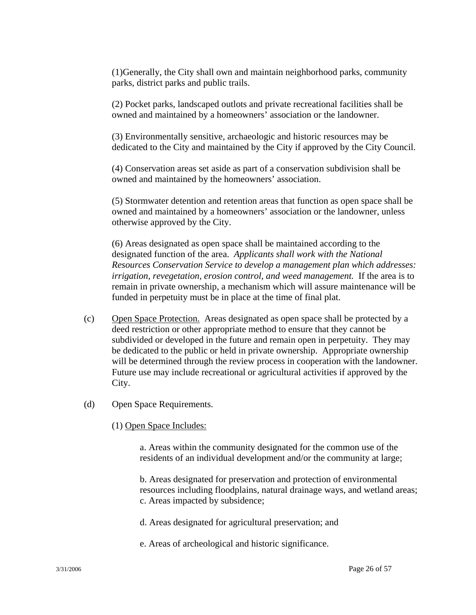(1)Generally, the City shall own and maintain neighborhood parks, community parks, district parks and public trails.

(2) Pocket parks, landscaped outlots and private recreational facilities shall be owned and maintained by a homeowners' association or the landowner.

(3) Environmentally sensitive, archaeologic and historic resources may be dedicated to the City and maintained by the City if approved by the City Council.

(4) Conservation areas set aside as part of a conservation subdivision shall be owned and maintained by the homeowners' association.

(5) Stormwater detention and retention areas that function as open space shall be owned and maintained by a homeowners' association or the landowner, unless otherwise approved by the City.

(6) Areas designated as open space shall be maintained according to the designated function of the area. *Applicants shall work with the National Resources Conservation Service to develop a management plan which addresses: irrigation, revegetation, erosion control, and weed management.* If the area is to remain in private ownership, a mechanism which will assure maintenance will be funded in perpetuity must be in place at the time of final plat.

- (c) Open Space Protection. Areas designated as open space shall be protected by a deed restriction or other appropriate method to ensure that they cannot be subdivided or developed in the future and remain open in perpetuity. They may be dedicated to the public or held in private ownership. Appropriate ownership will be determined through the review process in cooperation with the landowner. Future use may include recreational or agricultural activities if approved by the City.
- (d) Open Space Requirements.
	- (1) Open Space Includes:

 a. Areas within the community designated for the common use of the residents of an individual development and/or the community at large;

 b. Areas designated for preservation and protection of environmental resources including floodplains, natural drainage ways, and wetland areas; c. Areas impacted by subsidence;

- d. Areas designated for agricultural preservation; and
- e. Areas of archeological and historic significance.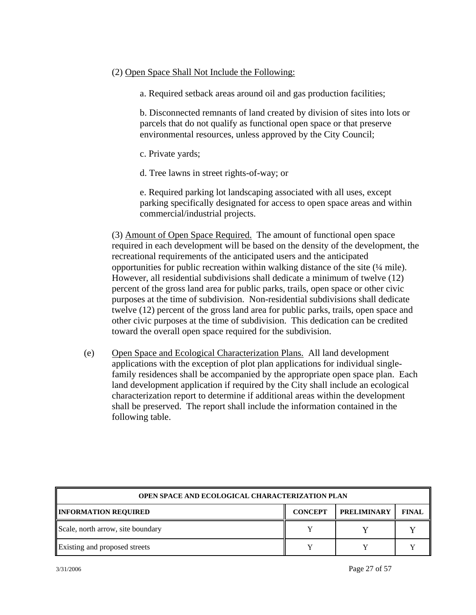### (2) Open Space Shall Not Include the Following:

a. Required setback areas around oil and gas production facilities;

 b. Disconnected remnants of land created by division of sites into lots or parcels that do not qualify as functional open space or that preserve environmental resources, unless approved by the City Council;

- c. Private yards;
- d. Tree lawns in street rights-of-way; or

 e. Required parking lot landscaping associated with all uses, except parking specifically designated for access to open space areas and within commercial/industrial projects.

(3) Amount of Open Space Required. The amount of functional open space required in each development will be based on the density of the development, the recreational requirements of the anticipated users and the anticipated opportunities for public recreation within walking distance of the site (¼ mile). However, all residential subdivisions shall dedicate a minimum of twelve (12) percent of the gross land area for public parks, trails, open space or other civic purposes at the time of subdivision. Non-residential subdivisions shall dedicate twelve (12) percent of the gross land area for public parks, trails, open space and other civic purposes at the time of subdivision. This dedication can be credited toward the overall open space required for the subdivision.

(e) Open Space and Ecological Characterization Plans. All land development applications with the exception of plot plan applications for individual single family residences shall be accompanied by the appropriate open space plan. Each land development application if required by the City shall include an ecological characterization report to determine if additional areas within the development shall be preserved. The report shall include the information contained in the following table.

| <b>OPEN SPACE AND ECOLOGICAL CHARACTERIZATION PLAN</b> |                |                    |              |  |  |
|--------------------------------------------------------|----------------|--------------------|--------------|--|--|
| <b>INFORMATION REQUIRED</b>                            | <b>CONCEPT</b> | <b>PRELIMINARY</b> | <b>FINAL</b> |  |  |
| Scale, north arrow, site boundary                      |                |                    |              |  |  |
| Existing and proposed streets                          |                |                    |              |  |  |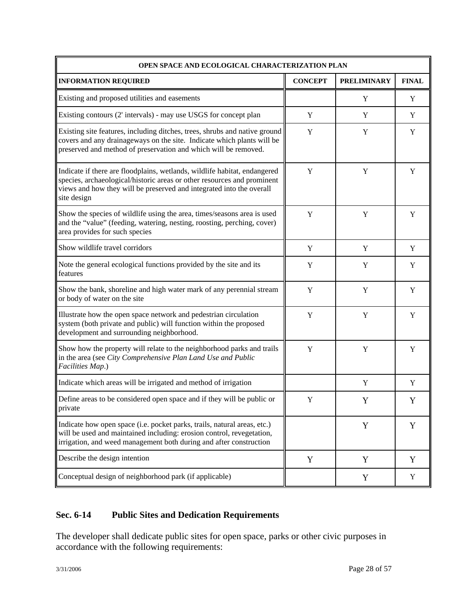| OPEN SPACE AND ECOLOGICAL CHARACTERIZATION PLAN                                                                                                                                                                                             |                |                    |              |  |  |  |
|---------------------------------------------------------------------------------------------------------------------------------------------------------------------------------------------------------------------------------------------|----------------|--------------------|--------------|--|--|--|
| <b>INFORMATION REQUIRED</b>                                                                                                                                                                                                                 | <b>CONCEPT</b> | <b>PRELIMINARY</b> | <b>FINAL</b> |  |  |  |
| Existing and proposed utilities and easements                                                                                                                                                                                               |                | Y                  | Y            |  |  |  |
| Existing contours (2' intervals) - may use USGS for concept plan                                                                                                                                                                            | Y              | Y                  | Y            |  |  |  |
| Existing site features, including ditches, trees, shrubs and native ground<br>covers and any drainageways on the site. Indicate which plants will be<br>preserved and method of preservation and which will be removed.                     | Y              | Y                  | Y            |  |  |  |
| Indicate if there are floodplains, wetlands, wildlife habitat, endangered<br>species, archaeological/historic areas or other resources and prominent<br>views and how they will be preserved and integrated into the overall<br>site design | Y              | Y                  | Y            |  |  |  |
| Show the species of wildlife using the area, times/seasons area is used<br>and the "value" (feeding, watering, nesting, roosting, perching, cover)<br>area provides for such species                                                        | Y              | Y                  | Y            |  |  |  |
| Show wildlife travel corridors                                                                                                                                                                                                              | Y              | Y                  | Y            |  |  |  |
| Note the general ecological functions provided by the site and its<br>features                                                                                                                                                              | Y              | Y                  | Y            |  |  |  |
| Show the bank, shoreline and high water mark of any perennial stream<br>or body of water on the site                                                                                                                                        | Y              | Y                  | Y            |  |  |  |
| Illustrate how the open space network and pedestrian circulation<br>system (both private and public) will function within the proposed<br>development and surrounding neighborhood.                                                         | Y              | Y                  | Y            |  |  |  |
| Show how the property will relate to the neighborhood parks and trails<br>in the area (see City Comprehensive Plan Land Use and Public<br>Facilities Map.)                                                                                  | Y              | Y                  | Y            |  |  |  |
| Indicate which areas will be irrigated and method of irrigation                                                                                                                                                                             |                | Y                  | Y            |  |  |  |
| Define areas to be considered open space and if they will be public or<br>private                                                                                                                                                           | Y              | Y                  | Y            |  |  |  |
| Indicate how open space (i.e. pocket parks, trails, natural areas, etc.)<br>will be used and maintained including: erosion control, revegetation,<br>irrigation, and weed management both during and after construction                     |                | Y                  | Y            |  |  |  |
| Describe the design intention                                                                                                                                                                                                               | Y              | Y                  | Y            |  |  |  |
| Conceptual design of neighborhood park (if applicable)                                                                                                                                                                                      |                | Y                  | Y            |  |  |  |

# **Sec. 6-14 Public Sites and Dedication Requirements**

The developer shall dedicate public sites for open space, parks or other civic purposes in accordance with the following requirements: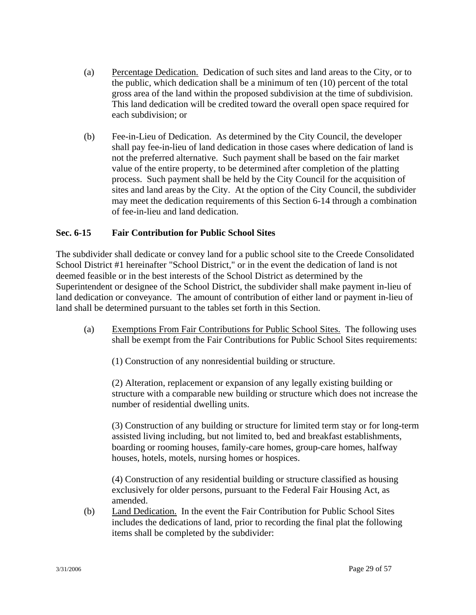- (a) Percentage Dedication. Dedication of such sites and land areas to the City, or to the public, which dedication shall be a minimum of ten (10) percent of the total gross area of the land within the proposed subdivision at the time of subdivision. This land dedication will be credited toward the overall open space required for each subdivision; or
- (b) Fee-in-Lieu of Dedication. As determined by the City Council, the developer shall pay fee-in-lieu of land dedication in those cases where dedication of land is not the preferred alternative. Such payment shall be based on the fair market value of the entire property, to be determined after completion of the platting process. Such payment shall be held by the City Council for the acquisition of sites and land areas by the City. At the option of the City Council, the subdivider may meet the dedication requirements of this Section 6-14 through a combination of fee-in-lieu and land dedication.

## **Sec. 6-15 Fair Contribution for Public School Sites**

The subdivider shall dedicate or convey land for a public school site to the Creede Consolidated School District #1 hereinafter "School District," or in the event the dedication of land is not deemed feasible or in the best interests of the School District as determined by the Superintendent or designee of the School District, the subdivider shall make payment in-lieu of land dedication or conveyance. The amount of contribution of either land or payment in-lieu of land shall be determined pursuant to the tables set forth in this Section.

(a) Exemptions From Fair Contributions for Public School Sites. The following uses shall be exempt from the Fair Contributions for Public School Sites requirements:

(1) Construction of any nonresidential building or structure.

 (2) Alteration, replacement or expansion of any legally existing building or structure with a comparable new building or structure which does not increase the number of residential dwelling units.

 (3) Construction of any building or structure for limited term stay or for long-term assisted living including, but not limited to, bed and breakfast establishments, boarding or rooming houses, family-care homes, group-care homes, halfway houses, hotels, motels, nursing homes or hospices.

 (4) Construction of any residential building or structure classified as housing exclusively for older persons, pursuant to the Federal Fair Housing Act, as amended.

(b) Land Dedication. In the event the Fair Contribution for Public School Sites includes the dedications of land, prior to recording the final plat the following items shall be completed by the subdivider: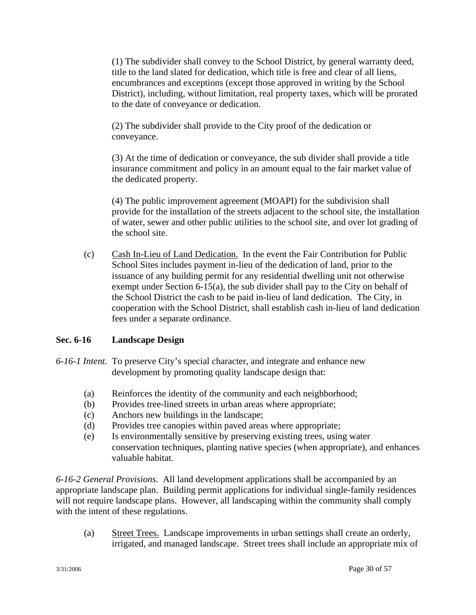(1) The subdivider shall convey to the School District, by general warranty deed, title to the land slated for dedication, which title is free and clear of all liens, encumbrances and exceptions (except those approved in writing by the School District), including, without limitation, real property taxes, which will be prorated to the date of conveyance or dedication.

 (2) The subdivider shall provide to the City proof of the dedication or conveyance.

 (3) At the time of dedication or conveyance, the sub divider shall provide a title insurance commitment and policy in an amount equal to the fair market value of the dedicated property.

 (4) The public improvement agreement (MOAPI) for the subdivision shall provide for the installation of the streets adjacent to the school site, the installation of water, sewer and other public utilities to the school site, and over lot grading of the school site.

(c) Cash In-Lieu of Land Dedication. In the event the Fair Contribution for Public School Sites includes payment in-lieu of the dedication of land, prior to the issuance of any building permit for any residential dwelling unit not otherwise exempt under Section 6-15(a), the sub divider shall pay to the City on behalf of the School District the cash to be paid in-lieu of land dedication. The City, in cooperation with the School District, shall establish cash in-lieu of land dedication fees under a separate ordinance.

## **Sec. 6-16 Landscape Design**

- *6-16-1 Intent.* To preserve City's special character, and integrate and enhance new development by promoting quality landscape design that:
	- (a) Reinforces the identity of the community and each neighborhood;
	- (b) Provides tree-lined streets in urban areas where appropriate;
	- (c) Anchors new buildings in the landscape;
	- (d) Provides tree canopies within paved areas where appropriate;
	- (e) Is environmentally sensitive by preserving existing trees, using water conservation techniques, planting native species (when appropriate), and enhances valuable habitat.

*6-16-2 General Provisions.* All land development applications shall be accompanied by an appropriate landscape plan. Building permit applications for individual single-family residences will not require landscape plans. However, all landscaping within the community shall comply with the intent of these regulations.

(a) Street Trees. Landscape improvements in urban settings shall create an orderly, irrigated, and managed landscape. Street trees shall include an appropriate mix of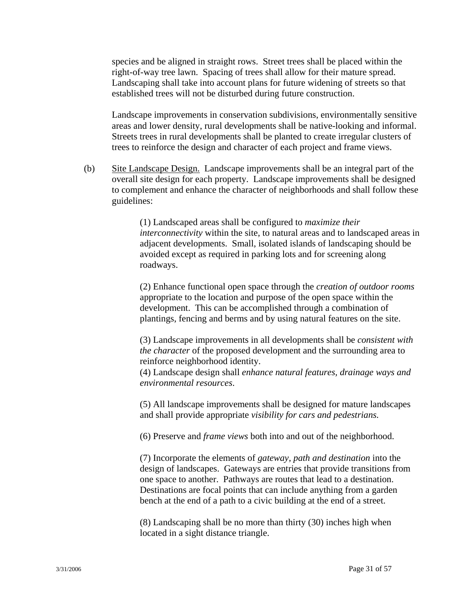species and be aligned in straight rows. Street trees shall be placed within the right-of-way tree lawn. Spacing of trees shall allow for their mature spread. Landscaping shall take into account plans for future widening of streets so that established trees will not be disturbed during future construction.

Landscape improvements in conservation subdivisions, environmentally sensitive areas and lower density, rural developments shall be native-looking and informal. Streets trees in rural developments shall be planted to create irregular clusters of trees to reinforce the design and character of each project and frame views.

(b) Site Landscape Design. Landscape improvements shall be an integral part of the overall site design for each property. Landscape improvements shall be designed to complement and enhance the character of neighborhoods and shall follow these guidelines:

> (1) Landscaped areas shall be configured to *maximize their interconnectivity* within the site, to natural areas and to landscaped areas in adjacent developments. Small, isolated islands of landscaping should be avoided except as required in parking lots and for screening along roadways.

 (2) Enhance functional open space through the *creation of outdoor rooms* appropriate to the location and purpose of the open space within the development. This can be accomplished through a combination of plantings, fencing and berms and by using natural features on the site.

 (3) Landscape improvements in all developments shall be *consistent with the character* of the proposed development and the surrounding area to reinforce neighborhood identity.

 (4) Landscape design shall *enhance natural features, drainage ways and environmental resources*.

 (5) All landscape improvements shall be designed for mature landscapes and shall provide appropriate *visibility for cars and pedestrians.*

(6) Preserve and *frame views* both into and out of the neighborhood.

(7) Incorporate the elements of *gateway, path and destination* into the design of landscapes. Gateways are entries that provide transitions from one space to another. Pathways are routes that lead to a destination. Destinations are focal points that can include anything from a garden bench at the end of a path to a civic building at the end of a street.

 (8) Landscaping shall be no more than thirty (30) inches high when located in a sight distance triangle.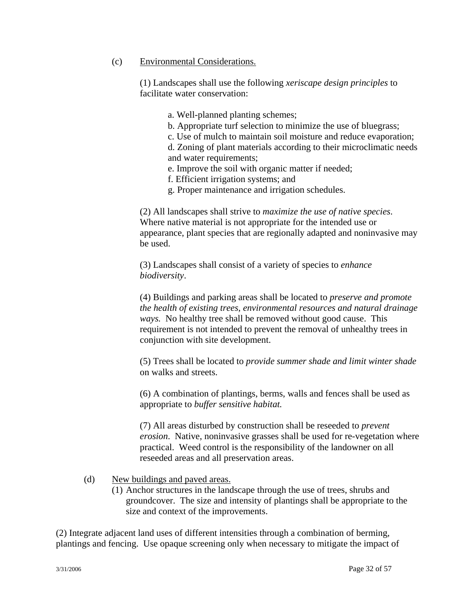### (c) Environmental Considerations.

 (1) Landscapes shall use the following *xeriscape design principles* to facilitate water conservation:

a. Well-planned planting schemes;

b. Appropriate turf selection to minimize the use of bluegrass;

 c. Use of mulch to maintain soil moisture and reduce evaporation; d. Zoning of plant materials according to their microclimatic needs

and water requirements;

e. Improve the soil with organic matter if needed;

f. Efficient irrigation systems; and

g. Proper maintenance and irrigation schedules.

(2) All landscapes shall strive to *maximize the use of native species*. Where native material is not appropriate for the intended use or appearance, plant species that are regionally adapted and noninvasive may be used.

 (3) Landscapes shall consist of a variety of species to *enhance biodiversity*.

 (4) Buildings and parking areas shall be located to *preserve and promote the health of existing trees, environmental resources and natural drainage ways.* No healthy tree shall be removed without good cause. This requirement is not intended to prevent the removal of unhealthy trees in conjunction with site development.

(5) Trees shall be located to *provide summer shade and limit winter shade* on walks and streets.

 (6) A combination of plantings, berms, walls and fences shall be used as appropriate to *buffer sensitive habitat.*

(7) All areas disturbed by construction shall be reseeded to *prevent erosion*. Native, noninvasive grasses shall be used for re-vegetation where practical. Weed control is the responsibility of the landowner on all reseeded areas and all preservation areas.

(d) New buildings and paved areas.

(1) Anchor structures in the landscape through the use of trees, shrubs and groundcover. The size and intensity of plantings shall be appropriate to the size and context of the improvements.

(2) Integrate adjacent land uses of different intensities through a combination of berming, plantings and fencing. Use opaque screening only when necessary to mitigate the impact of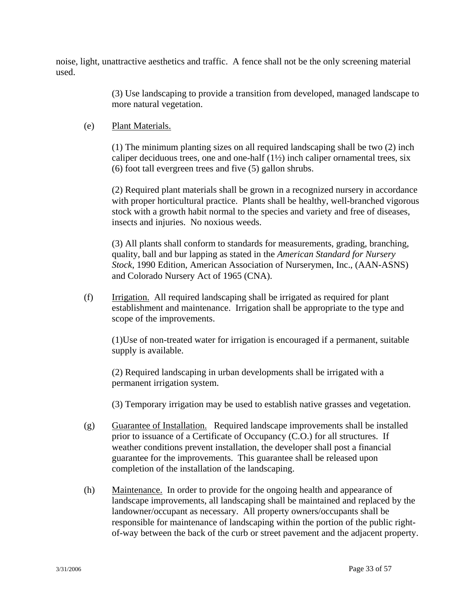noise, light, unattractive aesthetics and traffic. A fence shall not be the only screening material used.

> (3) Use landscaping to provide a transition from developed, managed landscape to more natural vegetation.

### (e) Plant Materials.

(1) The minimum planting sizes on all required landscaping shall be two (2) inch caliper deciduous trees, one and one-half  $(1\frac{1}{2})$  inch caliper ornamental trees, six (6) foot tall evergreen trees and five (5) gallon shrubs.

(2) Required plant materials shall be grown in a recognized nursery in accordance with proper horticultural practice. Plants shall be healthy, well-branched vigorous stock with a growth habit normal to the species and variety and free of diseases, insects and injuries. No noxious weeds.

(3) All plants shall conform to standards for measurements, grading, branching, quality, ball and bur lapping as stated in the *American Standard for Nursery Stock*, 1990 Edition, American Association of Nurserymen, Inc., (AAN-ASNS) and Colorado Nursery Act of 1965 (CNA).

(f) Irrigation. All required landscaping shall be irrigated as required for plant establishment and maintenance. Irrigation shall be appropriate to the type and scope of the improvements.

(1)Use of non-treated water for irrigation is encouraged if a permanent, suitable supply is available.

(2) Required landscaping in urban developments shall be irrigated with a permanent irrigation system.

(3) Temporary irrigation may be used to establish native grasses and vegetation.

- (g) Guarantee of Installation. Required landscape improvements shall be installed prior to issuance of a Certificate of Occupancy (C.O.) for all structures. If weather conditions prevent installation, the developer shall post a financial guarantee for the improvements. This guarantee shall be released upon completion of the installation of the landscaping.
- (h) Maintenance. In order to provide for the ongoing health and appearance of landscape improvements, all landscaping shall be maintained and replaced by the landowner/occupant as necessary. All property owners/occupants shall be responsible for maintenance of landscaping within the portion of the public right of-way between the back of the curb or street pavement and the adjacent property.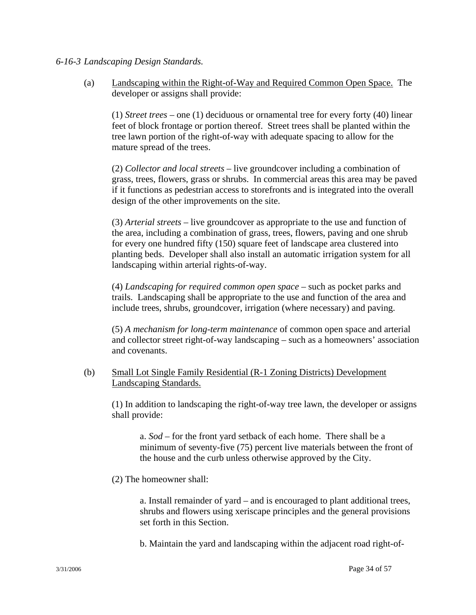#### *6-16-3 Landscaping Design Standards.*

(a) Landscaping within the Right-of-Way and Required Common Open Space.The developer or assigns shall provide:

(1) *Street trees* – one (1) deciduous or ornamental tree for every forty (40) linear feet of block frontage or portion thereof. Street trees shall be planted within the tree lawn portion of the right-of-way with adequate spacing to allow for the mature spread of the trees.

(2) *Collector and local streets* – live groundcover including a combination of grass, trees, flowers, grass or shrubs. In commercial areas this area may be paved if it functions as pedestrian access to storefronts and is integrated into the overall design of the other improvements on the site.

(3) *Arterial streets* – live groundcover as appropriate to the use and function of the area, including a combination of grass, trees, flowers, paving and one shrub for every one hundred fifty (150) square feet of landscape area clustered into planting beds. Developer shall also install an automatic irrigation system for all landscaping within arterial rights-of-way.

(4) *Landscaping for required common open space* – such as pocket parks and trails. Landscaping shall be appropriate to the use and function of the area and include trees, shrubs, groundcover, irrigation (where necessary) and paving.

(5) *A mechanism for long-term maintenance* of common open space and arterial and collector street right-of-way landscaping – such as a homeowners' association and covenants.

(b) Small Lot Single Family Residential (R-1 Zoning Districts) Development Landscaping Standards.

(1) In addition to landscaping the right-of-way tree lawn, the developer or assigns shall provide:

a. *Sod* – for the front yard setback of each home. There shall be a minimum of seventy-five (75) percent live materials between the front of the house and the curb unless otherwise approved by the City.

(2) The homeowner shall:

a. Install remainder of yard – and is encouraged to plant additional trees, shrubs and flowers using xeriscape principles and the general provisions set forth in this Section.

b. Maintain the yard and landscaping within the adjacent road right-of-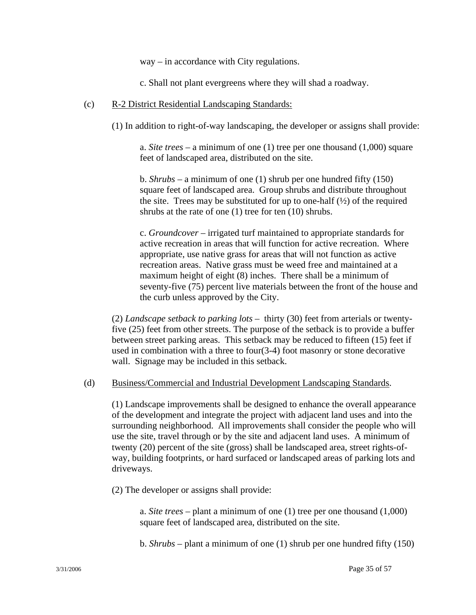way – in accordance with City regulations.

c. Shall not plant evergreens where they will shad a roadway.

### (c) R-2 District Residential Landscaping Standards:

(1) In addition to right-of-way landscaping, the developer or assigns shall provide:

a. *Site trees* – a minimum of one (1) tree per one thousand (1,000) square feet of landscaped area, distributed on the site.

b. *Shrubs* – a minimum of one (1) shrub per one hundred fifty (150) square feet of landscaped area. Group shrubs and distribute throughout the site. Trees may be substituted for up to one-half  $(\frac{1}{2})$  of the required shrubs at the rate of one (1) tree for ten (10) shrubs.

c. *Groundcover* – irrigated turf maintained to appropriate standards for active recreation in areas that will function for active recreation. Where appropriate, use native grass for areas that will not function as active recreation areas. Native grass must be weed free and maintained at a maximum height of eight (8) inches. There shall be a minimum of seventy-five (75) percent live materials between the front of the house and the curb unless approved by the City.

(2) *Landscape setback to parking lots* – thirty (30) feet from arterials or twentyfive (25) feet from other streets. The purpose of the setback is to provide a buffer between street parking areas. This setback may be reduced to fifteen (15) feet if used in combination with a three to four(3-4) foot masonry or stone decorative wall. Signage may be included in this setback.

### (d) Business/Commercial and Industrial Development Landscaping Standards.

(1) Landscape improvements shall be designed to enhance the overall appearance of the development and integrate the project with adjacent land uses and into the surrounding neighborhood. All improvements shall consider the people who will use the site, travel through or by the site and adjacent land uses. A minimum of twenty (20) percent of the site (gross) shall be landscaped area, street rights-ofway, building footprints, or hard surfaced or landscaped areas of parking lots and driveways.

(2) The developer or assigns shall provide:

a. *Site trees* – plant a minimum of one (1) tree per one thousand (1,000) square feet of landscaped area, distributed on the site.

b. *Shrubs –* plant a minimum of one (1) shrub per one hundred fifty (150)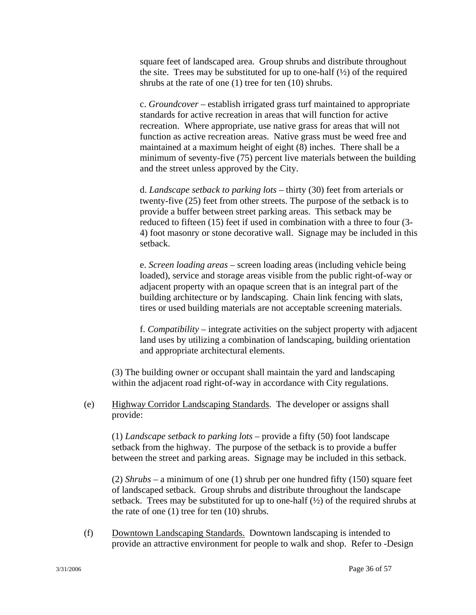square feet of landscaped area. Group shrubs and distribute throughout the site. Trees may be substituted for up to one-half  $(\frac{1}{2})$  of the required shrubs at the rate of one (1) tree for ten (10) shrubs.

c. *Groundcover* – establish irrigated grass turf maintained to appropriate standards for active recreation in areas that will function for active recreation. Where appropriate, use native grass for areas that will not function as active recreation areas. Native grass must be weed free and maintained at a maximum height of eight (8) inches. There shall be a minimum of seventy-five (75) percent live materials between the building and the street unless approved by the City.

d. *Landscape setback to parking lots* – thirty (30) feet from arterials or twenty-five (25) feet from other streets. The purpose of the setback is to provide a buffer between street parking areas. This setback may be reduced to fifteen (15) feet if used in combination with a three to four (3- 4) foot masonry or stone decorative wall. Signage may be included in this setback.

e. *Screen loading areas –* screen loading areas (including vehicle being loaded), service and storage areas visible from the public right-of-way or adjacent property with an opaque screen that is an integral part of the building architecture or by landscaping. Chain link fencing with slats, tires or used building materials are not acceptable screening materials.

f. *Compatibility* – integrate activities on the subject property with adjacent land uses by utilizing a combination of landscaping, building orientation and appropriate architectural elements.

(3) The building owner or occupant shall maintain the yard and landscaping within the adjacent road right-of-way in accordance with City regulations.

(e) Highwa*y* Corridor Landscaping Standards. The developer or assigns shall provide:

(1) *Landscape setback to parking lots* – provide a fifty (50) foot landscape setback from the highway. The purpose of the setback is to provide a buffer between the street and parking areas. Signage may be included in this setback.

(2) *Shrubs* – a minimum of one (1) shrub per one hundred fifty (150) square feet of landscaped setback. Group shrubs and distribute throughout the landscape setback. Trees may be substituted for up to one-half  $(\frac{1}{2})$  of the required shrubs at the rate of one (1) tree for ten (10) shrubs.

(f) Downtown Landscaping Standards. Downtown landscaping is intended to provide an attractive environment for people to walk and shop. Refer to *-*Design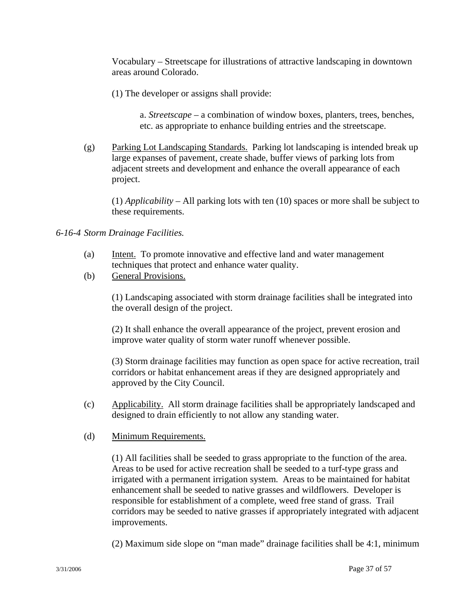Vocabulary – Streetscape for illustrations of attractive landscaping in downtown areas around Colorado.

(1) The developer or assigns shall provide:

a. *Streetscape* – a combination of window boxes, planters, trees, benches, etc. as appropriate to enhance building entries and the streetscape.

(g) Parking Lot Landscaping Standards. Parking lot landscaping is intended break up large expanses of pavement, create shade, buffer views of parking lots from adjacent streets and development and enhance the overall appearance of each project.

(1) *Applicability* – All parking lots with ten (10) spaces or more shall be subject to these requirements.

### *6-16-4 Storm Drainage Facilities.*

- (a) Intent. To promote innovative and effective land and water management techniques that protect and enhance water quality.
- (b) General Provisions.

(1) Landscaping associated with storm drainage facilities shall be integrated into the overall design of the project.

(2) It shall enhance the overall appearance of the project, prevent erosion and improve water quality of storm water runoff whenever possible.

(3) Storm drainage facilities may function as open space for active recreation, trail corridors or habitat enhancement areas if they are designed appropriately and approved by the City Council.

- (c) Applicability. All storm drainage facilities shall be appropriately landscaped and designed to drain efficiently to not allow any standing water.
- (d) Minimum Requirements.

(1) All facilities shall be seeded to grass appropriate to the function of the area. Areas to be used for active recreation shall be seeded to a turf-type grass and irrigated with a permanent irrigation system. Areas to be maintained for habitat enhancement shall be seeded to native grasses and wildflowers. Developer is responsible for establishment of a complete, weed free stand of grass. Trail corridors may be seeded to native grasses if appropriately integrated with adjacent improvements.

(2) Maximum side slope on "man made" drainage facilities shall be 4:1, minimum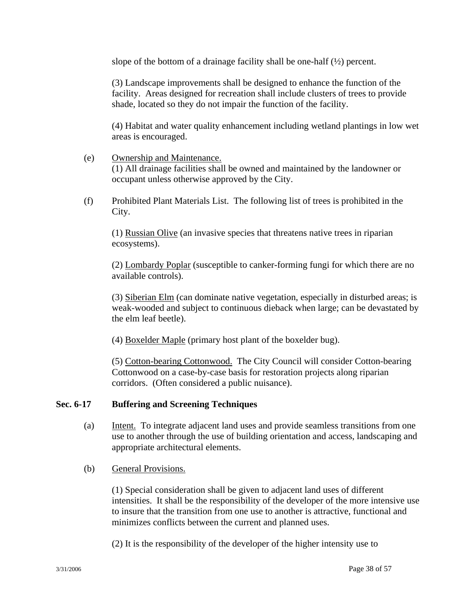slope of the bottom of a drainage facility shall be one-half  $(\frac{1}{2})$  percent.

(3) Landscape improvements shall be designed to enhance the function of the facility. Areas designed for recreation shall include clusters of trees to provide shade, located so they do not impair the function of the facility.

(4) Habitat and water quality enhancement including wetland plantings in low wet areas is encouraged.

- (e) Ownership and Maintenance. (1) All drainage facilities shall be owned and maintained by the landowner or occupant unless otherwise approved by the City.
- (f) Prohibited Plant Materials List. The following list of trees is prohibited in the City.

 (1) Russian Olive (an invasive species that threatens native trees in riparian ecosystems).

 (2) Lombardy Poplar (susceptible to canker-forming fungi for which there are no available controls).

 (3) Siberian Elm (can dominate native vegetation, especially in disturbed areas; is weak-wooded and subject to continuous dieback when large; can be devastated by the elm leaf beetle).

(4) Boxelder Maple (primary host plant of the boxelder bug).

 (5) Cotton-bearing Cottonwood. The City Council will consider Cotton-bearing Cottonwood on a case-by-case basis for restoration projects along riparian corridors. (Often considered a public nuisance).

### **Sec. 6-17 Buffering and Screening Techniques**

- (a) Intent. To integrate adjacent land uses and provide seamless transitions from one use to another through the use of building orientation and access, landscaping and appropriate architectural elements.
- (b) General Provisions.

 (1) Special consideration shall be given to adjacent land uses of different intensities. It shall be the responsibility of the developer of the more intensive use to insure that the transition from one use to another is attractive, functional and minimizes conflicts between the current and planned uses.

(2) It is the responsibility of the developer of the higher intensity use to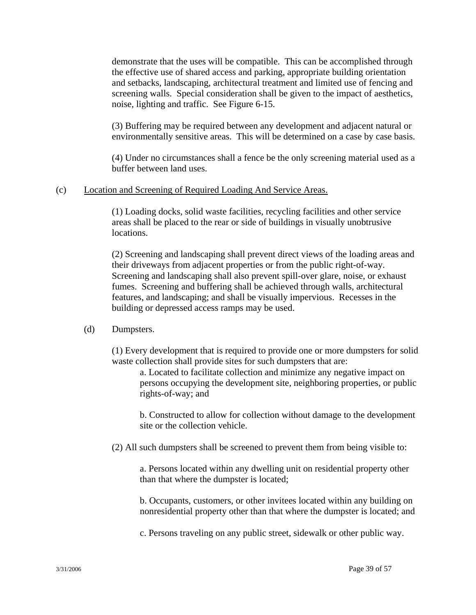demonstrate that the uses will be compatible. This can be accomplished through the effective use of shared access and parking, appropriate building orientation and setbacks, landscaping, architectural treatment and limited use of fencing and screening walls. Special consideration shall be given to the impact of aesthetics, noise, lighting and traffic. See Figure 6-15.

(3) Buffering may be required between any development and adjacent natural or environmentally sensitive areas. This will be determined on a case by case basis.

 (4) Under no circumstances shall a fence be the only screening material used as a buffer between land uses.

#### (c) Location and Screening of Required Loading And Service Areas.

 (1) Loading docks, solid waste facilities, recycling facilities and other service areas shall be placed to the rear or side of buildings in visually unobtrusive locations.

 (2) Screening and landscaping shall prevent direct views of the loading areas and their driveways from adjacent properties or from the public right-of-way. Screening and landscaping shall also prevent spill-over glare, noise, or exhaust fumes. Screening and buffering shall be achieved through walls, architectural features, and landscaping; and shall be visually impervious. Recesses in the building or depressed access ramps may be used.

#### (d) Dumpsters.

 (1) Every development that is required to provide one or more dumpsters for solid waste collection shall provide sites for such dumpsters that are:

 a. Located to facilitate collection and minimize any negative impact on persons occupying the development site, neighboring properties, or public rights-of-way; and

 b. Constructed to allow for collection without damage to the development site or the collection vehicle.

(2) All such dumpsters shall be screened to prevent them from being visible to:

 a. Persons located within any dwelling unit on residential property other than that where the dumpster is located;

 b. Occupants, customers, or other invitees located within any building on nonresidential property other than that where the dumpster is located; and

c. Persons traveling on any public street, sidewalk or other public way.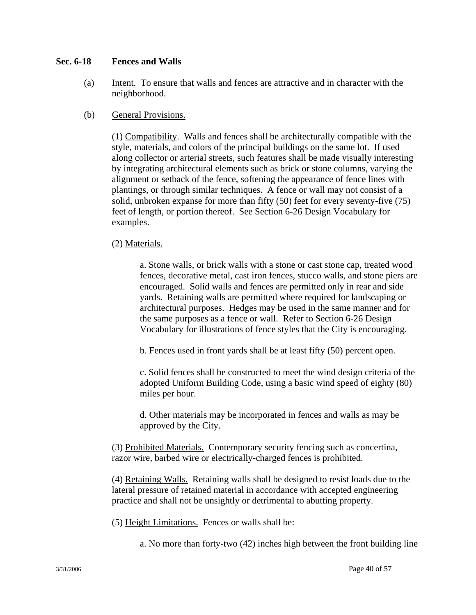### **Sec. 6-18 Fences and Walls**

- (a) Intent. To ensure that walls and fences are attractive and in character with the neighborhood.
- (b) General Provisions.

 (1) Compatibility. Walls and fences shall be architecturally compatible with the style, materials, and colors of the principal buildings on the same lot. If used along collector or arterial streets, such features shall be made visually interesting by integrating architectural elements such as brick or stone columns, varying the alignment or setback of the fence, softening the appearance of fence lines with plantings, or through similar techniques. A fence or wall may not consist of a solid, unbroken expanse for more than fifty (50) feet for every seventy-five (75) feet of length, or portion thereof. See Section 6-26 Design Vocabulary for examples.

### (2) Materials.

 a. Stone walls, or brick walls with a stone or cast stone cap, treated wood fences, decorative metal, cast iron fences, stucco walls, and stone piers are encouraged. Solid walls and fences are permitted only in rear and side yards. Retaining walls are permitted where required for landscaping or architectural purposes. Hedges may be used in the same manner and for the same purposes as a fence or wall. Refer to Section 6-26 Design Vocabulary for illustrations of fence styles that the City is encouraging.

b. Fences used in front yards shall be at least fifty (50) percent open.

c. Solid fences shall be constructed to meet the wind design criteria of the adopted Uniform Building Code, using a basic wind speed of eighty (80) miles per hour.

 d. Other materials may be incorporated in fences and walls as may be approved by the City.

(3) Prohibited Materials. Contemporary security fencing such as concertina, razor wire, barbed wire or electrically-charged fences is prohibited.

 (4) Retaining Walls. Retaining walls shall be designed to resist loads due to the lateral pressure of retained material in accordance with accepted engineering practice and shall not be unsightly or detrimental to abutting property.

(5) Height Limitations. Fences or walls shall be:

a. No more than forty-two (42) inches high between the front building line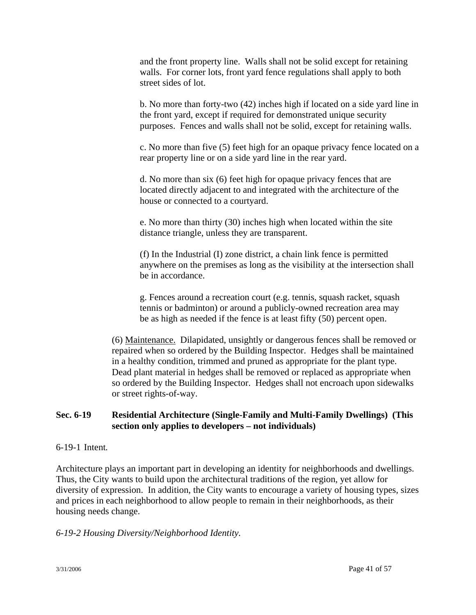and the front property line. Walls shall not be solid except for retaining walls. For corner lots, front yard fence regulations shall apply to both street sides of lot.

 b. No more than forty-two (42) inches high if located on a side yard line in the front yard, except if required for demonstrated unique security purposes. Fences and walls shall not be solid, except for retaining walls.

 c. No more than five (5) feet high for an opaque privacy fence located on a rear property line or on a side yard line in the rear yard.

 d. No more than six (6) feet high for opaque privacy fences that are located directly adjacent to and integrated with the architecture of the house or connected to a courtyard.

 e. No more than thirty (30) inches high when located within the site distance triangle, unless they are transparent.

(f) In the Industrial (I) zone district, a chain link fence is permitted anywhere on the premises as long as the visibility at the intersection shall be in accordance.

g. Fences around a recreation court (e.g. tennis, squash racket, squash tennis or badminton) or around a publicly-owned recreation area may be as high as needed if the fence is at least fifty (50) percent open.

(6) Maintenance. Dilapidated, unsightly or dangerous fences shall be removed or repaired when so ordered by the Building Inspector. Hedges shall be maintained in a healthy condition, trimmed and pruned as appropriate for the plant type. Dead plant material in hedges shall be removed or replaced as appropriate when so ordered by the Building Inspector. Hedges shall not encroach upon sidewalks or street rights-of-way.

## **Sec. 6-19 Residential Architecture (Single-Family and Multi-Family Dwellings) (This section only applies to developers – not individuals)**

### 6-19-1 Intent*.*

Architecture plays an important part in developing an identity for neighborhoods and dwellings. Thus, the City wants to build upon the architectural traditions of the region, yet allow for diversity of expression. In addition, the City wants to encourage a variety of housing types, sizes and prices in each neighborhood to allow people to remain in their neighborhoods, as their housing needs change.

## *6-19-2 Housing Diversity/Neighborhood Identity.*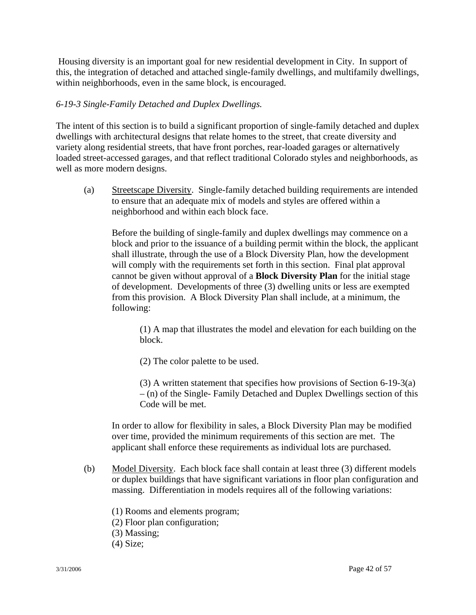Housing diversity is an important goal for new residential development in City. In support of this, the integration of detached and attached single-family dwellings, and multifamily dwellings, within neighborhoods, even in the same block, is encouraged.

### *6-19-3 Single-Family Detached and Duplex Dwellings.*

The intent of this section is to build a significant proportion of single-family detached and duplex dwellings with architectural designs that relate homes to the street, that create diversity and variety along residential streets, that have front porches, rear-loaded garages or alternatively loaded street-accessed garages, and that reflect traditional Colorado styles and neighborhoods, as well as more modern designs.

(a) Streetscape Diversity. Single-family detached building requirements are intended to ensure that an adequate mix of models and styles are offered within a neighborhood and within each block face.

Before the building of single-family and duplex dwellings may commence on a block and prior to the issuance of a building permit within the block, the applicant shall illustrate, through the use of a Block Diversity Plan, how the development will comply with the requirements set forth in this section. Final plat approval cannot be given without approval of a **Block Diversity Plan** for the initial stage of development. Developments of three (3) dwelling units or less are exempted from this provision. A Block Diversity Plan shall include, at a minimum, the following:

(1) A map that illustrates the model and elevation for each building on the block.

(2) The color palette to be used.

 (3) A written statement that specifies how provisions of Section 6-19-3(a) – (n) of the Single- Family Detached and Duplex Dwellings section of this Code will be met.

In order to allow for flexibility in sales, a Block Diversity Plan may be modified over time, provided the minimum requirements of this section are met. The applicant shall enforce these requirements as individual lots are purchased.

- (b) Model Diversity. Each block face shall contain at least three (3) different models or duplex buildings that have significant variations in floor plan configuration and massing. Differentiation in models requires all of the following variations:
	- (1) Rooms and elements program;
	- (2) Floor plan configuration;
	- (3) Massing;
	- (4) Size;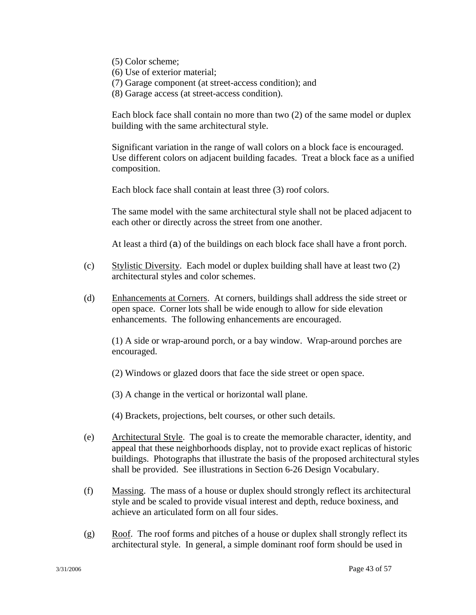- (5) Color scheme;
- (6) Use of exterior material;
- (7) Garage component (at street-access condition); and
- (8) Garage access (at street-access condition).

Each block face shall contain no more than two (2) of the same model or duplex building with the same architectural style.

Significant variation in the range of wall colors on a block face is encouraged. Use different colors on adjacent building facades. Treat a block face as a unified composition.

Each block face shall contain at least three (3) roof colors.

The same model with the same architectural style shall not be placed adjacent to each other or directly across the street from one another.

At least a third (a) of the buildings on each block face shall have a front porch.

- (c) Stylistic Diversity. Each model or duplex building shall have at least two (2) architectural styles and color schemes.
- (d) Enhancements at Corners. At corners, buildings shall address the side street or open space. Corner lots shall be wide enough to allow for side elevation enhancements. The following enhancements are encouraged.

(1) A side or wrap-around porch, or a bay window. Wrap-around porches are encouraged.

(2) Windows or glazed doors that face the side street or open space.

(3) A change in the vertical or horizontal wall plane.

(4) Brackets, projections, belt courses, or other such details.

- (e) Architectural Style. The goal is to create the memorable character, identity, and appeal that these neighborhoods display, not to provide exact replicas of historic buildings. Photographs that illustrate the basis of the proposed architectural styles shall be provided. See illustrations in Section 6-26 Design Vocabulary.
- (f) Massing. The mass of a house or duplex should strongly reflect its architectural style and be scaled to provide visual interest and depth, reduce boxiness, and achieve an articulated form on all four sides.
- $(g)$  Roof. The roof forms and pitches of a house or duplex shall strongly reflect its architectural style. In general, a simple dominant roof form should be used in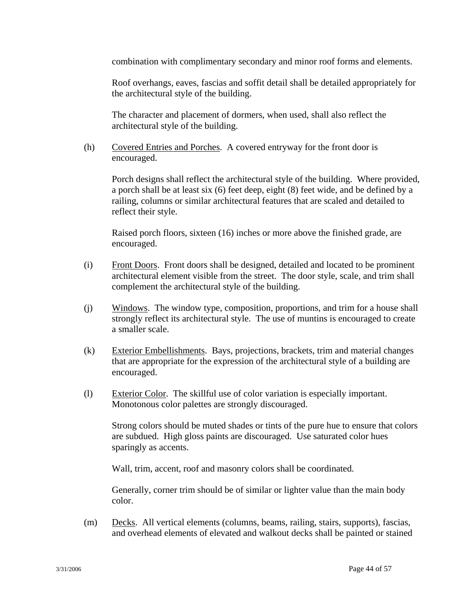combination with complimentary secondary and minor roof forms and elements.

Roof overhangs, eaves, fascias and soffit detail shall be detailed appropriately for the architectural style of the building.

The character and placement of dormers, when used, shall also reflect the architectural style of the building.

(h) Covered Entries and Porches. A covered entryway for the front door is encouraged.

Porch designs shall reflect the architectural style of the building. Where provided, a porch shall be at least six (6) feet deep, eight (8) feet wide, and be defined by a railing, columns or similar architectural features that are scaled and detailed to reflect their style.

Raised porch floors, sixteen (16) inches or more above the finished grade, are encouraged.

- (i) Front Doors. Front doors shall be designed, detailed and located to be prominent architectural element visible from the street. The door style, scale, and trim shall complement the architectural style of the building.
- (j) Windows. The window type, composition, proportions, and trim for a house shall strongly reflect its architectural style. The use of muntins is encouraged to create a smaller scale.
- (k) Exterior Embellishments. Bays, projections, brackets, trim and material changes that are appropriate for the expression of the architectural style of a building are encouraged.
- (l) Exterior Color. The skillful use of color variation is especially important. Monotonous color palettes are strongly discouraged.

Strong colors should be muted shades or tints of the pure hue to ensure that colors are subdued. High gloss paints are discouraged. Use saturated color hues sparingly as accents.

Wall, trim, accent, roof and masonry colors shall be coordinated.

Generally, corner trim should be of similar or lighter value than the main body color.

(m) Decks. All vertical elements (columns, beams, railing, stairs, supports), fascias, and overhead elements of elevated and walkout decks shall be painted or stained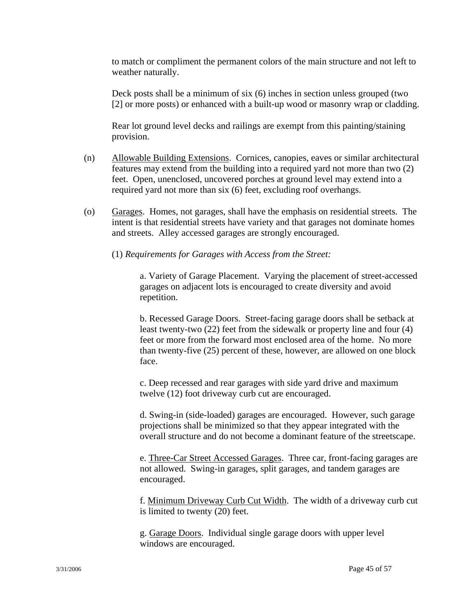to match or compliment the permanent colors of the main structure and not left to weather naturally.

Deck posts shall be a minimum of six (6) inches in section unless grouped (two [2] or more posts) or enhanced with a built-up wood or masonry wrap or cladding.

Rear lot ground level decks and railings are exempt from this painting/staining provision.

- (n) Allowable Building Extensions. Cornices, canopies, eaves or similar architectural features may extend from the building into a required yard not more than two (2) feet. Open, unenclosed, uncovered porches at ground level may extend into a required yard not more than six (6) feet, excluding roof overhangs.
- (o) Garages. Homes, not garages, shall have the emphasis on residential streets. The intent is that residential streets have variety and that garages not dominate homes and streets. Alley accessed garages are strongly encouraged.

(1) *Requirements for Garages with Access from the Street:*

 a. Variety of Garage Placement. Varying the placement of street-accessed garages on adjacent lots is encouraged to create diversity and avoid repetition.

b. Recessed Garage Doors. Street-facing garage doors shall be setback at least twenty-two (22) feet from the sidewalk or property line and four (4) feet or more from the forward most enclosed area of the home. No more than twenty-five (25) percent of these, however, are allowed on one block face.

c. Deep recessed and rear garages with side yard drive and maximum twelve (12) foot driveway curb cut are encouraged.

d. Swing-in (side-loaded) garages are encouraged. However, such garage projections shall be minimized so that they appear integrated with the overall structure and do not become a dominant feature of the streetscape.

e. Three-Car Street Accessed Garages. Three car, front-facing garages are not allowed. Swing-in garages, split garages, and tandem garages are encouraged.

f. Minimum Driveway Curb Cut Width. The width of a driveway curb cut is limited to twenty (20) feet.

g. Garage Doors. Individual single garage doors with upper level windows are encouraged.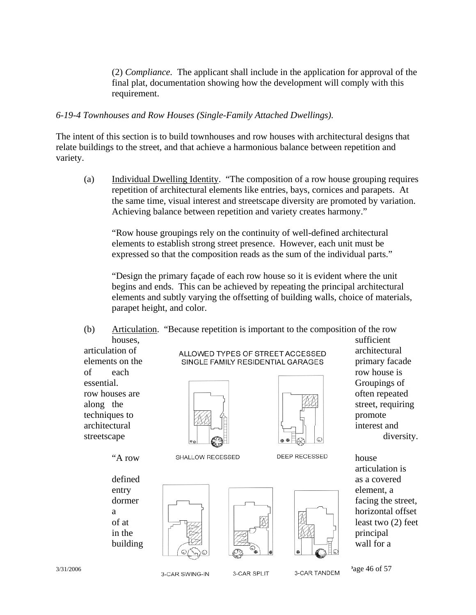(2) *Compliance.* The applicant shall include in the application for approval of the final plat, documentation showing how the development will comply with this requirement.

### *6-19-4 Townhouses and Row Houses (Single-Family Attached Dwellings).*

The intent of this section is to build townhouses and row houses with architectural designs that relate buildings to the street, and that achieve a harmonious balance between repetition and variety.

(a) Individual Dwelling Identity. "The composition of a row house grouping requires repetition of architectural elements like entries, bays, cornices and parapets. At the same time, visual interest and streetscape diversity are promoted by variation. Achieving balance between repetition and variety creates harmony."

"Row house groupings rely on the continuity of well-defined architectural elements to establish strong street presence. However, each unit must be expressed so that the composition reads as the sum of the individual parts."

"Design the primary façade of each row house so it is evident where the unit begins and ends. This can be achieved by repeating the principal architectural elements and subtly varying the offsetting of building walls, choice of materials, parapet height, and color.

(b) Articulation. "Because repetition is important to the composition of the row houses, sufficient

of each row house is essential. Groupings of the contract of the contract of the Groupings of Groupings of Groupings of Groupings of  $\sim$ row houses are  $\sqrt{1-\frac{1}{\sqrt{2}} \sqrt{2}}$  often repeated techniques to  $\begin{bmatrix} \sqrt{2} & 4 \end{bmatrix}$   $\begin{bmatrix} 1 & 1 \end{bmatrix}$  promote architectural  $\mathbb{R}^2$  interest and

articulation of  $ALLOWED$  TYPES OF STREET ACCESSED architectural elements on the **primary SINGLE FAMILY RESIDENTIAL GARAGES primary facade** 





along the street, requiring streetscape  $|| \cdot ||_{\infty}$  diversity.

"A row SHALLOW RECESSED DEEP RECESSED house







articulation is  $\frac{1}{2}$  dormer  $\frac{1}{2}$   $\frac{1}{2}$   $\frac{1}{2}$   $\frac{1}{2}$  facing the street, a horizontal offset of at  $\left|\frac{1}{\sqrt{2}}\right|$   $\left|\frac{1}{\sqrt{2}}\right|$   $\left|\frac{1}{\sqrt{2}}\right|$   $\left|\frac{1}{\sqrt{2}}\right|$   $\left|\frac{1}{\sqrt{2}}\right|$   $\left|\frac{1}{\sqrt{2}}\right|$   $\left|\frac{1}{\sqrt{2}}\right|$   $\left|\frac{1}{\sqrt{2}}\right|$   $\left|\frac{1}{\sqrt{2}}\right|$   $\left|\frac{1}{\sqrt{2}}\right|$   $\left|\frac{1}{\sqrt{2}}\right|$   $\left|\frac{1}{\sqrt{2}}\right|$ 

 $3/31/2006$   $3$ -CAR SWING-IN  $3$ -CAR SPLIT  $3$ -CAR TANDEM  $3$ -CAR TANDEM  $3$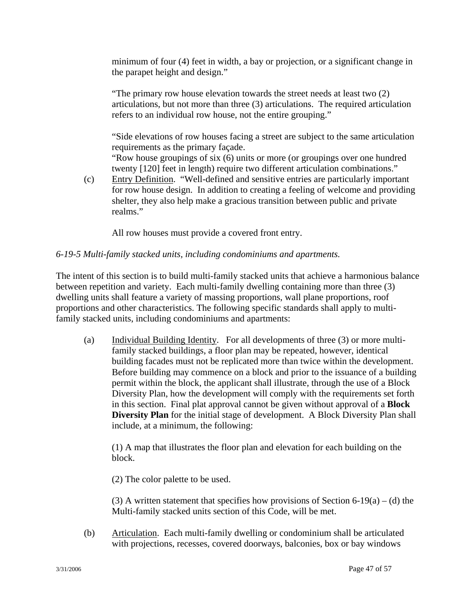minimum of four (4) feet in width, a bay or projection, or a significant change in the parapet height and design."

"The primary row house elevation towards the street needs at least two (2) articulations, but not more than three (3) articulations. The required articulation refers to an individual row house, not the entire grouping."

"Side elevations of row houses facing a street are subject to the same articulation requirements as the primary façade.

"Row house groupings of six (6) units or more (or groupings over one hundred twenty [120] feet in length) require two different articulation combinations."

(c) Entry Definition. "Well-defined and sensitive entries are particularly important for row house design. In addition to creating a feeling of welcome and providing shelter, they also help make a gracious transition between public and private realms."

All row houses must provide a covered front entry.

## *6-19-5 Multi-family stacked units, including condominiums and apartments.*

The intent of this section is to build multi-family stacked units that achieve a harmonious balance between repetition and variety. Each multi-family dwelling containing more than three (3) dwelling units shall feature a variety of massing proportions, wall plane proportions, roof proportions and other characteristics. The following specific standards shall apply to multifamily stacked units, including condominiums and apartments:

(a) Individual Building Identity. For all developments of three (3) or more multi family stacked buildings, a floor plan may be repeated, however, identical building facades must not be replicated more than twice within the development. Before building may commence on a block and prior to the issuance of a building permit within the block, the applicant shall illustrate, through the use of a Block Diversity Plan, how the development will comply with the requirements set forth in this section. Final plat approval cannot be given without approval of a **Block Diversity Plan** for the initial stage of development. A Block Diversity Plan shall include, at a minimum, the following:

 (1) A map that illustrates the floor plan and elevation for each building on the block.

(2) The color palette to be used.

(3) A written statement that specifies how provisions of Section 6-19(a) – (d) the Multi-family stacked units section of this Code, will be met.

(b) Articulation. Each multi-family dwelling or condominium shall be articulated with projections, recesses, covered doorways, balconies, box or bay windows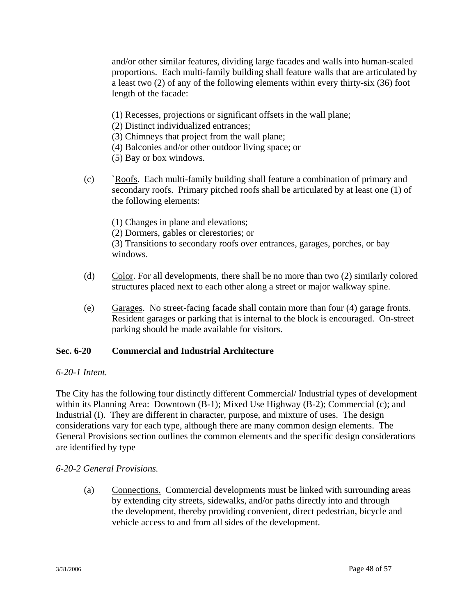and/or other similar features, dividing large facades and walls into human-scaled proportions. Each multi-family building shall feature walls that are articulated by a least two (2) of any of the following elements within every thirty-six (36) foot length of the facade:

- (1) Recesses, projections or significant offsets in the wall plane;
- (2) Distinct individualized entrances;
- (3) Chimneys that project from the wall plane;
- (4) Balconies and/or other outdoor living space; or
- (5) Bay or box windows.
- (c) `Roofs. Each multi-family building shall feature a combination of primary and secondary roofs. Primary pitched roofs shall be articulated by at least one (1) of the following elements:
	- (1) Changes in plane and elevations; (2) Dormers, gables or clerestories; or (3) Transitions to secondary roofs over entrances, garages, porches, or bay windows.
- (d) Color. For all developments, there shall be no more than two (2) similarly colored structures placed next to each other along a street or major walkway spine.
- (e) Garages. No street-facing facade shall contain more than four (4) garage fronts. Resident garages or parking that is internal to the block is encouraged. On-street parking should be made available for visitors.

## **Sec. 6-20 Commercial and Industrial Architecture**

### *6-20-1 Intent.*

The City has the following four distinctly different Commercial/ Industrial types of development within its Planning Area: Downtown (B-1); Mixed Use Highway (B-2); Commercial (c); and Industrial (I). They are different in character, purpose, and mixture of uses. The design considerations vary for each type, although there are many common design elements. The General Provisions section outlines the common elements and the specific design considerations are identified by type

## *6-20-2 General Provisions.*

 (a) Connections. Commercial developments must be linked with surrounding areas by extending city streets, sidewalks, and/or paths directly into and through the development, thereby providing convenient, direct pedestrian, bicycle and vehicle access to and from all sides of the development.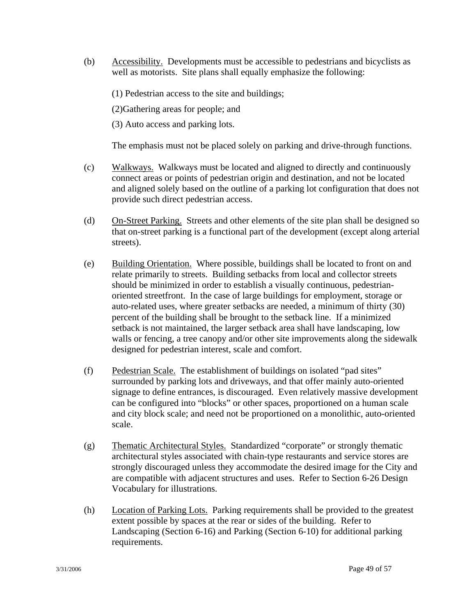- (b) Accessibility. Developments must be accessible to pedestrians and bicyclists as well as motorists. Site plans shall equally emphasize the following:
	- (1) Pedestrian access to the site and buildings;
	- (2)Gathering areas for people; and
	- (3) Auto access and parking lots.

The emphasis must not be placed solely on parking and drive-through functions.

- (c) Walkways. Walkways must be located and aligned to directly and continuously connect areas or points of pedestrian origin and destination, and not be located and aligned solely based on the outline of a parking lot configuration that does not provide such direct pedestrian access.
- (d) On-Street Parking. Streets and other elements of the site plan shall be designed so that on-street parking is a functional part of the development (except along arterial streets).
- (e) Building Orientation. Where possible, buildings shall be located to front on and relate primarily to streets. Building setbacks from local and collector streets should be minimized in order to establish a visually continuous, pedestrian oriented streetfront. In the case of large buildings for employment, storage or auto-related uses, where greater setbacks are needed, a minimum of thirty (30) percent of the building shall be brought to the setback line. If a minimized setback is not maintained, the larger setback area shall have landscaping, low walls or fencing, a tree canopy and/or other site improvements along the sidewalk designed for pedestrian interest, scale and comfort.
- (f) Pedestrian Scale. The establishment of buildings on isolated "pad sites" surrounded by parking lots and driveways, and that offer mainly auto-oriented signage to define entrances, is discouraged. Even relatively massive development can be configured into "blocks" or other spaces, proportioned on a human scale and city block scale; and need not be proportioned on a monolithic, auto-oriented scale.
- (g) Thematic Architectural Styles. Standardized "corporate" or strongly thematic architectural styles associated with chain-type restaurants and service stores are strongly discouraged unless they accommodate the desired image for the City and are compatible with adjacent structures and uses. Refer to Section 6-26 Design Vocabulary for illustrations.
- (h) Location of Parking Lots. Parking requirements shall be provided to the greatest extent possible by spaces at the rear or sides of the building. Refer to Landscaping (Section 6-16) and Parking (Section 6-10) for additional parking requirements.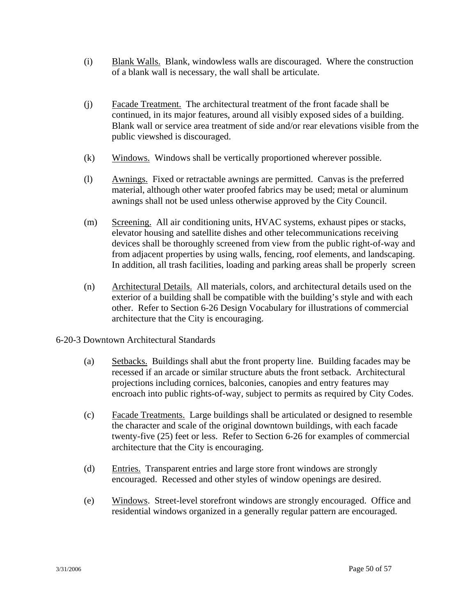- (i) Blank Walls. Blank, windowless walls are discouraged. Where the construction of a blank wall is necessary, the wall shall be articulate.
- (j) Facade Treatment. The architectural treatment of the front facade shall be continued, in its major features, around all visibly exposed sides of a building. Blank wall or service area treatment of side and/or rear elevations visible from the public viewshed is discouraged.
- (k) Windows. Windows shall be vertically proportioned wherever possible.
- (l) Awnings. Fixed or retractable awnings are permitted. Canvas is the preferred material, although other water proofed fabrics may be used; metal or aluminum awnings shall not be used unless otherwise approved by the City Council.
- (m) Screening. All air conditioning units, HVAC systems, exhaust pipes or stacks, elevator housing and satellite dishes and other telecommunications receiving devices shall be thoroughly screened from view from the public right-of-way and from adjacent properties by using walls, fencing, roof elements, and landscaping. In addition, all trash facilities, loading and parking areas shall be properly screen
- (n) Architectural Details. All materials, colors, and architectural details used on the exterior of a building shall be compatible with the building's style and with each other. Refer to Section 6-26 Design Vocabulary for illustrations of commercial architecture that the City is encouraging.
- 6-20-3 Downtown Architectural Standards
	- (a) Setbacks. Buildings shall abut the front property line. Building facades may be recessed if an arcade or similar structure abuts the front setback. Architectural projections including cornices, balconies, canopies and entry features may encroach into public rights-of-way, subject to permits as required by City Codes.
	- (c) Facade Treatments. Large buildings shall be articulated or designed to resemble the character and scale of the original downtown buildings, with each facade twenty-five (25) feet or less. Refer to Section 6-26 for examples of commercial architecture that the City is encouraging.
	- (d) Entries. Transparent entries and large store front windows are strongly encouraged. Recessed and other styles of window openings are desired.
	- (e) Windows. Street-level storefront windows are strongly encouraged. Office and residential windows organized in a generally regular pattern are encouraged.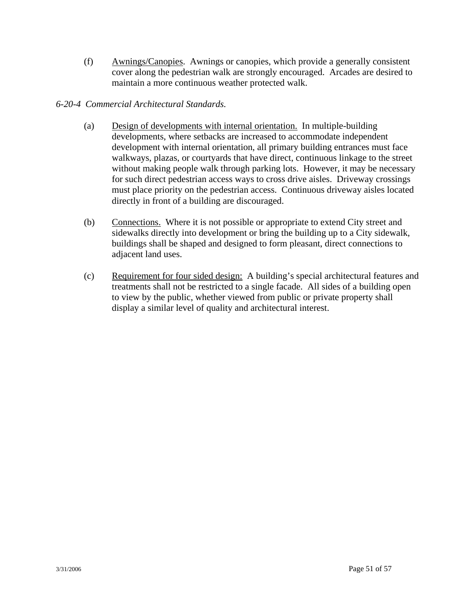(f) Awnings/Canopies. Awnings or canopies, which provide a generally consistent cover along the pedestrian walk are strongly encouraged. Arcades are desired to maintain a more continuous weather protected walk.

## *6-20-4 Commercial Architectural Standards.*

- (a) Design of developments with internal orientation. In multiple-building developments, where setbacks are increased to accommodate independent development with internal orientation, all primary building entrances must face walkways, plazas, or courtyards that have direct, continuous linkage to the street without making people walk through parking lots. However, it may be necessary for such direct pedestrian access ways to cross drive aisles. Driveway crossings must place priority on the pedestrian access. Continuous driveway aisles located directly in front of a building are discouraged.
- (b) Connections. Where it is not possible or appropriate to extend City street and sidewalks directly into development or bring the building up to a City sidewalk, buildings shall be shaped and designed to form pleasant, direct connections to adjacent land uses.
- (c) Requirement for four sided design: A building's special architectural features and treatments shall not be restricted to a single facade. All sides of a building open to view by the public, whether viewed from public or private property shall display a similar level of quality and architectural interest.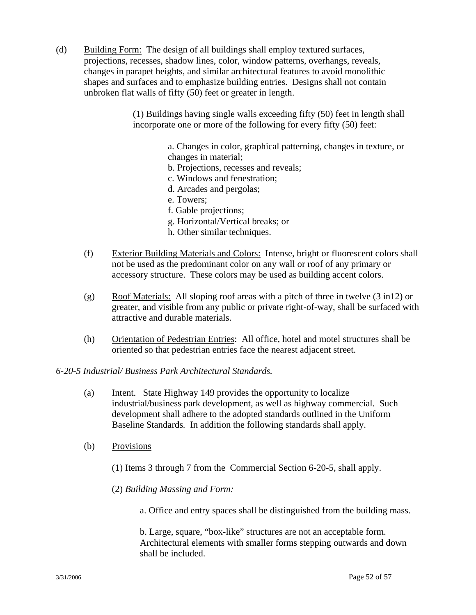(d) Building Form: The design of all buildings shall employ textured surfaces, projections, recesses, shadow lines, color, window patterns, overhangs, reveals, changes in parapet heights, and similar architectural features to avoid monolithic shapes and surfaces and to emphasize building entries. Designs shall not contain unbroken flat walls of fifty (50) feet or greater in length.

> (1) Buildings having single walls exceeding fifty (50) feet in length shall incorporate one or more of the following for every fifty (50) feet:

> > a. Changes in color, graphical patterning, changes in texture, or changes in material;

- b. Projections, recesses and reveals;
- c. Windows and fenestration;
- d. Arcades and pergolas;
- e. Towers;
- f. Gable projections;
- g. Horizontal/Vertical breaks; or
- h. Other similar techniques.
- (f) Exterior Building Materials and Colors: Intense, bright or fluorescent colors shall not be used as the predominant color on any wall or roof of any primary or accessory structure. These colors may be used as building accent colors.
- (g) Roof Materials: All sloping roof areas with a pitch of three in twelve (3 in12) or greater, and visible from any public or private right-of-way, shall be surfaced with attractive and durable materials.
- (h) Orientation of Pedestrian Entries: All office, hotel and motel structures shall be oriented so that pedestrian entries face the nearest adjacent street.

### *6-20-5 Industrial/ Business Park Architectural Standards.*

- (a) Intent. State Highway 149 provides the opportunity to localize industrial/business park development, as well as highway commercial. Such development shall adhere to the adopted standards outlined in the Uniform Baseline Standards*.* In addition the following standards shall apply.
- (b) Provisions
	- (1) Items 3 through 7 from the Commercial Section 6-20-5, shall apply.

(2) *Building Massing and Form:*

a. Office and entry spaces shall be distinguished from the building mass.

 b. Large, square, "box-like" structures are not an acceptable form. Architectural elements with smaller forms stepping outwards and down shall be included.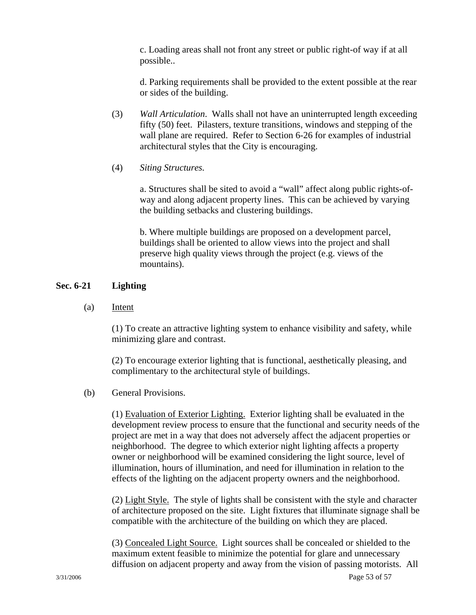c. Loading areas shall not front any street or public right-of way if at all possible..

 d. Parking requirements shall be provided to the extent possible at the rear or sides of the building.

- (3) *Wall Articulation*. Walls shall not have an uninterrupted length exceeding fifty (50) feet. Pilasters, texture transitions, windows and stepping of the wall plane are required. Refer to Section 6-26 for examples of industrial architectural styles that the City is encouraging.
- (4) *Siting Structures.*

a. Structures shall be sited to avoid a "wall" affect along public rights-ofway and along adjacent property lines. This can be achieved by varying the building setbacks and clustering buildings.

b. Where multiple buildings are proposed on a development parcel, buildings shall be oriented to allow views into the project and shall preserve high quality views through the project (e.g. views of the mountains).

### **Sec. 6-21 Lighting**

(a) Intent

 (1) To create an attractive lighting system to enhance visibility and safety, while minimizing glare and contrast.

 (2) To encourage exterior lighting that is functional, aesthetically pleasing, and complimentary to the architectural style of buildings.

### (b) General Provisions.

 (1) Evaluation of Exterior Lighting. Exterior lighting shall be evaluated in the development review process to ensure that the functional and security needs of the project are met in a way that does not adversely affect the adjacent properties or neighborhood. The degree to which exterior night lighting affects a property owner or neighborhood will be examined considering the light source, level of illumination, hours of illumination, and need for illumination in relation to the effects of the lighting on the adjacent property owners and the neighborhood.

 (2) Light Style. The style of lights shall be consistent with the style and character of architecture proposed on the site. Light fixtures that illuminate signage shall be compatible with the architecture of the building on which they are placed.

 (3) Concealed Light Source. Light sources shall be concealed or shielded to the maximum extent feasible to minimize the potential for glare and unnecessary diffusion on adjacent property and away from the vision of passing motorists. All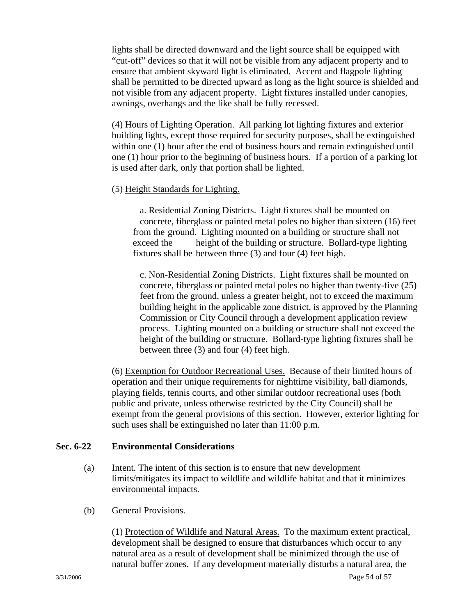lights shall be directed downward and the light source shall be equipped with "cut-off" devices so that it will not be visible from any adjacent property and to ensure that ambient skyward light is eliminated. Accent and flagpole lighting shall be permitted to be directed upward as long as the light source is shielded and not visible from any adjacent property. Light fixtures installed under canopies, awnings, overhangs and the like shall be fully recessed.

(4) Hours of Lighting Operation. All parking lot lighting fixtures and exterior building lights, except those required for security purposes, shall be extinguished within one (1) hour after the end of business hours and remain extinguished until one (1) hour prior to the beginning of business hours. If a portion of a parking lot is used after dark, only that portion shall be lighted.

### (5) Height Standards for Lighting.

 a. Residential Zoning Districts. Light fixtures shall be mounted on concrete, fiberglass or painted metal poles no higher than sixteen (16) feet from the ground. Lighting mounted on a building or structure shall not exceed the height of the building or structure. Bollard-type lighting fixtures shall be between three (3) and four (4) feet high.

c. Non-Residential Zoning Districts. Light fixtures shall be mounted on concrete, fiberglass or painted metal poles no higher than twenty-five (25) feet from the ground, unless a greater height, not to exceed the maximum building height in the applicable zone district, is approved by the Planning Commission or City Council through a development application review process. Lighting mounted on a building or structure shall not exceed the height of the building or structure. Bollard-type lighting fixtures shall be between three (3) and four (4) feet high.

(6) Exemption for Outdoor Recreational Uses. Because of their limited hours of operation and their unique requirements for nighttime visibility, ball diamonds, playing fields, tennis courts, and other similar outdoor recreational uses (both public and private, unless otherwise restricted by the City Council) shall be exempt from the general provisions of this section. However, exterior lighting for such uses shall be extinguished no later than 11:00 p.m.

## **Sec. 6-22 Environmental Considerations**

- (a) Intent. The intent of this section is to ensure that new development limits/mitigates its impact to wildlife and wildlife habitat and that it minimizes environmental impacts.
- (b) General Provisions.

 (1) Protection of Wildlife and Natural Areas. To the maximum extent practical, development shall be designed to ensure that disturbances which occur to any natural area as a result of development shall be minimized through the use of natural buffer zones. If any development materially disturbs a natural area, the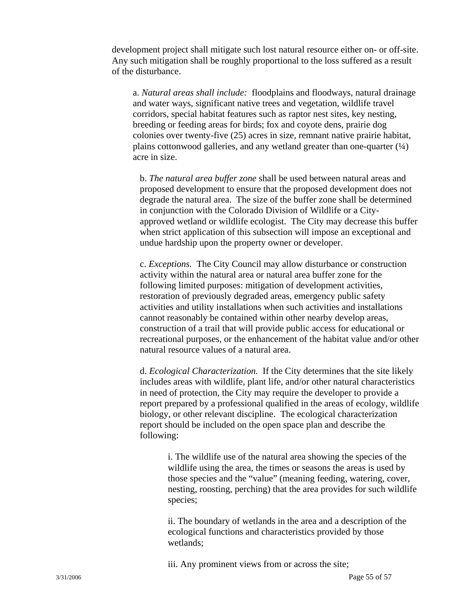development project shall mitigate such lost natural resource either on- or off-site. Any such mitigation shall be roughly proportional to the loss suffered as a result of the disturbance.

a. *Natural areas shall include:* floodplains and floodways, natural drainage and water ways, significant native trees and vegetation, wildlife travel corridors, special habitat features such as raptor nest sites, key nesting, breeding or feeding areas for birds; fox and coyote dens, prairie dog colonies over twenty-five (25) acres in size, remnant native prairie habitat, plains cottonwood galleries, and any wetland greater than one-quarter  $(\frac{1}{4})$ acre in size.

b. *The natural area buffer zone* shall be used between natural areas and proposed development to ensure that the proposed development does not degrade the natural area. The size of the buffer zone shall be determined in conjunction with the Colorado Division of Wildlife or a City approved wetland or wildlife ecologist. The City may decrease this buffer when strict application of this subsection will impose an exceptional and undue hardship upon the property owner or developer.

 c. *Exceptions.* The City Council may allow disturbance or construction activity within the natural area or natural area buffer zone for the following limited purposes: mitigation of development activities, restoration of previously degraded areas, emergency public safety activities and utility installations when such activities and installations cannot reasonably be contained within other nearby develop areas, construction of a trail that will provide public access for educational or recreational purposes, or the enhancement of the habitat value and/or other natural resource values of a natural area.

 d. *Ecological Characterization.* If the City determines that the site likely includes areas with wildlife, plant life, and/or other natural characteristics in need of protection, the City may require the developer to provide a report prepared by a professional qualified in the areas of ecology, wildlife biology, or other relevant discipline. The ecological characterization report should be included on the open space plan and describe the following:

i. The wildlife use of the natural area showing the species of the wildlife using the area, the times or seasons the areas is used by those species and the "value" (meaning feeding, watering, cover, nesting, roosting, perching) that the area provides for such wildlife species;

 ii. The boundary of wetlands in the area and a description of the ecological functions and characteristics provided by those wetlands;

iii. Any prominent views from or across the site;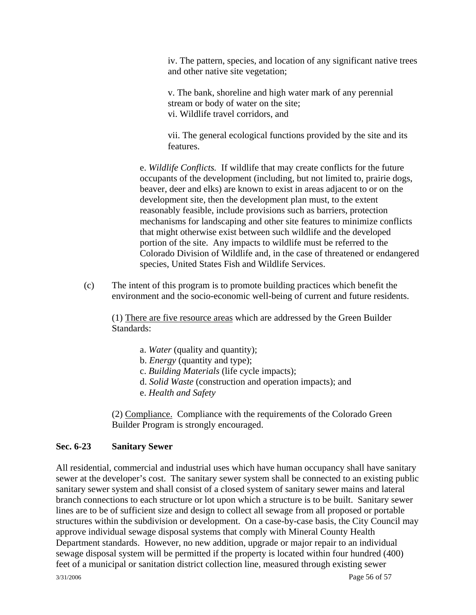iv. The pattern, species, and location of any significant native trees and other native site vegetation;

 v. The bank, shoreline and high water mark of any perennial stream or body of water on the site; vi. Wildlife travel corridors, and

 vii. The general ecological functions provided by the site and its features.

e. *Wildlife Conflicts.* If wildlife that may create conflicts for the future occupants of the development (including, but not limited to, prairie dogs, beaver, deer and elks) are known to exist in areas adjacent to or on the development site, then the development plan must, to the extent reasonably feasible, include provisions such as barriers, protection mechanisms for landscaping and other site features to minimize conflicts that might otherwise exist between such wildlife and the developed portion of the site. Any impacts to wildlife must be referred to the Colorado Division of Wildlife and, in the case of threatened or endangered species, United States Fish and Wildlife Services.

(c) The intent of this program is to promote building practices which benefit the environment and the socio-economic well-being of current and future residents.

 (1) There are five resource areas which are addressed by the Green Builder Standards:

- a. *Water* (quality and quantity);
- b. *Energy* (quantity and type);
- c. *Building Materials* (life cycle impacts);
- d. *Solid Waste* (construction and operation impacts); and
- e. *Health and Safety*

 (2) Compliance. Compliance with the requirements of the Colorado Green Builder Program is strongly encouraged.

### **Sec. 6-23 Sanitary Sewer**

3/31/2006 Page 56 of 57 All residential, commercial and industrial uses which have human occupancy shall have sanitary sewer at the developer's cost. The sanitary sewer system shall be connected to an existing public sanitary sewer system and shall consist of a closed system of sanitary sewer mains and lateral branch connections to each structure or lot upon which a structure is to be built. Sanitary sewer lines are to be of sufficient size and design to collect all sewage from all proposed or portable structures within the subdivision or development. On a case-by-case basis, the City Council may approve individual sewage disposal systems that comply with Mineral County Health Department standards. However, no new addition, upgrade or major repair to an individual sewage disposal system will be permitted if the property is located within four hundred (400) feet of a municipal or sanitation district collection line, measured through existing sewer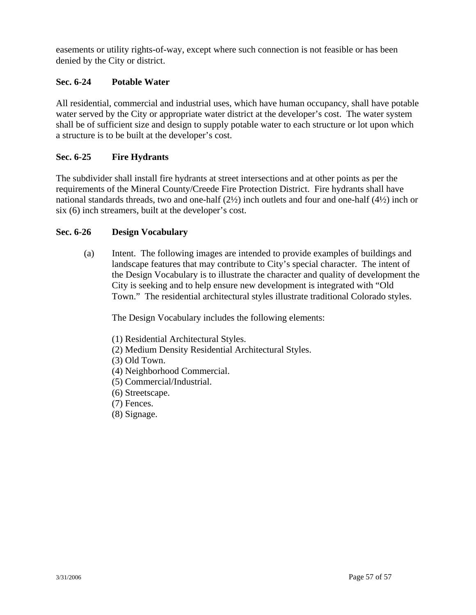easements or utility rights-of-way, except where such connection is not feasible or has been denied by the City or district.

## **Sec. 6-24 Potable Water**

All residential, commercial and industrial uses, which have human occupancy, shall have potable water served by the City or appropriate water district at the developer's cost. The water system shall be of sufficient size and design to supply potable water to each structure or lot upon which a structure is to be built at the developer's cost.

## **Sec. 6-25 Fire Hydrants**

The subdivider shall install fire hydrants at street intersections and at other points as per the requirements of the Mineral County/Creede Fire Protection District. Fire hydrants shall have national standards threads, two and one-half (2½) inch outlets and four and one-half (4½) inch or six (6) inch streamers, built at the developer's cost.

## **Sec. 6-26 Design Vocabulary**

(a) Intent. The following images are intended to provide examples of buildings and landscape features that may contribute to City's special character. The intent of the Design Vocabulary is to illustrate the character and quality of development the City is seeking and to help ensure new development is integrated with "Old Town." The residential architectural styles illustrate traditional Colorado styles.

The Design Vocabulary includes the following elements:

- (1) Residential Architectural Styles.
- (2) Medium Density Residential Architectural Styles.
- (3) Old Town.
- (4) Neighborhood Commercial.
- (5) Commercial/Industrial.
- (6) Streetscape.
- (7) Fences.
- (8) Signage.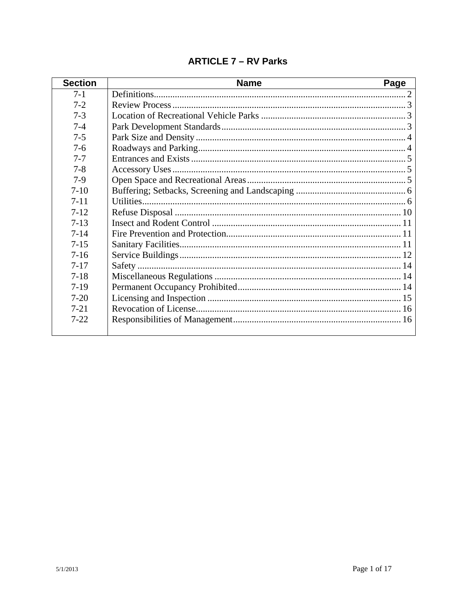| <b>Section</b> | <b>Name</b> | Page |
|----------------|-------------|------|
| $7-1$          |             |      |
| $7 - 2$        |             |      |
| $7 - 3$        |             |      |
| $7-4$          |             |      |
| $7 - 5$        |             |      |
| $7 - 6$        |             |      |
| $7 - 7$        |             |      |
| $7 - 8$        |             |      |
| $7-9$          |             |      |
| $7-10$         |             |      |
| $7 - 11$       |             |      |
| $7 - 12$       |             |      |
| $7 - 13$       |             |      |
| $7 - 14$       |             |      |
| $7 - 15$       |             |      |
| $7 - 16$       |             |      |
| $7 - 17$       |             |      |
| $7 - 18$       |             |      |
| $7-19$         |             |      |
| $7 - 20$       |             |      |
| $7 - 21$       |             |      |
| $7 - 22$       |             |      |
|                |             |      |

# **ARTICLE 7 - RV Parks**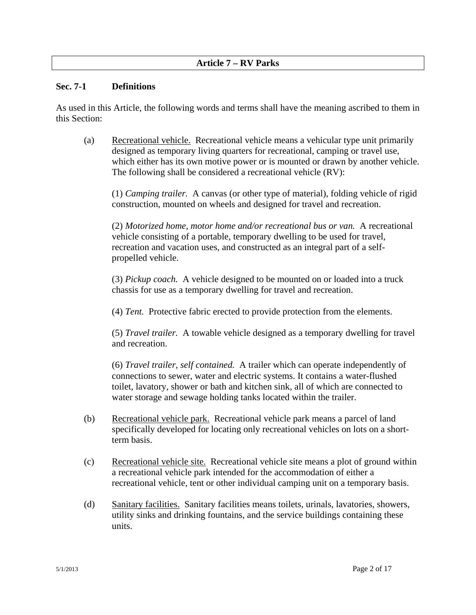## **Article 7 – RV Parks**

#### **Sec. 7-1 Definitions**

As used in this Article, the following words and terms shall have the meaning ascribed to them in this Section:

(a) Recreational vehicle. Recreational vehicle means a vehicular type unit primarily designed as temporary living quarters for recreational, camping or travel use, which either has its own motive power or is mounted or drawn by another vehicle. The following shall be considered a recreational vehicle (RV):

(1) *Camping trailer.* A canvas (or other type of material), folding vehicle of rigid construction, mounted on wheels and designed for travel and recreation.

(2) *Motorized home, motor home and/or recreational bus or van.* A recreational vehicle consisting of a portable, temporary dwelling to be used for travel, recreation and vacation uses, and constructed as an integral part of a selfpropelled vehicle.

(3) *Pickup coach.* A vehicle designed to be mounted on or loaded into a truck chassis for use as a temporary dwelling for travel and recreation.

(4) *Tent.* Protective fabric erected to provide protection from the elements.

(5) *Travel trailer.* A towable vehicle designed as a temporary dwelling for travel and recreation.

(6) *Travel trailer, self contained.* A trailer which can operate independently of connections to sewer, water and electric systems. It contains a water-flushed toilet, lavatory, shower or bath and kitchen sink, all of which are connected to water storage and sewage holding tanks located within the trailer.

- (b) Recreational vehicle park. Recreational vehicle park means a parcel of land specifically developed for locating only recreational vehicles on lots on a shortterm basis.
- (c) Recreational vehicle site. Recreational vehicle site means a plot of ground within a recreational vehicle park intended for the accommodation of either a recreational vehicle, tent or other individual camping unit on a temporary basis.
- (d) Sanitary facilities. Sanitary facilities means toilets, urinals, lavatories, showers, utility sinks and drinking fountains, and the service buildings containing these units.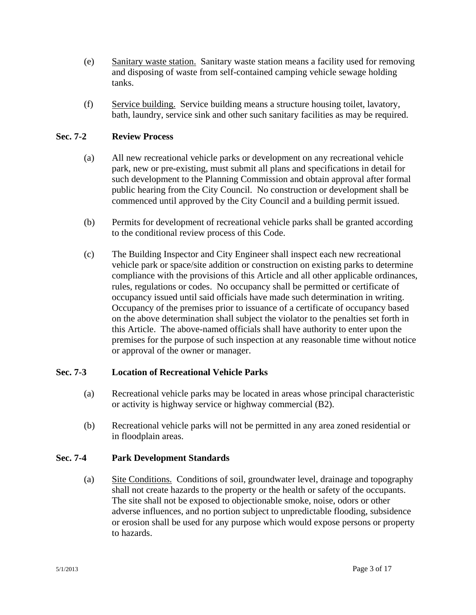- (e) Sanitary waste station.Sanitary waste station means a facility used for removing and disposing of waste from self-contained camping vehicle sewage holding tanks.
- (f) Service building.Service building means a structure housing toilet, lavatory, bath, laundry, service sink and other such sanitary facilities as may be required.

## **Sec. 7-2 Review Process**

- (a) All new recreational vehicle parks or development on any recreational vehicle park, new or pre-existing, must submit all plans and specifications in detail for such development to the Planning Commission and obtain approval after formal public hearing from the City Council. No construction or development shall be commenced until approved by the City Council and a building permit issued.
- (b) Permits for development of recreational vehicle parks shall be granted according to the conditional review process of this Code.
- (c) The Building Inspector and City Engineer shall inspect each new recreational vehicle park or space/site addition or construction on existing parks to determine compliance with the provisions of this Article and all other applicable ordinances, rules, regulations or codes. No occupancy shall be permitted or certificate of occupancy issued until said officials have made such determination in writing. Occupancy of the premises prior to issuance of a certificate of occupancy based on the above determination shall subject the violator to the penalties set forth in this Article. The above-named officials shall have authority to enter upon the premises for the purpose of such inspection at any reasonable time without notice or approval of the owner or manager.

## **Sec. 7-3 Location of Recreational Vehicle Parks**

- (a) Recreational vehicle parks may be located in areas whose principal characteristic or activity is highway service or highway commercial (B2).
- (b) Recreational vehicle parks will not be permitted in any area zoned residential or in floodplain areas.

## **Sec. 7-4 Park Development Standards**

(a) Site Conditions. Conditions of soil, groundwater level, drainage and topography shall not create hazards to the property or the health or safety of the occupants. The site shall not be exposed to objectionable smoke, noise, odors or other adverse influences, and no portion subject to unpredictable flooding, subsidence or erosion shall be used for any purpose which would expose persons or property to hazards.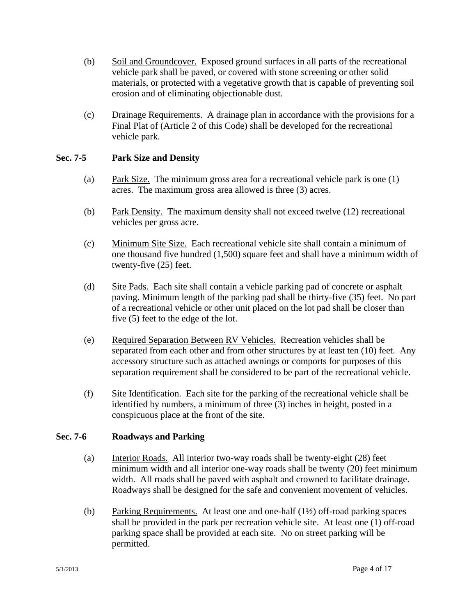- (b) Soil and Groundcover. Exposed ground surfaces in all parts of the recreational vehicle park shall be paved, or covered with stone screening or other solid materials, or protected with a vegetative growth that is capable of preventing soil erosion and of eliminating objectionable dust.
- (c) Drainage Requirements. A drainage plan in accordance with the provisions for a Final Plat of (Article 2 of this Code) shall be developed for the recreational vehicle park.

### **Sec. 7-5 Park Size and Density**

- (a) Park Size. The minimum gross area for a recreational vehicle park is one (1) acres. The maximum gross area allowed is three (3) acres.
- (b) Park Density. The maximum density shall not exceed twelve (12) recreational vehicles per gross acre.
- (c) Minimum Site Size. Each recreational vehicle site shall contain a minimum of one thousand five hundred (1,500) square feet and shall have a minimum width of twenty-five (25) feet.
- (d) Site Pads. Each site shall contain a vehicle parking pad of concrete or asphalt paving. Minimum length of the parking pad shall be thirty-five (35) feet. No part of a recreational vehicle or other unit placed on the lot pad shall be closer than five (5) feet to the edge of the lot.
- (e) Required Separation Between RV Vehicles. Recreation vehicles shall be separated from each other and from other structures by at least ten (10) feet. Any accessory structure such as attached awnings or comports for purposes of this separation requirement shall be considered to be part of the recreational vehicle.
- (f) Site Identification. Each site for the parking of the recreational vehicle shall be identified by numbers, a minimum of three (3) inches in height, posted in a conspicuous place at the front of the site.

### **Sec. 7-6 Roadways and Parking**

- (a) Interior Roads. All interior two-way roads shall be twenty-eight (28) feet minimum width and all interior one-way roads shall be twenty (20) feet minimum width. All roads shall be paved with asphalt and crowned to facilitate drainage. Roadways shall be designed for the safe and convenient movement of vehicles.
- (b) Parking Requirements. At least one and one-half (1½) off-road parking spaces shall be provided in the park per recreation vehicle site. At least one (1) off-road parking space shall be provided at each site. No on street parking will be permitted.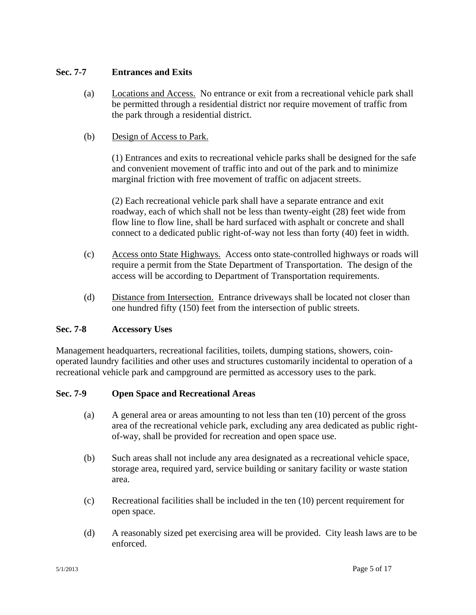## **Sec. 7-7 Entrances and Exits**

- (a) Locations and Access. No entrance or exit from a recreational vehicle park shall be permitted through a residential district nor require movement of traffic from the park through a residential district.
- (b) Design of Access to Park.

(1) Entrances and exits to recreational vehicle parks shall be designed for the safe and convenient movement of traffic into and out of the park and to minimize marginal friction with free movement of traffic on adjacent streets.

(2) Each recreational vehicle park shall have a separate entrance and exit roadway, each of which shall not be less than twenty-eight (28) feet wide from flow line to flow line, shall be hard surfaced with asphalt or concrete and shall connect to a dedicated public right-of-way not less than forty (40) feet in width.

- (c) Access onto State Highways. Access onto state-controlled highways or roads will require a permit from the State Department of Transportation. The design of the access will be according to Department of Transportation requirements.
- (d) Distance from Intersection. Entrance driveways shall be located not closer than one hundred fifty (150) feet from the intersection of public streets.

## **Sec. 7-8 Accessory Uses**

Management headquarters, recreational facilities, toilets, dumping stations, showers, coinoperated laundry facilities and other uses and structures customarily incidental to operation of a recreational vehicle park and campground are permitted as accessory uses to the park.

## **Sec. 7-9 Open Space and Recreational Areas**

- (a) A general area or areas amounting to not less than ten (10) percent of the gross area of the recreational vehicle park, excluding any area dedicated as public rightof-way, shall be provided for recreation and open space use.
- (b) Such areas shall not include any area designated as a recreational vehicle space, storage area, required yard, service building or sanitary facility or waste station area.
- (c) Recreational facilities shall be included in the ten (10) percent requirement for open space.
- (d) A reasonably sized pet exercising area will be provided. City leash laws are to be enforced.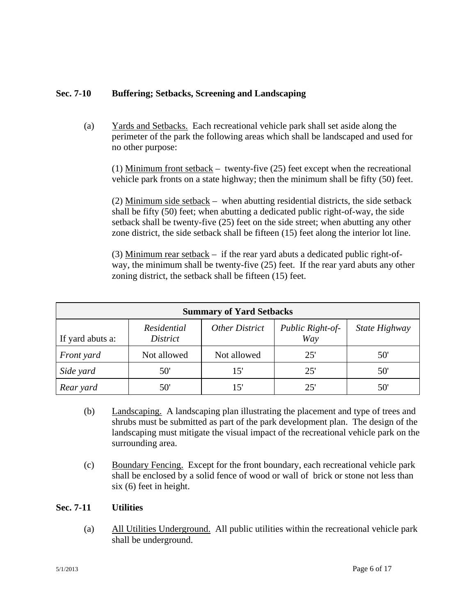# **Sec. 7-10 Buffering; Setbacks, Screening and Landscaping**

(a) Yards and Setbacks. Each recreational vehicle park shall set aside along the perimeter of the park the following areas which shall be landscaped and used for no other purpose:

(1) Minimum front setback – twenty-five (25) feet except when the recreational vehicle park fronts on a state highway; then the minimum shall be fifty (50) feet.

(2) Minimum side setback – when abutting residential districts, the side setback shall be fifty (50) feet; when abutting a dedicated public right-of-way, the side setback shall be twenty-five (25) feet on the side street; when abutting any other zone district, the side setback shall be fifteen (15) feet along the interior lot line.

(3) Minimum rear setback – if the rear yard abuts a dedicated public right-ofway, the minimum shall be twenty-five (25) feet. If the rear yard abuts any other zoning district, the setback shall be fifteen (15) feet.

| <b>Summary of Yard Setbacks</b> |                         |                |                         |               |  |  |  |
|---------------------------------|-------------------------|----------------|-------------------------|---------------|--|--|--|
| If yard abuts a:                | Residential<br>District | Other District | Public Right-of-<br>Way | State Highway |  |  |  |
| Front yard                      | Not allowed             | Not allowed    | 25'                     | 50'           |  |  |  |
| Side yard                       | 50'                     | 15'            | 25'                     | 50'           |  |  |  |
| Rear yard                       | 50'                     |                | 25'                     | 50            |  |  |  |

- (b) Landscaping. A landscaping plan illustrating the placement and type of trees and shrubs must be submitted as part of the park development plan. The design of the landscaping must mitigate the visual impact of the recreational vehicle park on the surrounding area.
- (c) Boundary Fencing. Except for the front boundary, each recreational vehicle park shall be enclosed by a solid fence of wood or wall of brick or stone not less than six (6) feet in height.

### **Sec. 7-11 Utilities**

(a) All Utilities Underground. All public utilities within the recreational vehicle park shall be underground.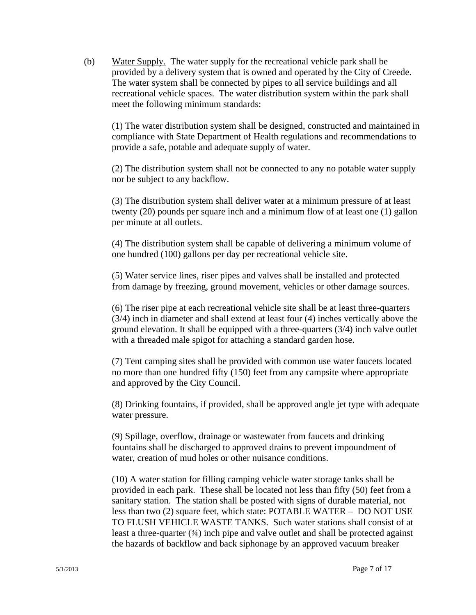(b) Water Supply. The water supply for the recreational vehicle park shall be provided by a delivery system that is owned and operated by the City of Creede. The water system shall be connected by pipes to all service buildings and all recreational vehicle spaces. The water distribution system within the park shall meet the following minimum standards:

(1) The water distribution system shall be designed, constructed and maintained in compliance with State Department of Health regulations and recommendations to provide a safe, potable and adequate supply of water.

(2) The distribution system shall not be connected to any no potable water supply nor be subject to any backflow.

(3) The distribution system shall deliver water at a minimum pressure of at least twenty (20) pounds per square inch and a minimum flow of at least one (1) gallon per minute at all outlets.

(4) The distribution system shall be capable of delivering a minimum volume of one hundred (100) gallons per day per recreational vehicle site.

(5) Water service lines, riser pipes and valves shall be installed and protected from damage by freezing, ground movement, vehicles or other damage sources.

(6) The riser pipe at each recreational vehicle site shall be at least three-quarters (3/4) inch in diameter and shall extend at least four (4) inches vertically above the ground elevation. It shall be equipped with a three-quarters (3/4) inch valve outlet with a threaded male spigot for attaching a standard garden hose.

(7) Tent camping sites shall be provided with common use water faucets located no more than one hundred fifty (150) feet from any campsite where appropriate and approved by the City Council.

(8) Drinking fountains, if provided, shall be approved angle jet type with adequate water pressure.

(9) Spillage, overflow, drainage or wastewater from faucets and drinking fountains shall be discharged to approved drains to prevent impoundment of water, creation of mud holes or other nuisance conditions.

(10) A water station for filling camping vehicle water storage tanks shall be provided in each park. These shall be located not less than fifty (50) feet from a sanitary station. The station shall be posted with signs of durable material, not less than two (2) square feet, which state: POTABLE WATER – DO NOT USE TO FLUSH VEHICLE WASTE TANKS. Such water stations shall consist of at least a three-quarter (¾) inch pipe and valve outlet and shall be protected against the hazards of backflow and back siphonage by an approved vacuum breaker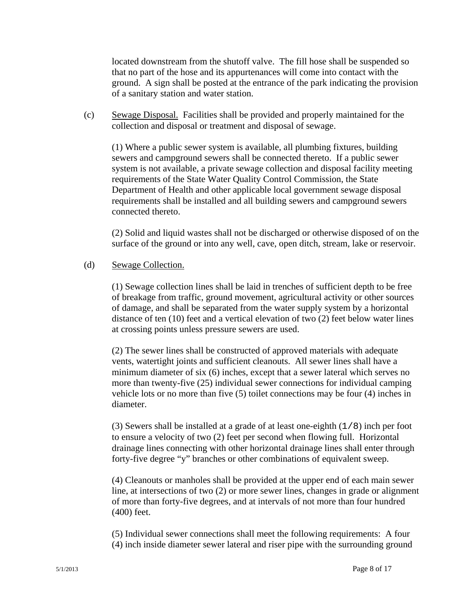located downstream from the shutoff valve. The fill hose shall be suspended so that no part of the hose and its appurtenances will come into contact with the ground. A sign shall be posted at the entrance of the park indicating the provision of a sanitary station and water station.

(c) Sewage Disposal. Facilities shall be provided and properly maintained for the collection and disposal or treatment and disposal of sewage.

(1) Where a public sewer system is available, all plumbing fixtures, building sewers and campground sewers shall be connected thereto. If a public sewer system is not available, a private sewage collection and disposal facility meeting requirements of the State Water Quality Control Commission, the State Department of Health and other applicable local government sewage disposal requirements shall be installed and all building sewers and campground sewers connected thereto.

(2) Solid and liquid wastes shall not be discharged or otherwise disposed of on the surface of the ground or into any well, cave, open ditch, stream, lake or reservoir.

#### (d) Sewage Collection.

(1) Sewage collection lines shall be laid in trenches of sufficient depth to be free of breakage from traffic, ground movement, agricultural activity or other sources of damage, and shall be separated from the water supply system by a horizontal distance of ten (10) feet and a vertical elevation of two (2) feet below water lines at crossing points unless pressure sewers are used.

(2) The sewer lines shall be constructed of approved materials with adequate vents, watertight joints and sufficient cleanouts. All sewer lines shall have a minimum diameter of six (6) inches, except that a sewer lateral which serves no more than twenty-five (25) individual sewer connections for individual camping vehicle lots or no more than five (5) toilet connections may be four (4) inches in diameter.

(3) Sewers shall be installed at a grade of at least one-eighth (1/8) inch per foot to ensure a velocity of two (2) feet per second when flowing full. Horizontal drainage lines connecting with other horizontal drainage lines shall enter through forty-five degree "y" branches or other combinations of equivalent sweep.

(4) Cleanouts or manholes shall be provided at the upper end of each main sewer line, at intersections of two (2) or more sewer lines, changes in grade or alignment of more than forty-five degrees, and at intervals of not more than four hundred (400) feet.

(5) Individual sewer connections shall meet the following requirements: A four (4) inch inside diameter sewer lateral and riser pipe with the surrounding ground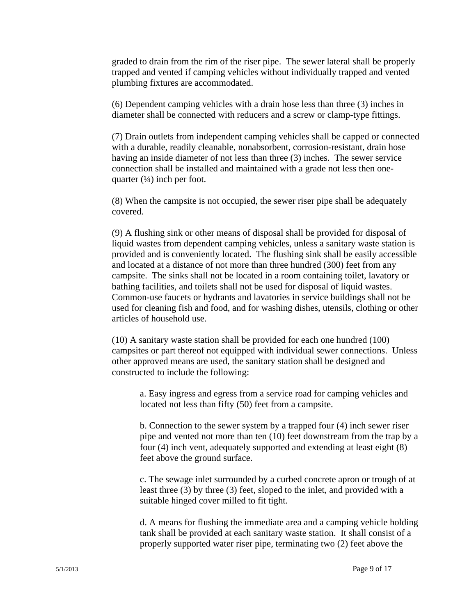graded to drain from the rim of the riser pipe. The sewer lateral shall be properly trapped and vented if camping vehicles without individually trapped and vented plumbing fixtures are accommodated.

(6) Dependent camping vehicles with a drain hose less than three (3) inches in diameter shall be connected with reducers and a screw or clamp-type fittings.

(7) Drain outlets from independent camping vehicles shall be capped or connected with a durable, readily cleanable, nonabsorbent, corrosion-resistant, drain hose having an inside diameter of not less than three (3) inches. The sewer service connection shall be installed and maintained with a grade not less then onequarter  $(\frac{1}{4})$  inch per foot.

(8) When the campsite is not occupied, the sewer riser pipe shall be adequately covered.

(9) A flushing sink or other means of disposal shall be provided for disposal of liquid wastes from dependent camping vehicles, unless a sanitary waste station is provided and is conveniently located. The flushing sink shall be easily accessible and located at a distance of not more than three hundred (300) feet from any campsite. The sinks shall not be located in a room containing toilet, lavatory or bathing facilities, and toilets shall not be used for disposal of liquid wastes. Common-use faucets or hydrants and lavatories in service buildings shall not be used for cleaning fish and food, and for washing dishes, utensils, clothing or other articles of household use.

(10) A sanitary waste station shall be provided for each one hundred (100) campsites or part thereof not equipped with individual sewer connections. Unless other approved means are used, the sanitary station shall be designed and constructed to include the following:

a. Easy ingress and egress from a service road for camping vehicles and located not less than fifty (50) feet from a campsite.

b. Connection to the sewer system by a trapped four (4) inch sewer riser pipe and vented not more than ten (10) feet downstream from the trap by a four (4) inch vent, adequately supported and extending at least eight (8) feet above the ground surface.

c. The sewage inlet surrounded by a curbed concrete apron or trough of at least three (3) by three (3) feet, sloped to the inlet, and provided with a suitable hinged cover milled to fit tight.

d. A means for flushing the immediate area and a camping vehicle holding tank shall be provided at each sanitary waste station. It shall consist of a properly supported water riser pipe, terminating two (2) feet above the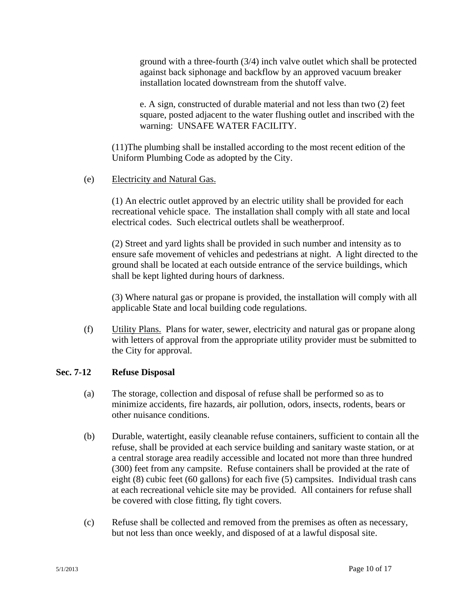ground with a three-fourth (3/4) inch valve outlet which shall be protected against back siphonage and backflow by an approved vacuum breaker installation located downstream from the shutoff valve.

e. A sign, constructed of durable material and not less than two (2) feet square, posted adjacent to the water flushing outlet and inscribed with the warning: UNSAFE WATER FACILITY.

(11)The plumbing shall be installed according to the most recent edition of the Uniform Plumbing Code as adopted by the City.

### (e) Electricity and Natural Gas.

(1) An electric outlet approved by an electric utility shall be provided for each recreational vehicle space. The installation shall comply with all state and local electrical codes. Such electrical outlets shall be weatherproof.

(2) Street and yard lights shall be provided in such number and intensity as to ensure safe movement of vehicles and pedestrians at night. A light directed to the ground shall be located at each outside entrance of the service buildings, which shall be kept lighted during hours of darkness.

(3) Where natural gas or propane is provided, the installation will comply with all applicable State and local building code regulations.

(f) Utility Plans. Plans for water, sewer, electricity and natural gas or propane along with letters of approval from the appropriate utility provider must be submitted to the City for approval.

#### **Sec. 7-12 Refuse Disposal**

- (a) The storage, collection and disposal of refuse shall be performed so as to minimize accidents, fire hazards, air pollution, odors, insects, rodents, bears or other nuisance conditions.
- (b) Durable, watertight, easily cleanable refuse containers, sufficient to contain all the refuse, shall be provided at each service building and sanitary waste station, or at a central storage area readily accessible and located not more than three hundred (300) feet from any campsite. Refuse containers shall be provided at the rate of eight (8) cubic feet (60 gallons) for each five (5) campsites. Individual trash cans at each recreational vehicle site may be provided. All containers for refuse shall be covered with close fitting, fly tight covers.
- (c) Refuse shall be collected and removed from the premises as often as necessary, but not less than once weekly, and disposed of at a lawful disposal site.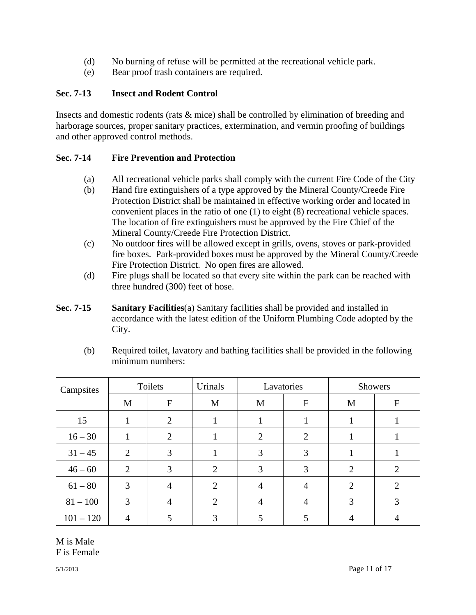- (d) No burning of refuse will be permitted at the recreational vehicle park.
- (e) Bear proof trash containers are required.

# **Sec. 7-13 Insect and Rodent Control**

Insects and domestic rodents (rats & mice) shall be controlled by elimination of breeding and harborage sources, proper sanitary practices, extermination, and vermin proofing of buildings and other approved control methods.

# **Sec. 7-14 Fire Prevention and Protection**

- (a) All recreational vehicle parks shall comply with the current Fire Code of the City
- (b) Hand fire extinguishers of a type approved by the Mineral County/Creede Fire Protection District shall be maintained in effective working order and located in convenient places in the ratio of one (1) to eight (8) recreational vehicle spaces. The location of fire extinguishers must be approved by the Fire Chief of the Mineral County/Creede Fire Protection District.
- (c) No outdoor fires will be allowed except in grills, ovens, stoves or park-provided fire boxes. Park-provided boxes must be approved by the Mineral County/Creede Fire Protection District. No open fires are allowed.
- (d) Fire plugs shall be located so that every site within the park can be reached with three hundred (300) feet of hose.
- **Sec. 7-15 Sanitary Facilities**(a) Sanitary facilities shall be provided and installed in accordance with the latest edition of the Uniform Plumbing Code adopted by the City.

| Campsites   | Toilets |                | Urinals | Lavatories |              | <b>Showers</b> |                  |
|-------------|---------|----------------|---------|------------|--------------|----------------|------------------|
|             | M       | F              | M       | M          | $\mathbf{F}$ | M              | $\boldsymbol{F}$ |
| 15          |         | $\overline{2}$ |         |            |              |                |                  |
| $16 - 30$   |         | 2              |         | 2          | 2            |                |                  |
| $31 - 45$   | 2       | 3              |         | 3          | 3            |                |                  |
| $46 - 60$   | 2       | 3              | 2       | 3          | 3            | $\overline{2}$ | 2                |
| $61 - 80$   | 3       | 4              | 2       | 4          | 4            | 2              | 2                |
| $81 - 100$  | 3       | $\overline{A}$ | 2       | 4          |              | 3              | 3                |
| $101 - 120$ |         |                | 3       |            |              |                |                  |

(b) Required toilet, lavatory and bathing facilities shall be provided in the following minimum numbers:

M is Male F is Female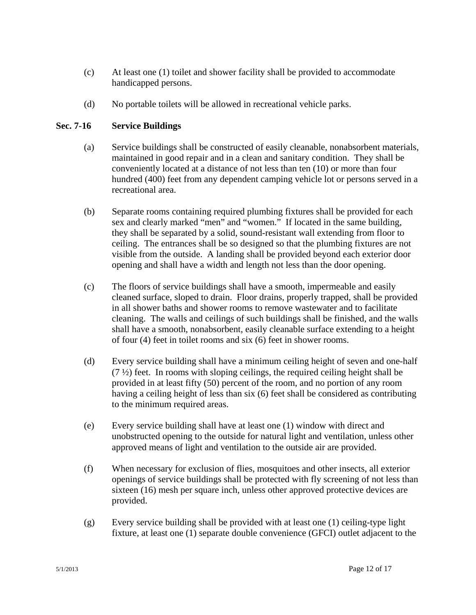- (c) At least one (1) toilet and shower facility shall be provided to accommodate handicapped persons.
- (d) No portable toilets will be allowed in recreational vehicle parks.

# **Sec. 7-16 Service Buildings**

- (a) Service buildings shall be constructed of easily cleanable, nonabsorbent materials, maintained in good repair and in a clean and sanitary condition. They shall be conveniently located at a distance of not less than ten (10) or more than four hundred (400) feet from any dependent camping vehicle lot or persons served in a recreational area.
- (b) Separate rooms containing required plumbing fixtures shall be provided for each sex and clearly marked "men" and "women." If located in the same building, they shall be separated by a solid, sound-resistant wall extending from floor to ceiling. The entrances shall be so designed so that the plumbing fixtures are not visible from the outside. A landing shall be provided beyond each exterior door opening and shall have a width and length not less than the door opening.
- (c) The floors of service buildings shall have a smooth, impermeable and easily cleaned surface, sloped to drain. Floor drains, properly trapped, shall be provided in all shower baths and shower rooms to remove wastewater and to facilitate cleaning. The walls and ceilings of such buildings shall be finished, and the walls shall have a smooth, nonabsorbent, easily cleanable surface extending to a height of four (4) feet in toilet rooms and six (6) feet in shower rooms.
- (d) Every service building shall have a minimum ceiling height of seven and one-half  $(7 \frac{1}{2})$  feet. In rooms with sloping ceilings, the required ceiling height shall be provided in at least fifty (50) percent of the room, and no portion of any room having a ceiling height of less than six (6) feet shall be considered as contributing to the minimum required areas.
- (e) Every service building shall have at least one (1) window with direct and unobstructed opening to the outside for natural light and ventilation, unless other approved means of light and ventilation to the outside air are provided.
- (f) When necessary for exclusion of flies, mosquitoes and other insects, all exterior openings of service buildings shall be protected with fly screening of not less than sixteen (16) mesh per square inch, unless other approved protective devices are provided.
- (g) Every service building shall be provided with at least one (1) ceiling-type light fixture, at least one (1) separate double convenience (GFCI) outlet adjacent to the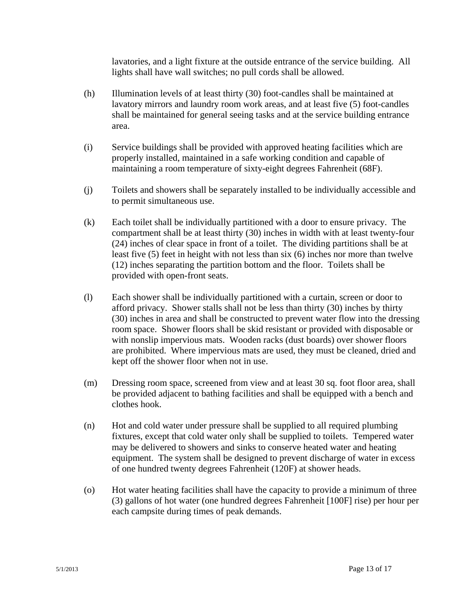lavatories, and a light fixture at the outside entrance of the service building. All lights shall have wall switches; no pull cords shall be allowed.

- (h) Illumination levels of at least thirty (30) foot-candles shall be maintained at lavatory mirrors and laundry room work areas, and at least five (5) foot-candles shall be maintained for general seeing tasks and at the service building entrance area.
- (i) Service buildings shall be provided with approved heating facilities which are properly installed, maintained in a safe working condition and capable of maintaining a room temperature of sixty-eight degrees Fahrenheit (68F).
- (j) Toilets and showers shall be separately installed to be individually accessible and to permit simultaneous use.
- (k) Each toilet shall be individually partitioned with a door to ensure privacy. The compartment shall be at least thirty (30) inches in width with at least twenty-four (24) inches of clear space in front of a toilet. The dividing partitions shall be at least five (5) feet in height with not less than six (6) inches nor more than twelve (12) inches separating the partition bottom and the floor. Toilets shall be provided with open-front seats.
- (l) Each shower shall be individually partitioned with a curtain, screen or door to afford privacy. Shower stalls shall not be less than thirty (30) inches by thirty (30) inches in area and shall be constructed to prevent water flow into the dressing room space. Shower floors shall be skid resistant or provided with disposable or with nonslip impervious mats. Wooden racks (dust boards) over shower floors are prohibited. Where impervious mats are used, they must be cleaned, dried and kept off the shower floor when not in use.
- (m) Dressing room space, screened from view and at least 30 sq. foot floor area, shall be provided adjacent to bathing facilities and shall be equipped with a bench and clothes hook.
- (n) Hot and cold water under pressure shall be supplied to all required plumbing fixtures, except that cold water only shall be supplied to toilets. Tempered water may be delivered to showers and sinks to conserve heated water and heating equipment. The system shall be designed to prevent discharge of water in excess of one hundred twenty degrees Fahrenheit (120F) at shower heads.
- (o) Hot water heating facilities shall have the capacity to provide a minimum of three (3) gallons of hot water (one hundred degrees Fahrenheit [100F] rise) per hour per each campsite during times of peak demands.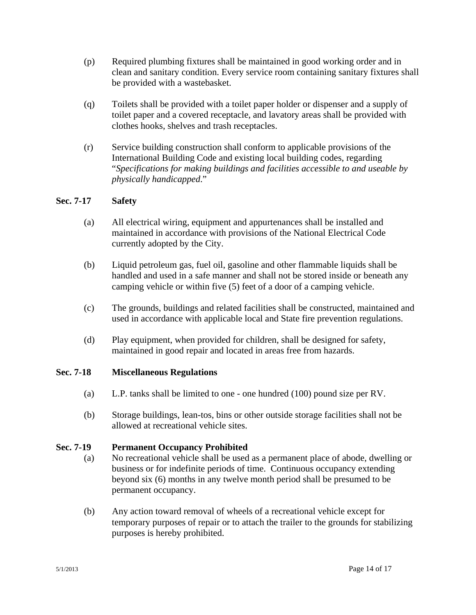- (p) Required plumbing fixtures shall be maintained in good working order and in clean and sanitary condition. Every service room containing sanitary fixtures shall be provided with a wastebasket.
- (q) Toilets shall be provided with a toilet paper holder or dispenser and a supply of toilet paper and a covered receptacle, and lavatory areas shall be provided with clothes hooks, shelves and trash receptacles.
- (r) Service building construction shall conform to applicable provisions of the International Building Code and existing local building codes, regarding "*Specifications for making buildings and facilities accessible to and useable by physically handicapped*."

# **Sec. 7-17 Safety**

- (a) All electrical wiring, equipment and appurtenances shall be installed and maintained in accordance with provisions of the National Electrical Code currently adopted by the City.
- (b) Liquid petroleum gas, fuel oil, gasoline and other flammable liquids shall be handled and used in a safe manner and shall not be stored inside or beneath any camping vehicle or within five (5) feet of a door of a camping vehicle.
- (c) The grounds, buildings and related facilities shall be constructed, maintained and used in accordance with applicable local and State fire prevention regulations.
- (d) Play equipment, when provided for children, shall be designed for safety, maintained in good repair and located in areas free from hazards.

### **Sec. 7-18 Miscellaneous Regulations**

- (a) L.P. tanks shall be limited to one one hundred (100) pound size per RV.
- (b) Storage buildings, lean-tos, bins or other outside storage facilities shall not be allowed at recreational vehicle sites.

### **Sec. 7-19 Permanent Occupancy Prohibited**

- (a) No recreational vehicle shall be used as a permanent place of abode, dwelling or business or for indefinite periods of time. Continuous occupancy extending beyond six (6) months in any twelve month period shall be presumed to be permanent occupancy.
- (b) Any action toward removal of wheels of a recreational vehicle except for temporary purposes of repair or to attach the trailer to the grounds for stabilizing purposes is hereby prohibited.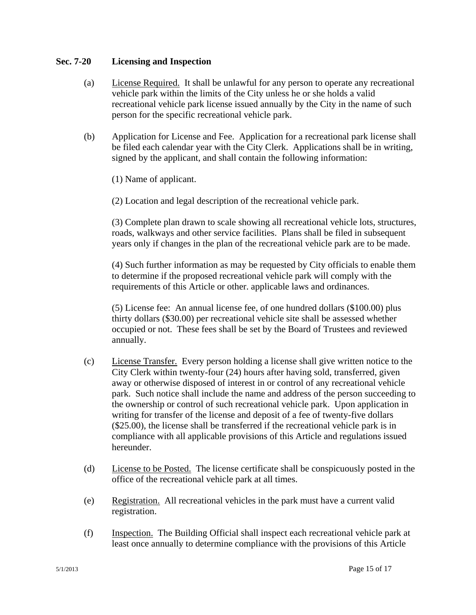### **Sec. 7-20 Licensing and Inspection**

- (a) License Required. It shall be unlawful for any person to operate any recreational vehicle park within the limits of the City unless he or she holds a valid recreational vehicle park license issued annually by the City in the name of such person for the specific recreational vehicle park.
- (b) Application for License and Fee. Application for a recreational park license shall be filed each calendar year with the City Clerk. Applications shall be in writing, signed by the applicant, and shall contain the following information:

(1) Name of applicant.

(2) Location and legal description of the recreational vehicle park.

(3) Complete plan drawn to scale showing all recreational vehicle lots, structures, roads, walkways and other service facilities. Plans shall be filed in subsequent years only if changes in the plan of the recreational vehicle park are to be made.

(4) Such further information as may be requested by City officials to enable them to determine if the proposed recreational vehicle park will comply with the requirements of this Article or other. applicable laws and ordinances.

(5) License fee: An annual license fee, of one hundred dollars (\$100.00) plus thirty dollars (\$30.00) per recreational vehicle site shall be assessed whether occupied or not. These fees shall be set by the Board of Trustees and reviewed annually.

- (c) License Transfer. Every person holding a license shall give written notice to the City Clerk within twenty-four (24) hours after having sold, transferred, given away or otherwise disposed of interest in or control of any recreational vehicle park. Such notice shall include the name and address of the person succeeding to the ownership or control of such recreational vehicle park. Upon application in writing for transfer of the license and deposit of a fee of twenty-five dollars (\$25.00), the license shall be transferred if the recreational vehicle park is in compliance with all applicable provisions of this Article and regulations issued hereunder.
- (d) License to be Posted. The license certificate shall be conspicuously posted in the office of the recreational vehicle park at all times.
- (e) Registration. All recreational vehicles in the park must have a current valid registration.
- (f) Inspection. The Building Official shall inspect each recreational vehicle park at least once annually to determine compliance with the provisions of this Article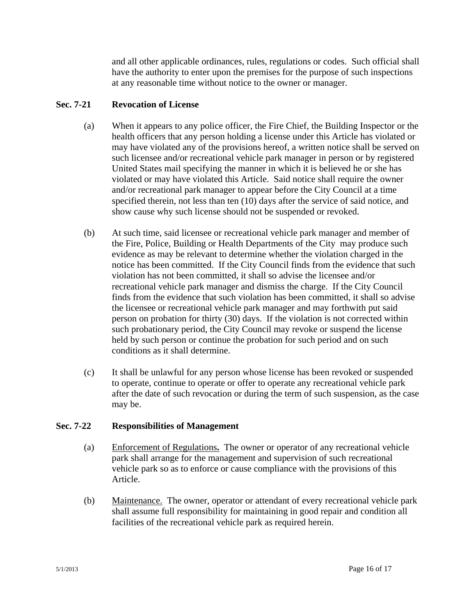and all other applicable ordinances, rules, regulations or codes. Such official shall have the authority to enter upon the premises for the purpose of such inspections at any reasonable time without notice to the owner or manager.

### **Sec. 7-21 Revocation of License**

- (a) When it appears to any police officer, the Fire Chief, the Building Inspector or the health officers that any person holding a license under this Article has violated or may have violated any of the provisions hereof, a written notice shall be served on such licensee and/or recreational vehicle park manager in person or by registered United States mail specifying the manner in which it is believed he or she has violated or may have violated this Article. Said notice shall require the owner and/or recreational park manager to appear before the City Council at a time specified therein, not less than ten (10) days after the service of said notice, and show cause why such license should not be suspended or revoked.
- (b) At such time, said licensee or recreational vehicle park manager and member of the Fire, Police, Building or Health Departments of the City may produce such evidence as may be relevant to determine whether the violation charged in the notice has been committed. If the City Council finds from the evidence that such violation has not been committed, it shall so advise the licensee and/or recreational vehicle park manager and dismiss the charge. If the City Council finds from the evidence that such violation has been committed, it shall so advise the licensee or recreational vehicle park manager and may forthwith put said person on probation for thirty (30) days. If the violation is not corrected within such probationary period, the City Council may revoke or suspend the license held by such person or continue the probation for such period and on such conditions as it shall determine.
- (c) It shall be unlawful for any person whose license has been revoked or suspended to operate, continue to operate or offer to operate any recreational vehicle park after the date of such revocation or during the term of such suspension, as the case may be.

#### **Sec. 7-22 Responsibilities of Management**

- (a) Enforcement of Regulations**.** The owner or operator of any recreational vehicle park shall arrange for the management and supervision of such recreational vehicle park so as to enforce or cause compliance with the provisions of this Article.
- (b) Maintenance. The owner, operator or attendant of every recreational vehicle park shall assume full responsibility for maintaining in good repair and condition all facilities of the recreational vehicle park as required herein.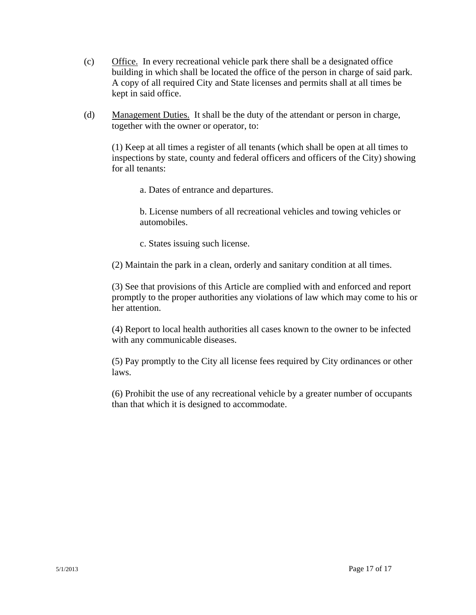- (c) Office. In every recreational vehicle park there shall be a designated office building in which shall be located the office of the person in charge of said park. A copy of all required City and State licenses and permits shall at all times be kept in said office.
- (d) Management Duties. It shall be the duty of the attendant or person in charge, together with the owner or operator, to:

(1) Keep at all times a register of all tenants (which shall be open at all times to inspections by state, county and federal officers and officers of the City) showing for all tenants:

a. Dates of entrance and departures.

b. License numbers of all recreational vehicles and towing vehicles or automobiles.

c. States issuing such license.

(2) Maintain the park in a clean, orderly and sanitary condition at all times.

(3) See that provisions of this Article are complied with and enforced and report promptly to the proper authorities any violations of law which may come to his or her attention.

(4) Report to local health authorities all cases known to the owner to be infected with any communicable diseases.

(5) Pay promptly to the City all license fees required by City ordinances or other laws.

(6) Prohibit the use of any recreational vehicle by a greater number of occupants than that which it is designed to accommodate.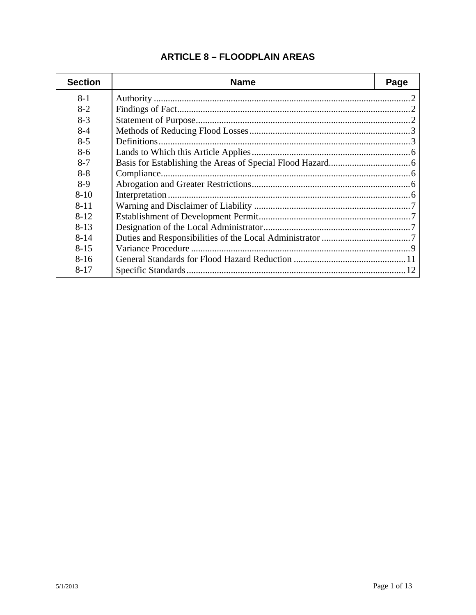| <b>Section</b> | <b>Name</b> | Page |
|----------------|-------------|------|
| $8-1$          |             |      |
| $8-2$          |             |      |
| $8-3$          |             |      |
| $8 - 4$        |             |      |
| $8 - 5$        |             |      |
| $8-6$          |             |      |
| $8 - 7$        |             |      |
| $8-8$          |             |      |
| $8-9$          |             |      |
| $8 - 10$       |             |      |
| $8 - 11$       |             |      |
| $8 - 12$       |             |      |
| $8 - 13$       |             |      |
| $8 - 14$       |             |      |
| $8 - 15$       |             |      |
| $8 - 16$       |             |      |
| $8 - 17$       |             |      |

# **ARTICLE 8 - FLOODPLAIN AREAS**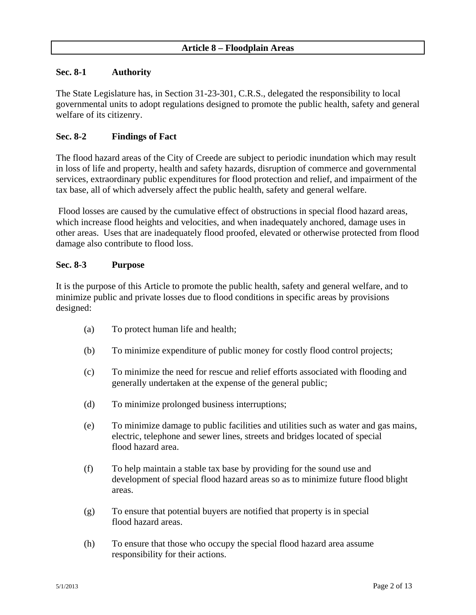#### **Sec. 8-1 Authority**

The State Legislature has, in Section 31-23-301, C.R.S., delegated the responsibility to local governmental units to adopt regulations designed to promote the public health, safety and general welfare of its citizenry.

### **Sec. 8-2 Findings of Fact**

The flood hazard areas of the City of Creede are subject to periodic inundation which may result in loss of life and property, health and safety hazards, disruption of commerce and governmental services, extraordinary public expenditures for flood protection and relief, and impairment of the tax base, all of which adversely affect the public health, safety and general welfare.

 Flood losses are caused by the cumulative effect of obstructions in special flood hazard areas, which increase flood heights and velocities, and when inadequately anchored, damage uses in other areas. Uses that are inadequately flood proofed, elevated or otherwise protected from flood damage also contribute to flood loss.

#### **Sec. 8-3 Purpose**

It is the purpose of this Article to promote the public health, safety and general welfare, and to minimize public and private losses due to flood conditions in specific areas by provisions designed:

- (a) To protect human life and health;
- (b) To minimize expenditure of public money for costly flood control projects;
- (c) To minimize the need for rescue and relief efforts associated with flooding and generally undertaken at the expense of the general public;
- (d) To minimize prolonged business interruptions;
- (e) To minimize damage to public facilities and utilities such as water and gas mains, electric, telephone and sewer lines, streets and bridges located of special flood hazard area.
- (f) To help maintain a stable tax base by providing for the sound use and development of special flood hazard areas so as to minimize future flood blight areas.
- (g) To ensure that potential buyers are notified that property is in special flood hazard areas.
- (h) To ensure that those who occupy the special flood hazard area assume responsibility for their actions.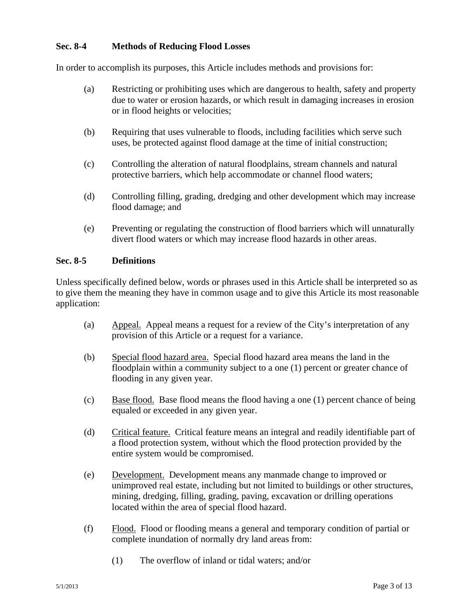### **Sec. 8-4 Methods of Reducing Flood Losses**

In order to accomplish its purposes, this Article includes methods and provisions for:

- (a) Restricting or prohibiting uses which are dangerous to health, safety and property due to water or erosion hazards, or which result in damaging increases in erosion or in flood heights or velocities;
- (b) Requiring that uses vulnerable to floods, including facilities which serve such uses, be protected against flood damage at the time of initial construction;
- (c) Controlling the alteration of natural floodplains, stream channels and natural protective barriers, which help accommodate or channel flood waters;
- (d) Controlling filling, grading, dredging and other development which may increase flood damage; and
- (e) Preventing or regulating the construction of flood barriers which will unnaturally divert flood waters or which may increase flood hazards in other areas.

#### **Sec. 8-5 Definitions**

Unless specifically defined below, words or phrases used in this Article shall be interpreted so as to give them the meaning they have in common usage and to give this Article its most reasonable application:

- (a) Appeal. Appeal means a request for a review of the City's interpretation of any provision of this Article or a request for a variance.
- (b) Special flood hazard area. Special flood hazard area means the land in the floodplain within a community subject to a one (1) percent or greater chance of flooding in any given year.
- (c) Base flood. Base flood means the flood having a one (1) percent chance of being equaled or exceeded in any given year.
- (d) Critical feature. Critical feature means an integral and readily identifiable part of a flood protection system, without which the flood protection provided by the entire system would be compromised.
- (e) Development. Development means any manmade change to improved or unimproved real estate, including but not limited to buildings or other structures, mining, dredging, filling, grading, paving, excavation or drilling operations located within the area of special flood hazard.
- (f) Flood. Flood or flooding means a general and temporary condition of partial or complete inundation of normally dry land areas from:
	- (1) The overflow of inland or tidal waters; and/or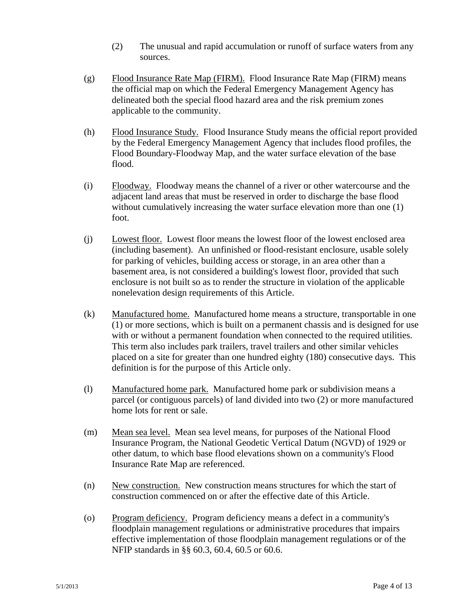- (2) The unusual and rapid accumulation or runoff of surface waters from any sources.
- (g) Flood Insurance Rate Map (FIRM). Flood Insurance Rate Map (FIRM) means the official map on which the Federal Emergency Management Agency has delineated both the special flood hazard area and the risk premium zones applicable to the community.
- (h) Flood Insurance Study. Flood Insurance Study means the official report provided by the Federal Emergency Management Agency that includes flood profiles, the Flood Boundary-Floodway Map, and the water surface elevation of the base flood.
- (i) Floodway. Floodway means the channel of a river or other watercourse and the adjacent land areas that must be reserved in order to discharge the base flood without cumulatively increasing the water surface elevation more than one (1) foot.
- (j) Lowest floor. Lowest floor means the lowest floor of the lowest enclosed area (including basement). An unfinished or flood-resistant enclosure, usable solely for parking of vehicles, building access or storage, in an area other than a basement area, is not considered a building's lowest floor, provided that such enclosure is not built so as to render the structure in violation of the applicable nonelevation design requirements of this Article.
- (k) Manufactured home. Manufactured home means a structure, transportable in one (1) or more sections, which is built on a permanent chassis and is designed for use with or without a permanent foundation when connected to the required utilities. This term also includes park trailers, travel trailers and other similar vehicles placed on a site for greater than one hundred eighty (180) consecutive days. This definition is for the purpose of this Article only.
- (l) Manufactured home park. Manufactured home park or subdivision means a parcel (or contiguous parcels) of land divided into two (2) or more manufactured home lots for rent or sale.
- (m) Mean sea level. Mean sea level means, for purposes of the National Flood Insurance Program, the National Geodetic Vertical Datum (NGVD) of 1929 or other datum, to which base flood elevations shown on a community's Flood Insurance Rate Map are referenced.
- (n) New construction. New construction means structures for which the start of construction commenced on or after the effective date of this Article.
- (o) Program deficiency. Program deficiency means a defect in a community's floodplain management regulations or administrative procedures that impairs effective implementation of those floodplain management regulations or of the NFIP standards in §§ 60.3, 60.4, 60.5 or 60.6.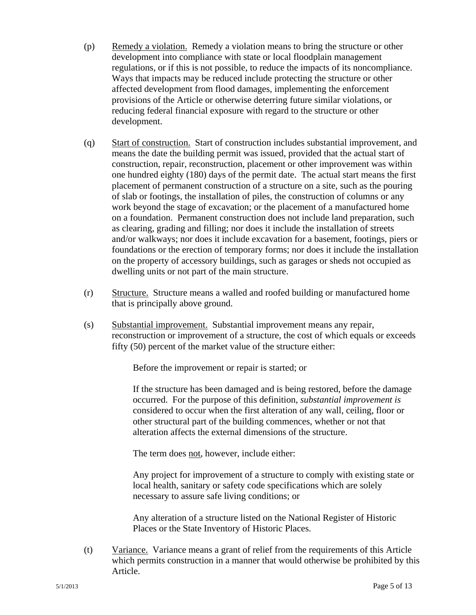- (p) Remedy a violation. Remedy a violation means to bring the structure or other development into compliance with state or local floodplain management regulations, or if this is not possible, to reduce the impacts of its noncompliance. Ways that impacts may be reduced include protecting the structure or other affected development from flood damages, implementing the enforcement provisions of the Article or otherwise deterring future similar violations, or reducing federal financial exposure with regard to the structure or other development.
- (q) Start of construction. Start of construction includes substantial improvement, and means the date the building permit was issued, provided that the actual start of construction, repair, reconstruction, placement or other improvement was within one hundred eighty (180) days of the permit date. The actual start means the first placement of permanent construction of a structure on a site, such as the pouring of slab or footings, the installation of piles, the construction of columns or any work beyond the stage of excavation; or the placement of a manufactured home on a foundation. Permanent construction does not include land preparation, such as clearing, grading and filling; nor does it include the installation of streets and/or walkways; nor does it include excavation for a basement, footings, piers or foundations or the erection of temporary forms; nor does it include the installation on the property of accessory buildings, such as garages or sheds not occupied as dwelling units or not part of the main structure.
- (r) Structure. Structure means a walled and roofed building or manufactured home that is principally above ground.
- (s) Substantial improvement. Substantial improvement means any repair, reconstruction or improvement of a structure, the cost of which equals or exceeds fifty (50) percent of the market value of the structure either:

Before the improvement or repair is started; or

If the structure has been damaged and is being restored, before the damage occurred. For the purpose of this definition, *substantial improvement is*  considered to occur when the first alteration of any wall, ceiling, floor or other structural part of the building commences, whether or not that alteration affects the external dimensions of the structure.

The term does not, however, include either:

Any project for improvement of a structure to comply with existing state or local health, sanitary or safety code specifications which are solely necessary to assure safe living conditions; or

Any alteration of a structure listed on the National Register of Historic Places or the State Inventory of Historic Places.

(t) Variance. Variance means a grant of relief from the requirements of this Article which permits construction in a manner that would otherwise be prohibited by this Article.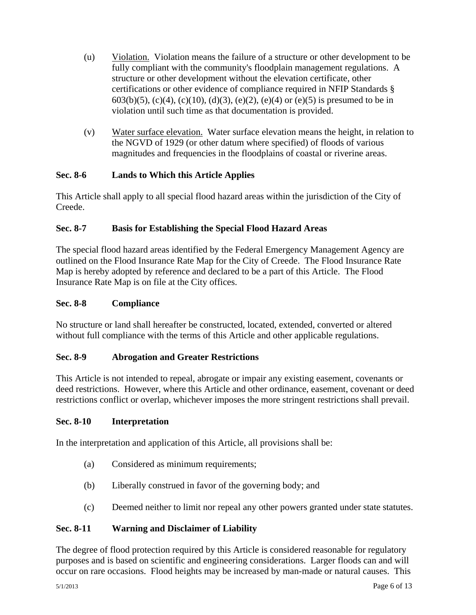- (u) Violation. Violation means the failure of a structure or other development to be fully compliant with the community's floodplain management regulations. A structure or other development without the elevation certificate, other certifications or other evidence of compliance required in NFIP Standards § 603(b)(5), (c)(4), (c)(10), (d)(3), (e)(2), (e)(4) or (e)(5) is presumed to be in violation until such time as that documentation is provided.
- (v) Water surface elevation. Water surface elevation means the height, in relation to the NGVD of 1929 (or other datum where specified) of floods of various magnitudes and frequencies in the floodplains of coastal or riverine areas.

### **Sec. 8-6 Lands to Which this Article Applies**

This Article shall apply to all special flood hazard areas within the jurisdiction of the City of Creede.

# **Sec. 8-7 Basis for Establishing the Special Flood Hazard Areas**

The special flood hazard areas identified by the Federal Emergency Management Agency are outlined on the Flood Insurance Rate Map for the City of Creede. The Flood Insurance Rate Map is hereby adopted by reference and declared to be a part of this Article. The Flood Insurance Rate Map is on file at the City offices.

### **Sec. 8-8 Compliance**

No structure or land shall hereafter be constructed, located, extended, converted or altered without full compliance with the terms of this Article and other applicable regulations.

### **Sec. 8-9 Abrogation and Greater Restrictions**

This Article is not intended to repeal, abrogate or impair any existing easement, covenants or deed restrictions. However, where this Article and other ordinance, easement, covenant or deed restrictions conflict or overlap, whichever imposes the more stringent restrictions shall prevail.

#### **Sec. 8-10 Interpretation**

In the interpretation and application of this Article, all provisions shall be:

- (a) Considered as minimum requirements;
- (b) Liberally construed in favor of the governing body; and
- (c) Deemed neither to limit nor repeal any other powers granted under state statutes.

#### **Sec. 8-11 Warning and Disclaimer of Liability**

The degree of flood protection required by this Article is considered reasonable for regulatory purposes and is based on scientific and engineering considerations. Larger floods can and will occur on rare occasions. Flood heights may be increased by man-made or natural causes. This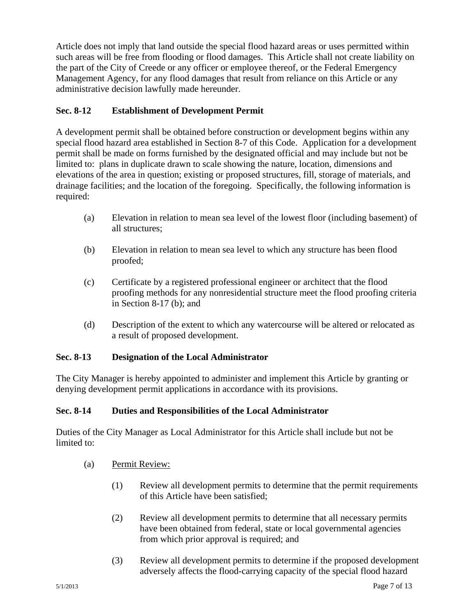Article does not imply that land outside the special flood hazard areas or uses permitted within such areas will be free from flooding or flood damages. This Article shall not create liability on the part of the City of Creede or any officer or employee thereof, or the Federal Emergency Management Agency, for any flood damages that result from reliance on this Article or any administrative decision lawfully made hereunder.

### **Sec. 8-12 Establishment of Development Permit**

A development permit shall be obtained before construction or development begins within any special flood hazard area established in Section 8-7 of this Code. Application for a development permit shall be made on forms furnished by the designated official and may include but not be limited to: plans in duplicate drawn to scale showing the nature, location, dimensions and elevations of the area in question; existing or proposed structures, fill, storage of materials, and drainage facilities; and the location of the foregoing. Specifically, the following information is required:

- (a) Elevation in relation to mean sea level of the lowest floor (including basement) of all structures;
- (b) Elevation in relation to mean sea level to which any structure has been flood proofed;
- (c) Certificate by a registered professional engineer or architect that the flood proofing methods for any nonresidential structure meet the flood proofing criteria in Section 8-17 (b); and
- (d) Description of the extent to which any watercourse will be altered or relocated as a result of proposed development.

### **Sec. 8-13 Designation of the Local Administrator**

The City Manager is hereby appointed to administer and implement this Article by granting or denying development permit applications in accordance with its provisions.

### **Sec. 8-14 Duties and Responsibilities of the Local Administrator**

Duties of the City Manager as Local Administrator for this Article shall include but not be limited to:

- (a) Permit Review:
	- (1) Review all development permits to determine that the permit requirements of this Article have been satisfied;
	- (2) Review all development permits to determine that all necessary permits have been obtained from federal, state or local governmental agencies from which prior approval is required; and
	- (3) Review all development permits to determine if the proposed development adversely affects the flood-carrying capacity of the special flood hazard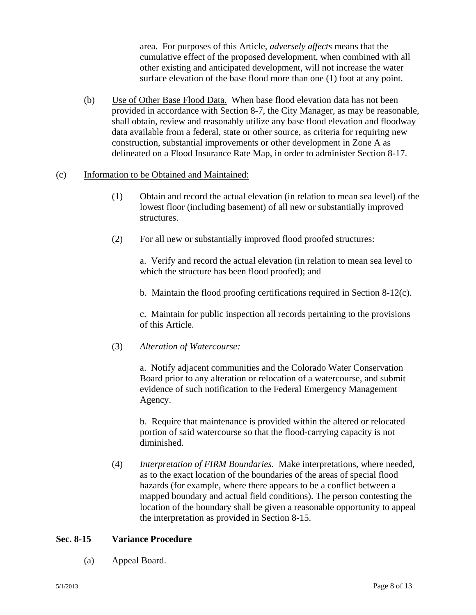area. For purposes of this Article, *adversely affects* means that the cumulative effect of the proposed development, when combined with all other existing and anticipated development, will not increase the water surface elevation of the base flood more than one (1) foot at any point.

- (b) Use of Other Base Flood Data. When base flood elevation data has not been provided in accordance with Section 8-7, the City Manager, as may be reasonable, shall obtain, review and reasonably utilize any base flood elevation and floodway data available from a federal, state or other source, as criteria for requiring new construction, substantial improvements or other development in Zone A as delineated on a Flood Insurance Rate Map, in order to administer Section 8-17.
- (c) Information to be Obtained and Maintained:
	- (1) Obtain and record the actual elevation (in relation to mean sea level) of the lowest floor (including basement) of all new or substantially improved structures.
	- (2) For all new or substantially improved flood proofed structures:

a.Verify and record the actual elevation (in relation to mean sea level to which the structure has been flood proofed); and

b. Maintain the flood proofing certifications required in Section 8-12(c).

c. Maintain for public inspection all records pertaining to the provisions of this Article.

(3) *Alteration of Watercourse:*

a. Notify adjacent communities and the Colorado Water Conservation Board prior to any alteration or relocation of a watercourse, and submit evidence of such notification to the Federal Emergency Management Agency.

b. Require that maintenance is provided within the altered or relocated portion of said watercourse so that the flood-carrying capacity is not diminished.

(4) *Interpretation of FIRM Boundaries.* Make interpretations, where needed, as to the exact location of the boundaries of the areas of special flood hazards (for example, where there appears to be a conflict between a mapped boundary and actual field conditions). The person contesting the location of the boundary shall be given a reasonable opportunity to appeal the interpretation as provided in Section 8-15.

#### **Sec. 8-15 Variance Procedure**

(a) Appeal Board.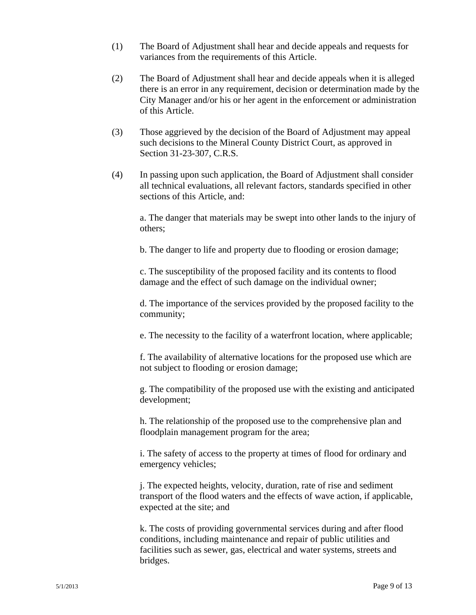- (1) The Board of Adjustment shall hear and decide appeals and requests for variances from the requirements of this Article.
- (2) The Board of Adjustment shall hear and decide appeals when it is alleged there is an error in any requirement, decision or determination made by the City Manager and/or his or her agent in the enforcement or administration of this Article.
- (3) Those aggrieved by the decision of the Board of Adjustment may appeal such decisions to the Mineral County District Court, as approved in Section 31-23-307, C.R.S.
- (4) In passing upon such application, the Board of Adjustment shall consider all technical evaluations, all relevant factors, standards specified in other sections of this Article, and:

a. The danger that materials may be swept into other lands to the injury of others;

b. The danger to life and property due to flooding or erosion damage;

c. The susceptibility of the proposed facility and its contents to flood damage and the effect of such damage on the individual owner;

d. The importance of the services provided by the proposed facility to the community;

e. The necessity to the facility of a waterfront location, where applicable;

f. The availability of alternative locations for the proposed use which are not subject to flooding or erosion damage;

g. The compatibility of the proposed use with the existing and anticipated development;

h. The relationship of the proposed use to the comprehensive plan and floodplain management program for the area;

i. The safety of access to the property at times of flood for ordinary and emergency vehicles;

j. The expected heights, velocity, duration, rate of rise and sediment transport of the flood waters and the effects of wave action, if applicable, expected at the site; and

k. The costs of providing governmental services during and after flood conditions, including maintenance and repair of public utilities and facilities such as sewer, gas, electrical and water systems, streets and bridges.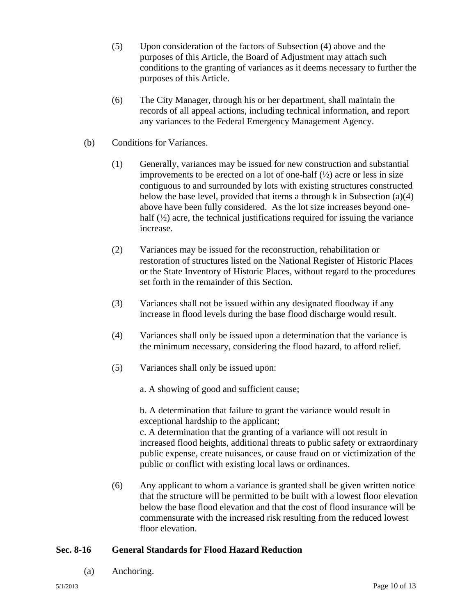- (5) Upon consideration of the factors of Subsection (4) above and the purposes of this Article, the Board of Adjustment may attach such conditions to the granting of variances as it deems necessary to further the purposes of this Article.
- (6) The City Manager, through his or her department, shall maintain the records of all appeal actions, including technical information, and report any variances to the Federal Emergency Management Agency.
- (b) Conditions for Variances.
	- (1) Generally, variances may be issued for new construction and substantial improvements to be erected on a lot of one-half  $(\frac{1}{2})$  acre or less in size contiguous to and surrounded by lots with existing structures constructed below the base level, provided that items a through k in Subsection (a)(4) above have been fully considered. As the lot size increases beyond onehalf  $(½)$  acre, the technical justifications required for issuing the variance increase.
	- (2) Variances may be issued for the reconstruction, rehabilitation or restoration of structures listed on the National Register of Historic Places or the State Inventory of Historic Places, without regard to the procedures set forth in the remainder of this Section.
	- (3) Variances shall not be issued within any designated floodway if any increase in flood levels during the base flood discharge would result.
	- (4) Variances shall only be issued upon a determination that the variance is the minimum necessary, considering the flood hazard, to afford relief.
	- (5) Variances shall only be issued upon:

a. A showing of good and sufficient cause;

b. A determination that failure to grant the variance would result in exceptional hardship to the applicant;

c. A determination that the granting of a variance will not result in increased flood heights, additional threats to public safety or extraordinary public expense, create nuisances, or cause fraud on or victimization of the public or conflict with existing local laws or ordinances.

(6) Any applicant to whom a variance is granted shall be given written notice that the structure will be permitted to be built with a lowest floor elevation below the base flood elevation and that the cost of flood insurance will be commensurate with the increased risk resulting from the reduced lowest floor elevation.

#### **Sec. 8-16 General Standards for Flood Hazard Reduction**

(a) Anchoring.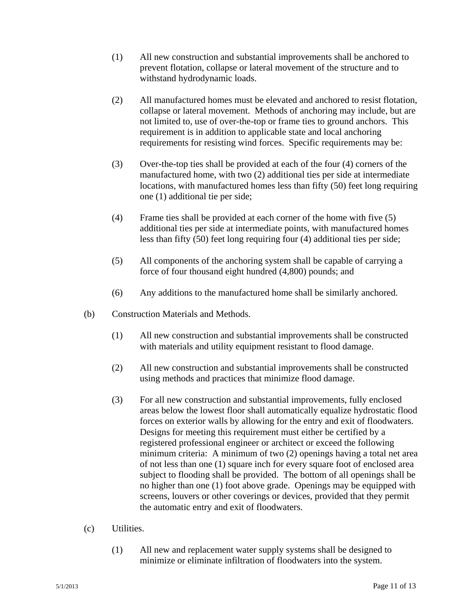- (1) All new construction and substantial improvements shall be anchored to prevent flotation, collapse or lateral movement of the structure and to withstand hydrodynamic loads.
- (2) All manufactured homes must be elevated and anchored to resist flotation, collapse or lateral movement. Methods of anchoring may include, but are not limited to, use of over-the-top or frame ties to ground anchors. This requirement is in addition to applicable state and local anchoring requirements for resisting wind forces. Specific requirements may be:
- (3) Over-the-top ties shall be provided at each of the four (4) corners of the manufactured home, with two (2) additional ties per side at intermediate locations, with manufactured homes less than fifty (50) feet long requiring one (1) additional tie per side;
- (4) Frame ties shall be provided at each corner of the home with five (5) additional ties per side at intermediate points, with manufactured homes less than fifty (50) feet long requiring four (4) additional ties per side;
- (5) All components of the anchoring system shall be capable of carrying a force of four thousand eight hundred (4,800) pounds; and
- (6) Any additions to the manufactured home shall be similarly anchored.
- (b) Construction Materials and Methods.
	- (1) All new construction and substantial improvements shall be constructed with materials and utility equipment resistant to flood damage.
	- (2) All new construction and substantial improvements shall be constructed using methods and practices that minimize flood damage.
	- (3) For all new construction and substantial improvements, fully enclosed areas below the lowest floor shall automatically equalize hydrostatic flood forces on exterior walls by allowing for the entry and exit of floodwaters. Designs for meeting this requirement must either be certified by a registered professional engineer or architect or exceed the following minimum criteria: A minimum of two (2) openings having a total net area of not less than one (1) square inch for every square foot of enclosed area subject to flooding shall be provided. The bottom of all openings shall be no higher than one (1) foot above grade. Openings may be equipped with screens, louvers or other coverings or devices, provided that they permit the automatic entry and exit of floodwaters.
- (c) Utilities.
	- (1) All new and replacement water supply systems shall be designed to minimize or eliminate infiltration of floodwaters into the system.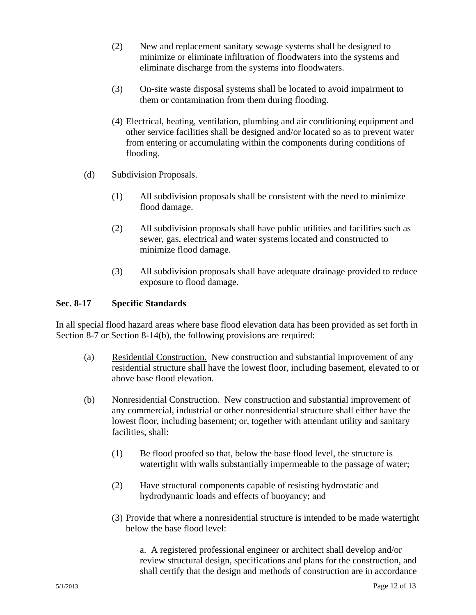- (2) New and replacement sanitary sewage systems shall be designed to minimize or eliminate infiltration of floodwaters into the systems and eliminate discharge from the systems into floodwaters.
- (3) On-site waste disposal systems shall be located to avoid impairment to them or contamination from them during flooding.
- (4) Electrical, heating, ventilation, plumbing and air conditioning equipment and other service facilities shall be designed and/or located so as to prevent water from entering or accumulating within the components during conditions of flooding.
- (d) Subdivision Proposals.
	- (1) All subdivision proposals shall be consistent with the need to minimize flood damage.
	- (2) All subdivision proposals shall have public utilities and facilities such as sewer, gas, electrical and water systems located and constructed to minimize flood damage.
	- (3) All subdivision proposals shall have adequate drainage provided to reduce exposure to flood damage.

### **Sec. 8-17 Specific Standards**

In all special flood hazard areas where base flood elevation data has been provided as set forth in Section 8-7 or Section 8-14(b)*,* the following provisions are required:

- (a) Residential Construction. New construction and substantial improvement of any residential structure shall have the lowest floor, including basement, elevated to or above base flood elevation.
- (b) Nonresidential Construction. New construction and substantial improvement of any commercial, industrial or other nonresidential structure shall either have the lowest floor, including basement; or, together with attendant utility and sanitary facilities, shall:
	- (1) Be flood proofed so that, below the base flood level, the structure is watertight with walls substantially impermeable to the passage of water;
	- (2) Have structural components capable of resisting hydrostatic and hydrodynamic loads and effects of buoyancy; and
	- (3) Provide that where a nonresidential structure is intended to be made watertight below the base flood level:

a. A registered professional engineer or architect shall develop and/or review structural design, specifications and plans for the construction, and shall certify that the design and methods of construction are in accordance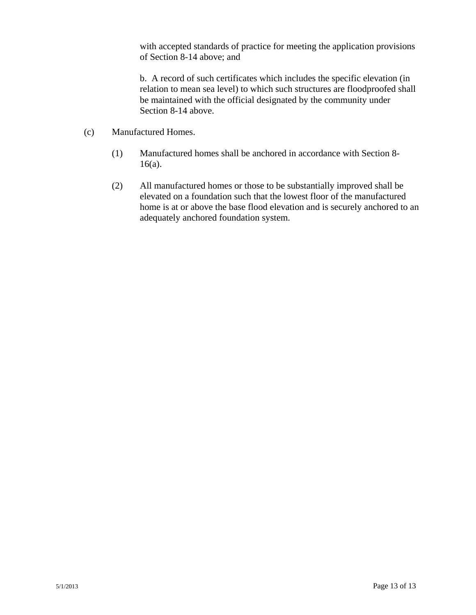with accepted standards of practice for meeting the application provisions of Section 8-14 above; and

b. A record of such certificates which includes the specific elevation (in relation to mean sea level) to which such structures are floodproofed shall be maintained with the official designated by the community under Section 8-14 above.

- (c) Manufactured Homes.
	- (1) Manufactured homes shall be anchored in accordance with Section 8- 16(a).
	- (2) All manufactured homes or those to be substantially improved shall be elevated on a foundation such that the lowest floor of the manufactured home is at or above the base flood elevation and is securely anchored to an adequately anchored foundation system.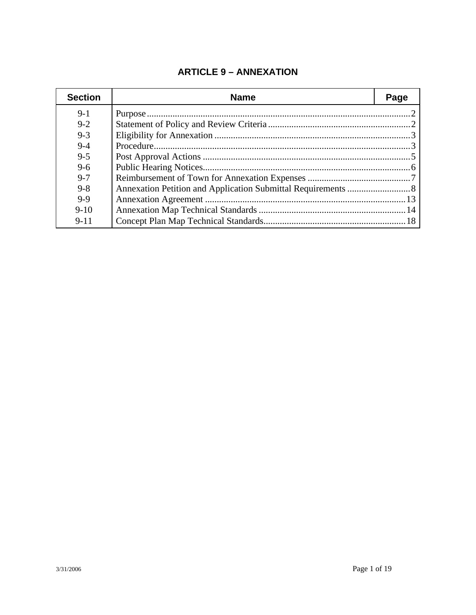# **ARTICLE 9 – ANNEXATION**

| <b>Section</b> | <b>Name</b> | Page |
|----------------|-------------|------|
| $9-1$          |             |      |
| $9 - 2$        |             |      |
| $9 - 3$        |             |      |
| $9 - 4$        |             |      |
| $9 - 5$        |             |      |
| $9 - 6$        |             |      |
| $9 - 7$        |             |      |
| $9 - 8$        |             |      |
| $9-9$          |             |      |
| $9 - 10$       |             |      |
| $9 - 11$       |             |      |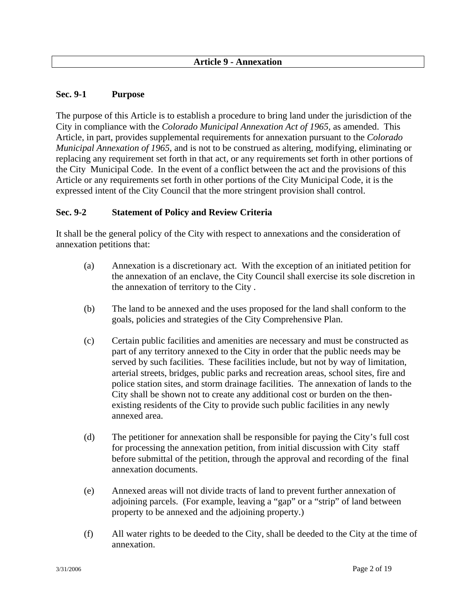### **Sec. 9-1 Purpose**

The purpose of this Article is to establish a procedure to bring land under the jurisdiction of the City in compliance with the *Colorado Municipal Annexation Act of 1965*, as amended. This Article, in part, provides supplemental requirements for annexation pursuant to the *Colorado Municipal Annexation of 1965*, and is not to be construed as altering, modifying, eliminating or replacing any requirement set forth in that act, or any requirements set forth in other portions of the City Municipal Code. In the event of a conflict between the act and the provisions of this Article or any requirements set forth in other portions of the City Municipal Code, it is the expressed intent of the City Council that the more stringent provision shall control.

#### **Sec. 9-2 Statement of Policy and Review Criteria**

It shall be the general policy of the City with respect to annexations and the consideration of annexation petitions that:

- (a) Annexation is a discretionary act. With the exception of an initiated petition for the annexation of an enclave, the City Council shall exercise its sole discretion in the annexation of territory to the City .
- (b) The land to be annexed and the uses proposed for the land shall conform to the goals, policies and strategies of the City Comprehensive Plan.
- (c) Certain public facilities and amenities are necessary and must be constructed as part of any territory annexed to the City in order that the public needs may be served by such facilities. These facilities include, but not by way of limitation, arterial streets, bridges, public parks and recreation areas, school sites, fire and police station sites, and storm drainage facilities. The annexation of lands to the City shall be shown not to create any additional cost or burden on the then existing residents of the City to provide such public facilities in any newly annexed area.
- (d) The petitioner for annexation shall be responsible for paying the City's full cost for processing the annexation petition, from initial discussion with City staff before submittal of the petition, through the approval and recording of the final annexation documents.
- (e) Annexed areas will not divide tracts of land to prevent further annexation of adjoining parcels. (For example, leaving a "gap" or a "strip" of land between property to be annexed and the adjoining property.)
- (f) All water rights to be deeded to the City, shall be deeded to the City at the time of annexation.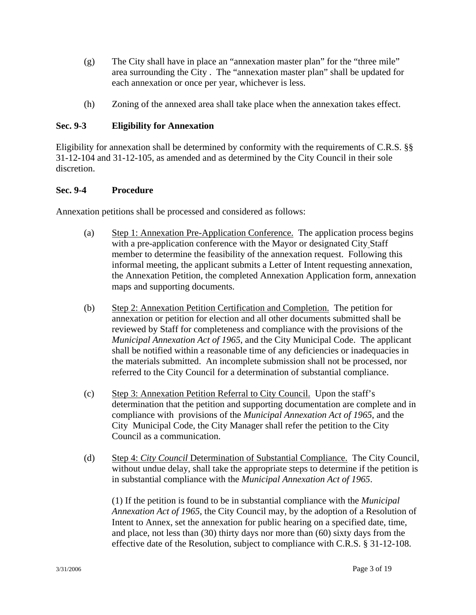- (g) The City shall have in place an "annexation master plan" for the "three mile" area surrounding the City . The "annexation master plan" shall be updated for each annexation or once per year, whichever is less.
- (h) Zoning of the annexed area shall take place when the annexation takes effect.

# **Sec. 9-3 Eligibility for Annexation**

Eligibility for annexation shall be determined by conformity with the requirements of C.R.S. §§ 31-12-104 and 31-12-105, as amended and as determined by the City Council in their sole discretion.

### **Sec. 9-4 Procedure**

Annexation petitions shall be processed and considered as follows:

- (a) Step 1: Annexation Pre-Application Conference. The application process begins with a pre-application conference with the Mayor or designated City Staff member to determine the feasibility of the annexation request. Following this informal meeting, the applicant submits a Letter of Intent requesting annexation, the Annexation Petition, the completed Annexation Application form, annexation maps and supporting documents.
- (b) Step 2: Annexation Petition Certification and Completion. The petition for annexation or petition for election and all other documents submitted shall be reviewed by Staff for completeness and compliance with the provisions of the *Municipal Annexation Act of 1965*, and the City Municipal Code. The applicant shall be notified within a reasonable time of any deficiencies or inadequacies in the materials submitted. An incomplete submission shall not be processed, nor referred to the City Council for a determination of substantial compliance.
- (c) Step 3: Annexation Petition Referral to City Council. Upon the staff's determination that the petition and supporting documentation are complete and in compliance with provisions of the *Municipal Annexation Act of 1965*, and the City Municipal Code, the City Manager shall refer the petition to the City Council as a communication.
- (d) Step 4: *City Council* Determination of Substantial Compliance. The City Council, without undue delay, shall take the appropriate steps to determine if the petition is in substantial compliance with the *Municipal Annexation Act of 1965*.

(1) If the petition is found to be in substantial compliance with the *Municipal Annexation Act of 1965*, the City Council may, by the adoption of a Resolution of Intent to Annex, set the annexation for public hearing on a specified date, time, and place, not less than (30) thirty days nor more than (60) sixty days from the effective date of the Resolution, subject to compliance with C.R.S. § 31-12-108.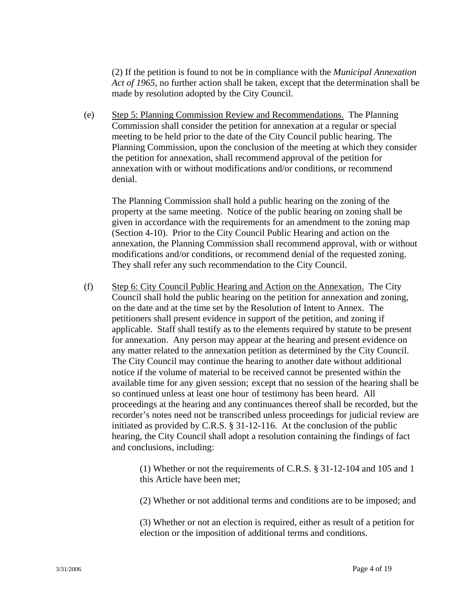(2) If the petition is found to not be in compliance with the *Municipal Annexation Act of 1965*, no further action shall be taken, except that the determination shall be made by resolution adopted by the City Council.

(e) Step 5: Planning Commission Review and Recommendations. The Planning Commission shall consider the petition for annexation at a regular or special meeting to be held prior to the date of the City Council public hearing. The Planning Commission, upon the conclusion of the meeting at which they consider the petition for annexation, shall recommend approval of the petition for annexation with or without modifications and/or conditions, or recommend denial.

The Planning Commission shall hold a public hearing on the zoning of the property at the same meeting. Notice of the public hearing on zoning shall be given in accordance with the requirements for an amendment to the zoning map (Section 4-10). Prior to the City Council Public Hearing and action on the annexation, the Planning Commission shall recommend approval, with or without modifications and/or conditions, or recommend denial of the requested zoning. They shall refer any such recommendation to the City Council.

(f) Step 6: City Council Public Hearing and Action on the Annexation. The City Council shall hold the public hearing on the petition for annexation and zoning, on the date and at the time set by the Resolution of Intent to Annex. The petitioners shall present evidence in support of the petition, and zoning if applicable. Staff shall testify as to the elements required by statute to be present for annexation. Any person may appear at the hearing and present evidence on any matter related to the annexation petition as determined by the City Council. The City Council may continue the hearing to another date without additional notice if the volume of material to be received cannot be presented within the available time for any given session; except that no session of the hearing shall be so continued unless at least one hour of testimony has been heard. All proceedings at the hearing and any continuances thereof shall be recorded, but the recorder's notes need not be transcribed unless proceedings for judicial review are initiated as provided by C.R.S. § 31-12-116. At the conclusion of the public hearing, the City Council shall adopt a resolution containing the findings of fact and conclusions, including:

> (1) Whether or not the requirements of C.R.S. § 31-12-104 and 105 and 1 this Article have been met;

> (2) Whether or not additional terms and conditions are to be imposed; and

(3) Whether or not an election is required, either as result of a petition for election or the imposition of additional terms and conditions.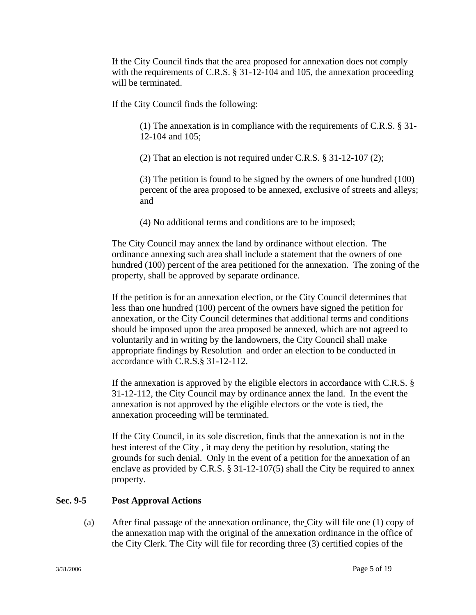If the City Council finds that the area proposed for annexation does not comply with the requirements of C.R.S. § 31-12-104 and 105, the annexation proceeding will be terminated.

If the City Council finds the following:

(1) The annexation is in compliance with the requirements of C.R.S. § 31- 12-104 and 105;

(2) That an election is not required under C.R.S. § 31-12-107 (2);

 (3) The petition is found to be signed by the owners of one hundred (100) percent of the area proposed to be annexed, exclusive of streets and alleys; and

(4) No additional terms and conditions are to be imposed;

The City Council may annex the land by ordinance without election. The ordinance annexing such area shall include a statement that the owners of one hundred (100) percent of the area petitioned for the annexation. The zoning of the property, shall be approved by separate ordinance.

If the petition is for an annexation election, or the City Council determines that less than one hundred (100) percent of the owners have signed the petition for annexation, or the City Council determines that additional terms and conditions should be imposed upon the area proposed be annexed, which are not agreed to voluntarily and in writing by the landowners, the City Council shall make appropriate findings by Resolution and order an election to be conducted in accordance with C.R.S.§ 31-12-112.

If the annexation is approved by the eligible electors in accordance with C.R.S. § 31-12-112, the City Council may by ordinance annex the land. In the event the annexation is not approved by the eligible electors or the vote is tied, the annexation proceeding will be terminated.

If the City Council, in its sole discretion, finds that the annexation is not in the best interest of the City , it may deny the petition by resolution, stating the grounds for such denial. Only in the event of a petition for the annexation of an enclave as provided by C.R.S.  $\S 31-12-107(5)$  shall the City be required to annex property.

### **Sec. 9-5 Post Approval Actions**

 (a) After final passage of the annexation ordinance, the City will file one (1) copy of the annexation map with the original of the annexation ordinance in the office of the City Clerk. The City will file for recording three (3) certified copies of the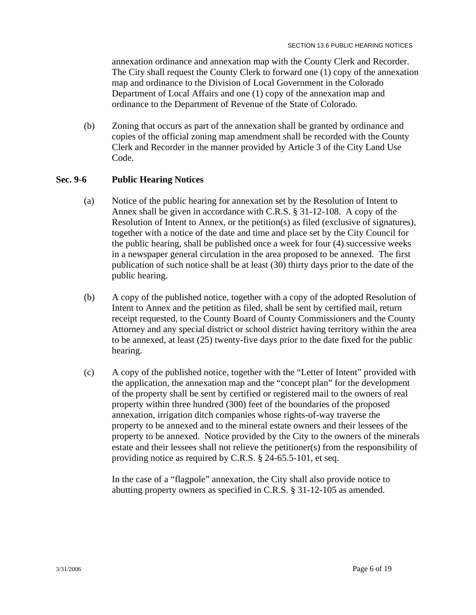annexation ordinance and annexation map with the County Clerk and Recorder. The City shall request the County Clerk to forward one (1) copy of the annexation map and ordinance to the Division of Local Government in the Colorado Department of Local Affairs and one (1) copy of the annexation map and ordinance to the Department of Revenue of the State of Colorado.

 (b) Zoning that occurs as part of the annexation shall be granted by ordinance and copies of the official zoning map amendment shall be recorded with the County Clerk and Recorder in the manner provided by Article 3 of the City Land Use Code.

#### **Sec. 9-6 Public Hearing Notices**

- (a) Notice of the public hearing for annexation set by the Resolution of Intent to Annex shall be given in accordance with C.R.S. § 31-12-108. A copy of the Resolution of Intent to Annex, or the petition(s) as filed (exclusive of signatures), together with a notice of the date and time and place set by the City Council for the public hearing, shall be published once a week for four (4) successive weeks in a newspaper general circulation in the area proposed to be annexed. The first publication of such notice shall be at least (30) thirty days prior to the date of the public hearing.
- (b) A copy of the published notice, together with a copy of the adopted Resolution of Intent to Annex and the petition as filed, shall be sent by certified mail, return receipt requested, to the County Board of County Commissioners and the County Attorney and any special district or school district having territory within the area to be annexed, at least (25) twenty-five days prior to the date fixed for the public hearing.
- (c) A copy of the published notice, together with the "Letter of Intent" provided with the application, the annexation map and the "concept plan" for the development of the property shall be sent by certified or registered mail to the owners of real property within three hundred (300) feet of the boundaries of the proposed annexation, irrigation ditch companies whose rights-of-way traverse the property to be annexed and to the mineral estate owners and their lessees of the property to be annexed. Notice provided by the City to the owners of the minerals estate and their lessees shall not relieve the petitioner(s) from the responsibility of providing notice as required by C.R.S. § 24-65.5-101, et seq.

In the case of a "flagpole" annexation, the City shall also provide notice to abutting property owners as specified in C.R.S. § 31-12-105 as amended.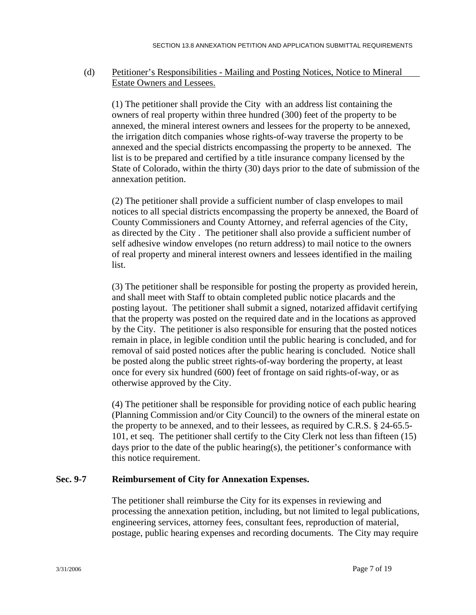### (d) Petitioner's Responsibilities - Mailing and Posting Notices, Notice to Mineral Estate Owners and Lessees.

 (1) The petitioner shall provide the City with an address list containing the owners of real property within three hundred (300) feet of the property to be annexed, the mineral interest owners and lessees for the property to be annexed, the irrigation ditch companies whose rights-of-way traverse the property to be annexed and the special districts encompassing the property to be annexed. The list is to be prepared and certified by a title insurance company licensed by the State of Colorado, within the thirty (30) days prior to the date of submission of the annexation petition.

 (2) The petitioner shall provide a sufficient number of clasp envelopes to mail notices to all special districts encompassing the property be annexed, the Board of County Commissioners and County Attorney, and referral agencies of the City, as directed by the City . The petitioner shall also provide a sufficient number of self adhesive window envelopes (no return address) to mail notice to the owners of real property and mineral interest owners and lessees identified in the mailing list.

(3) The petitioner shall be responsible for posting the property as provided herein, and shall meet with Staff to obtain completed public notice placards and the posting layout. The petitioner shall submit a signed, notarized affidavit certifying that the property was posted on the required date and in the locations as approved by the City. The petitioner is also responsible for ensuring that the posted notices remain in place, in legible condition until the public hearing is concluded, and for removal of said posted notices after the public hearing is concluded. Notice shall be posted along the public street rights-of-way bordering the property, at least once for every six hundred (600) feet of frontage on said rights-of-way, or as otherwise approved by the City.

(4) The petitioner shall be responsible for providing notice of each public hearing (Planning Commission and/or City Council) to the owners of the mineral estate on the property to be annexed, and to their lessees, as required by C.R.S. § 24-65.5- 101, et seq. The petitioner shall certify to the City Clerk not less than fifteen (15) days prior to the date of the public hearing(s), the petitioner's conformance with this notice requirement.

#### **Sec. 9-7 Reimbursement of City for Annexation Expenses.**

The petitioner shall reimburse the City for its expenses in reviewing and processing the annexation petition, including, but not limited to legal publications, engineering services, attorney fees, consultant fees, reproduction of material, postage, public hearing expenses and recording documents. The City may require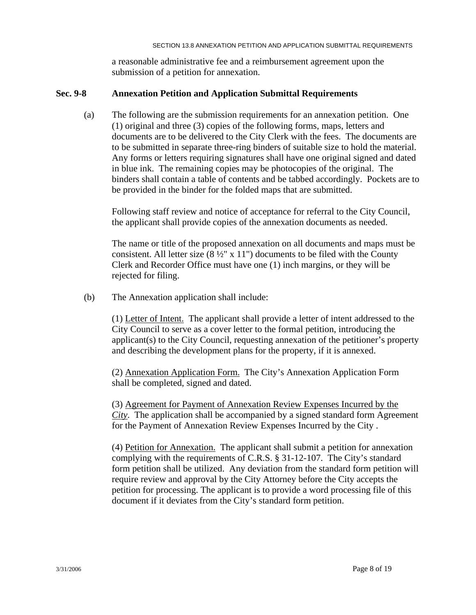a reasonable administrative fee and a reimbursement agreement upon the submission of a petition for annexation.

#### **Sec. 9-8 Annexation Petition and Application Submittal Requirements**

(a) The following are the submission requirements for an annexation petition. One (1) original and three (3) copies of the following forms, maps, letters and documents are to be delivered to the City Clerk with the fees. The documents are to be submitted in separate three-ring binders of suitable size to hold the material. Any forms or letters requiring signatures shall have one original signed and dated in blue ink. The remaining copies may be photocopies of the original. The binders shall contain a table of contents and be tabbed accordingly. Pockets are to be provided in the binder for the folded maps that are submitted.

Following staff review and notice of acceptance for referral to the City Council, the applicant shall provide copies of the annexation documents as needed.

The name or title of the proposed annexation on all documents and maps must be consistent. All letter size  $(8\frac{1}{2}$ " x 11") documents to be filed with the County Clerk and Recorder Office must have one (1) inch margins, or they will be rejected for filing.

(b) The Annexation application shall include:

 (1) Letter of Intent. The applicant shall provide a letter of intent addressed to the City Council to serve as a cover letter to the formal petition, introducing the applicant(s) to the City Council, requesting annexation of the petitioner's property and describing the development plans for the property, if it is annexed.

 (2) Annexation Application Form. The City's Annexation Application Form shall be completed, signed and dated.

(3) Agreement for Payment of Annexation Review Expenses Incurred by the *City*. The application shall be accompanied by a signed standard form Agreement for the Payment of Annexation Review Expenses Incurred by the City .

 (4) Petition for Annexation. The applicant shall submit a petition for annexation complying with the requirements of C.R.S. § 31-12-107. The City's standard form petition shall be utilized. Any deviation from the standard form petition will require review and approval by the City Attorney before the City accepts the petition for processing. The applicant is to provide a word processing file of this document if it deviates from the City's standard form petition.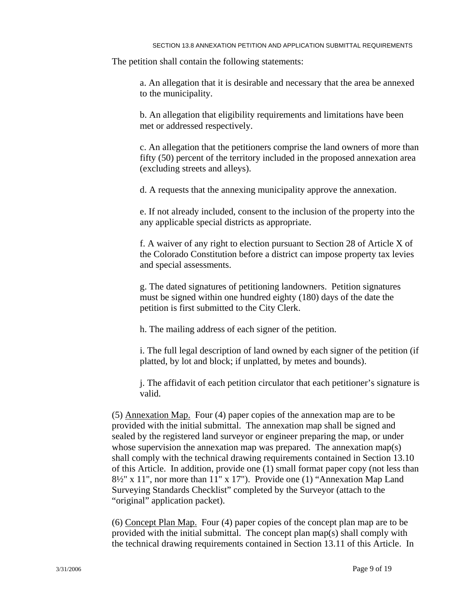The petition shall contain the following statements:

a. An allegation that it is desirable and necessary that the area be annexed to the municipality.

b. An allegation that eligibility requirements and limitations have been met or addressed respectively.

 c. An allegation that the petitioners comprise the land owners of more than fifty (50) percent of the territory included in the proposed annexation area (excluding streets and alleys).

d. A requests that the annexing municipality approve the annexation.

 e. If not already included, consent to the inclusion of the property into the any applicable special districts as appropriate.

 f. A waiver of any right to election pursuant to Section 28 of Article X of the Colorado Constitution before a district can impose property tax levies and special assessments.

 g. The dated signatures of petitioning landowners. Petition signatures must be signed within one hundred eighty (180) days of the date the petition is first submitted to the City Clerk.

h. The mailing address of each signer of the petition.

 i. The full legal description of land owned by each signer of the petition (if platted, by lot and block; if unplatted, by metes and bounds).

j. The affidavit of each petition circulator that each petitioner's signature is valid.

(5) Annexation Map. Four (4) paper copies of the annexation map are to be provided with the initial submittal. The annexation map shall be signed and sealed by the registered land surveyor or engineer preparing the map, or under whose supervision the annexation map was prepared. The annexation map(s) shall comply with the technical drawing requirements contained in Section 13.10 of this Article. In addition, provide one (1) small format paper copy (not less than 8½" x 11", nor more than 11" x 17"). Provide one (1) "Annexation Map Land Surveying Standards Checklist" completed by the Surveyor (attach to the "original" application packet).

 (6) Concept Plan Map. Four (4) paper copies of the concept plan map are to be provided with the initial submittal. The concept plan map(s) shall comply with the technical drawing requirements contained in Section 13.11 of this Article. In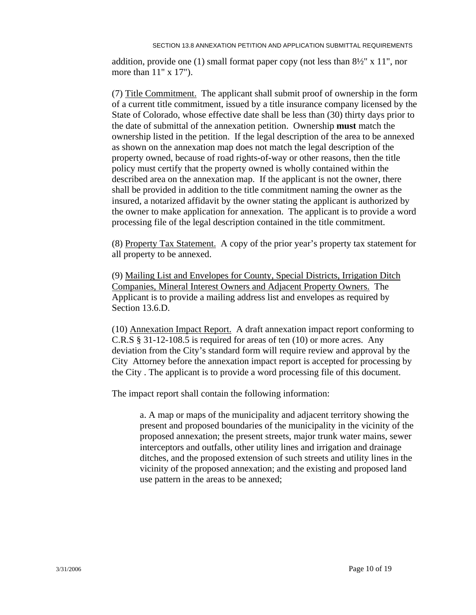addition, provide one (1) small format paper copy (not less than  $8\frac{1}{2}$ " x 11", nor more than 11" x 17").

(7) Title Commitment. The applicant shall submit proof of ownership in the form of a current title commitment, issued by a title insurance company licensed by the State of Colorado, whose effective date shall be less than (30) thirty days prior to the date of submittal of the annexation petition. Ownership **must** match the ownership listed in the petition. If the legal description of the area to be annexed as shown on the annexation map does not match the legal description of the property owned, because of road rights-of-way or other reasons, then the title policy must certify that the property owned is wholly contained within the described area on the annexation map. If the applicant is not the owner, there shall be provided in addition to the title commitment naming the owner as the insured, a notarized affidavit by the owner stating the applicant is authorized by the owner to make application for annexation. The applicant is to provide a word processing file of the legal description contained in the title commitment.

(8) Property Tax Statement. A copy of the prior year's property tax statement for all property to be annexed.

 (9) Mailing List and Envelopes for County, Special Districts, Irrigation Ditch Companies, Mineral Interest Owners and Adjacent Property Owners. The Applicant is to provide a mailing address list and envelopes as required by Section 13.6.D.

 (10) Annexation Impact Report. A draft annexation impact report conforming to C.R.S § 31-12-108.5 is required for areas of ten (10) or more acres. Any deviation from the City's standard form will require review and approval by the City Attorney before the annexation impact report is accepted for processing by the City . The applicant is to provide a word processing file of this document.

The impact report shall contain the following information:

a. A map or maps of the municipality and adjacent territory showing the present and proposed boundaries of the municipality in the vicinity of the proposed annexation; the present streets, major trunk water mains, sewer interceptors and outfalls, other utility lines and irrigation and drainage ditches, and the proposed extension of such streets and utility lines in the vicinity of the proposed annexation; and the existing and proposed land use pattern in the areas to be annexed;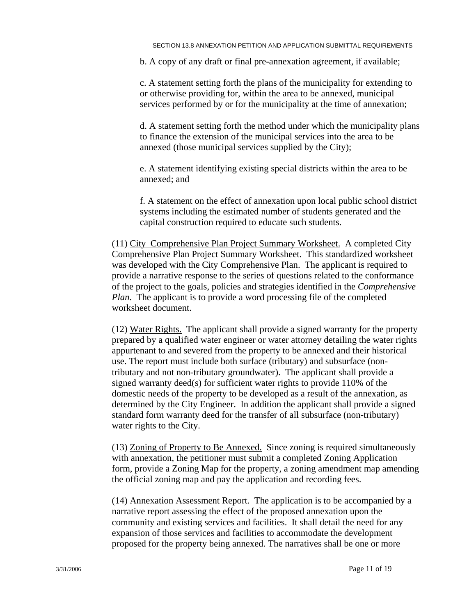b. A copy of any draft or final pre-annexation agreement, if available;

c. A statement setting forth the plans of the municipality for extending to or otherwise providing for, within the area to be annexed, municipal services performed by or for the municipality at the time of annexation;

d. A statement setting forth the method under which the municipality plans to finance the extension of the municipal services into the area to be annexed (those municipal services supplied by the City);

e. A statement identifying existing special districts within the area to be annexed; and

f. A statement on the effect of annexation upon local public school district systems including the estimated number of students generated and the capital construction required to educate such students.

(11) City Comprehensive Plan Project Summary Worksheet. A completed City Comprehensive Plan Project Summary Worksheet. This standardized worksheet was developed with the City Comprehensive Plan. The applicant is required to provide a narrative response to the series of questions related to the conformance of the project to the goals, policies and strategies identified in the *Comprehensive Plan*. The applicant is to provide a word processing file of the completed worksheet document.

(12) Water Rights. The applicant shall provide a signed warranty for the property prepared by a qualified water engineer or water attorney detailing the water rights appurtenant to and severed from the property to be annexed and their historical use. The report must include both surface (tributary) and subsurface (nontributary and not non-tributary groundwater). The applicant shall provide a signed warranty deed(s) for sufficient water rights to provide 110% of the domestic needs of the property to be developed as a result of the annexation, as determined by the City Engineer. In addition the applicant shall provide a signed standard form warranty deed for the transfer of all subsurface (non-tributary) water rights to the City.

(13) Zoning of Property to Be Annexed. Since zoning is required simultaneously with annexation, the petitioner must submit a completed Zoning Application form, provide a Zoning Map for the property, a zoning amendment map amending the official zoning map and pay the application and recording fees.

(14) Annexation Assessment Report. The application is to be accompanied by a narrative report assessing the effect of the proposed annexation upon the community and existing services and facilities. It shall detail the need for any expansion of those services and facilities to accommodate the development proposed for the property being annexed. The narratives shall be one or more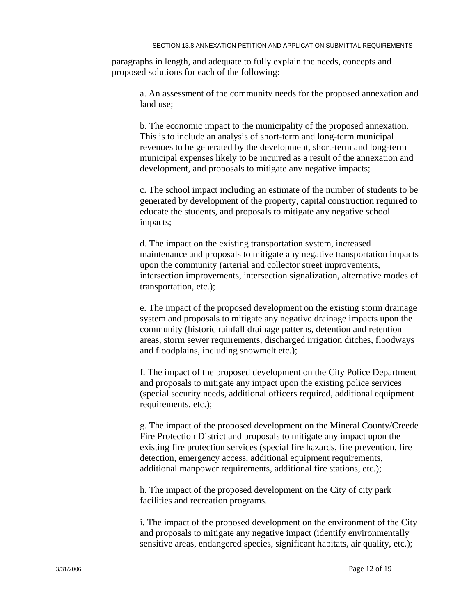paragraphs in length, and adequate to fully explain the needs, concepts and proposed solutions for each of the following:

> a. An assessment of the community needs for the proposed annexation and land use;

b. The economic impact to the municipality of the proposed annexation. This is to include an analysis of short-term and long-term municipal revenues to be generated by the development, short-term and long-term municipal expenses likely to be incurred as a result of the annexation and development, and proposals to mitigate any negative impacts;

c. The school impact including an estimate of the number of students to be generated by development of the property, capital construction required to educate the students, and proposals to mitigate any negative school impacts;

d. The impact on the existing transportation system, increased maintenance and proposals to mitigate any negative transportation impacts upon the community (arterial and collector street improvements, intersection improvements, intersection signalization, alternative modes of transportation, etc.);

e. The impact of the proposed development on the existing storm drainage system and proposals to mitigate any negative drainage impacts upon the community (historic rainfall drainage patterns, detention and retention areas, storm sewer requirements, discharged irrigation ditches, floodways and floodplains, including snowmelt etc.);

f. The impact of the proposed development on the City Police Department and proposals to mitigate any impact upon the existing police services (special security needs, additional officers required, additional equipment requirements, etc.);

g. The impact of the proposed development on the Mineral County/Creede Fire Protection District and proposals to mitigate any impact upon the existing fire protection services (special fire hazards, fire prevention, fire detection, emergency access, additional equipment requirements, additional manpower requirements, additional fire stations, etc.);

h. The impact of the proposed development on the City of city park facilities and recreation programs.

i. The impact of the proposed development on the environment of the City and proposals to mitigate any negative impact (identify environmentally sensitive areas, endangered species, significant habitats, air quality, etc.);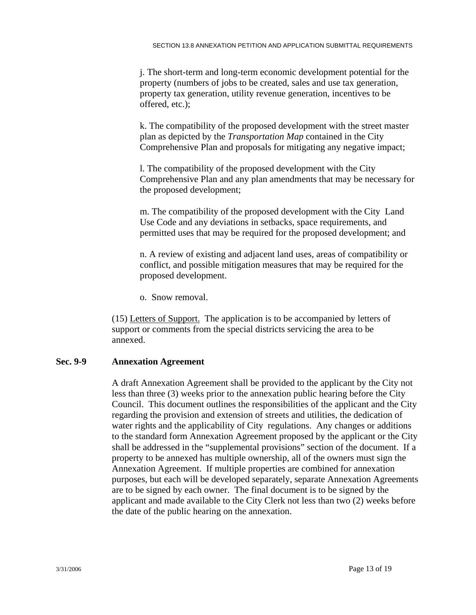j. The short-term and long-term economic development potential for the property (numbers of jobs to be created, sales and use tax generation, property tax generation, utility revenue generation, incentives to be offered, etc.);

k. The compatibility of the proposed development with the street master plan as depicted by the *Transportation Map* contained in the City Comprehensive Plan and proposals for mitigating any negative impact;

l. The compatibility of the proposed development with the City Comprehensive Plan and any plan amendments that may be necessary for the proposed development;

m. The compatibility of the proposed development with the City Land Use Code and any deviations in setbacks, space requirements, and permitted uses that may be required for the proposed development; and

 n. A review of existing and adjacent land uses, areas of compatibility or conflict, and possible mitigation measures that may be required for the proposed development.

o. Snow removal.

(15) Letters of Support. The application is to be accompanied by letters of support or comments from the special districts servicing the area to be annexed.

# **Sec. 9-9 Annexation Agreement**

A draft Annexation Agreement shall be provided to the applicant by the City not less than three (3) weeks prior to the annexation public hearing before the City Council. This document outlines the responsibilities of the applicant and the City regarding the provision and extension of streets and utilities, the dedication of water rights and the applicability of City regulations. Any changes or additions to the standard form Annexation Agreement proposed by the applicant or the City shall be addressed in the "supplemental provisions" section of the document. If a property to be annexed has multiple ownership, all of the owners must sign the Annexation Agreement. If multiple properties are combined for annexation purposes, but each will be developed separately, separate Annexation Agreements are to be signed by each owner. The final document is to be signed by the applicant and made available to the City Clerk not less than two (2) weeks before the date of the public hearing on the annexation.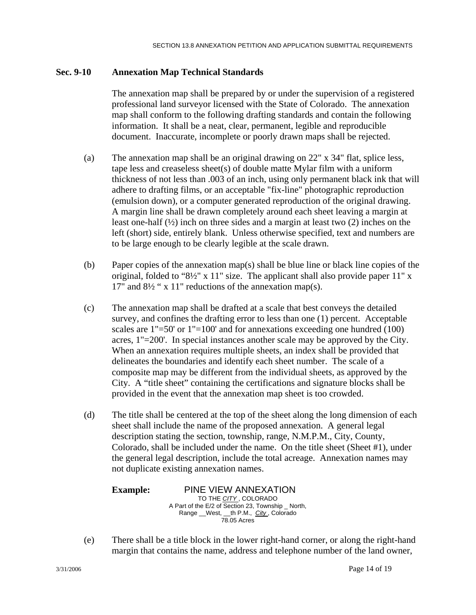# **Sec. 9-10 Annexation Map Technical Standards**

The annexation map shall be prepared by or under the supervision of a registered professional land surveyor licensed with the State of Colorado. The annexation map shall conform to the following drafting standards and contain the following information. It shall be a neat, clear, permanent, legible and reproducible document. Inaccurate, incomplete or poorly drawn maps shall be rejected.

- (a) The annexation map shall be an original drawing on 22" x 34" flat, splice less, tape less and creaseless sheet(s) of double matte Mylar film with a uniform thickness of not less than .003 of an inch, using only permanent black ink that will adhere to drafting films, or an acceptable "fix-line" photographic reproduction (emulsion down), or a computer generated reproduction of the original drawing. A margin line shall be drawn completely around each sheet leaving a margin at least one-half (½) inch on three sides and a margin at least two (2) inches on the left (short) side, entirely blank. Unless otherwise specified, text and numbers are to be large enough to be clearly legible at the scale drawn.
- (b) Paper copies of the annexation map(s) shall be blue line or black line copies of the original, folded to "8½" x 11" size. The applicant shall also provide paper 11" x 17" and 8½ " x 11" reductions of the annexation map(s).
- (c) The annexation map shall be drafted at a scale that best conveys the detailed survey, and confines the drafting error to less than one (1) percent. Acceptable scales are 1"=50' or 1"=100' and for annexations exceeding one hundred (100) acres, 1"=200'. In special instances another scale may be approved by the City. When an annexation requires multiple sheets, an index shall be provided that delineates the boundaries and identify each sheet number. The scale of a composite map may be different from the individual sheets, as approved by the City. A "title sheet" containing the certifications and signature blocks shall be provided in the event that the annexation map sheet is too crowded.
- (d) The title shall be centered at the top of the sheet along the long dimension of each sheet shall include the name of the proposed annexation. A general legal description stating the section, township, range, N.M.P.M., City, County, Colorado, shall be included under the name. On the title sheet (Sheet #1), under the general legal description, include the total acreage. Annexation names may not duplicate existing annexation names.

| <b>Example:</b> | PINE VIEW ANNEXATION                             |
|-----------------|--------------------------------------------------|
|                 | TO THE CITY, COLORADO                            |
|                 | A Part of the E/2 of Section 23, Township North, |
|                 | Range West, __th P.M., City, Colorado            |
|                 | 78.05 Acres                                      |
|                 |                                                  |

(e) There shall be a title block in the lower right-hand corner, or along the right-hand margin that contains the name, address and telephone number of the land owner,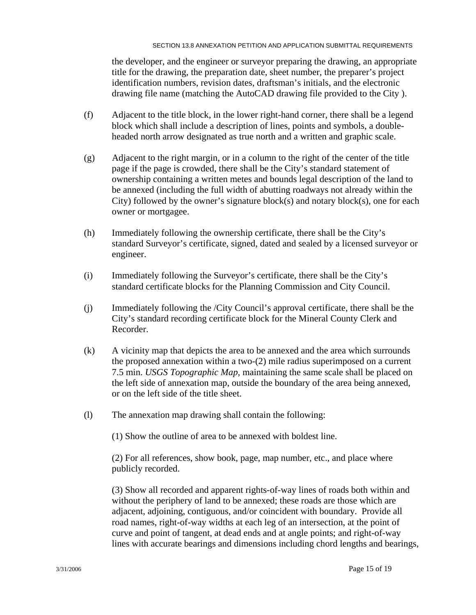the developer, and the engineer or surveyor preparing the drawing, an appropriate title for the drawing, the preparation date, sheet number, the preparer's project identification numbers, revision dates, draftsman's initials, and the electronic drawing file name (matching the AutoCAD drawing file provided to the City ).

- (f) Adjacent to the title block, in the lower right-hand corner, there shall be a legend block which shall include a description of lines, points and symbols, a double headed north arrow designated as true north and a written and graphic scale.
- (g) Adjacent to the right margin, or in a column to the right of the center of the title page if the page is crowded, there shall be the City's standard statement of ownership containing a written metes and bounds legal description of the land to be annexed (including the full width of abutting roadways not already within the City) followed by the owner's signature block(s) and notary block(s), one for each owner or mortgagee.
- (h) Immediately following the ownership certificate, there shall be the City's standard Surveyor's certificate, signed, dated and sealed by a licensed surveyor or engineer.
- (i) Immediately following the Surveyor's certificate, there shall be the City's standard certificate blocks for the Planning Commission and City Council.
- (j) Immediately following the /City Council's approval certificate, there shall be the City's standard recording certificate block for the Mineral County Clerk and Recorder.
- (k) A vicinity map that depicts the area to be annexed and the area which surrounds the proposed annexation within a two-(2) mile radius superimposed on a current 7.5 min. *USGS Topographic Map*, maintaining the same scale shall be placed on the left side of annexation map, outside the boundary of the area being annexed, or on the left side of the title sheet.
- (l) The annexation map drawing shall contain the following:

(1) Show the outline of area to be annexed with boldest line.

 (2) For all references, show book, page, map number, etc., and place where publicly recorded.

(3) Show all recorded and apparent rights-of-way lines of roads both within and without the periphery of land to be annexed; these roads are those which are adjacent, adjoining, contiguous, and/or coincident with boundary. Provide all road names, right-of-way widths at each leg of an intersection, at the point of curve and point of tangent, at dead ends and at angle points; and right-of-way lines with accurate bearings and dimensions including chord lengths and bearings,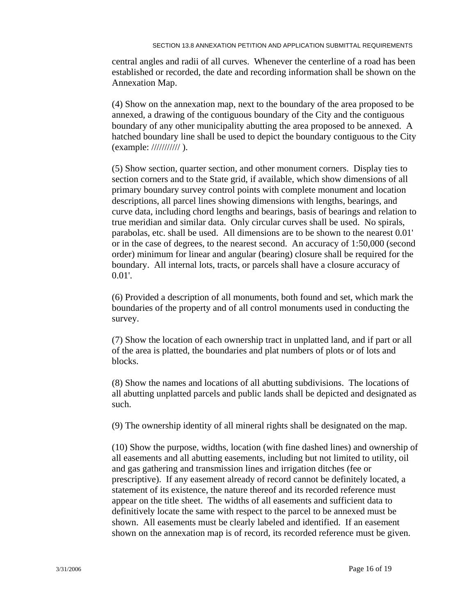central angles and radii of all curves. Whenever the centerline of a road has been established or recorded, the date and recording information shall be shown on the Annexation Map.

(4) Show on the annexation map, next to the boundary of the area proposed to be annexed, a drawing of the contiguous boundary of the City and the contiguous boundary of any other municipality abutting the area proposed to be annexed. A hatched boundary line shall be used to depict the boundary contiguous to the City (example: /////////// ).

(5) Show section, quarter section, and other monument corners. Display ties to section corners and to the State grid, if available, which show dimensions of all primary boundary survey control points with complete monument and location descriptions, all parcel lines showing dimensions with lengths, bearings, and curve data, including chord lengths and bearings, basis of bearings and relation to true meridian and similar data. Only circular curves shall be used. No spirals, parabolas, etc. shall be used. All dimensions are to be shown to the nearest 0.01' or in the case of degrees, to the nearest second. An accuracy of 1:50,000 (second order) minimum for linear and angular (bearing) closure shall be required for the boundary. All internal lots, tracts, or parcels shall have a closure accuracy of 0.01'.

 (6) Provided a description of all monuments, both found and set, which mark the boundaries of the property and of all control monuments used in conducting the survey.

(7) Show the location of each ownership tract in unplatted land, and if part or all of the area is platted, the boundaries and plat numbers of plots or of lots and blocks.

 (8) Show the names and locations of all abutting subdivisions. The locations of all abutting unplatted parcels and public lands shall be depicted and designated as such.

(9) The ownership identity of all mineral rights shall be designated on the map.

(10) Show the purpose, widths, location (with fine dashed lines) and ownership of all easements and all abutting easements, including but not limited to utility, oil and gas gathering and transmission lines and irrigation ditches (fee or prescriptive). If any easement already of record cannot be definitely located, a statement of its existence, the nature thereof and its recorded reference must appear on the title sheet. The widths of all easements and sufficient data to definitively locate the same with respect to the parcel to be annexed must be shown. All easements must be clearly labeled and identified. If an easement shown on the annexation map is of record, its recorded reference must be given.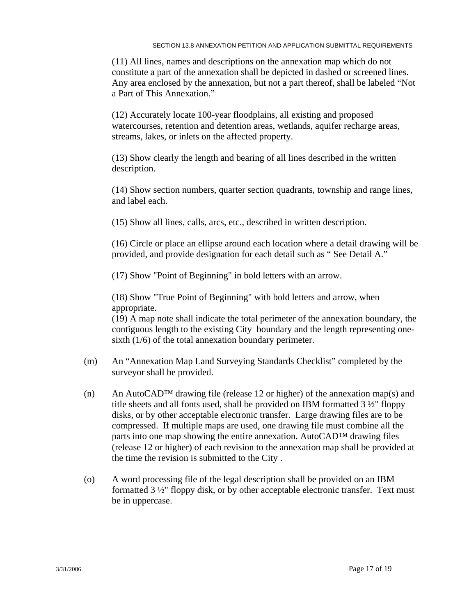(11) All lines, names and descriptions on the annexation map which do not constitute a part of the annexation shall be depicted in dashed or screened lines. Any area enclosed by the annexation, but not a part thereof, shall be labeled "Not a Part of This Annexation."

 (12) Accurately locate 100-year floodplains, all existing and proposed watercourses, retention and detention areas, wetlands, aquifer recharge areas, streams, lakes, or inlets on the affected property.

 (13) Show clearly the length and bearing of all lines described in the written description.

 (14) Show section numbers, quarter section quadrants, township and range lines, and label each.

(15) Show all lines, calls, arcs, etc., described in written description.

 (16) Circle or place an ellipse around each location where a detail drawing will be provided, and provide designation for each detail such as " See Detail A."

(17) Show "Point of Beginning" in bold letters with an arrow.

 (18) Show "True Point of Beginning" with bold letters and arrow, when appropriate.

(19) A map note shall indicate the total perimeter of the annexation boundary, the contiguous length to the existing City boundary and the length representing one sixth (1/6) of the total annexation boundary perimeter.

- (m) An "Annexation Map Land Surveying Standards Checklist" completed by the surveyor shall be provided.
- $(n)$  An AutoCAD<sup>™</sup> drawing file (release 12 or higher) of the annexation map(s) and title sheets and all fonts used, shall be provided on IBM formatted  $3\frac{1}{2}$ " floppy disks, or by other acceptable electronic transfer. Large drawing files are to be compressed. If multiple maps are used, one drawing file must combine all the parts into one map showing the entire annexation. AutoCAD™ drawing files (release 12 or higher) of each revision to the annexation map shall be provided at the time the revision is submitted to the City .
- (o) A word processing file of the legal description shall be provided on an IBM formatted 3 ½" floppy disk, or by other acceptable electronic transfer. Text must be in uppercase.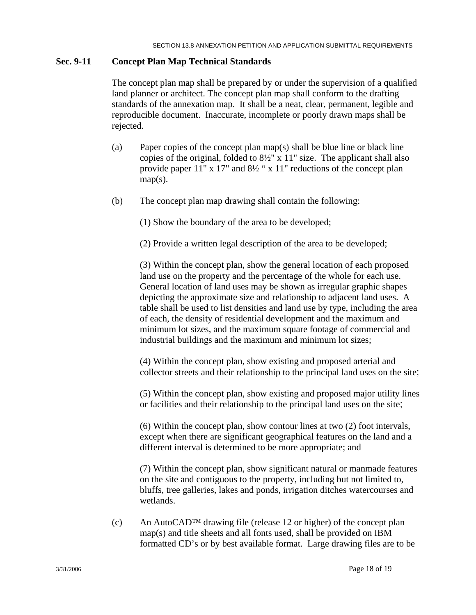### **Sec. 9-11 Concept Plan Map Technical Standards**

The concept plan map shall be prepared by or under the supervision of a qualified land planner or architect. The concept plan map shall conform to the drafting standards of the annexation map. It shall be a neat, clear, permanent, legible and reproducible document. Inaccurate, incomplete or poorly drawn maps shall be rejected.

- (a) Paper copies of the concept plan map(s) shall be blue line or black line copies of the original, folded to 8½" x 11" size. The applicant shall also provide paper 11" x 17" and 8½ " x 11" reductions of the concept plan  $map(s)$ .
- (b) The concept plan map drawing shall contain the following:

(1) Show the boundary of the area to be developed;

(2) Provide a written legal description of the area to be developed;

(3) Within the concept plan, show the general location of each proposed land use on the property and the percentage of the whole for each use. General location of land uses may be shown as irregular graphic shapes depicting the approximate size and relationship to adjacent land uses. A table shall be used to list densities and land use by type, including the area of each, the density of residential development and the maximum and minimum lot sizes, and the maximum square footage of commercial and industrial buildings and the maximum and minimum lot sizes;

(4) Within the concept plan, show existing and proposed arterial and collector streets and their relationship to the principal land uses on the site;

(5) Within the concept plan, show existing and proposed major utility lines or facilities and their relationship to the principal land uses on the site;

(6) Within the concept plan, show contour lines at two (2) foot intervals, except when there are significant geographical features on the land and a different interval is determined to be more appropriate; and

(7) Within the concept plan, show significant natural or manmade features on the site and contiguous to the property, including but not limited to, bluffs, tree galleries, lakes and ponds, irrigation ditches watercourses and wetlands.

(c) An AutoCAD<sup>™</sup> drawing file (release 12 or higher) of the concept plan map(s) and title sheets and all fonts used, shall be provided on IBM formatted CD's or by best available format. Large drawing files are to be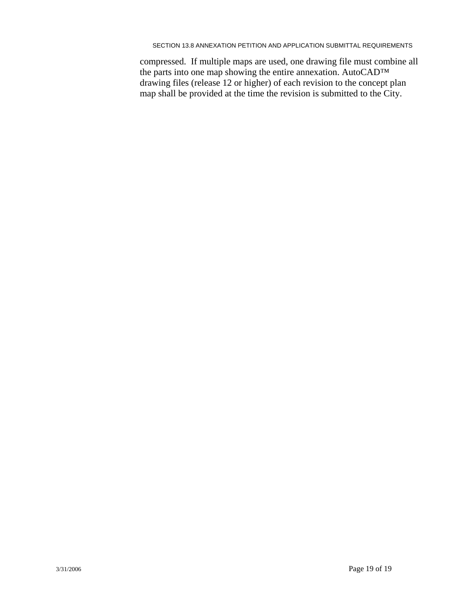#### SECTION 13.8 ANNEXATION PETITION AND APPLICATION SUBMITTAL REQUIREMENTS

compressed. If multiple maps are used, one drawing file must combine all the parts into one map showing the entire annexation. AutoCAD™ drawing files (release 12 or higher) of each revision to the concept plan map shall be provided at the time the revision is submitted to the City.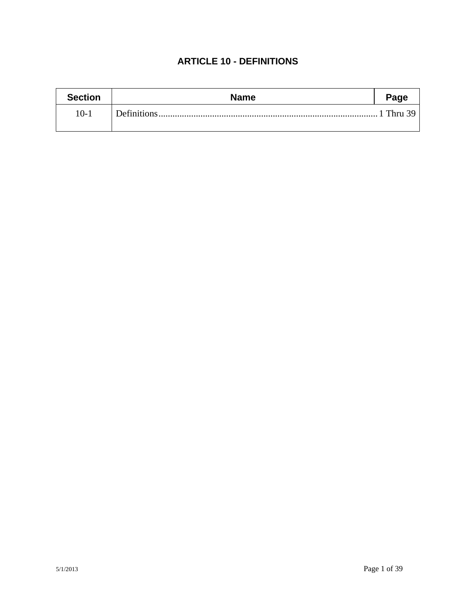# **ARTICLE 10 - DEFINITIONS**

| <b>Section</b> | <b>Name</b> | Page      |
|----------------|-------------|-----------|
| $10-1$         |             | 1 Thru 39 |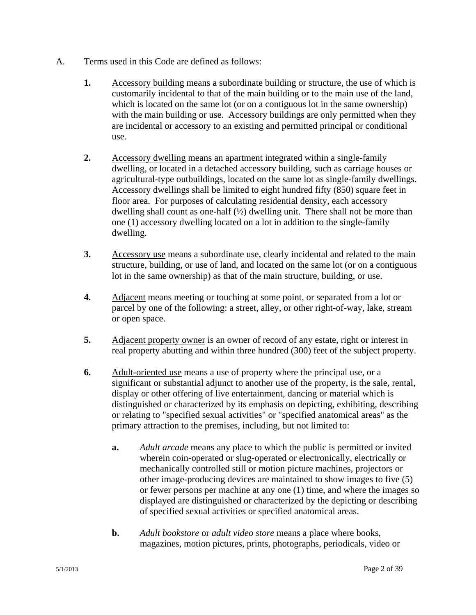- A. Terms used in this Code are defined as follows:
	- **1.** Accessory building means a subordinate building or structure, the use of which is customarily incidental to that of the main building or to the main use of the land, which is located on the same lot (or on a contiguous lot in the same ownership) with the main building or use. Accessory buildings are only permitted when they are incidental or accessory to an existing and permitted principal or conditional use.
	- **2.** Accessory dwelling means an apartment integrated within a single-family dwelling, or located in a detached accessory building, such as carriage houses or agricultural-type outbuildings, located on the same lot as single-family dwellings. Accessory dwellings shall be limited to eight hundred fifty (850) square feet in floor area. For purposes of calculating residential density, each accessory dwelling shall count as one-half  $(\frac{1}{2})$  dwelling unit. There shall not be more than one (1) accessory dwelling located on a lot in addition to the single-family dwelling.
	- **3.** Accessory use means a subordinate use, clearly incidental and related to the main structure, building, or use of land, and located on the same lot (or on a contiguous lot in the same ownership) as that of the main structure, building, or use.
	- **4.** Adjacent means meeting or touching at some point, or separated from a lot or parcel by one of the following: a street, alley, or other right-of-way, lake, stream or open space.
	- **5.** Adjacent property owner is an owner of record of any estate, right or interest in real property abutting and within three hundred (300) feet of the subject property.
	- **6.** Adult-oriented use means a use of property where the principal use, or a significant or substantial adjunct to another use of the property, is the sale, rental, display or other offering of live entertainment, dancing or material which is distinguished or characterized by its emphasis on depicting, exhibiting, describing or relating to "specified sexual activities" or "specified anatomical areas" as the primary attraction to the premises, including, but not limited to:
		- **a.** *Adult arcade* means any place to which the public is permitted or invited wherein coin-operated or slug-operated or electronically, electrically or mechanically controlled still or motion picture machines, projectors or other image-producing devices are maintained to show images to five (5) or fewer persons per machine at any one (1) time, and where the images so displayed are distinguished or characterized by the depicting or describing of specified sexual activities or specified anatomical areas.
		- **b.** *Adult bookstore* or *adult video store* means a place where books, magazines, motion pictures, prints, photographs, periodicals, video or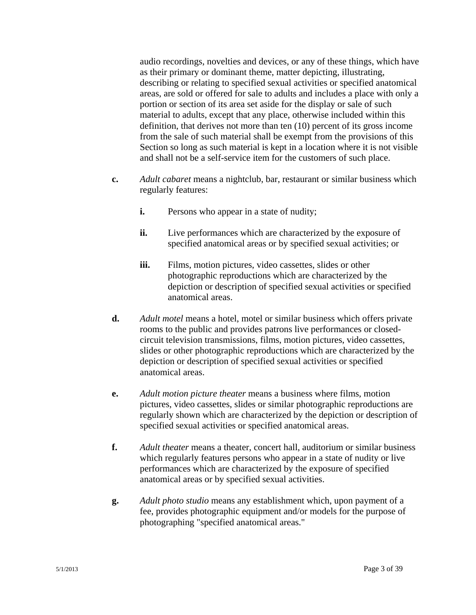audio recordings, novelties and devices, or any of these things, which have as their primary or dominant theme, matter depicting, illustrating, describing or relating to specified sexual activities or specified anatomical areas, are sold or offered for sale to adults and includes a place with only a portion or section of its area set aside for the display or sale of such material to adults, except that any place, otherwise included within this definition, that derives not more than ten (10) percent of its gross income from the sale of such material shall be exempt from the provisions of this Section so long as such material is kept in a location where it is not visible and shall not be a self-service item for the customers of such place.

- **c.** *Adult cabaret* means a nightclub, bar, restaurant or similar business which regularly features:
	- **i.** Persons who appear in a state of nudity;
	- **ii.** Live performances which are characterized by the exposure of specified anatomical areas or by specified sexual activities; or
	- **iii.** Films, motion pictures, video cassettes, slides or other photographic reproductions which are characterized by the depiction or description of specified sexual activities or specified anatomical areas.
- **d.** *Adult motel* means a hotel, motel or similar business which offers private rooms to the public and provides patrons live performances or closedcircuit television transmissions, films, motion pictures, video cassettes, slides or other photographic reproductions which are characterized by the depiction or description of specified sexual activities or specified anatomical areas.
- **e.** *Adult motion picture theater* means a business where films, motion pictures, video cassettes, slides or similar photographic reproductions are regularly shown which are characterized by the depiction or description of specified sexual activities or specified anatomical areas.
- **f.** *Adult theater* means a theater, concert hall, auditorium or similar business which regularly features persons who appear in a state of nudity or live performances which are characterized by the exposure of specified anatomical areas or by specified sexual activities.
- **g.** *Adult photo studio* means any establishment which, upon payment of a fee, provides photographic equipment and/or models for the purpose of photographing "specified anatomical areas."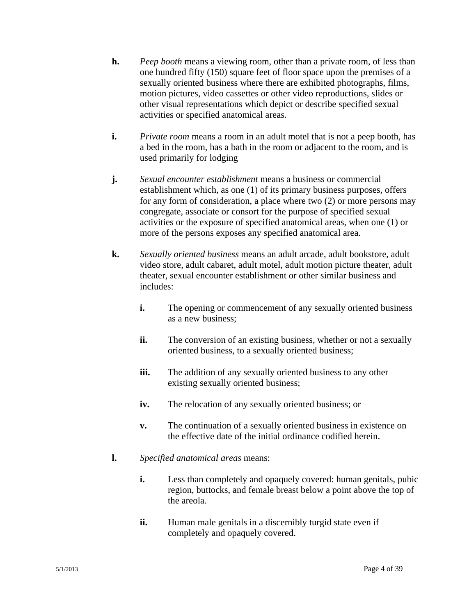- **h.** *Peep booth* means a viewing room, other than a private room, of less than one hundred fifty (150) square feet of floor space upon the premises of a sexually oriented business where there are exhibited photographs, films, motion pictures, video cassettes or other video reproductions, slides or other visual representations which depict or describe specified sexual activities or specified anatomical areas.
- **i.** *Private room* means a room in an adult motel that is not a peep booth, has a bed in the room, has a bath in the room or adjacent to the room, and is used primarily for lodging
- **j.** *Sexual encounter establishment* means a business or commercial establishment which, as one (1) of its primary business purposes, offers for any form of consideration, a place where two (2) or more persons may congregate, associate or consort for the purpose of specified sexual activities or the exposure of specified anatomical areas, when one (1) or more of the persons exposes any specified anatomical area.
- **k.** *Sexually oriented business* means an adult arcade, adult bookstore, adult video store, adult cabaret, adult motel, adult motion picture theater, adult theater, sexual encounter establishment or other similar business and includes:
	- **i.** The opening or commencement of any sexually oriented business as a new business;
	- **ii.** The conversion of an existing business, whether or not a sexually oriented business, to a sexually oriented business;
	- **iii.** The addition of any sexually oriented business to any other existing sexually oriented business;
	- **iv.** The relocation of any sexually oriented business; or
	- **v.** The continuation of a sexually oriented business in existence on the effective date of the initial ordinance codified herein.
- **l.** *Specified anatomical areas* means:
	- **i.** Less than completely and opaquely covered: human genitals, pubic region, buttocks, and female breast below a point above the top of the areola.
	- **ii.** Human male genitals in a discernibly turgid state even if completely and opaquely covered.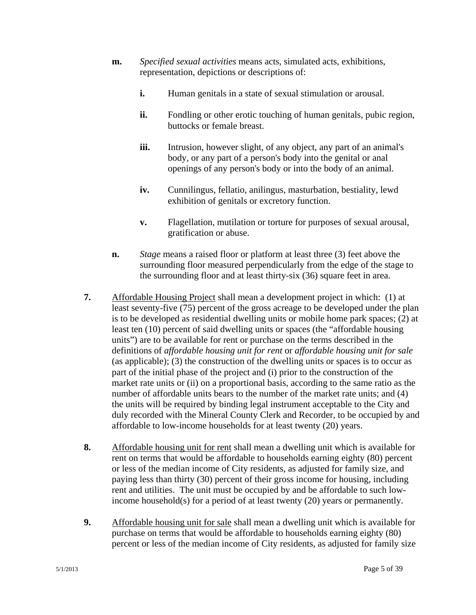- **m.** *Specified sexual activities* means acts, simulated acts, exhibitions, representation, depictions or descriptions of:
	- **i.** Human genitals in a state of sexual stimulation or arousal.
	- ii. Fondling or other erotic touching of human genitals, pubic region, buttocks or female breast.
	- **iii.** Intrusion, however slight, of any object, any part of an animal's body, or any part of a person's body into the genital or anal openings of any person's body or into the body of an animal.
	- **iv.** Cunnilingus, fellatio, anilingus, masturbation, bestiality, lewd exhibition of genitals or excretory function.
	- **v.** Flagellation, mutilation or torture for purposes of sexual arousal, gratification or abuse.
- **n.** *Stage* means a raised floor or platform at least three (3) feet above the surrounding floor measured perpendicularly from the edge of the stage to the surrounding floor and at least thirty-six (36) square feet in area.
- **7.** Affordable Housing Project shall mean a development project in which: (1) at least seventy-five (75) percent of the gross acreage to be developed under the plan is to be developed as residential dwelling units or mobile home park spaces; (2) at least ten (10) percent of said dwelling units or spaces (the "affordable housing units") are to be available for rent or purchase on the terms described in the definitions of *affordable housing unit for rent* or *affordable housing unit for sale* (as applicable); (3) the construction of the dwelling units or spaces is to occur as part of the initial phase of the project and (i) prior to the construction of the market rate units or (ii) on a proportional basis, according to the same ratio as the number of affordable units bears to the number of the market rate units; and (4) the units will be required by binding legal instrument acceptable to the City and duly recorded with the Mineral County Clerk and Recorder, to be occupied by and affordable to low-income households for at least twenty (20) years.
- **8.** Affordable housing unit for rent shall mean a dwelling unit which is available for rent on terms that would be affordable to households earning eighty (80) percent or less of the median income of City residents, as adjusted for family size, and paying less than thirty (30) percent of their gross income for housing, including rent and utilities. The unit must be occupied by and be affordable to such lowincome household(s) for a period of at least twenty (20) years or permanently.
- **9.** Affordable housing unit for sale shall mean a dwelling unit which is available for purchase on terms that would be affordable to households earning eighty (80) percent or less of the median income of City residents, as adjusted for family size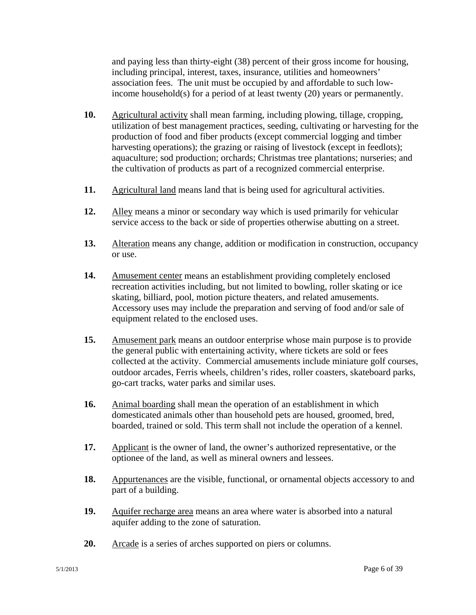and paying less than thirty-eight (38) percent of their gross income for housing, including principal, interest, taxes, insurance, utilities and homeowners' association fees. The unit must be occupied by and affordable to such lowincome household(s) for a period of at least twenty (20) years or permanently.

- **10.** Agricultural activity shall mean farming, including plowing, tillage, cropping, utilization of best management practices, seeding, cultivating or harvesting for the production of food and fiber products (except commercial logging and timber harvesting operations); the grazing or raising of livestock (except in feedlots); aquaculture; sod production; orchards; Christmas tree plantations; nurseries; and the cultivation of products as part of a recognized commercial enterprise.
- **11.** Agricultural land means land that is being used for agricultural activities.
- **12.** Alley means a minor or secondary way which is used primarily for vehicular service access to the back or side of properties otherwise abutting on a street.
- **13.** Alteration means any change, addition or modification in construction, occupancy or use.
- **14.** Amusement center means an establishment providing completely enclosed recreation activities including, but not limited to bowling, roller skating or ice skating, billiard, pool, motion picture theaters, and related amusements. Accessory uses may include the preparation and serving of food and/or sale of equipment related to the enclosed uses.
- **15.** Amusement park means an outdoor enterprise whose main purpose is to provide the general public with entertaining activity, where tickets are sold or fees collected at the activity. Commercial amusements include miniature golf courses, outdoor arcades, Ferris wheels, children's rides, roller coasters, skateboard parks, go-cart tracks, water parks and similar uses.
- **16.** Animal boarding shall mean the operation of an establishment in which domesticated animals other than household pets are housed, groomed, bred, boarded, trained or sold. This term shall not include the operation of a kennel.
- **17.** Applicant is the owner of land, the owner's authorized representative, or the optionee of the land, as well as mineral owners and lessees.
- **18.** Appurtenances are the visible, functional, or ornamental objects accessory to and part of a building.
- **19.** Aquifer recharge area means an area where water is absorbed into a natural aquifer adding to the zone of saturation.
- **20.** Arcade is a series of arches supported on piers or columns.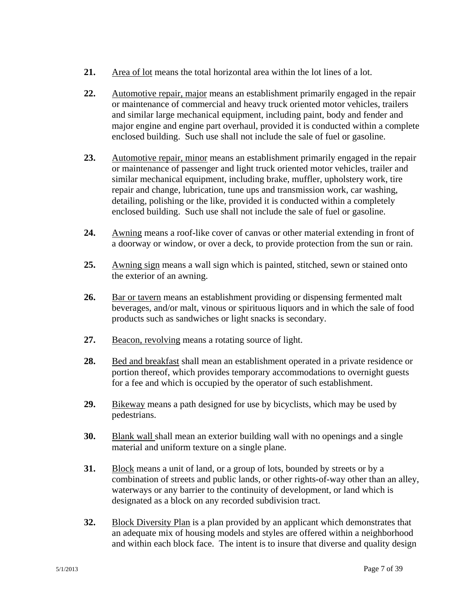- **21.** Area of lot means the total horizontal area within the lot lines of a lot.
- **22.** Automotive repair, major means an establishment primarily engaged in the repair or maintenance of commercial and heavy truck oriented motor vehicles, trailers and similar large mechanical equipment, including paint, body and fender and major engine and engine part overhaul, provided it is conducted within a complete enclosed building. Such use shall not include the sale of fuel or gasoline.
- **23.** Automotive repair, minor means an establishment primarily engaged in the repair or maintenance of passenger and light truck oriented motor vehicles, trailer and similar mechanical equipment, including brake, muffler, upholstery work, tire repair and change, lubrication, tune ups and transmission work, car washing, detailing, polishing or the like, provided it is conducted within a completely enclosed building. Such use shall not include the sale of fuel or gasoline.
- **24.** Awning means a roof-like cover of canvas or other material extending in front of a doorway or window, or over a deck, to provide protection from the sun or rain.
- **25.** Awning sign means a wall sign which is painted, stitched, sewn or stained onto the exterior of an awning.
- **26.** Bar or tavern means an establishment providing or dispensing fermented malt beverages, and/or malt, vinous or spirituous liquors and in which the sale of food products such as sandwiches or light snacks is secondary.
- **27.** Beacon, revolving means a rotating source of light.
- **28.** Bed and breakfast shall mean an establishment operated in a private residence or portion thereof, which provides temporary accommodations to overnight guests for a fee and which is occupied by the operator of such establishment.
- **29.** Bikeway means a path designed for use by bicyclists, which may be used by pedestrians.
- **30.** Blank wall shall mean an exterior building wall with no openings and a single material and uniform texture on a single plane.
- **31.** Block means a unit of land, or a group of lots, bounded by streets or by a combination of streets and public lands, or other rights-of-way other than an alley, waterways or any barrier to the continuity of development, or land which is designated as a block on any recorded subdivision tract.
- **32.** Block Diversity Plan is a plan provided by an applicant which demonstrates that an adequate mix of housing models and styles are offered within a neighborhood and within each block face. The intent is to insure that diverse and quality design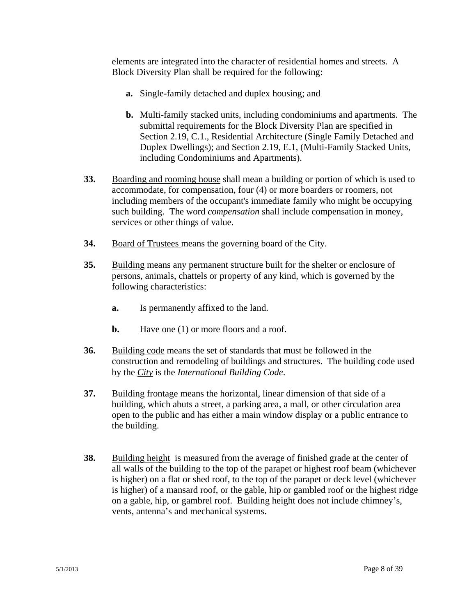elements are integrated into the character of residential homes and streets. A Block Diversity Plan shall be required for the following:

- **a.** Single-family detached and duplex housing; and
- **b.** Multi-family stacked units, including condominiums and apartments. The submittal requirements for the Block Diversity Plan are specified in Section 2.19, C.1., Residential Architecture (Single Family Detached and Duplex Dwellings); and Section 2.19, E.1, (Multi-Family Stacked Units, including Condominiums and Apartments).
- **33.** Boarding and rooming house shall mean a building or portion of which is used to accommodate, for compensation, four (4) or more boarders or roomers, not including members of the occupant's immediate family who might be occupying such building. The word *compensation* shall include compensation in money, services or other things of value.
- **34.** Board of Trustees means the governing board of the City.
- **35.** Building means any permanent structure built for the shelter or enclosure of persons, animals, chattels or property of any kind, which is governed by the following characteristics:
	- **a.** Is permanently affixed to the land.
	- **b.** Have one (1) or more floors and a roof.
- **36.** Building code means the set of standards that must be followed in the construction and remodeling of buildings and structures. The building code used by the *City* is the *International Building Code*.
- **37.** Building frontage means the horizontal, linear dimension of that side of a building, which abuts a street, a parking area, a mall, or other circulation area open to the public and has either a main window display or a public entrance to the building.
- **38.** Building height is measured from the average of finished grade at the center of all walls of the building to the top of the parapet or highest roof beam (whichever is higher) on a flat or shed roof, to the top of the parapet or deck level (whichever is higher) of a mansard roof, or the gable, hip or gambled roof or the highest ridge on a gable, hip, or gambrel roof. Building height does not include chimney's, vents, antenna's and mechanical systems.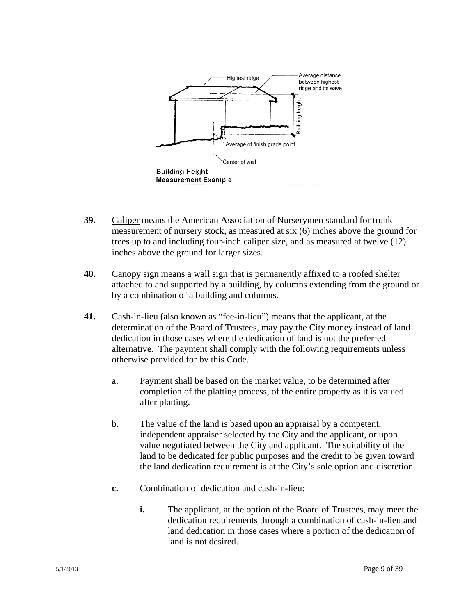

- **39.** Caliper means the American Association of Nurserymen standard for trunk measurement of nursery stock, as measured at six (6) inches above the ground for trees up to and including four-inch caliper size, and as measured at twelve (12) inches above the ground for larger sizes.
- **40.** Canopy sign means a wall sign that is permanently affixed to a roofed shelter attached to and supported by a building, by columns extending from the ground or by a combination of a building and columns.
- **41.** Cash-in-lieu (also known as "fee-in-lieu") means that the applicant, at the determination of the Board of Trustees, may pay the City money instead of land dedication in those cases where the dedication of land is not the preferred alternative. The payment shall comply with the following requirements unless otherwise provided for by this Code.
	- a. Payment shall be based on the market value, to be determined after completion of the platting process, of the entire property as it is valued after platting.
	- b. The value of the land is based upon an appraisal by a competent, independent appraiser selected by the City and the applicant, or upon value negotiated between the City and applicant. The suitability of the land to be dedicated for public purposes and the credit to be given toward the land dedication requirement is at the City's sole option and discretion.
	- **c.** Combination of dedication and cash-in-lieu:
		- **i.** The applicant, at the option of the Board of Trustees, may meet the dedication requirements through a combination of cash-in-lieu and land dedication in those cases where a portion of the dedication of land is not desired.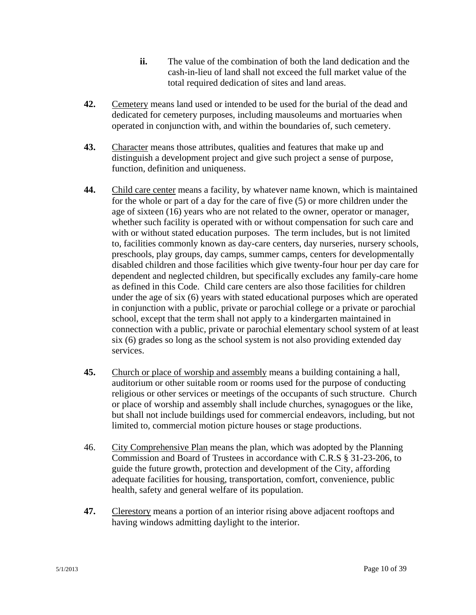- **ii.** The value of the combination of both the land dedication and the cash-in-lieu of land shall not exceed the full market value of the total required dedication of sites and land areas.
- **42.** Cemetery means land used or intended to be used for the burial of the dead and dedicated for cemetery purposes, including mausoleums and mortuaries when operated in conjunction with, and within the boundaries of, such cemetery.
- **43.** Character means those attributes, qualities and features that make up and distinguish a development project and give such project a sense of purpose, function, definition and uniqueness.
- **44.** Child care center means a facility, by whatever name known, which is maintained for the whole or part of a day for the care of five (5) or more children under the age of sixteen (16) years who are not related to the owner, operator or manager, whether such facility is operated with or without compensation for such care and with or without stated education purposes. The term includes, but is not limited to, facilities commonly known as day-care centers, day nurseries, nursery schools, preschools, play groups, day camps, summer camps, centers for developmentally disabled children and those facilities which give twenty-four hour per day care for dependent and neglected children, but specifically excludes any family-care home as defined in this Code. Child care centers are also those facilities for children under the age of six (6) years with stated educational purposes which are operated in conjunction with a public, private or parochial college or a private or parochial school, except that the term shall not apply to a kindergarten maintained in connection with a public, private or parochial elementary school system of at least six (6) grades so long as the school system is not also providing extended day services.
- **45.** Church or place of worship and assembly means a building containing a hall, auditorium or other suitable room or rooms used for the purpose of conducting religious or other services or meetings of the occupants of such structure. Church or place of worship and assembly shall include churches, synagogues or the like, but shall not include buildings used for commercial endeavors, including, but not limited to, commercial motion picture houses or stage productions.
- 46. City Comprehensive Plan means the plan, which was adopted by the Planning Commission and Board of Trustees in accordance with C.R.S § 31-23-206, to guide the future growth, protection and development of the City, affording adequate facilities for housing, transportation, comfort, convenience, public health, safety and general welfare of its population.
- **47.** Clerestory means a portion of an interior rising above adjacent rooftops and having windows admitting daylight to the interior.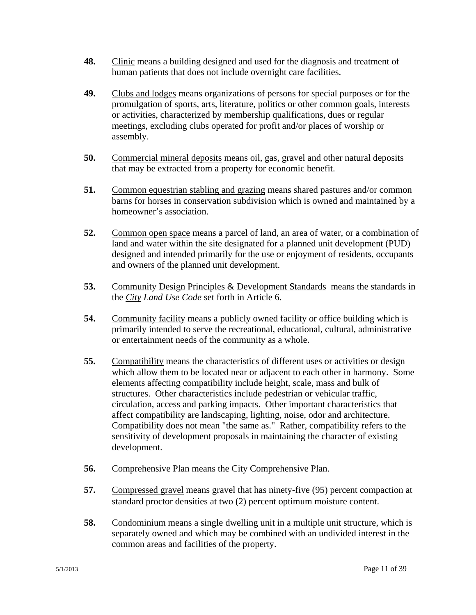- **48.** Clinic means a building designed and used for the diagnosis and treatment of human patients that does not include overnight care facilities.
- **49.** Clubs and lodges means organizations of persons for special purposes or for the promulgation of sports, arts, literature, politics or other common goals, interests or activities, characterized by membership qualifications, dues or regular meetings, excluding clubs operated for profit and/or places of worship or assembly.
- **50.** Commercial mineral deposits means oil, gas, gravel and other natural deposits that may be extracted from a property for economic benefit.
- **51.** Common equestrian stabling and grazing means shared pastures and/or common barns for horses in conservation subdivision which is owned and maintained by a homeowner's association.
- **52.** Common open space means a parcel of land, an area of water, or a combination of land and water within the site designated for a planned unit development (PUD) designed and intended primarily for the use or enjoyment of residents, occupants and owners of the planned unit development.
- **53.** Community Design Principles & Development Standards means the standards in the *City Land Use Code* set forth in Article 6.
- **54.** Community facility means a publicly owned facility or office building which is primarily intended to serve the recreational, educational, cultural, administrative or entertainment needs of the community as a whole.
- **55.** Compatibility means the characteristics of different uses or activities or design which allow them to be located near or adjacent to each other in harmony. Some elements affecting compatibility include height, scale, mass and bulk of structures. Other characteristics include pedestrian or vehicular traffic, circulation, access and parking impacts. Other important characteristics that affect compatibility are landscaping, lighting, noise, odor and architecture. Compatibility does not mean "the same as." Rather, compatibility refers to the sensitivity of development proposals in maintaining the character of existing development.
- **56.** Comprehensive Plan means the City Comprehensive Plan.
- **57.** Compressed gravel means gravel that has ninety-five (95) percent compaction at standard proctor densities at two (2) percent optimum moisture content.
- **58.** Condominium means a single dwelling unit in a multiple unit structure, which is separately owned and which may be combined with an undivided interest in the common areas and facilities of the property.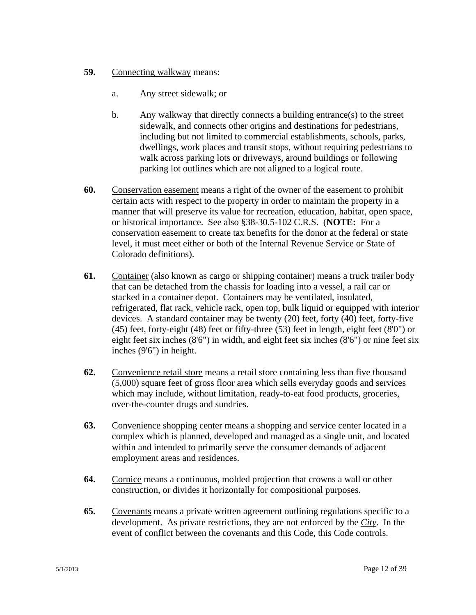- **59.** Connecting walkway means:
	- a. Any street sidewalk; or
	- b. Any walkway that directly connects a building entrance(s) to the street sidewalk, and connects other origins and destinations for pedestrians, including but not limited to commercial establishments, schools, parks, dwellings, work places and transit stops, without requiring pedestrians to walk across parking lots or driveways, around buildings or following parking lot outlines which are not aligned to a logical route.
- **60.** Conservation easement means a right of the owner of the easement to prohibit certain acts with respect to the property in order to maintain the property in a manner that will preserve its value for recreation, education, habitat, open space, or historical importance. See also §38-30.5-102 C.R.S. (**NOTE:** For a conservation easement to create tax benefits for the donor at the federal or state level, it must meet either or both of the Internal Revenue Service or State of Colorado definitions).
- **61.** Container (also known as cargo or shipping container) means a truck trailer body that can be detached from the chassis for loading into a vessel, a rail car or stacked in a container depot. Containers may be ventilated, insulated, refrigerated, flat rack, vehicle rack, open top, bulk liquid or equipped with interior devices. A standard container may be twenty (20) feet, forty (40) feet, forty-five (45) feet, forty-eight (48) feet or fifty-three (53) feet in length, eight feet (8'0") or eight feet six inches (8'6") in width, and eight feet six inches (8'6") or nine feet six inches (9'6") in height.
- **62.** Convenience retail store means a retail store containing less than five thousand (5,000) square feet of gross floor area which sells everyday goods and services which may include, without limitation, ready-to-eat food products, groceries, over-the-counter drugs and sundries.
- **63.** Convenience shopping center means a shopping and service center located in a complex which is planned, developed and managed as a single unit, and located within and intended to primarily serve the consumer demands of adjacent employment areas and residences.
- **64.** Cornice means a continuous, molded projection that crowns a wall or other construction, or divides it horizontally for compositional purposes.
- **65.** Covenants means a private written agreement outlining regulations specific to a development. As private restrictions, they are not enforced by the *City*. In the event of conflict between the covenants and this Code, this Code controls.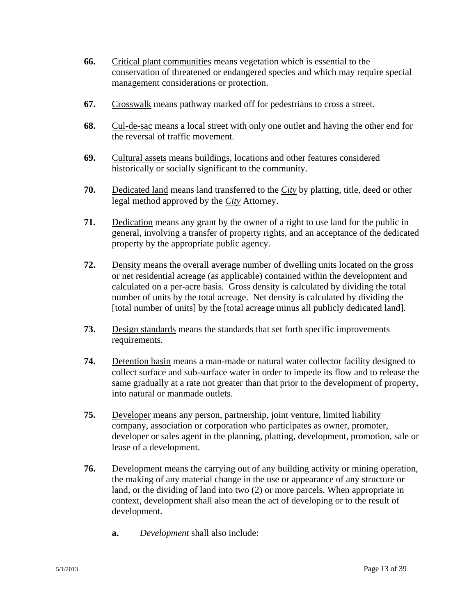- **66.** Critical plant communities means vegetation which is essential to the conservation of threatened or endangered species and which may require special management considerations or protection.
- **67.** Crosswalk means pathway marked off for pedestrians to cross a street.
- **68.** Cul-de-sac means a local street with only one outlet and having the other end for the reversal of traffic movement.
- **69.** Cultural assets means buildings, locations and other features considered historically or socially significant to the community.
- **70.** Dedicated land means land transferred to the *City* by platting, title, deed or other legal method approved by the *City* Attorney.
- **71.** Dedication means any grant by the owner of a right to use land for the public in general, involving a transfer of property rights, and an acceptance of the dedicated property by the appropriate public agency.
- **72.** Density means the overall average number of dwelling units located on the gross or net residential acreage (as applicable) contained within the development and calculated on a per-acre basis. Gross density is calculated by dividing the total number of units by the total acreage. Net density is calculated by dividing the [total number of units] by the [total acreage minus all publicly dedicated land].
- **73.** Design standards means the standards that set forth specific improvements requirements.
- **74.** Detention basin means a man-made or natural water collector facility designed to collect surface and sub-surface water in order to impede its flow and to release the same gradually at a rate not greater than that prior to the development of property, into natural or manmade outlets.
- **75.** Developer means any person, partnership, joint venture, limited liability company, association or corporation who participates as owner, promoter, developer or sales agent in the planning, platting, development, promotion, sale or lease of a development.
- **76.** Development means the carrying out of any building activity or mining operation, the making of any material change in the use or appearance of any structure or land, or the dividing of land into two (2) or more parcels. When appropriate in context, development shall also mean the act of developing or to the result of development.
	- **a.** *Development* shall also include: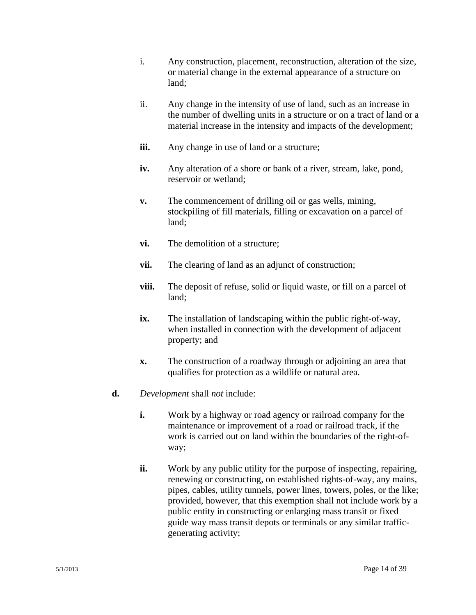- i. Any construction, placement, reconstruction, alteration of the size, or material change in the external appearance of a structure on land;
- ii. Any change in the intensity of use of land, such as an increase in the number of dwelling units in a structure or on a tract of land or a material increase in the intensity and impacts of the development;
- **iii.** Any change in use of land or a structure;
- **iv.** Any alteration of a shore or bank of a river, stream, lake, pond, reservoir or wetland;
- **v.** The commencement of drilling oil or gas wells, mining, stockpiling of fill materials, filling or excavation on a parcel of land;
- **vi.** The demolition of a structure;
- **vii.** The clearing of land as an adjunct of construction;
- **viii.** The deposit of refuse, solid or liquid waste, or fill on a parcel of land;
- **ix.** The installation of landscaping within the public right-of-way, when installed in connection with the development of adjacent property; and
- **x.** The construction of a roadway through or adjoining an area that qualifies for protection as a wildlife or natural area.
- **d.** *Development* shall *not* include:
	- **i.** Work by a highway or road agency or railroad company for the maintenance or improvement of a road or railroad track, if the work is carried out on land within the boundaries of the right-ofway;
	- **ii.** Work by any public utility for the purpose of inspecting, repairing, renewing or constructing, on established rights-of-way, any mains, pipes, cables, utility tunnels, power lines, towers, poles, or the like; provided, however, that this exemption shall not include work by a public entity in constructing or enlarging mass transit or fixed guide way mass transit depots or terminals or any similar trafficgenerating activity;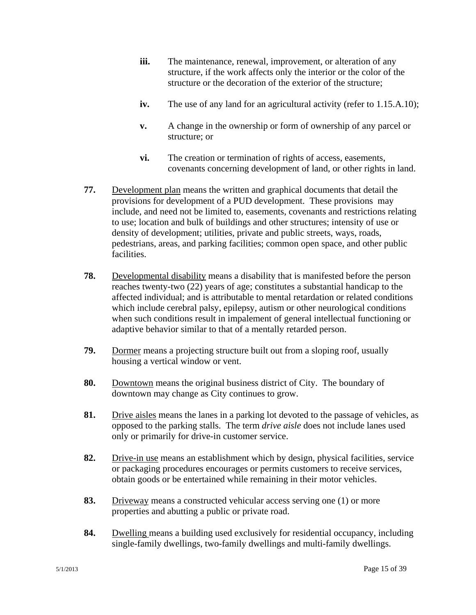- **iii.** The maintenance, renewal, improvement, or alteration of any structure, if the work affects only the interior or the color of the structure or the decoration of the exterior of the structure;
- **iv.** The use of any land for an agricultural activity (refer to 1.15.A.10);
- **v.** A change in the ownership or form of ownership of any parcel or structure; or
- **vi.** The creation or termination of rights of access, easements, covenants concerning development of land, or other rights in land.
- **77.** Development plan means the written and graphical documents that detail the provisions for development of a PUD development. These provisions may include, and need not be limited to, easements, covenants and restrictions relating to use; location and bulk of buildings and other structures; intensity of use or density of development; utilities, private and public streets, ways, roads, pedestrians, areas, and parking facilities; common open space, and other public facilities.
- **78.** Developmental disability means a disability that is manifested before the person reaches twenty-two (22) years of age; constitutes a substantial handicap to the affected individual; and is attributable to mental retardation or related conditions which include cerebral palsy, epilepsy, autism or other neurological conditions when such conditions result in impalement of general intellectual functioning or adaptive behavior similar to that of a mentally retarded person.
- **79.** Dormer means a projecting structure built out from a sloping roof, usually housing a vertical window or vent.
- **80.** Downtown means the original business district of City. The boundary of downtown may change as City continues to grow.
- **81.** Drive aisles means the lanes in a parking lot devoted to the passage of vehicles, as opposed to the parking stalls. The term *drive aisle* does not include lanes used only or primarily for drive-in customer service.
- **82.** Drive-in use means an establishment which by design, physical facilities, service or packaging procedures encourages or permits customers to receive services, obtain goods or be entertained while remaining in their motor vehicles.
- **83.** Driveway means a constructed vehicular access serving one (1) or more properties and abutting a public or private road.
- **84.** Dwelling means a building used exclusively for residential occupancy, including single-family dwellings, two-family dwellings and multi-family dwellings.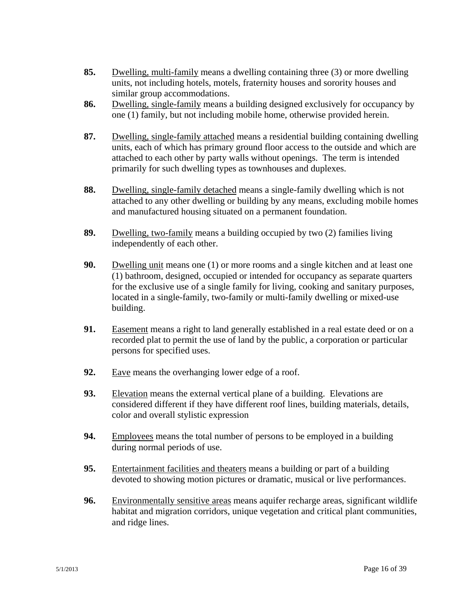- **85.** Dwelling, multi-family means a dwelling containing three (3) or more dwelling units, not including hotels, motels, fraternity houses and sorority houses and similar group accommodations.
- **86.** Dwelling, single-family means a building designed exclusively for occupancy by one (1) family, but not including mobile home, otherwise provided herein.
- **87.** Dwelling, single-family attached means a residential building containing dwelling units, each of which has primary ground floor access to the outside and which are attached to each other by party walls without openings. The term is intended primarily for such dwelling types as townhouses and duplexes.
- **88.** Dwelling, single-family detached means a single-family dwelling which is not attached to any other dwelling or building by any means, excluding mobile homes and manufactured housing situated on a permanent foundation.
- **89.** Dwelling, two-family means a building occupied by two (2) families living independently of each other.
- **90.** Dwelling unit means one (1) or more rooms and a single kitchen and at least one (1) bathroom, designed, occupied or intended for occupancy as separate quarters for the exclusive use of a single family for living, cooking and sanitary purposes, located in a single-family, two-family or multi-family dwelling or mixed-use building.
- **91.** Easement means a right to land generally established in a real estate deed or on a recorded plat to permit the use of land by the public, a corporation or particular persons for specified uses.
- **92.** Eave means the overhanging lower edge of a roof.
- **93.** Elevation means the external vertical plane of a building. Elevations are considered different if they have different roof lines, building materials, details, color and overall stylistic expression
- **94.** Employees means the total number of persons to be employed in a building during normal periods of use.
- **95.** Entertainment facilities and theaters means a building or part of a building devoted to showing motion pictures or dramatic, musical or live performances.
- **96.** Environmentally sensitive areas means aquifer recharge areas, significant wildlife habitat and migration corridors, unique vegetation and critical plant communities, and ridge lines.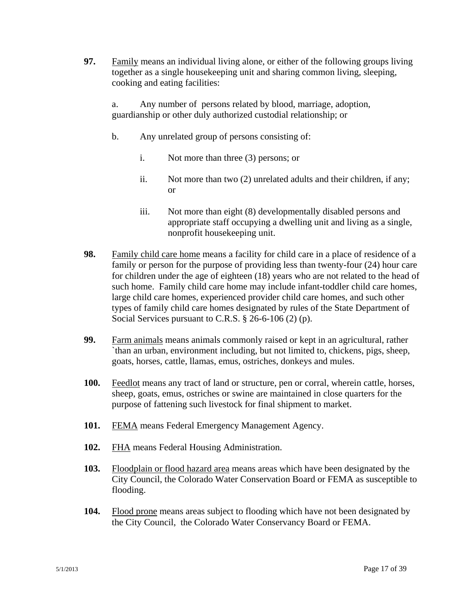**97.** Family means an individual living alone, or either of the following groups living together as a single housekeeping unit and sharing common living, sleeping, cooking and eating facilities:

a. Any number of persons related by blood, marriage, adoption, guardianship or other duly authorized custodial relationship; or

- b. Any unrelated group of persons consisting of:
	- i. Not more than three (3) persons; or
	- ii. Not more than two (2) unrelated adults and their children, if any; or
	- iii. Not more than eight (8) developmentally disabled persons and appropriate staff occupying a dwelling unit and living as a single, nonprofit housekeeping unit.
- **98.** Family child care home means a facility for child care in a place of residence of a family or person for the purpose of providing less than twenty-four (24) hour care for children under the age of eighteen (18) years who are not related to the head of such home. Family child care home may include infant-toddler child care homes, large child care homes, experienced provider child care homes, and such other types of family child care homes designated by rules of the State Department of Social Services pursuant to C.R.S. § 26-6-106 (2) (p).
- **99.** Farm animals means animals commonly raised or kept in an agricultural, rather `than an urban, environment including, but not limited to, chickens, pigs, sheep, goats, horses, cattle, llamas, emus, ostriches, donkeys and mules.
- **100.** Feedlot means any tract of land or structure, pen or corral, wherein cattle, horses, sheep, goats, emus, ostriches or swine are maintained in close quarters for the purpose of fattening such livestock for final shipment to market.
- **101.** FEMA means Federal Emergency Management Agency.
- **102.** FHA means Federal Housing Administration.
- **103.** Floodplain or flood hazard area means areas which have been designated by the City Council, the Colorado Water Conservation Board or FEMA as susceptible to flooding.
- **104.** Flood prone means areas subject to flooding which have not been designated by the City Council, the Colorado Water Conservancy Board or FEMA.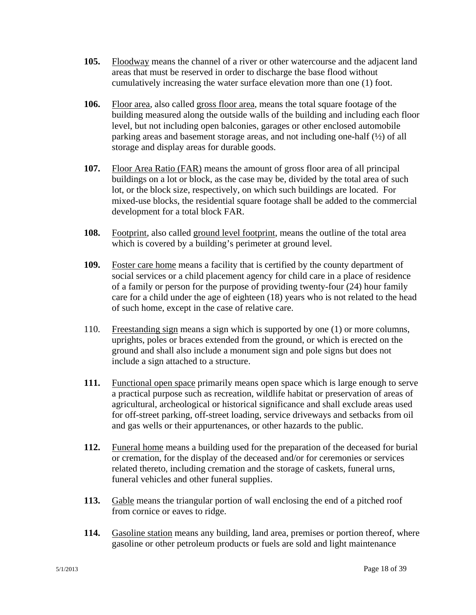- **105.** Floodway means the channel of a river or other watercourse and the adjacent land areas that must be reserved in order to discharge the base flood without cumulatively increasing the water surface elevation more than one (1) foot.
- **106.** Floor area, also called gross floor area, means the total square footage of the building measured along the outside walls of the building and including each floor level, but not including open balconies, garages or other enclosed automobile parking areas and basement storage areas, and not including one-half (½) of all storage and display areas for durable goods.
- **107.** Floor Area Ratio (FAR) means the amount of gross floor area of all principal buildings on a lot or block, as the case may be, divided by the total area of such lot, or the block size, respectively, on which such buildings are located. For mixed-use blocks, the residential square footage shall be added to the commercial development for a total block FAR.
- **108.** Footprint, also called ground level footprint, means the outline of the total area which is covered by a building's perimeter at ground level.
- **109.** Foster care home means a facility that is certified by the county department of social services or a child placement agency for child care in a place of residence of a family or person for the purpose of providing twenty-four (24) hour family care for a child under the age of eighteen (18) years who is not related to the head of such home, except in the case of relative care.
- 110. Freestanding sign means a sign which is supported by one (1) or more columns, uprights, poles or braces extended from the ground, or which is erected on the ground and shall also include a monument sign and pole signs but does not include a sign attached to a structure.
- **111.** Functional open space primarily means open space which is large enough to serve a practical purpose such as recreation, wildlife habitat or preservation of areas of agricultural, archeological or historical significance and shall exclude areas used for off-street parking, off-street loading, service driveways and setbacks from oil and gas wells or their appurtenances, or other hazards to the public.
- **112.** Funeral home means a building used for the preparation of the deceased for burial or cremation, for the display of the deceased and/or for ceremonies or services related thereto, including cremation and the storage of caskets, funeral urns, funeral vehicles and other funeral supplies.
- **113.** Gable means the triangular portion of wall enclosing the end of a pitched roof from cornice or eaves to ridge.
- **114.** Gasoline station means any building, land area, premises or portion thereof, where gasoline or other petroleum products or fuels are sold and light maintenance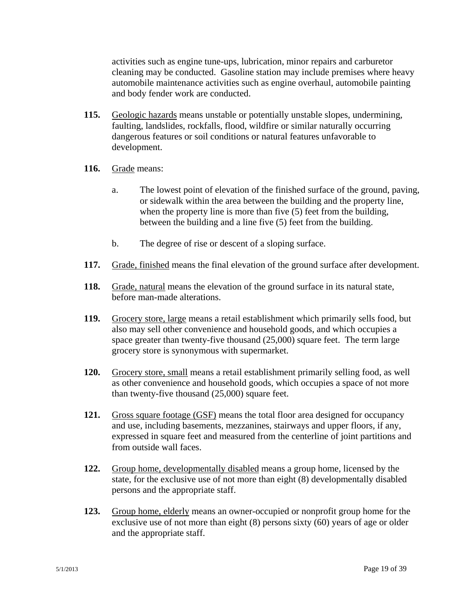activities such as engine tune-ups, lubrication, minor repairs and carburetor cleaning may be conducted. Gasoline station may include premises where heavy automobile maintenance activities such as engine overhaul, automobile painting and body fender work are conducted.

- **115.** Geologic hazards means unstable or potentially unstable slopes, undermining, faulting, landslides, rockfalls, flood, wildfire or similar naturally occurring dangerous features or soil conditions or natural features unfavorable to development.
- **116.** Grade means:
	- a. The lowest point of elevation of the finished surface of the ground, paving, or sidewalk within the area between the building and the property line, when the property line is more than five  $(5)$  feet from the building, between the building and a line five (5) feet from the building.
	- b. The degree of rise or descent of a sloping surface.
- **117.** Grade, finished means the final elevation of the ground surface after development.
- **118.** Grade, natural means the elevation of the ground surface in its natural state, before man-made alterations.
- **119.** Grocery store, large means a retail establishment which primarily sells food, but also may sell other convenience and household goods, and which occupies a space greater than twenty-five thousand (25,000) square feet. The term large grocery store is synonymous with supermarket.
- **120.** Grocery store, small means a retail establishment primarily selling food, as well as other convenience and household goods, which occupies a space of not more than twenty-five thousand (25,000) square feet.
- **121.** Gross square footage (GSF) means the total floor area designed for occupancy and use, including basements, mezzanines, stairways and upper floors, if any, expressed in square feet and measured from the centerline of joint partitions and from outside wall faces.
- **122.** Group home, developmentally disabled means a group home, licensed by the state, for the exclusive use of not more than eight (8) developmentally disabled persons and the appropriate staff.
- **123.** Group home, elderly means an owner-occupied or nonprofit group home for the exclusive use of not more than eight (8) persons sixty (60) years of age or older and the appropriate staff.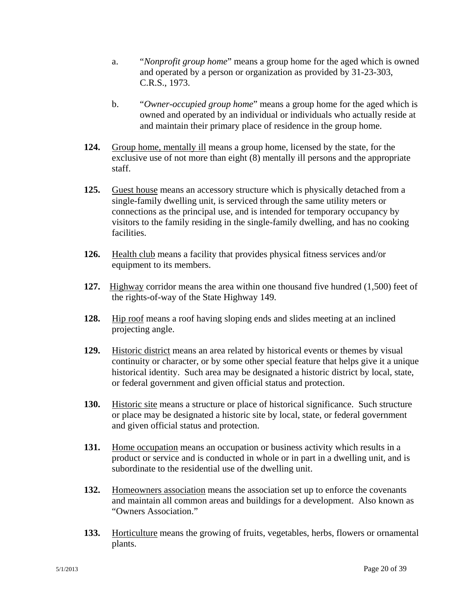- a. "*Nonprofit group home*" means a group home for the aged which is owned and operated by a person or organization as provided by 31-23-303, C.R.S., 1973.
- b. "*Owner-occupied group home*" means a group home for the aged which is owned and operated by an individual or individuals who actually reside at and maintain their primary place of residence in the group home.
- **124.** Group home, mentally ill means a group home, licensed by the state, for the exclusive use of not more than eight (8) mentally ill persons and the appropriate staff.
- **125.** Guest house means an accessory structure which is physically detached from a single-family dwelling unit, is serviced through the same utility meters or connections as the principal use, and is intended for temporary occupancy by visitors to the family residing in the single-family dwelling, and has no cooking facilities.
- **126.** Health club means a facility that provides physical fitness services and/or equipment to its members.
- **127.** Highway corridor means the area within one thousand five hundred (1,500) feet of the rights-of-way of the State Highway 149.
- **128.** Hip roof means a roof having sloping ends and slides meeting at an inclined projecting angle.
- **129.** Historic district means an area related by historical events or themes by visual continuity or character, or by some other special feature that helps give it a unique historical identity. Such area may be designated a historic district by local, state, or federal government and given official status and protection.
- **130.** Historic site means a structure or place of historical significance. Such structure or place may be designated a historic site by local, state, or federal government and given official status and protection.
- **131.** Home occupation means an occupation or business activity which results in a product or service and is conducted in whole or in part in a dwelling unit, and is subordinate to the residential use of the dwelling unit.
- **132.** Homeowners association means the association set up to enforce the covenants and maintain all common areas and buildings for a development. Also known as "Owners Association."
- **133.** Horticulture means the growing of fruits, vegetables, herbs, flowers or ornamental plants.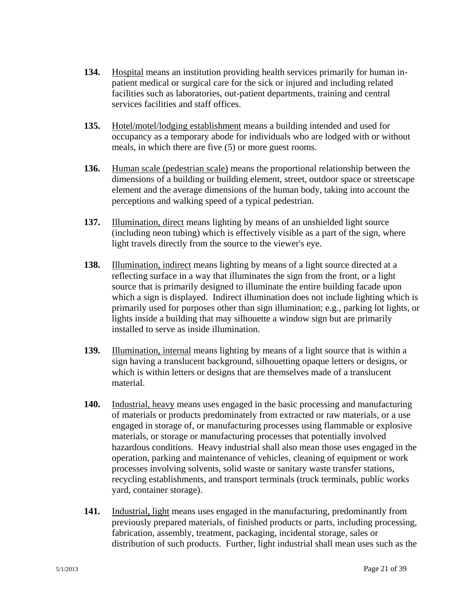- **134.** Hospital means an institution providing health services primarily for human inpatient medical or surgical care for the sick or injured and including related facilities such as laboratories, out-patient departments, training and central services facilities and staff offices.
- **135.** Hotel/motel/lodging establishment means a building intended and used for occupancy as a temporary abode for individuals who are lodged with or without meals, in which there are five (5) or more guest rooms.
- **136.** Human scale (pedestrian scale) means the proportional relationship between the dimensions of a building or building element, street, outdoor space or streetscape element and the average dimensions of the human body, taking into account the perceptions and walking speed of a typical pedestrian.
- **137.** Illumination, direct means lighting by means of an unshielded light source (including neon tubing) which is effectively visible as a part of the sign, where light travels directly from the source to the viewer's eye.
- **138.** Illumination, indirect means lighting by means of a light source directed at a reflecting surface in a way that illuminates the sign from the front, or a light source that is primarily designed to illuminate the entire building facade upon which a sign is displayed. Indirect illumination does not include lighting which is primarily used for purposes other than sign illumination; e.g., parking lot lights, or lights inside a building that may silhouette a window sign but are primarily installed to serve as inside illumination.
- **139.** Illumination, internal means lighting by means of a light source that is within a sign having a translucent background, silhouetting opaque letters or designs, or which is within letters or designs that are themselves made of a translucent material.
- **140.** Industrial, heavy means uses engaged in the basic processing and manufacturing of materials or products predominately from extracted or raw materials, or a use engaged in storage of, or manufacturing processes using flammable or explosive materials, or storage or manufacturing processes that potentially involved hazardous conditions. Heavy industrial shall also mean those uses engaged in the operation, parking and maintenance of vehicles, cleaning of equipment or work processes involving solvents, solid waste or sanitary waste transfer stations, recycling establishments, and transport terminals (truck terminals, public works yard, container storage).
- **141.** Industrial, light means uses engaged in the manufacturing, predominantly from previously prepared materials, of finished products or parts, including processing, fabrication, assembly, treatment, packaging, incidental storage, sales or distribution of such products. Further, light industrial shall mean uses such as the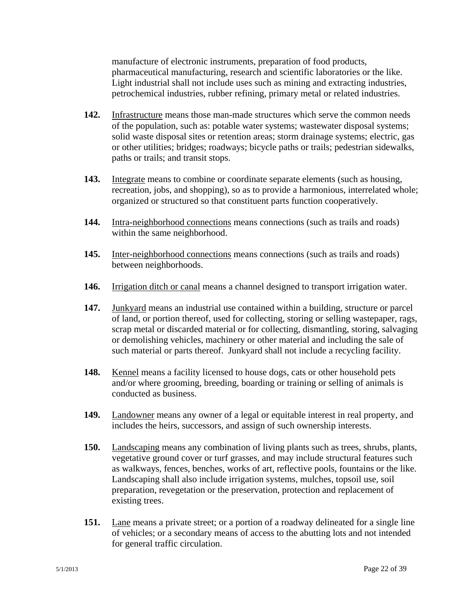manufacture of electronic instruments, preparation of food products, pharmaceutical manufacturing, research and scientific laboratories or the like. Light industrial shall not include uses such as mining and extracting industries, petrochemical industries, rubber refining, primary metal or related industries.

- **142.** Infrastructure means those man-made structures which serve the common needs of the population, such as: potable water systems; wastewater disposal systems; solid waste disposal sites or retention areas; storm drainage systems; electric, gas or other utilities; bridges; roadways; bicycle paths or trails; pedestrian sidewalks, paths or trails; and transit stops.
- **143.** Integrate means to combine or coordinate separate elements (such as housing, recreation, jobs, and shopping), so as to provide a harmonious, interrelated whole; organized or structured so that constituent parts function cooperatively.
- **144.** Intra-neighborhood connections means connections (such as trails and roads) within the same neighborhood.
- **145.** Inter-neighborhood connections means connections (such as trails and roads) between neighborhoods.
- **146.** Irrigation ditch or canal means a channel designed to transport irrigation water.
- **147.** Junkyard means an industrial use contained within a building, structure or parcel of land, or portion thereof, used for collecting, storing or selling wastepaper, rags, scrap metal or discarded material or for collecting, dismantling, storing, salvaging or demolishing vehicles, machinery or other material and including the sale of such material or parts thereof. Junkyard shall not include a recycling facility.
- **148.** Kennel means a facility licensed to house dogs, cats or other household pets and/or where grooming, breeding, boarding or training or selling of animals is conducted as business.
- **149.** Landowner means any owner of a legal or equitable interest in real property, and includes the heirs, successors, and assign of such ownership interests.
- **150.** Landscaping means any combination of living plants such as trees, shrubs, plants, vegetative ground cover or turf grasses, and may include structural features such as walkways, fences, benches, works of art, reflective pools, fountains or the like. Landscaping shall also include irrigation systems, mulches, topsoil use, soil preparation, revegetation or the preservation, protection and replacement of existing trees.
- **151.** Lane means a private street; or a portion of a roadway delineated for a single line of vehicles; or a secondary means of access to the abutting lots and not intended for general traffic circulation.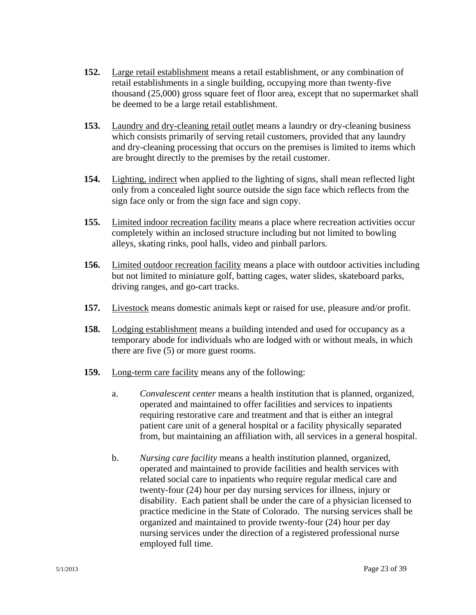- **152.** Large retail establishment means a retail establishment, or any combination of retail establishments in a single building, occupying more than twenty-five thousand (25,000) gross square feet of floor area, except that no supermarket shall be deemed to be a large retail establishment.
- **153.** Laundry and dry-cleaning retail outlet means a laundry or dry-cleaning business which consists primarily of serving retail customers, provided that any laundry and dry-cleaning processing that occurs on the premises is limited to items which are brought directly to the premises by the retail customer.
- **154.** Lighting, indirect when applied to the lighting of signs, shall mean reflected light only from a concealed light source outside the sign face which reflects from the sign face only or from the sign face and sign copy.
- **155.** Limited indoor recreation facility means a place where recreation activities occur completely within an inclosed structure including but not limited to bowling alleys, skating rinks, pool halls, video and pinball parlors.
- **156.** Limited outdoor recreation facility means a place with outdoor activities including but not limited to miniature golf, batting cages, water slides, skateboard parks, driving ranges, and go-cart tracks.
- **157.** Livestock means domestic animals kept or raised for use, pleasure and/or profit.
- **158.** Lodging establishment means a building intended and used for occupancy as a temporary abode for individuals who are lodged with or without meals, in which there are five (5) or more guest rooms.
- **159.** Long-term care facility means any of the following:
	- a. *Convalescent center* means a health institution that is planned, organized, operated and maintained to offer facilities and services to inpatients requiring restorative care and treatment and that is either an integral patient care unit of a general hospital or a facility physically separated from, but maintaining an affiliation with, all services in a general hospital.
	- b. *Nursing care facility* means a health institution planned, organized, operated and maintained to provide facilities and health services with related social care to inpatients who require regular medical care and twenty-four (24) hour per day nursing services for illness, injury or disability. Each patient shall be under the care of a physician licensed to practice medicine in the State of Colorado. The nursing services shall be organized and maintained to provide twenty-four (24) hour per day nursing services under the direction of a registered professional nurse employed full time.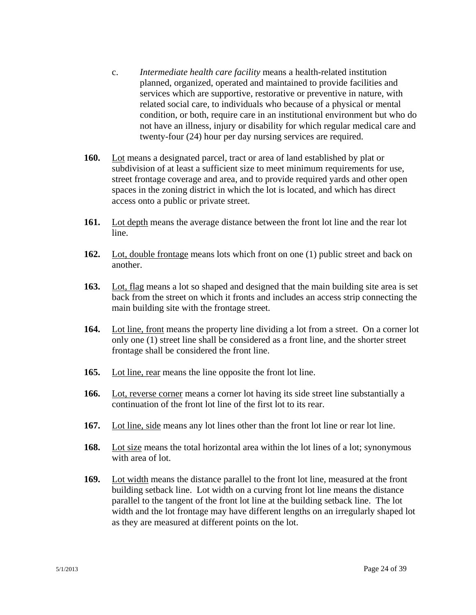- c. *Intermediate health care facility* means a health-related institution planned, organized, operated and maintained to provide facilities and services which are supportive, restorative or preventive in nature, with related social care, to individuals who because of a physical or mental condition, or both, require care in an institutional environment but who do not have an illness, injury or disability for which regular medical care and twenty-four (24) hour per day nursing services are required.
- **160.** Lot means a designated parcel, tract or area of land established by plat or subdivision of at least a sufficient size to meet minimum requirements for use, street frontage coverage and area, and to provide required yards and other open spaces in the zoning district in which the lot is located, and which has direct access onto a public or private street.
- **161.** Lot depth means the average distance between the front lot line and the rear lot line.
- **162.** Lot, double frontage means lots which front on one (1) public street and back on another.
- **163.** Lot, flag means a lot so shaped and designed that the main building site area is set back from the street on which it fronts and includes an access strip connecting the main building site with the frontage street.
- **164.** Lot line, front means the property line dividing a lot from a street. On a corner lot only one (1) street line shall be considered as a front line, and the shorter street frontage shall be considered the front line.
- **165.** Lot line, rear means the line opposite the front lot line.
- **166.** Lot, reverse corner means a corner lot having its side street line substantially a continuation of the front lot line of the first lot to its rear.
- **167.** Lot line, side means any lot lines other than the front lot line or rear lot line.
- **168.** Lot size means the total horizontal area within the lot lines of a lot; synonymous with area of lot.
- **169.** Lot width means the distance parallel to the front lot line, measured at the front building setback line. Lot width on a curving front lot line means the distance parallel to the tangent of the front lot line at the building setback line. The lot width and the lot frontage may have different lengths on an irregularly shaped lot as they are measured at different points on the lot.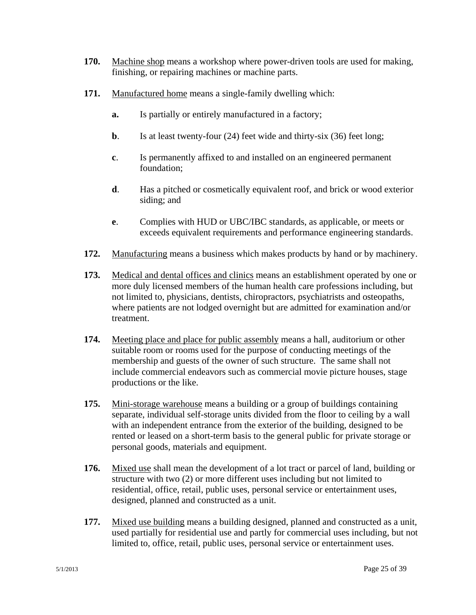- **170.** Machine shop means a workshop where power-driven tools are used for making, finishing, or repairing machines or machine parts.
- **171.** Manufactured home means a single-family dwelling which:
	- **a.** Is partially or entirely manufactured in a factory;
	- **b**. Is at least twenty-four (24) feet wide and thirty-six (36) feet long;
	- **c**. Is permanently affixed to and installed on an engineered permanent foundation;
	- **d**. Has a pitched or cosmetically equivalent roof, and brick or wood exterior siding; and
	- **e**. Complies with HUD or UBC/IBC standards, as applicable, or meets or exceeds equivalent requirements and performance engineering standards.
- **172.** Manufacturing means a business which makes products by hand or by machinery.
- **173.** Medical and dental offices and clinics means an establishment operated by one or more duly licensed members of the human health care professions including, but not limited to, physicians, dentists, chiropractors, psychiatrists and osteopaths, where patients are not lodged overnight but are admitted for examination and/or treatment.
- **174.** Meeting place and place for public assembly means a hall, auditorium or other suitable room or rooms used for the purpose of conducting meetings of the membership and guests of the owner of such structure. The same shall not include commercial endeavors such as commercial movie picture houses, stage productions or the like.
- **175.** Mini-storage warehouse means a building or a group of buildings containing separate, individual self-storage units divided from the floor to ceiling by a wall with an independent entrance from the exterior of the building, designed to be rented or leased on a short-term basis to the general public for private storage or personal goods, materials and equipment.
- **176.** Mixed use shall mean the development of a lot tract or parcel of land, building or structure with two (2) or more different uses including but not limited to residential, office, retail, public uses, personal service or entertainment uses, designed, planned and constructed as a unit.
- **177.** Mixed use building means a building designed, planned and constructed as a unit, used partially for residential use and partly for commercial uses including, but not limited to, office, retail, public uses, personal service or entertainment uses.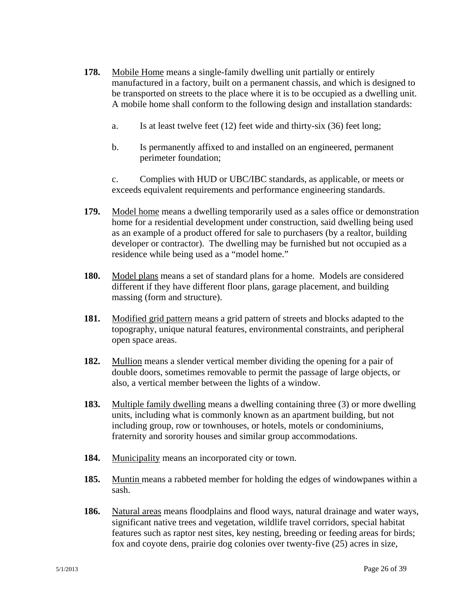- **178.** Mobile Home means a single-family dwelling unit partially or entirely manufactured in a factory, built on a permanent chassis, and which is designed to be transported on streets to the place where it is to be occupied as a dwelling unit. A mobile home shall conform to the following design and installation standards:
	- a. Is at least twelve feet (12) feet wide and thirty-six (36) feet long;
	- b. Is permanently affixed to and installed on an engineered, permanent perimeter foundation;

c. Complies with HUD or UBC/IBC standards, as applicable, or meets or exceeds equivalent requirements and performance engineering standards.

- **179.** Model home means a dwelling temporarily used as a sales office or demonstration home for a residential development under construction, said dwelling being used as an example of a product offered for sale to purchasers (by a realtor, building developer or contractor). The dwelling may be furnished but not occupied as a residence while being used as a "model home."
- **180.** Model plans means a set of standard plans for a home. Models are considered different if they have different floor plans, garage placement, and building massing (form and structure).
- **181.** Modified grid pattern means a grid pattern of streets and blocks adapted to the topography, unique natural features, environmental constraints, and peripheral open space areas.
- **182.** Mullion means a slender vertical member dividing the opening for a pair of double doors, sometimes removable to permit the passage of large objects, or also, a vertical member between the lights of a window.
- **183.** Multiple family dwelling means a dwelling containing three (3) or more dwelling units, including what is commonly known as an apartment building, but not including group, row or townhouses, or hotels, motels or condominiums, fraternity and sorority houses and similar group accommodations.
- **184.** Municipality means an incorporated city or town.
- **185.** Muntin means a rabbeted member for holding the edges of windowpanes within a sash.
- **186.** Natural areas means floodplains and flood ways, natural drainage and water ways, significant native trees and vegetation, wildlife travel corridors, special habitat features such as raptor nest sites, key nesting, breeding or feeding areas for birds; fox and coyote dens, prairie dog colonies over twenty-five (25) acres in size,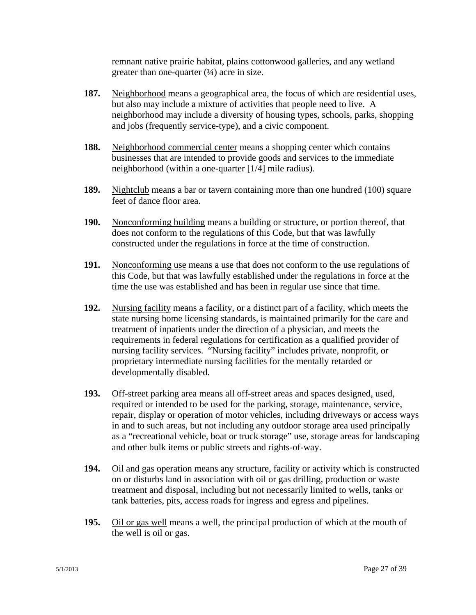remnant native prairie habitat, plains cottonwood galleries, and any wetland greater than one-quarter  $(½)$  acre in size.

- **187.** Neighborhood means a geographical area, the focus of which are residential uses, but also may include a mixture of activities that people need to live. A neighborhood may include a diversity of housing types, schools, parks, shopping and jobs (frequently service-type), and a civic component.
- **188.** Neighborhood commercial center means a shopping center which contains businesses that are intended to provide goods and services to the immediate neighborhood (within a one-quarter [1/4] mile radius).
- **189.** Nightclub means a bar or tavern containing more than one hundred (100) square feet of dance floor area.
- **190.** Nonconforming building means a building or structure, or portion thereof, that does not conform to the regulations of this Code, but that was lawfully constructed under the regulations in force at the time of construction.
- **191.** Nonconforming use means a use that does not conform to the use regulations of this Code, but that was lawfully established under the regulations in force at the time the use was established and has been in regular use since that time.
- **192.** Nursing facility means a facility, or a distinct part of a facility, which meets the state nursing home licensing standards, is maintained primarily for the care and treatment of inpatients under the direction of a physician, and meets the requirements in federal regulations for certification as a qualified provider of nursing facility services. "Nursing facility" includes private, nonprofit, or proprietary intermediate nursing facilities for the mentally retarded or developmentally disabled.
- **193.** Off-street parking area means all off-street areas and spaces designed, used, required or intended to be used for the parking, storage, maintenance, service, repair, display or operation of motor vehicles, including driveways or access ways in and to such areas, but not including any outdoor storage area used principally as a "recreational vehicle, boat or truck storage" use, storage areas for landscaping and other bulk items or public streets and rights-of-way.
- **194.** Oil and gas operation means any structure, facility or activity which is constructed on or disturbs land in association with oil or gas drilling, production or waste treatment and disposal, including but not necessarily limited to wells, tanks or tank batteries, pits, access roads for ingress and egress and pipelines.
- **195.** Oil or gas well means a well, the principal production of which at the mouth of the well is oil or gas.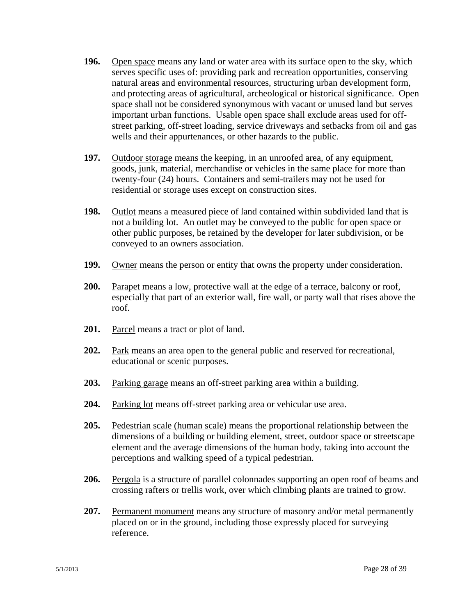- **196.** Open space means any land or water area with its surface open to the sky, which serves specific uses of: providing park and recreation opportunities, conserving natural areas and environmental resources, structuring urban development form, and protecting areas of agricultural, archeological or historical significance. Open space shall not be considered synonymous with vacant or unused land but serves important urban functions. Usable open space shall exclude areas used for offstreet parking, off-street loading, service driveways and setbacks from oil and gas wells and their appurtenances, or other hazards to the public.
- **197.** Outdoor storage means the keeping, in an unroofed area, of any equipment, goods, junk, material, merchandise or vehicles in the same place for more than twenty-four (24) hours. Containers and semi-trailers may not be used for residential or storage uses except on construction sites.
- **198.** Outlot means a measured piece of land contained within subdivided land that is not a building lot. An outlet may be conveyed to the public for open space or other public purposes, be retained by the developer for later subdivision, or be conveyed to an owners association.
- **199.** Owner means the person or entity that owns the property under consideration.
- **200.** Parapet means a low, protective wall at the edge of a terrace, balcony or roof, especially that part of an exterior wall, fire wall, or party wall that rises above the roof.
- **201.** Parcel means a tract or plot of land.
- **202.** Park means an area open to the general public and reserved for recreational, educational or scenic purposes.
- **203.** Parking garage means an off-street parking area within a building.
- **204.** Parking lot means off-street parking area or vehicular use area.
- **205.** Pedestrian scale (human scale) means the proportional relationship between the dimensions of a building or building element, street, outdoor space or streetscape element and the average dimensions of the human body, taking into account the perceptions and walking speed of a typical pedestrian.
- **206.** Pergola is a structure of parallel colonnades supporting an open roof of beams and crossing rafters or trellis work, over which climbing plants are trained to grow.
- **207.** Permanent monument means any structure of masonry and/or metal permanently placed on or in the ground, including those expressly placed for surveying reference.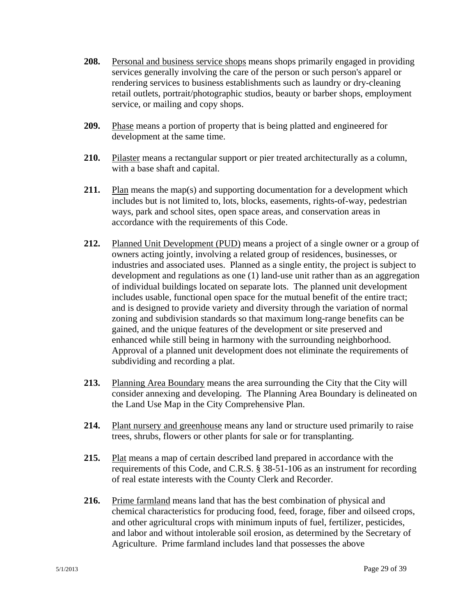- **208.** Personal and business service shops means shops primarily engaged in providing services generally involving the care of the person or such person's apparel or rendering services to business establishments such as laundry or dry-cleaning retail outlets, portrait/photographic studios, beauty or barber shops, employment service, or mailing and copy shops.
- **209.** Phase means a portion of property that is being platted and engineered for development at the same time.
- **210.** Pilaster means a rectangular support or pier treated architecturally as a column, with a base shaft and capital.
- **211.** Plan means the map(s) and supporting documentation for a development which includes but is not limited to, lots, blocks, easements, rights-of-way, pedestrian ways, park and school sites, open space areas, and conservation areas in accordance with the requirements of this Code.
- **212.** Planned Unit Development (PUD) means a project of a single owner or a group of owners acting jointly, involving a related group of residences, businesses, or industries and associated uses. Planned as a single entity, the project is subject to development and regulations as one (1) land-use unit rather than as an aggregation of individual buildings located on separate lots. The planned unit development includes usable, functional open space for the mutual benefit of the entire tract; and is designed to provide variety and diversity through the variation of normal zoning and subdivision standards so that maximum long-range benefits can be gained, and the unique features of the development or site preserved and enhanced while still being in harmony with the surrounding neighborhood. Approval of a planned unit development does not eliminate the requirements of subdividing and recording a plat.
- **213.** Planning Area Boundary means the area surrounding the City that the City will consider annexing and developing. The Planning Area Boundary is delineated on the Land Use Map in the City Comprehensive Plan.
- **214.** Plant nursery and greenhouse means any land or structure used primarily to raise trees, shrubs, flowers or other plants for sale or for transplanting.
- **215.** Plat means a map of certain described land prepared in accordance with the requirements of this Code, and C.R.S. § 38-51-106 as an instrument for recording of real estate interests with the County Clerk and Recorder.
- **216.** Prime farmland means land that has the best combination of physical and chemical characteristics for producing food, feed, forage, fiber and oilseed crops, and other agricultural crops with minimum inputs of fuel, fertilizer, pesticides, and labor and without intolerable soil erosion, as determined by the Secretary of Agriculture. Prime farmland includes land that possesses the above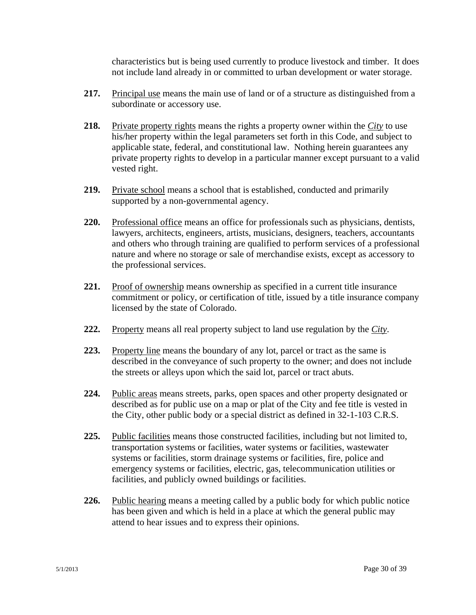characteristics but is being used currently to produce livestock and timber. It does not include land already in or committed to urban development or water storage.

- **217.** Principal use means the main use of land or of a structure as distinguished from a subordinate or accessory use.
- **218.** Private property rights means the rights a property owner within the *City* to use his/her property within the legal parameters set forth in this Code, and subject to applicable state, federal, and constitutional law. Nothing herein guarantees any private property rights to develop in a particular manner except pursuant to a valid vested right.
- **219.** Private school means a school that is established, conducted and primarily supported by a non-governmental agency.
- **220.** Professional office means an office for professionals such as physicians, dentists, lawyers, architects, engineers, artists, musicians, designers, teachers, accountants and others who through training are qualified to perform services of a professional nature and where no storage or sale of merchandise exists, except as accessory to the professional services.
- **221.** Proof of ownership means ownership as specified in a current title insurance commitment or policy, or certification of title, issued by a title insurance company licensed by the state of Colorado.
- **222.** Property means all real property subject to land use regulation by the *City*.
- **223.** Property line means the boundary of any lot, parcel or tract as the same is described in the conveyance of such property to the owner; and does not include the streets or alleys upon which the said lot, parcel or tract abuts.
- **224.** Public areas means streets, parks, open spaces and other property designated or described as for public use on a map or plat of the City and fee title is vested in the City, other public body or a special district as defined in 32-1-103 C.R.S.
- **225.** Public facilities means those constructed facilities, including but not limited to, transportation systems or facilities, water systems or facilities, wastewater systems or facilities, storm drainage systems or facilities, fire, police and emergency systems or facilities, electric, gas, telecommunication utilities or facilities, and publicly owned buildings or facilities.
- **226.** Public hearing means a meeting called by a public body for which public notice has been given and which is held in a place at which the general public may attend to hear issues and to express their opinions.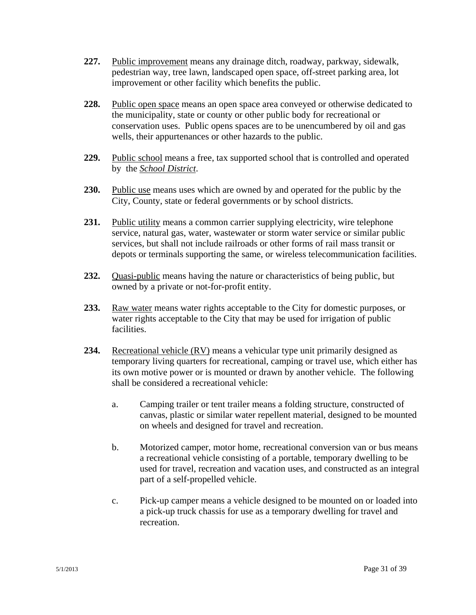- **227.** Public improvement means any drainage ditch, roadway, parkway, sidewalk, pedestrian way, tree lawn, landscaped open space, off-street parking area, lot improvement or other facility which benefits the public.
- **228.** Public open space means an open space area conveyed or otherwise dedicated to the municipality, state or county or other public body for recreational or conservation uses. Public opens spaces are to be unencumbered by oil and gas wells, their appurtenances or other hazards to the public.
- **229.** Public school means a free, tax supported school that is controlled and operated by the *School District*.
- **230.** Public use means uses which are owned by and operated for the public by the City, County, state or federal governments or by school districts.
- **231.** Public utility means a common carrier supplying electricity, wire telephone service, natural gas, water, wastewater or storm water service or similar public services, but shall not include railroads or other forms of rail mass transit or depots or terminals supporting the same, or wireless telecommunication facilities.
- **232.** Quasi-public means having the nature or characteristics of being public, but owned by a private or not-for-profit entity.
- **233.** Raw water means water rights acceptable to the City for domestic purposes, or water rights acceptable to the City that may be used for irrigation of public facilities.
- **234.** Recreational vehicle (RV) means a vehicular type unit primarily designed as temporary living quarters for recreational, camping or travel use, which either has its own motive power or is mounted or drawn by another vehicle. The following shall be considered a recreational vehicle:
	- a. Camping trailer or tent trailer means a folding structure, constructed of canvas, plastic or similar water repellent material, designed to be mounted on wheels and designed for travel and recreation.
	- b. Motorized camper, motor home, recreational conversion van or bus means a recreational vehicle consisting of a portable, temporary dwelling to be used for travel, recreation and vacation uses, and constructed as an integral part of a self-propelled vehicle.
	- c. Pick-up camper means a vehicle designed to be mounted on or loaded into a pick-up truck chassis for use as a temporary dwelling for travel and recreation.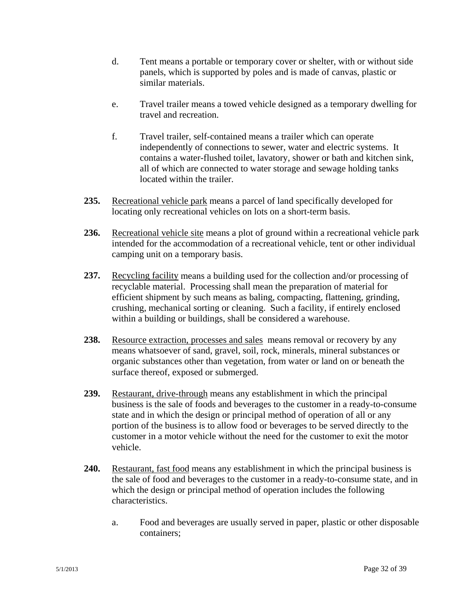- d. Tent means a portable or temporary cover or shelter, with or without side panels, which is supported by poles and is made of canvas, plastic or similar materials.
- e. Travel trailer means a towed vehicle designed as a temporary dwelling for travel and recreation.
- f. Travel trailer, self-contained means a trailer which can operate independently of connections to sewer, water and electric systems. It contains a water-flushed toilet, lavatory, shower or bath and kitchen sink, all of which are connected to water storage and sewage holding tanks located within the trailer.
- **235.** Recreational vehicle park means a parcel of land specifically developed for locating only recreational vehicles on lots on a short-term basis.
- **236.** Recreational vehicle site means a plot of ground within a recreational vehicle park intended for the accommodation of a recreational vehicle, tent or other individual camping unit on a temporary basis.
- **237.** Recycling facility means a building used for the collection and/or processing of recyclable material. Processing shall mean the preparation of material for efficient shipment by such means as baling, compacting, flattening, grinding, crushing, mechanical sorting or cleaning. Such a facility, if entirely enclosed within a building or buildings, shall be considered a warehouse.
- 238. Resource extraction, processes and sales means removal or recovery by any means whatsoever of sand, gravel, soil, rock, minerals, mineral substances or organic substances other than vegetation, from water or land on or beneath the surface thereof, exposed or submerged.
- **239.** Restaurant, drive-through means any establishment in which the principal business is the sale of foods and beverages to the customer in a ready-to-consume state and in which the design or principal method of operation of all or any portion of the business is to allow food or beverages to be served directly to the customer in a motor vehicle without the need for the customer to exit the motor vehicle.
- **240.** Restaurant, fast food means any establishment in which the principal business is the sale of food and beverages to the customer in a ready-to-consume state, and in which the design or principal method of operation includes the following characteristics.
	- a. Food and beverages are usually served in paper, plastic or other disposable containers;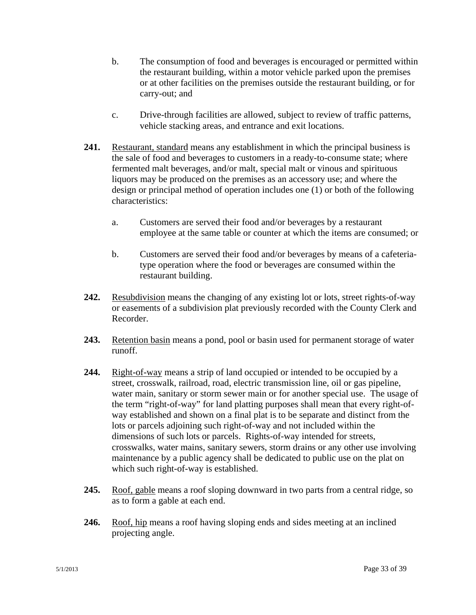- b. The consumption of food and beverages is encouraged or permitted within the restaurant building, within a motor vehicle parked upon the premises or at other facilities on the premises outside the restaurant building, or for carry-out; and
- c. Drive-through facilities are allowed, subject to review of traffic patterns, vehicle stacking areas, and entrance and exit locations.
- **241.** Restaurant, standard means any establishment in which the principal business is the sale of food and beverages to customers in a ready-to-consume state; where fermented malt beverages, and/or malt, special malt or vinous and spirituous liquors may be produced on the premises as an accessory use; and where the design or principal method of operation includes one (1) or both of the following characteristics:
	- a. Customers are served their food and/or beverages by a restaurant employee at the same table or counter at which the items are consumed; or
	- b. Customers are served their food and/or beverages by means of a cafeteriatype operation where the food or beverages are consumed within the restaurant building.
- **242.** Resubdivision means the changing of any existing lot or lots, street rights-of-way or easements of a subdivision plat previously recorded with the County Clerk and Recorder.
- **243.** Retention basin means a pond, pool or basin used for permanent storage of water runoff.
- **244.** Right-of-way means a strip of land occupied or intended to be occupied by a street, crosswalk, railroad, road, electric transmission line, oil or gas pipeline, water main, sanitary or storm sewer main or for another special use. The usage of the term "right-of-way" for land platting purposes shall mean that every right-ofway established and shown on a final plat is to be separate and distinct from the lots or parcels adjoining such right-of-way and not included within the dimensions of such lots or parcels. Rights-of-way intended for streets, crosswalks, water mains, sanitary sewers, storm drains or any other use involving maintenance by a public agency shall be dedicated to public use on the plat on which such right-of-way is established.
- **245.** Roof, gable means a roof sloping downward in two parts from a central ridge, so as to form a gable at each end.
- **246.** Roof, hip means a roof having sloping ends and sides meeting at an inclined projecting angle.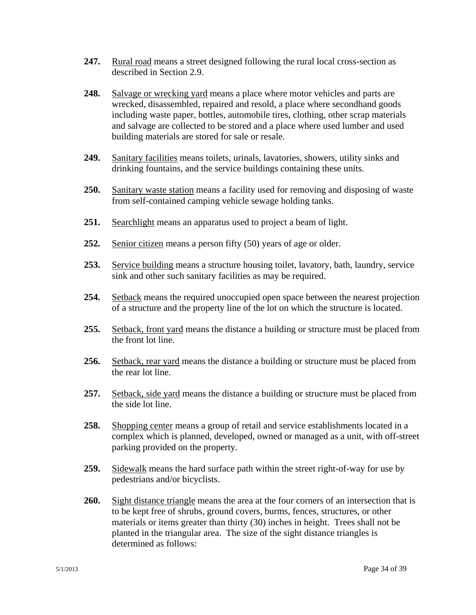- **247.** Rural road means a street designed following the rural local cross-section as described in Section 2.9.
- **248.** Salvage or wrecking yard means a place where motor vehicles and parts are wrecked, disassembled, repaired and resold, a place where secondhand goods including waste paper, bottles, automobile tires, clothing, other scrap materials and salvage are collected to be stored and a place where used lumber and used building materials are stored for sale or resale.
- **249.** Sanitary facilities means toilets, urinals, lavatories, showers, utility sinks and drinking fountains, and the service buildings containing these units.
- **250.** Sanitary waste station means a facility used for removing and disposing of waste from self-contained camping vehicle sewage holding tanks.
- **251.** Searchlight means an apparatus used to project a beam of light.
- **252.** Senior citizen means a person fifty (50) years of age or older.
- **253.** Service building means a structure housing toilet, lavatory, bath, laundry, service sink and other such sanitary facilities as may be required.
- **254.** Setback means the required unoccupied open space between the nearest projection of a structure and the property line of the lot on which the structure is located.
- **255.** Setback, front yard means the distance a building or structure must be placed from the front lot line.
- **256.** Setback, rear yard means the distance a building or structure must be placed from the rear lot line.
- **257.** Setback, side yard means the distance a building or structure must be placed from the side lot line.
- **258.** Shopping center means a group of retail and service establishments located in a complex which is planned, developed, owned or managed as a unit, with off-street parking provided on the property.
- **259.** Sidewalk means the hard surface path within the street right-of-way for use by pedestrians and/or bicyclists.
- **260.** Sight distance triangle means the area at the four corners of an intersection that is to be kept free of shrubs, ground covers, burms, fences, structures, or other materials or items greater than thirty (30) inches in height. Trees shall not be planted in the triangular area. The size of the sight distance triangles is determined as follows: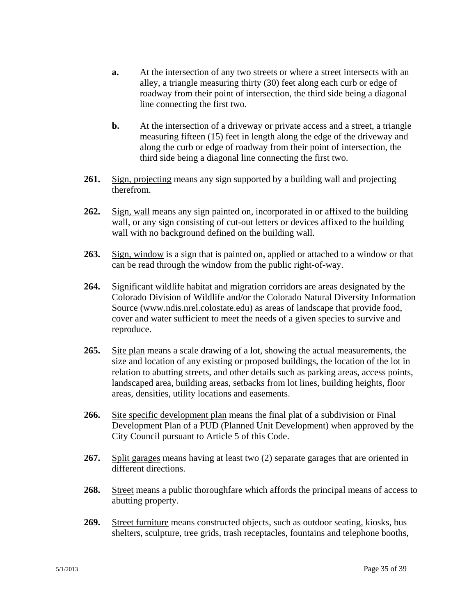- **a.** At the intersection of any two streets or where a street intersects with an alley, a triangle measuring thirty (30) feet along each curb or edge of roadway from their point of intersection, the third side being a diagonal line connecting the first two.
- **b.** At the intersection of a driveway or private access and a street, a triangle measuring fifteen (15) feet in length along the edge of the driveway and along the curb or edge of roadway from their point of intersection, the third side being a diagonal line connecting the first two.
- **261.** Sign, projecting means any sign supported by a building wall and projecting therefrom.
- **262.** Sign, wall means any sign painted on, incorporated in or affixed to the building wall, or any sign consisting of cut-out letters or devices affixed to the building wall with no background defined on the building wall.
- **263.** Sign, window is a sign that is painted on, applied or attached to a window or that can be read through the window from the public right-of-way.
- **264.** Significant wildlife habitat and migration corridors are areas designated by the Colorado Division of Wildlife and/or the Colorado Natural Diversity Information Source (www.ndis.nrel.colostate.edu) as areas of landscape that provide food, cover and water sufficient to meet the needs of a given species to survive and reproduce.
- **265.** Site plan means a scale drawing of a lot, showing the actual measurements, the size and location of any existing or proposed buildings, the location of the lot in relation to abutting streets, and other details such as parking areas, access points, landscaped area, building areas, setbacks from lot lines, building heights, floor areas, densities, utility locations and easements.
- **266.** Site specific development plan means the final plat of a subdivision or Final Development Plan of a PUD (Planned Unit Development) when approved by the City Council pursuant to Article 5 of this Code.
- **267.** Split garages means having at least two (2) separate garages that are oriented in different directions.
- **268.** Street means a public thoroughfare which affords the principal means of access to abutting property.
- **269.** Street furniture means constructed objects, such as outdoor seating, kiosks, bus shelters, sculpture, tree grids, trash receptacles, fountains and telephone booths,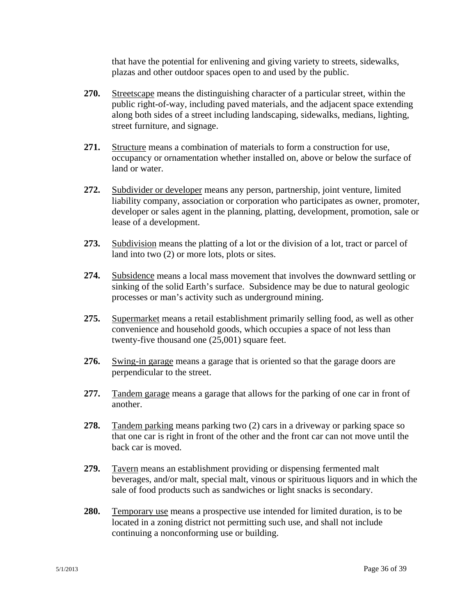that have the potential for enlivening and giving variety to streets, sidewalks, plazas and other outdoor spaces open to and used by the public.

- **270.** Streetscape means the distinguishing character of a particular street, within the public right-of-way, including paved materials, and the adjacent space extending along both sides of a street including landscaping, sidewalks, medians, lighting, street furniture, and signage.
- **271.** Structure means a combination of materials to form a construction for use, occupancy or ornamentation whether installed on, above or below the surface of land or water.
- **272.** Subdivider or developer means any person, partnership, joint venture, limited liability company, association or corporation who participates as owner, promoter, developer or sales agent in the planning, platting, development, promotion, sale or lease of a development.
- **273.** Subdivision means the platting of a lot or the division of a lot, tract or parcel of land into two (2) or more lots, plots or sites.
- **274.** Subsidence means a local mass movement that involves the downward settling or sinking of the solid Earth's surface. Subsidence may be due to natural geologic processes or man's activity such as underground mining.
- **275.** Supermarket means a retail establishment primarily selling food, as well as other convenience and household goods, which occupies a space of not less than twenty-five thousand one (25,001) square feet.
- **276.** Swing-in garage means a garage that is oriented so that the garage doors are perpendicular to the street.
- **277.** Tandem garage means a garage that allows for the parking of one car in front of another.
- **278.** Tandem parking means parking two (2) cars in a driveway or parking space so that one car is right in front of the other and the front car can not move until the back car is moved.
- **279.** Tavern means an establishment providing or dispensing fermented malt beverages, and/or malt, special malt, vinous or spirituous liquors and in which the sale of food products such as sandwiches or light snacks is secondary.
- **280.** Temporary use means a prospective use intended for limited duration, is to be located in a zoning district not permitting such use, and shall not include continuing a nonconforming use or building.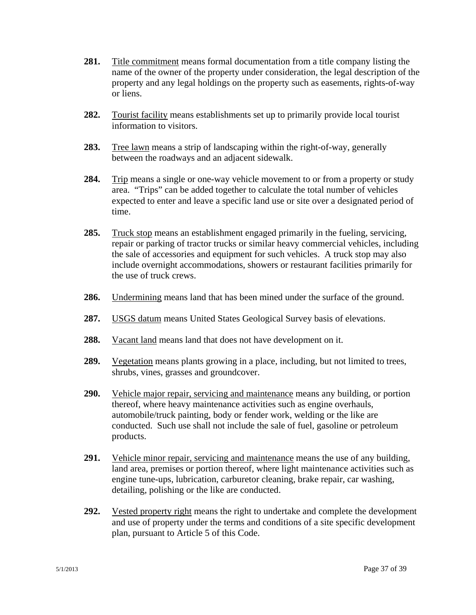- **281.** Title commitment means formal documentation from a title company listing the name of the owner of the property under consideration, the legal description of the property and any legal holdings on the property such as easements, rights-of-way or liens.
- **282.** Tourist facility means establishments set up to primarily provide local tourist information to visitors.
- **283.** Tree lawn means a strip of landscaping within the right-of-way, generally between the roadways and an adjacent sidewalk.
- **284.** Trip means a single or one-way vehicle movement to or from a property or study area. "Trips" can be added together to calculate the total number of vehicles expected to enter and leave a specific land use or site over a designated period of time.
- **285.** Truck stop means an establishment engaged primarily in the fueling, servicing, repair or parking of tractor trucks or similar heavy commercial vehicles, including the sale of accessories and equipment for such vehicles. A truck stop may also include overnight accommodations, showers or restaurant facilities primarily for the use of truck crews.
- **286.** Undermining means land that has been mined under the surface of the ground.
- **287.** USGS datum means United States Geological Survey basis of elevations.
- **288.** Vacant land means land that does not have development on it.
- **289.** Vegetation means plants growing in a place, including, but not limited to trees, shrubs, vines, grasses and groundcover.
- **290.** Vehicle major repair, servicing and maintenance means any building, or portion thereof, where heavy maintenance activities such as engine overhauls, automobile/truck painting, body or fender work, welding or the like are conducted. Such use shall not include the sale of fuel, gasoline or petroleum products.
- **291.** Vehicle minor repair, servicing and maintenance means the use of any building, land area, premises or portion thereof, where light maintenance activities such as engine tune-ups, lubrication, carburetor cleaning, brake repair, car washing, detailing, polishing or the like are conducted.
- **292.** Vested property right means the right to undertake and complete the development and use of property under the terms and conditions of a site specific development plan, pursuant to Article 5 of this Code.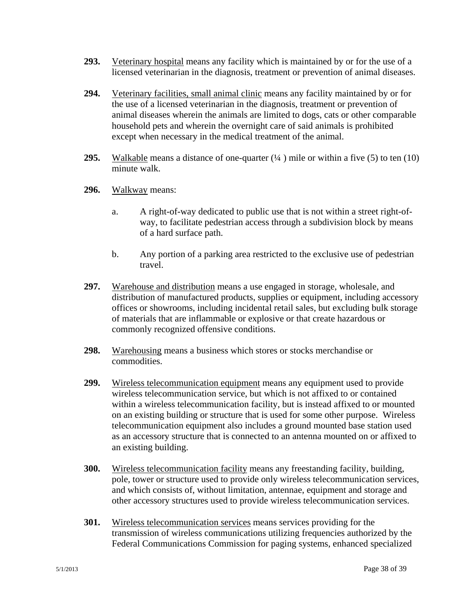- **293.** Veterinary hospital means any facility which is maintained by or for the use of a licensed veterinarian in the diagnosis, treatment or prevention of animal diseases.
- **294.** Veterinary facilities, small animal clinic means any facility maintained by or for the use of a licensed veterinarian in the diagnosis, treatment or prevention of animal diseases wherein the animals are limited to dogs, cats or other comparable household pets and wherein the overnight care of said animals is prohibited except when necessary in the medical treatment of the animal.
- **295.** Walkable means a distance of one-quarter (¼ ) mile or within a five (5) to ten (10) minute walk.
- **296.** Walkway means:
	- a. A right-of-way dedicated to public use that is not within a street right-ofway, to facilitate pedestrian access through a subdivision block by means of a hard surface path.
	- b. Any portion of a parking area restricted to the exclusive use of pedestrian travel.
- **297.** Warehouse and distribution means a use engaged in storage, wholesale, and distribution of manufactured products, supplies or equipment, including accessory offices or showrooms, including incidental retail sales, but excluding bulk storage of materials that are inflammable or explosive or that create hazardous or commonly recognized offensive conditions.
- **298.** Warehousing means a business which stores or stocks merchandise or commodities.
- **299.** Wireless telecommunication equipment means any equipment used to provide wireless telecommunication service, but which is not affixed to or contained within a wireless telecommunication facility, but is instead affixed to or mounted on an existing building or structure that is used for some other purpose. Wireless telecommunication equipment also includes a ground mounted base station used as an accessory structure that is connected to an antenna mounted on or affixed to an existing building.
- **300.** Wireless telecommunication facility means any freestanding facility, building, pole, tower or structure used to provide only wireless telecommunication services, and which consists of, without limitation, antennae, equipment and storage and other accessory structures used to provide wireless telecommunication services.
- **301.** Wireless telecommunication services means services providing for the transmission of wireless communications utilizing frequencies authorized by the Federal Communications Commission for paging systems, enhanced specialized